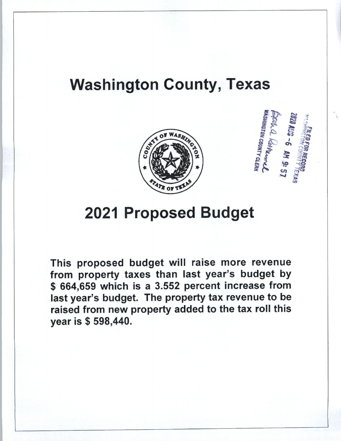## Washington County, Texas





# 2021 Proposed Budget

This proposed budget will raise more revenue from property taxes than last year's budget by \$ 664,659 which is a 3.552 percent increase from last year's budget. The property tax revenue to be raised from new property added to the tax roll this year is \$ 598,440.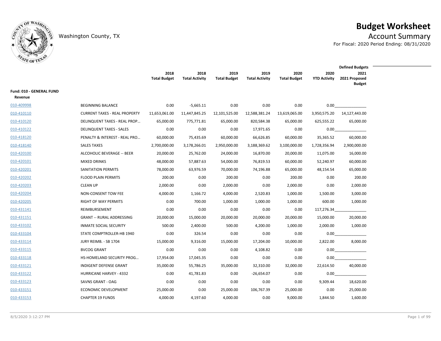

## **Budget Worksheet**

Washington County, TX **Account Summary** For Fiscal: 2020 Period Ending: 08/31/2020

**2020 YTD Activity 2020 Total Budget 2019 Total Activity 2019 Total Budget 2018 Total Activity 2018 Total Budget 2021 2021 Proposed Budget Defined Budgets Fund: 010 - GENERAL FUND Revenue**  $\frac{010-409998}{0.00}$  beginning balance  $\frac{0.00}{0.00}$  -5,665.11  $\frac{0.00}{0.00}$  0.00  $\frac{0.00}{0.00}$  0.00  $\frac{0.00}{0.00}$ 010-410110 CURRENT TAXES - REAL PROPERTY 11,653,061.00 11,447,845.25 12,101,525.00 12,588,381.24 13,619,065.00 3,950,575.20 14,127,443.00 010-410120 DELINQUENT TAXES - REAL PROP… 65,000.00 775,771.81 65,000.00 820,584.38 65,000.00 625,555.22 65,000.00 010-410122 DELINQUENT TAXES - SALES 0.00 0.00 0.00 17,971.65 0.00 \_\_\_\_\_\_\_\_\_\_\_\_\_\_\_\_\_\_\_\_\_\_\_\_\_\_\_\_\_ 0.00 010-418120 PENALTY & INTEREST - REAL PRO… 60,000.00 75,435.69 60,000.00 66,626.85 60,000.00 35,365.52 60,000.00  $\frac{010-418140}{010}$  2,700,000.00 3,178,266.01 2,950,000.00 3,188,369.62 3,100,000.00 1,728,356.94 2,900,000.00 010-420100 ALCOHOLIC BEVERAGE -- BEER 20,000.00 25,762.00 24.000.00 16.870.00 20.000.00 11.075.00 16.000.00  $\underline{010}\text{-}420101$  MIXED DRINKS  $48,000.00$  57,887.63 54,000.00 76,819.53 60,000.00 52,240.97 60,000.00 010-420201 SANITATION PERMITS 78,000.00 63,976.59 70,000.00 74,196.88 65,000.00 48,154.54 65,000.00  $\frac{0.00 - 420202}{0.00}$  and  $\frac{0.00}{0.00}$   $\frac{0.00}{0.00}$   $\frac{0.00}{0.00}$   $\frac{0.00}{0.00}$   $\frac{0.00}{0.00}$   $\frac{0.00}{0.00}$ 010-420203 CLEAN UP 2,000.00 0.00 2,000.00 0.00 2,000.00 0.00 2,000.00 010-420204 NON-CONSENT TOW FEE 4,000.00 1,166.72 4,000.00 2,520.83 1,000.00 1,500.00 3,000.00  $\frac{010-420205}{0}$  RIGHT OF WAY PERMITS 0.00 700.00 1,000.00 1,000.00 1,000.00 600.00 1,000.00  $\underline{010}\textrm{-}431141$  REIMBURSEMENT  $\underline{0.00}$   $\underline{0.00}$   $\underline{0.00}$   $\underline{0.00}$   $\underline{0.00}$   $\underline{0.00}$   $117,276.34$   $\underline{\phantom{0.00}0}$ 010-431151 GRANT -- RURAL ADDRESSING 20,000.00 15,000.00 20,000.00 20,000.00 20,000.00 15,000.00 20,000.00 010-433102 INMATE SOCIAL SECURITY 500.00 2,400.00 500.00 4,200.00 1,000.00 2,000.00 1,000.00  $\underline{010-433104}$  STATE COMPTROLLER-HB 1940 0.00 326.54 0.00 0.00 0.00 0.00 0.00 0.00  $\underline{010}\text{-}433114$  JURY REIMB. - SB 1704 15,000.00 9,316.00 15,000.00 17,204.00 10,000.00 2,822.00 8,000.00  $\underline{010}\textrm{-}433115$  BVCOG GRANT  $\underline{0.00}$   $\underline{0.00}$   $\underline{0.00}$   $\underline{4,108.82}$   $\underline{0.00}$   $\underline{0.00}$   $\underline{0.00}$   $\underline{0.00}$   $\underline{0.00}$   $\underline{0.00}$   $\underline{0.00}$   $\underline{0.00}$   $\underline{0.00}$   $\underline{0.00}$   $\underline{0.00}$   $\under$ 010-433118 HS-HOMELAND SECURITY PROG… 17,954.00 17,045.35 0.00 0.00 0.00 \_\_\_\_\_\_\_\_\_\_\_\_\_\_\_\_\_\_\_\_\_\_\_\_\_\_\_\_\_ 0.00 010-433121 INDIGENT DEFENSE GRANT 35,000.00 55,786.25 35,000.00 32,310.00 32,000.00 22,614.50 40,000.00 010-433122 HURRICANE HARVEY - 4332 0.00 41.781.83 0.00 - 26.654.07 0.00 0.00 0.00 010-433123 SAVNS GRANT - OAG 0.00 0.00 0.00 0.00 0.00 9,309.44 18,620.00 010-433151 ECONOMIC DEVELOPMENT 25,000.00 0.00 25,000.00 106,767.39 25,000.00 0.00 25,000.00  $\frac{010-433153}{900000}$  CHAPTER 19 FUNDS  $\frac{4,000.00}{4,197.60}$   $\frac{4,000.00}{4,000.00}$   $\frac{0.00}{0.00}$   $\frac{9,000.00}{1,844.50}$   $\frac{1,600.00}{1,600.00}$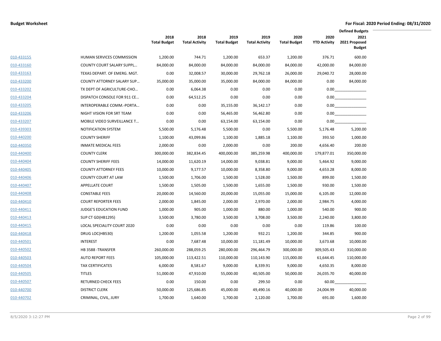|            |                               |                             |                               |                             |                               |                             |                             | <b>Defined Budgets</b>                 |
|------------|-------------------------------|-----------------------------|-------------------------------|-----------------------------|-------------------------------|-----------------------------|-----------------------------|----------------------------------------|
|            |                               | 2018<br><b>Total Budget</b> | 2018<br><b>Total Activity</b> | 2019<br><b>Total Budget</b> | 2019<br><b>Total Activity</b> | 2020<br><b>Total Budget</b> | 2020<br><b>YTD Activity</b> | 2021<br>2021 Proposed<br><b>Budget</b> |
| 010-433155 | HUMAN SERVICES COMMISSION     | 1,200.00                    | 744.71                        | 1,200.00                    | 653.37                        | 1,200.00                    | 376.71                      | 600.00                                 |
| 010-433160 | COUNTY COURT SALARY SUPPL     | 84,000.00                   | 84,000.00                     | 84,000.00                   | 84,000.00                     | 84,000.00                   | 42,000.00                   | 84,000.00                              |
| 010-433163 | TEXAS DEPART. OF EMERG. MGT.  | 0.00                        | 32,008.57                     | 30,000.00                   | 29,762.18                     | 26,000.00                   | 29,040.72                   | 28,000.00                              |
| 010-433200 | COUNTY ATTORNEY SALARY SUP    | 35,000.00                   | 35,000.00                     | 35,000.00                   | 84,000.00                     | 84,000.00                   | 0.00                        | 84,000.00                              |
| 010-433202 | TX DEPT OF AGRICULTURE-CHO    | 0.00                        | 6,064.38                      | 0.00                        | 0.00                          | 0.00                        | 0.00                        |                                        |
| 010-433204 | DISPATCH CONSOLE FOR 911 CE   | 0.00                        | 64,512.25                     | 0.00                        | 0.00                          | 0.00                        |                             |                                        |
| 010-433205 | INTEROPERABLE COMM.-PORTA     | 0.00                        | 0.00                          | 35,155.00                   | 36,142.17                     | 0.00                        | 0.00                        |                                        |
| 010-433206 | NIGHT VISION FOR SRT TEAM     | 0.00                        | 0.00                          | 56,465.00                   | 56,462.80                     | 0.00                        | 0.00                        |                                        |
| 010-433207 | MOBILE VIDEO SURVEILLANCE T   | 0.00                        | 0.00                          | 63,154.00                   | 63,154.00                     | 0.00                        | $0.00\,$                    |                                        |
| 010-439303 | NOTIFICATION SYSTEM           | 5,500.00                    | 5,176.48                      | 5,500.00                    | 0.00                          | 5,500.00                    | 5,176.48                    | 5,200.00                               |
| 010-440200 | <b>COUNTY SHERIFF</b>         | 1,100.00                    | 43,099.86                     | 1,100.00                    | 1,885.18                      | 1,100.00                    | 393.50                      | 1,000.00                               |
| 010-440350 | <b>INMATE MEDICAL FEES</b>    | 2,000.00                    | 0.00                          | 2,000.00                    | 0.00                          | 200.00                      | 4,656.40                    | 200.00                                 |
| 010-440400 | <b>COUNTY CLERK</b>           | 300,000.00                  | 382,834.45                    | 400,000.00                  | 385,259.98                    | 400,000.00                  | 179,877.01                  | 350,000.00                             |
| 010-440404 | <b>COUNTY SHERIFF FEES</b>    | 14,000.00                   | 11,620.19                     | 14,000.00                   | 9,038.81                      | 9,000.00                    | 5,464.92                    | 9,000.00                               |
| 010-440405 | <b>COUNTY ATTORNEY FEES</b>   | 10,000.00                   | 9,177.57                      | 10,000.00                   | 8,358.80                      | 9,000.00                    | 4,653.28                    | 8,000.00                               |
| 010-440406 | <b>COUNTY COURT AT LAW</b>    | 1,500.00                    | 1,706.00                      | 1,500.00                    | 1,528.00                      | 1,500.00                    | 899.00                      | 1,500.00                               |
| 010-440407 | <b>APPELLATE COURT</b>        | 1,500.00                    | 1,505.00                      | 1,500.00                    | 1,655.00                      | 1,500.00                    | 930.00                      | 1,500.00                               |
| 010-440408 | <b>CONSTABLE FEES</b>         | 20,000.00                   | 14,560.00                     | 20,000.00                   | 15,055.00                     | 15,000.00                   | 6,105.00                    | 12,000.00                              |
| 010-440410 | <b>COURT REPORTER FEES</b>    | 2,000.00                    | 1,845.00                      | 2,000.00                    | 2,970.00                      | 2,000.00                    | 2,984.75                    | 4,000.00                               |
| 010-440411 | <b>JUDGE'S EDUCATION FUND</b> | 1,000.00                    | 905.00                        | 1,000.00                    | 880.00                        | 1,000.00                    | 540.00                      | 900.00                                 |
| 010-440413 | SUP CT GD(HB1295)             | 3,500.00                    | 3,780.00                      | 3,500.00                    | 3,708.00                      | 3,500.00                    | 2,240.00                    | 3,800.00                               |
| 010-440415 | LOCAL SPECIALITY COURT 2020   | 0.00                        | 0.00                          | 0.00                        | 0.00                          | 0.00                        | 119.86                      | 100.00                                 |
| 010-440418 | DRUG LOC(HB530)               | 1,200.00                    | 1,055.58                      | 1,200.00                    | 932.21                        | 1,200.00                    | 344.85                      | 900.00                                 |
| 010-440501 | <b>INTEREST</b>               | 0.00                        | 7,687.48                      | 10,000.00                   | 11,181.49                     | 10,000.00                   | 3,673.68                    | 10,000.00                              |
| 010-440502 | HB 3588 - TRANSFER            | 260,000.00                  | 288,059.25                    | 280,000.00                  | 296,464.79                    | 300,000.00                  | 309,505.43                  | 310,000.00                             |
| 010-440503 | <b>AUTO REPORT FEES</b>       | 105,000.00                  | 113,422.51                    | 110,000.00                  | 110,143.90                    | 115,000.00                  | 61,644.45                   | 110,000.00                             |
| 010-440504 | <b>TAX CERTIFICATES</b>       | 6,000.00                    | 8,581.67                      | 9,000.00                    | 8,339.91                      | 9,000.00                    | 4,650.35                    | 8,000.00                               |
| 010-440505 | <b>TITLES</b>                 | 51,000.00                   | 47,910.00                     | 55,000.00                   | 40,505.00                     | 50,000.00                   | 26,035.70                   | 40,000.00                              |
| 010-440507 | <b>RETURNED CHECK FEES</b>    | 0.00                        | 150.00                        | 0.00                        | 299.50                        | 0.00                        | 60.00                       |                                        |
| 010-440700 | <b>DISTRICT CLERK</b>         | 50,000.00                   | 125,686.85                    | 45,000.00                   | 49,490.16                     | 40,000.00                   | 24,004.99                   | 40,000.00                              |
| 010-440702 | CRIMINAL, CIVIL, JURY         | 1,700.00                    | 1,640.00                      | 1,700.00                    | 2,120.00                      | 1,700.00                    | 691.00                      | 1,600.00                               |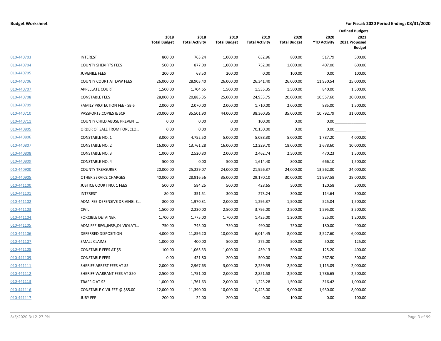|            |                                     |                             |                               |                             |                               |                             |                             | <b>Defined Budgets</b>                 |
|------------|-------------------------------------|-----------------------------|-------------------------------|-----------------------------|-------------------------------|-----------------------------|-----------------------------|----------------------------------------|
|            |                                     | 2018<br><b>Total Budget</b> | 2018<br><b>Total Activity</b> | 2019<br><b>Total Budget</b> | 2019<br><b>Total Activity</b> | 2020<br><b>Total Budget</b> | 2020<br><b>YTD Activity</b> | 2021<br>2021 Proposed<br><b>Budget</b> |
| 010-440703 | <b>INTEREST</b>                     | 800.00                      | 763.24                        | 1,000.00                    | 632.96                        | 800.00                      | 517.79                      | 500.00                                 |
| 010-440704 | <b>COUNTY SHERIFF'S FEES</b>        | 500.00                      | 877.00                        | 1,000.00                    | 752.00                        | 1,000.00                    | 407.00                      | 600.00                                 |
| 010-440705 | <b>JUVENILE FEES</b>                | 200.00                      | 68.50                         | 200.00                      | 0.00                          | 100.00                      | 0.00                        | 100.00                                 |
| 010-440706 | <b>COUNTY COURT AT LAW FEES</b>     | 26,000.00                   | 28,903.40                     | 26,000.00                   | 26,341.40                     | 26,000.00                   | 11,930.54                   | 25,000.00                              |
| 010-440707 | <b>APPELLATE COURT</b>              | 1,500.00                    | 1,704.65                      | 1,500.00                    | 1,535.35                      | 1,500.00                    | 840.00                      | 1,500.00                               |
| 010-440708 | <b>CONSTABLE FEES</b>               | 28,000.00                   | 20,885.35                     | 25,000.00                   | 24,933.75                     | 20,000.00                   | 10,557.60                   | 20,000.00                              |
| 010-440709 | <b>FAMILY PROTECTION FEE - SB 6</b> | 2,000.00                    | 2,070.00                      | 2,000.00                    | 1,710.00                      | 2,000.00                    | 885.00                      | 1,500.00                               |
| 010-440710 | PASSPORTS, COPIES & SCR             | 30,000.00                   | 35,501.90                     | 44,000.00                   | 38,360.35                     | 35,000.00                   | 10,792.79                   | 31,000.00                              |
| 010-440711 | <b>COUNTY CHILD ABUSE PREVENT</b>   | 0.00                        | 0.00                          | 0.00                        | 100.00                        | 0.00                        | 0.00                        |                                        |
| 010-440805 | ORDER OF SALE FROM FORECLO          | 0.00                        | 0.00                          | 0.00                        | 70,150.00                     | 0.00                        | 0.00                        |                                        |
| 010-440806 | <b>CONSTABLE NO. 1</b>              | 3,000.00                    | 4,752.50                      | 5,000.00                    | 5,088.30                      | 5,000.00                    | 1,787.20                    | 4,000.00                               |
| 010-440807 | <b>CONSTABLE NO. 2</b>              | 16,000.00                   | 13,761.28                     | 16,000.00                   | 12,229.70                     | 18,000.00                   | 2,678.60                    | 10,000.00                              |
| 010-440808 | <b>CONSTABLE NO. 3</b>              | 1,000.00                    | 2,520.80                      | 2,000.00                    | 2,462.74                      | 2,500.00                    | 470.23                      | 1,500.00                               |
| 010-440809 | <b>CONSTABLE NO. 4</b>              | 500.00                      | 0.00                          | 500.00                      | 1,614.40                      | 800.00                      | 666.10                      | 1,500.00                               |
| 010-440900 | <b>COUNTY TREASURER</b>             | 20,000.00                   | 25,229.07                     | 24,000.00                   | 21,926.37                     | 24,000.00                   | 13,562.80                   | 24,000.00                              |
| 010-440905 | OTHER SERVICE CHARGES               | 40,000.00                   | 28,916.56                     | 35,000.00                   | 29,170.10                     | 30,000.00                   | 11,997.58                   | 28,000.00                              |
| 010-441100 | <b>JUSTICE COURT NO. 1 FEES</b>     | 500.00                      | 584.25                        | 500.00                      | 428.65                        | 500.00                      | 120.58                      | 500.00                                 |
| 010-441101 | <b>INTEREST</b>                     | 80.00                       | 351.51                        | 300.00                      | 273.24                        | 300.00                      | 114.64                      | 300.00                                 |
| 010-441102 | ADM. FEE-DEFENSIVE DRIVING, E       | 800.00                      | 1,970.31                      | 2,000.00                    | 1,295.37                      | 1,500.00                    | 525.04                      | 1,500.00                               |
| 010-441103 | <b>CIVIL</b>                        | 1,500.00                    | 2,230.00                      | 2,500.00                    | 3,795.00                      | 2,500.00                    | 1,595.00                    | 3,500.00                               |
| 010-441104 | <b>FORCIBLE DETAINER</b>            | 1,700.00                    | 1,775.00                      | 1,700.00                    | 1,425.00                      | 1,200.00                    | 325.00                      | 1,200.00                               |
| 010-441105 | ADM.FEE-REG., INSP., DL VIOLATI     | 750.00                      | 745.00                        | 750.00                      | 490.00                        | 750.00                      | 180.00                      | 400.00                                 |
| 010-441106 | DEFERRED DISPOSITION                | 4,000.00                    | 11,856.20                     | 10,000.00                   | 6,014.45                      | 8,000.00                    | 3,527.60                    | 6,000.00                               |
| 010-441107 | <b>SMALL CLAIMS</b>                 | 1,000.00                    | 400.00                        | 500.00                      | 275.00                        | 500.00                      | 50.00                       | 125.00                                 |
| 010-441108 | <b>CONSTABLE FEES AT \$5</b>        | 100.00                      | 1,065.33                      | 1,000.00                    | 459.13                        | 500.00                      | 125.20                      | 400.00                                 |
| 010-441109 | <b>CONSTABLE FEES</b>               | 0.00                        | 421.80                        | 200.00                      | 500.00                        | 200.00                      | 367.90                      | 500.00                                 |
| 010-441111 | SHERIFF ARREST FEES AT \$5          | 2,000.00                    | 2,967.63                      | 3,000.00                    | 2,259.59                      | 2,500.00                    | 1,115.09                    | 2,000.00                               |
| 010-441112 | SHERIFF WARRANT FEES AT \$50        | 2,500.00                    | 1,751.00                      | 2,000.00                    | 2,851.58                      | 2,500.00                    | 1,786.65                    | 2,500.00                               |
| 010-441113 | TRAFFIC AT \$3                      | 1,000.00                    | 1,761.63                      | 2,000.00                    | 1,223.28                      | 1,500.00                    | 316.42                      | 1,000.00                               |
| 010-441116 | CONSTABLE CIVIL FEE @ \$85.00       | 12,000.00                   | 11,390.00                     | 10,000.00                   | 10,425.00                     | 9,000.00                    | 1,930.00                    | 8,000.00                               |
| 010-441117 | <b>JURY FEE</b>                     | 200.00                      | 22.00                         | 200.00                      | 0.00                          | 100.00                      | 0.00                        | 100.00                                 |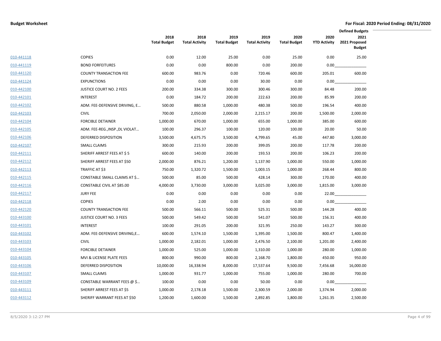|            |                                 |                             |                               |                             |                               |                             |                             | <b>Defined Budgets</b>                 |
|------------|---------------------------------|-----------------------------|-------------------------------|-----------------------------|-------------------------------|-----------------------------|-----------------------------|----------------------------------------|
|            |                                 | 2018<br><b>Total Budget</b> | 2018<br><b>Total Activity</b> | 2019<br><b>Total Budget</b> | 2019<br><b>Total Activity</b> | 2020<br><b>Total Budget</b> | 2020<br><b>YTD Activity</b> | 2021<br>2021 Proposed<br><b>Budget</b> |
| 010-441118 | <b>COPIES</b>                   | 0.00                        | 12.00                         | 25.00                       | 0.00                          | 25.00                       | 0.00                        | 25.00                                  |
| 010-441119 | <b>BOND FORFEITURES</b>         | 0.00                        | 0.00                          | 800.00                      | 0.00                          | 200.00                      | 0.00                        |                                        |
| 010-441120 | <b>COUNTY TRANSACTION FEE</b>   | 600.00                      | 983.76                        | 0.00                        | 720.46                        | 600.00                      | 205.01                      | 600.00                                 |
| 010-441124 | <b>EXPUNCTIONS</b>              | 0.00                        | 0.00                          | 0.00                        | 30.00                         | 0.00                        | 0.00                        |                                        |
| 010-442100 | <b>JUSTICE COURT NO. 2 FEES</b> | 200.00                      | 334.38                        | 300.00                      | 300.46                        | 300.00                      | 84.48                       | 200.00                                 |
| 010-442101 | <b>INTEREST</b>                 | 0.00                        | 184.72                        | 200.00                      | 222.63                        | 200.00                      | 85.99                       | 200.00                                 |
| 010-442102 | ADM. FEE-DEFENSIVE DRIVING, E   | 500.00                      | 880.58                        | 1,000.00                    | 480.38                        | 500.00                      | 196.54                      | 400.00                                 |
| 010-442103 | <b>CIVIL</b>                    | 700.00                      | 2,050.00                      | 2,000.00                    | 2,215.17                      | 200.00                      | 1,500.00                    | 2,000.00                               |
| 010-442104 | <b>FORCIBLE DETAINER</b>        | 1,000.00                    | 670.00                        | 1,000.00                    | 655.00                        | 1,000.00                    | 385.00                      | 600.00                                 |
| 010-442105 | ADM. FEE-REG., INSP., DL VIOLAT | 100.00                      | 296.37                        | 100.00                      | 120.00                        | 100.00                      | 20.00                       | 50.00                                  |
| 010-442106 | DEFERRED DISPOSITION            | 3,500.00                    | 4,675.75                      | 3,500.00                    | 4,799.65                      | 45.00                       | 447.80                      | 3,000.00                               |
| 010-442107 | <b>SMALL CLAIMS</b>             | 300.00                      | 215.93                        | 200.00                      | 399.05                        | 200.00                      | 117.78                      | 200.00                                 |
| 010-442111 | SHERIFF ARREST FEES AT \$5      | 600.00                      | 140.00                        | 200.00                      | 193.53                        | 200.00                      | 106.23                      | 200.00                                 |
| 010-442112 | SHERIFF ARREST FEES AT \$50     | 2,000.00                    | 876.21                        | 1,200.00                    | 1,137.90                      | 1,000.00                    | 550.00                      | 1,000.00                               |
| 010-442113 | TRAFFIC AT \$3                  | 750.00                      | 1,320.72                      | 1,500.00                    | 1,003.15                      | 1,000.00                    | 268.44                      | 800.00                                 |
| 010-442115 | CONSTABLE SMALL CLAIMS AT \$    | 500.00                      | 85.00                         | 500.00                      | 428.14                        | 300.00                      | 170.00                      | 400.00                                 |
| 010-442116 | CONSTABLE CIVIL AT \$85.00      | 4,000.00                    | 3,730.00                      | 3,000.00                    | 3,025.00                      | 3,000.00                    | 1,815.00                    | 3,000.00                               |
| 010-442117 | <b>JURY FEE</b>                 | 0.00                        | 0.00                          | 0.00                        | 0.00                          | 0.00                        | 22.00                       |                                        |
| 010-442118 | <b>COPIES</b>                   | 0.00                        | 2.00                          | 0.00                        | 0.00                          | 0.00                        | 0.00                        |                                        |
| 010-442120 | <b>COUNTY TRANSACTION FEE</b>   | 500.00                      | 566.11                        | 500.00                      | 525.31                        | 500.00                      | 144.28                      | 400.00                                 |
| 010-443100 | <b>JUSTICE COURT NO. 3 FEES</b> | 500.00                      | 549.42                        | 500.00                      | 541.07                        | 500.00                      | 156.31                      | 400.00                                 |
| 010-443101 | <b>INTEREST</b>                 | 100.00                      | 291.05                        | 200.00                      | 321.95                        | 250.00                      | 143.27                      | 300.00                                 |
| 010-443102 | ADM. FEE-DEFENSIVE DRIVING,E    | 600.00                      | 1,574.10                      | 1,500.00                    | 1,395.00                      | 1,500.00                    | 800.47                      | 1,400.00                               |
| 010-443103 | <b>CIVIL</b>                    | 1,000.00                    | 2,182.01                      | 1,000.00                    | 2,476.50                      | 2,100.00                    | 1,201.00                    | 2,400.00                               |
| 010-443104 | <b>FORCIBLE DETAINER</b>        | 1,000.00                    | 525.00                        | 1,000.00                    | 1,310.00                      | 1,000.00                    | 280.00                      | 1,000.00                               |
| 010-443105 | MVI & LICENSE PLATE FEES        | 800.00                      | 990.00                        | 800.00                      | 2,168.70                      | 1,800.00                    | 450.00                      | 950.00                                 |
| 010-443106 | DEFERRED DISPOSITION            | 10,000.00                   | 16,338.94                     | 8,000.00                    | 17,537.64                     | 9,500.00                    | 7,456.68                    | 16,000.00                              |
| 010-443107 | <b>SMALL CLAIMS</b>             | 1,000.00                    | 931.77                        | 1,000.00                    | 755.00                        | 1,000.00                    | 280.00                      | 700.00                                 |
| 010-443109 | CONSTABLE WARRANT FEES @ \$     | 100.00                      | 0.00                          | 0.00                        | 50.00                         | 0.00                        | 0.00                        |                                        |
| 010-443111 | SHERIFF ARREST FEES AT \$5      | 1,000.00                    | 2,178.18                      | 1,500.00                    | 2,300.59                      | 2,000.00                    | 1,374.94                    | 2,000.00                               |
| 010-443112 | SHERIFF WARRANT FEES AT \$50    | 1,200.00                    | 1,600.00                      | 1,500.00                    | 2,892.85                      | 1,800.00                    | 1,261.35                    | 2,500.00                               |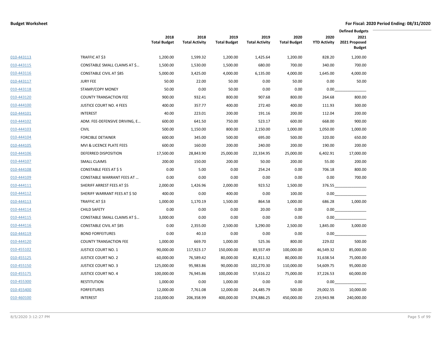|            |                                   |                             |                               | <b>Defined Budgets</b>      |                               |                             |                             |                                        |
|------------|-----------------------------------|-----------------------------|-------------------------------|-----------------------------|-------------------------------|-----------------------------|-----------------------------|----------------------------------------|
|            |                                   | 2018<br><b>Total Budget</b> | 2018<br><b>Total Activity</b> | 2019<br><b>Total Budget</b> | 2019<br><b>Total Activity</b> | 2020<br><b>Total Budget</b> | 2020<br><b>YTD Activity</b> | 2021<br>2021 Proposed<br><b>Budget</b> |
| 010-443113 | TRAFFIC AT \$3                    | 1,200.00                    | 1,599.32                      | 1,200.00                    | 1,425.64                      | 1,200.00                    | 828.20                      | 1,200.00                               |
| 010-443115 | CONSTABLE SMALL CLAIMS AT \$      | 1,500.00                    | 1,530.00                      | 1,500.00                    | 680.00                        | 700.00                      | 340.00                      | 700.00                                 |
| 010-443116 | <b>CONSTABLE CIVIL AT \$85</b>    | 5,000.00                    | 3,425.00                      | 4,000.00                    | 6,135.00                      | 4,000.00                    | 1,645.00                    | 4,000.00                               |
| 010-443117 | <b>JURY FEE</b>                   | 50.00                       | 22.00                         | 50.00                       | 0.00                          | 50.00                       | 0.00                        | 50.00                                  |
| 010-443118 | STAMP/COPY MONEY                  | 50.00                       | 0.00                          | 50.00                       | 0.00                          | 0.00                        | 0.00                        |                                        |
| 010-443120 | <b>COUNTY TRANSACTION FEE</b>     | 900.00                      | 932.41                        | 800.00                      | 907.68                        | 800.00                      | 264.68                      | 800.00                                 |
| 010-444100 | <b>JUSTICE COURT NO. 4 FEES</b>   | 400.00                      | 357.77                        | 400.00                      | 272.40                        | 400.00                      | 111.93                      | 300.00                                 |
| 010-444101 | <b>INTEREST</b>                   | 40.00                       | 223.01                        | 200.00                      | 191.16                        | 200.00                      | 112.04                      | 200.00                                 |
| 010-444102 | ADM. FEE-DEFENSIVE DRIVING, E     | 600.00                      | 641.50                        | 750.00                      | 523.17                        | 600.00                      | 668.00                      | 900.00                                 |
| 010-444103 | <b>CIVIL</b>                      | 500.00                      | 1,150.00                      | 800.00                      | 2,150.00                      | 1,000.00                    | 1,050.00                    | 1,000.00                               |
| 010-444104 | <b>FORCIBLE DETAINER</b>          | 600.00                      | 345.00                        | 500.00                      | 695.00                        | 500.00                      | 320.00                      | 650.00                                 |
| 010-444105 | MVI & LICENCE PLATE FEES          | 600.00                      | 160.00                        | 200.00                      | 240.00                        | 200.00                      | 190.00                      | 200.00                                 |
| 010-444106 | DEFERRED DISPOSITION              | 17,500.00                   | 28,843.90                     | 25,000.00                   | 22,334.95                     | 25,000.00                   | 6,402.91                    | 17,000.00                              |
| 010-444107 | <b>SMALL CLAIMS</b>               | 200.00                      | 150.00                        | 200.00                      | 50.00                         | 200.00                      | 55.00                       | 200.00                                 |
| 010-444108 | CONSTABLE FEES AT \$5             | 0.00                        | 5.00                          | 0.00                        | 254.24                        | 0.00                        | 706.18                      | 800.00                                 |
| 010-444109 | <b>CONSTABLE WARRANT FEES AT </b> | 0.00                        | 0.00                          | 0.00                        | 0.00                          | 0.00                        | 0.00                        | 700.00                                 |
| 010-444111 | SHERIFF ARREST FEES AT \$5        | 2,000.00                    | 1,426.96                      | 2,000.00                    | 923.52                        | 1,500.00                    | 376.55                      |                                        |
| 010-444112 | SHERIFF WARRANT FEES AT \$50      | 400.00                      | 0.00                          | 400.00                      | 0.00                          | 100.00                      | 0.00                        |                                        |
| 010-444113 | TRAFFIC AT \$3                    | 1,000.00                    | 1,170.19                      | 1,500.00                    | 864.58                        | 1,000.00                    | 686.28                      | 1,000.00                               |
| 010-444114 | <b>CHILD SAFETY</b>               | 0.00                        | 0.00                          | 0.00                        | 20.00                         | 0.00                        | 0.00                        |                                        |
| 010-444115 | CONSTABLE SMALL CLAIMS AT \$      | 3,000.00                    | 0.00                          | 0.00                        | 0.00                          | 0.00                        | 0.00                        |                                        |
| 010-444116 | CONSTABLE CIVIL AT \$85           | 0.00                        | 2,355.00                      | 2,500.00                    | 3,290.00                      | 2,500.00                    | 1,845.00                    | 3,000.00                               |
| 010-444119 | <b>BOND FORFEITURES</b>           | 0.00                        | 40.10                         | 0.00                        | 0.00                          | 0.00                        | 0.00                        |                                        |
| 010-444120 | <b>COUNTY TRANSACTION FEE</b>     | 1,000.00                    | 669.70                        | 1,000.00                    | 525.36                        | 800.00                      | 229.02                      | 500.00                                 |
| 010-455102 | <b>JUSTICE COURT NO. 1</b>        | 90,000.00                   | 117,923.17                    | 150,000.00                  | 89,557.49                     | 100,000.00                  | 46,549.32                   | 85,000.00                              |
| 010-455125 | <b>JUSTICE COURT NO. 2</b>        | 60,000.00                   | 76,589.42                     | 80,000.00                   | 82,811.32                     | 80,000.00                   | 31,638.54                   | 75,000.00                              |
| 010-455150 | <b>JUSTICE COURT NO. 3</b>        | 125,000.00                  | 95,983.86                     | 90,000.00                   | 102,270.30                    | 110,000.00                  | 54,609.75                   | 95,000.00                              |
| 010-455175 | <b>JUSTICE COURT NO. 4</b>        | 100,000.00                  | 76,945.86                     | 100,000.00                  | 57,616.22                     | 75,000.00                   | 37,226.53                   | 60,000.00                              |
| 010-455300 | <b>RESTITUTION</b>                | 1,000.00                    | 0.00                          | 1,000.00                    | 0.00                          | 0.00                        | 0.00                        |                                        |
| 010-455400 | <b>FORFEITURES</b>                | 12,000.00                   | 7,761.08                      | 12,000.00                   | 24,485.79                     | 500.00                      | 29,002.55                   | 10,000.00                              |
| 010-460100 | <b>INTEREST</b>                   | 210,000.00                  | 206,358.99                    | 400,000.00                  | 374,886.25                    | 450,000.00                  | 219,943.98                  | 240,000.00                             |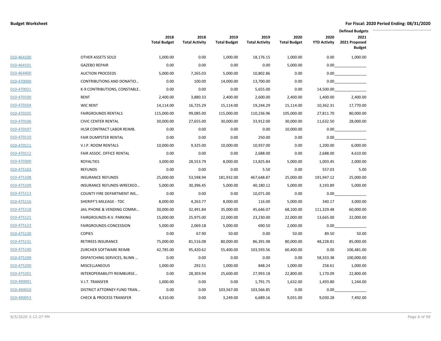|            |                                     |                             |                               |                             |                               |                             | <b>Defined Budgets</b>      |                                        |  |  |
|------------|-------------------------------------|-----------------------------|-------------------------------|-----------------------------|-------------------------------|-----------------------------|-----------------------------|----------------------------------------|--|--|
|            |                                     | 2018<br><b>Total Budget</b> | 2018<br><b>Total Activity</b> | 2019<br><b>Total Budget</b> | 2019<br><b>Total Activity</b> | 2020<br><b>Total Budget</b> | 2020<br><b>YTD Activity</b> | 2021<br>2021 Proposed<br><b>Budget</b> |  |  |
| 010-464100 | OTHER ASSETS SOLD                   | 1,000.00                    | 0.00                          | 1,000.00                    | 18,176.15                     | 1,000.00                    | 0.00                        | 1,000.00                               |  |  |
| 010-464101 | <b>GAZEBO REPAIR</b>                | 0.00                        | 0.00                          | 0.00                        | 0.00                          | 5,000.00                    | 0.00                        |                                        |  |  |
| 010-464400 | <b>AUCTION PROCEEDS</b>             | 5,000.00                    | 7,265.03                      | 5,000.00                    | 10,802.86                     | 0.00                        | 0.00                        |                                        |  |  |
| 010-470000 | CONTRIBUTIONS AND DONATIO           | 0.00                        | 100.00                        | 14,000.00                   | 13,700.00                     | 0.00                        | $0.00\,$                    |                                        |  |  |
| 010-470021 | K-9 CONTRIBUTIONS, CONSTABLE        | 0.00                        | 0.00                          | 0.00                        | 5,655.00                      | 0.00                        | 14,500.00                   |                                        |  |  |
| 010-470100 | <b>RENT</b>                         | 2,400.00                    | 3,880.33                      | 2,400.00                    | 2,600.00                      | 2,400.00                    | 1,400.00                    | 2,400.00                               |  |  |
| 010-470104 | <b>WIC RENT</b>                     | 14,114.00                   | 16,725.29                     | 15,114.00                   | 19,244.29                     | 15,114.00                   | 10,362.31                   | 17,770.00                              |  |  |
| 010-470105 | <b>FAIRGROUNDS RENTALS</b>          | 115,000.00                  | 99,085.00                     | 115,000.00                  | 110,236.96                    | 105,000.00                  | 27,811.70                   | 80,000.00                              |  |  |
| 010-470106 | <b>CIVIC CENTER RENTAL</b>          | 30,000.00                   | 27,655.00                     | 30,000.00                   | 33,912.00                     | 30,000.00                   | 11,632.50                   | 28,000.00                              |  |  |
| 010-470107 | HLSR CONTRACT LABOR REIMB.          | 0.00                        | 0.00                          | 0.00                        | 0.00                          | 10,000.00                   | 0.00                        |                                        |  |  |
| 010-470110 | FAIR DUMPSTER RENTAL                | 0.00                        | 0.00                          | 0.00                        | 250.00                        | 0.00                        | 0.00                        |                                        |  |  |
| 010-470111 | V.I.P. ROOM RENTALS                 | 10,000.00                   | 9,325.00                      | 10,000.00                   | 10,937.00                     | 0.00                        | 1,200.00                    | 6,000.00                               |  |  |
| 010-470112 | FAIR ASSOC. OFFICE RENTAL           | 0.00                        | 0.00                          | 0.00                        | 2,688.00                      | 0.00                        | 2,688.00                    | 4,610.00                               |  |  |
| 010-470300 | <b>ROYALTIES</b>                    | 3,000.00                    | 28,553.79                     | 8,000.00                    | 13,825.84                     | 5,000.00                    | 1,003.45                    | 2,000.00                               |  |  |
| 010-475103 | <b>REFUNDS</b>                      | 0.00                        | 0.00                          | 0.00                        | 5.50                          | 0.00                        | 557.03                      | 5.00                                   |  |  |
| 010-475108 | <b>INSURANCE REFUNDS</b>            | 25,000.00                   | 53,598.94                     | 181,932.00                  | 467,648.87                    | 25,000.00                   | 191,947.12                  | 25,000.00                              |  |  |
| 010-475109 | <b>INSURANCE REFUNDS-WRECKED</b>    | 5,000.00                    | 30,396.45                     | 5,000.00                    | 40,180.12                     | 5,000.00                    | 3,193.89                    | 5,000.00                               |  |  |
| 010-475113 | <b>COUNTY FIRE DEPARTMENT INS</b>   | 0.00                        | 0.00                          | 0.00                        | 10,071.00                     | 0.00                        | 0.00                        |                                        |  |  |
| 010-475116 | SHERIFF'S MILEAGE - TDC             | 8,000.00                    | 4,263.77                      | 8,000.00                    | 116.00                        | 5,000.00                    | 340.17                      | 3,000.00                               |  |  |
| 010-475118 | JAIL PHONE & VENDING COMMI          | 30,000.00                   | 32,491.84                     | 35,000.00                   | 45,646.07                     | 68,100.00                   | 111,329.48                  | 60,000.00                              |  |  |
| 010-475121 | FAIRGROUNDS-R.V. PARKING            | 15,000.00                   | 25,975.00                     | 22,000.00                   | 23,230.00                     | 22,000.00                   | 13,665.00                   | 22,000.00                              |  |  |
| 010-475123 | FAIRGROUNDS-CONCESSION              | 5,000.00                    | 2,069.18                      | 5,000.00                    | 690.50                        | 2,000.00                    | 0.00                        |                                        |  |  |
| 010-475130 | <b>COPIES</b>                       | 0.00                        | 67.90                         | 50.00                       | 0.00                          | 50.00                       | 89.50                       | 50.00                                  |  |  |
| 010-475131 | RETIREES INSURANCE                  | 75,000.00                   | 81,516.08                     | 80,000.00                   | 86,391.98                     | 80,000.00                   | 48,228.81                   | 85,000.00                              |  |  |
| 010-475140 | <b>ZURCHER SOFTWARE REIMB</b>       | 42,785.00                   | 95,420.62                     | 55,400.00                   | 103,593.56                    | 60,400.00                   | 0.00                        | 106,481.00                             |  |  |
| 010-475199 | DISPATCHING SERVICES, BLINN         | 0.00                        | 0.00                          | 0.00                        | 0.00                          | 0.00                        | 58,333.38                   | 100,000.00                             |  |  |
| 010-475200 | <b>MISCELLANEOUS</b>                | 1,000.00                    | 292.51                        | 1,000.00                    | 848.24                        | 1,000.00                    | 258.61                      | 1,000.00                               |  |  |
| 010-475201 | INTEROPERABILITY REIMBURSE          | 0.00                        | 28,303.94                     | 25,600.00                   | 27,993.18                     | 22,800.00                   | 1,170.09                    | 22,800.00                              |  |  |
| 010-490001 | V.I.T. TRANSFER                     | 1,000.00                    | 0.00                          | 0.00                        | 1,791.75                      | 1,632.00                    | 1,493.80                    | 1,244.00                               |  |  |
| 010-490010 | DISTRICT ATTORNEY FUND TRAN         | 0.00                        | 0.00                          | 103,567.00                  | 103,566.85                    | 0.00                        | 0.00                        |                                        |  |  |
| 010-490053 | <b>CHECK &amp; PROCESS TRANSFER</b> | 4,310.00                    | 0.00                          | 3,249.00                    | 6,689.16                      | 9,031.00                    | 9,030.28                    | 7,492.00                               |  |  |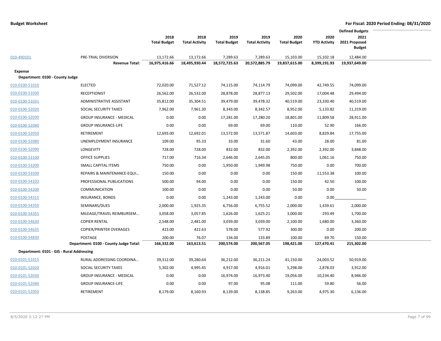|                                           |                                        |                     |                       |                     |                       |                     |                     | <b>Defined Budgets</b>         |  |
|-------------------------------------------|----------------------------------------|---------------------|-----------------------|---------------------|-----------------------|---------------------|---------------------|--------------------------------|--|
|                                           |                                        | 2018                | 2018                  | 2019                | 2019                  | 2020                | 2020                | 2021                           |  |
|                                           |                                        | <b>Total Budget</b> | <b>Total Activity</b> | <b>Total Budget</b> | <b>Total Activity</b> | <b>Total Budget</b> | <b>YTD Activity</b> | 2021 Proposed<br><b>Budget</b> |  |
|                                           |                                        |                     |                       |                     |                       |                     |                     |                                |  |
| 010-490101                                | PRE-TRIAL DIVERSION                    | 13,172.66           | 13,172.66             | 7,289.63            | 7,289.63              | 15,103.00           | 15,102.18           | 12,484.00                      |  |
|                                           | <b>Revenue Total:</b>                  | 16,975,416.66       | 18,495,930.44         | 18,572,725.63       | 20,572,885.79         | 19,837,615.00       | 8,399,191.93        | 19,937,649.00                  |  |
| Expense                                   |                                        |                     |                       |                     |                       |                     |                     |                                |  |
| Department: 0100 - County Judge           |                                        |                     |                       |                     |                       |                     |                     |                                |  |
| 010-0100-51010                            | <b>ELECTED</b>                         | 72,020.00           | 71,527.12             | 74,115.00           | 74,114.79             | 74,099.00           | 42,749.55           | 74,099.00                      |  |
| 010-0100-51030                            | <b>RECEPTIONIST</b>                    | 26,562.00           | 26,532.00             | 28,878.00           | 28,877.13             | 29,502.00           | 17,004.48           | 29,494.00                      |  |
| 010-0100-51031                            | ADMINISTRATIVE ASSISTANT               | 35,812.00           | 35,304.51             | 39,479.00           | 39,478.32             | 40,519.00           | 23,330.40           | 40,519.00                      |  |
| 010-0100-52020                            | SOCIAL SECURITY TAXES                  | 7,962.00            | 7,961.30              | 8,343.00            | 8,342.57              | 8,952.00            | 5,133.82            | 11,319.00                      |  |
| 010-0100-52030                            | <b>GROUP INSURANCE - MEDICAL</b>       | 0.00                | 0.00                  | 17,281.00           | 17,280.20             | 18,801.00           | 11,809.58           | 28,911.00                      |  |
| 010-0100-52040                            | <b>GROUP INSURANCE-LIFE</b>            | 0.00                | 0.00                  | 69.00               | 69.00                 | 110.00              | 52.90               | 166.00                         |  |
| 010-0100-52050                            | RETIREMENT                             | 12,693.00           | 12,692.01             | 13,572.00           | 13,571.87             | 14,603.00           | 8,829.84            | 17,755.00                      |  |
| 010-0100-52080                            | UNEMPLOYMENT INSURANCE                 | 109.00              | 95.33                 | 33.00               | 31.60                 | 43.00               | 28.00               | 81.00                          |  |
| 010-0100-52090                            | LONGEVITY                              | 728.00              | 728.00                | 832.00              | 832.00                | 2,392.00            | 2,392.00            | 3,848.00                       |  |
| 010-0100-53100                            | <b>OFFICE SUPPLIES</b>                 | 717.00              | 716.34                | 2,646.00            | 2,645.05              | 800.00              | 1,061.16            | 750.00                         |  |
| 010-0100-53200                            | SMALL CAPITAL ITEMS                    | 750.00              | 0.00                  | 1,950.00            | 1,949.98              | 750.00              | 0.00                | 700.00                         |  |
| 010-0100-53500                            | REPAIRS & MAINTENANCE-EQUI             | 150.00              | 0.00                  | 0.00                | 0.00                  | 150.00              | 11,553.38           | 100.00                         |  |
| 010-0100-54102                            | PROFESSIONAL PUBLICATIONS              | 500.00              | 94.00                 | 0.00                | 0.00                  | 150.00              | 42.50               | 100.00                         |  |
| 010-0100-54200                            | <b>COMMUNICATION</b>                   | 100.00              | 0.00                  | 0.00                | 0.00                  | 50.00               | 0.00                | 50.00                          |  |
| 010-0100-54315                            | INSURANCE, BONDS                       | 0.00                | 0.00                  | 1,243.00            | 1,243.00              | 0.00                | 0.00                |                                |  |
| 010-0100-54350                            | SEMINARS/DUES                          | 2,000.00            | 1,925.35              | 6,756.00            | 6,755.52              | 2,000.00            | 1,439.61            | 2,000.00                       |  |
| 010-0100-54355                            | MILEAGE/TRAVEL REIMBURSEM              | 3,058.00            | 3,057.85              | 1,626.00            | 1,625.21              | 3,000.00            | 293.49              | 1,700.00                       |  |
| 010-0100-54630                            | <b>COPIER RENTAL</b>                   | 2,548.00            | 2,481.00              | 3,039.00            | 3,039.00              | 2,100.00            | 1,680.00            | 3,360.00                       |  |
| 010-0100-54635                            | <b>COPIER/PRINTER OVERAGES</b>         | 423.00              | 422.63                | 578.00              | 577.92                | 300.00              | 0.00                | 200.00                         |  |
| 010-0100-54830                            | POSTAGE                                | 200.00              | 76.07                 | 134.00              | 133.89                | 100.00              | 69.70               | 150.00                         |  |
|                                           | Department: 0100 - County Judge Total: | 166,332.00          | 163,613.51            | 200,574.00          | 200,567.05            | 198,421.00          | 127,470.41          | 215,302.00                     |  |
| Department: 0101 - GIS - Rural Addressing |                                        |                     |                       |                     |                       |                     |                     |                                |  |
| 010-0101-51015                            | RURAL ADDRESSING COORDINA              | 39,312.00           | 39,280.64             | 36,212.00           | 36,211.24             | 41,150.00           | 24,003.52           | 50,919.00                      |  |
| 010-0101-52020                            | SOCIAL SECURITY TAXES                  | 5,302.00            | 4,995.45              | 4,917.00            | 4,916.01              | 5,298.00            | 2,878.03            | 3,912.00                       |  |
| 010-0101-52030                            | <b>GROUP INSURANCE - MEDICAL</b>       | 0.00                | 0.00                  | 16,974.00           | 16,973.40             | 19,056.00           | 10,234.40           | 8,946.00                       |  |
| 010-0101-52040                            | <b>GROUP INSURANCE-LIFE</b>            | 0.00                | 0.00                  | 97.00               | 95.08                 | 111.00              | 59.80               | 56.00                          |  |
| 010-0101-52050                            | RETIREMENT                             | 8,179.00            | 8,160.93              | 8,139.00            | 8,138.85              | 9,263.00            | 4,975.30            | 6,136.00                       |  |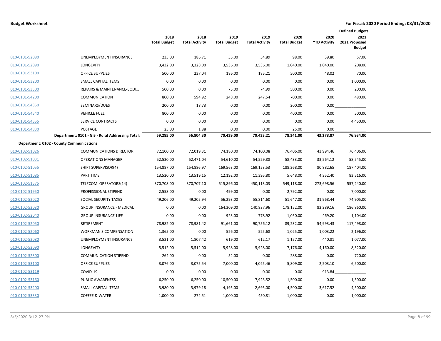|                |                                                  |                             |                               |                             |                               |                             |                             | <b>Defined Budgets</b>                 |  |
|----------------|--------------------------------------------------|-----------------------------|-------------------------------|-----------------------------|-------------------------------|-----------------------------|-----------------------------|----------------------------------------|--|
|                |                                                  | 2018<br><b>Total Budget</b> | 2018<br><b>Total Activity</b> | 2019<br><b>Total Budget</b> | 2019<br><b>Total Activity</b> | 2020<br><b>Total Budget</b> | 2020<br><b>YTD Activity</b> | 2021<br>2021 Proposed<br><b>Budget</b> |  |
| 010-0101-52080 | UNEMPLOYMENT INSURANCE                           | 235.00                      | 186.71                        | 55.00                       | 54.89                         | 98.00                       | 39.80                       | 57.00                                  |  |
| 010-0101-52090 | LONGEVITY                                        | 3,432.00                    | 3,328.00                      | 3,536.00                    | 3,536.00                      | 1,040.00                    | 1,040.00                    | 208.00                                 |  |
| 010-0101-53100 | <b>OFFICE SUPPLIES</b>                           | 500.00                      | 237.04                        | 186.00                      | 185.21                        | 500.00                      | 48.02                       | 70.00                                  |  |
| 010-0101-53200 | SMALL CAPITAL ITEMS                              | 0.00                        | 0.00                          | 0.00                        | 0.00                          | 0.00                        | 0.00                        | 1,000.00                               |  |
| 010-0101-53500 | REPAIRS & MAINTENANCE-EQUI                       | 500.00                      | 0.00                          | 75.00                       | 74.99                         | 500.00                      | 0.00                        | 200.00                                 |  |
| 010-0101-54200 | <b>COMMUNICATION</b>                             | 800.00                      | 594.92                        | 248.00                      | 247.54                        | 700.00                      | 0.00                        | 480.00                                 |  |
| 010-0101-54350 | SEMINARS/DUES                                    | 200.00                      | 18.73                         | 0.00                        | 0.00                          | 200.00                      | 0.00                        |                                        |  |
| 010-0101-54540 | <b>VEHICLE FUEL</b>                              | 800.00                      | 0.00                          | 0.00                        | 0.00                          | 400.00                      | 0.00                        | 500.00                                 |  |
| 010-0101-54555 | <b>SERVICE CONTRACTS</b>                         | 0.00                        | 0.00                          | 0.00                        | 0.00                          | 0.00                        | 0.00                        | 4,450.00                               |  |
| 010-0101-54830 | POSTAGE                                          | 25.00                       | 1.88                          | 0.00                        | 0.00                          | 25.00                       | 0.00                        |                                        |  |
|                | Department: 0101 - GIS - Rural Addressing Total: | 59,285.00                   | 56,804.30                     | 70,439.00                   | 70,433.21                     | 78,341.00                   | 43,278.87                   | 76,934.00                              |  |
|                | <b>Department: 0102 - County Communications</b>  |                             |                               |                             |                               |                             |                             |                                        |  |
| 010-0102-51026 | <b>COMMUNICATIONS DIRECTOR</b>                   | 72,100.00                   | 72,019.31                     | 74,180.00                   | 74,100.08                     | 76,406.00                   | 43,994.46                   | 76,406.00                              |  |
| 010-0102-51031 | <b>OPERATIONS MANAGER</b>                        | 52,530.00                   | 52,471.04                     | 54,610.00                   | 54,529.88                     | 58,433.00                   | 33,564.12                   | 58,545.00                              |  |
| 010-0102-51055 | SHIFT SUPERVISOR(4)                              | 154,887.00                  | 154,886.97                    | 169,563.00                  | 169,153.53                    | 188,268.00                  | 80,882.65                   | 187,404.00                             |  |
| 010-0102-51085 | PART TIME                                        | 13,520.00                   | 13,519.15                     | 12,192.00                   | 11,395.80                     | 5,648.00                    | 4,352.40                    | 83,516.00                              |  |
| 010-0102-51575 | TELECOM OPERATORS(14)                            | 370,708.00                  | 370,707.10                    | 515,896.00                  | 450,113.03                    | 549,118.00                  | 273,698.56                  | 557,240.00                             |  |
| 010-0102-51950 | PROFESSIONAL STIPEND                             | 2,558.00                    | 0.00                          | 499.00                      | 0.00                          | 2,792.00                    | 0.00                        | 7,000.00                               |  |
| 010-0102-52020 | SOCIAL SECURITY TAXES                            | 49,206.00                   | 49,205.94                     | 56,293.00                   | 55,814.60                     | 51,647.00                   | 31,968.44                   | 74,905.00                              |  |
| 010-0102-52030 | <b>GROUP INSURANCE - MEDICAL</b>                 | 0.00                        | 0.00                          | 164,309.00                  | 140,837.96                    | 178,152.00                  | 82,289.16                   | 186,860.00                             |  |
| 010-0102-52040 | <b>GROUP INSURANCE-LIFE</b>                      | 0.00                        | 0.00                          | 923.00                      | 778.92                        | 1,050.00                    | 469.20                      | 1,104.00                               |  |
| 010-0102-52050 | RETIREMENT                                       | 78,982.00                   | 78,981.42                     | 91,661.00                   | 90,756.12                     | 89,232.00                   | 54,993.43                   | 117,498.00                             |  |
| 010-0102-52060 | WORKMAN'S COMPENSATION                           | 1,365.00                    | 0.00                          | 526.00                      | 525.68                        | 1,025.00                    | 1,003.22                    | 2,196.00                               |  |
| 010-0102-52080 | UNEMPLOYMENT INSURANCE                           | 3,521.00                    | 1,807.42                      | 619.00                      | 612.17                        | 1,157.00                    | 440.81                      | 1,077.00                               |  |
| 010-0102-52090 | LONGEVITY                                        | 5,512.00                    | 5,512.00                      | 5,928.00                    | 5,928.00                      | 7,176.00                    | 4,160.00                    | 8,320.00                               |  |
| 010-0102-52300 | <b>COMMUNICATION STIPEND</b>                     | 264.00                      | 0.00                          | 52.00                       | 0.00                          | 288.00                      | 0.00                        | 720.00                                 |  |
| 010-0102-53100 | <b>OFFICE SUPPLIES</b>                           | 3,076.00                    | 3,075.54                      | 7,000.00                    | 4,025.46                      | 5,809.00                    | 2,503.10                    | 6,500.00                               |  |
| 010-0102-53119 | COVID-19                                         | 0.00                        | 0.00                          | 0.00                        | 0.00                          | 0.00                        | $-913.84$                   |                                        |  |
| 010-0102-53160 | PUBLIC AWARENESS                                 | $-6,250.00$                 | $-6,250.00$                   | 10,500.00                   | 7,923.52                      | 1,500.00                    | 0.00                        | 1,500.00                               |  |
| 010-0102-53200 | SMALL CAPITAL ITEMS                              | 3,980.00                    | 3,979.18                      | 4,195.00                    | 2,695.00                      | 4,500.00                    | 3,617.52                    | 4,500.00                               |  |
| 010-0102-53330 | <b>COFFEE &amp; WATER</b>                        | 1,000.00                    | 272.51                        | 1,000.00                    | 450.81                        | 1,000.00                    | 0.00                        | 1,000.00                               |  |
|                |                                                  |                             |                               |                             |                               |                             |                             |                                        |  |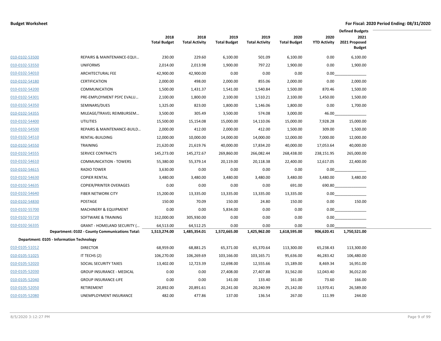|                |                                                 |                             |                               |                             |                               |                             |                             | <b>Defined Budgets</b>                 |  |
|----------------|-------------------------------------------------|-----------------------------|-------------------------------|-----------------------------|-------------------------------|-----------------------------|-----------------------------|----------------------------------------|--|
|                |                                                 | 2018<br><b>Total Budget</b> | 2018<br><b>Total Activity</b> | 2019<br><b>Total Budget</b> | 2019<br><b>Total Activity</b> | 2020<br><b>Total Budget</b> | 2020<br><b>YTD Activity</b> | 2021<br>2021 Proposed<br><b>Budget</b> |  |
| 010-0102-53500 | REPAIRS & MAINTENANCE-EQUI                      | 230.00                      | 229.60                        | 6,100.00                    | 501.09                        | 6,100.00                    | 0.00                        | 6,100.00                               |  |
| 010-0102-53550 | <b>UNIFORMS</b>                                 | 2,014.00                    | 2,013.98                      | 1,900.00                    | 797.22                        | 1,900.00                    | 0.00                        | 1,900.00                               |  |
| 010-0102-54010 | ARCHITECTURAL FEE                               | 42,900.00                   | 42,900.00                     | 0.00                        | 0.00                          | 0.00                        | 0.00                        |                                        |  |
| 010-0102-54180 | <b>CERTIFICATION</b>                            | 2,000.00                    | 498.00                        | 2,000.00                    | 855.06                        | 2,000.00                    | 0.00                        | 2,000.00                               |  |
| 010-0102-54200 | <b>COMMUNICATION</b>                            | 1,500.00                    | 1,431.37                      | 1,541.00                    | 1,540.84                      | 1,500.00                    | 870.46                      | 1,500.00                               |  |
| 010-0102-54301 | PRE-EMPLOYMENT PSYC EVALU                       | 2,100.00                    | 1,800.00                      | 2,100.00                    | 1,510.21                      | 2,100.00                    | 1,450.00                    | 1,500.00                               |  |
| 010-0102-54350 | SEMINARS/DUES                                   | 1,325.00                    | 823.00                        | 1,800.00                    | 1,146.06                      | 1,800.00                    | 0.00                        | 1,700.00                               |  |
| 010-0102-54355 | MILEAGE/TRAVEL REIMBURSEM                       | 3,500.00                    | 305.49                        | 3,500.00                    | 574.08                        | 3,000.00                    | 46.00                       |                                        |  |
| 010-0102-54400 | <b>UTILITIES</b>                                | 15,500.00                   | 15,154.08                     | 15,000.00                   | 14,110.06                     | 15,000.00                   | 7,928.28                    | 15,000.00                              |  |
| 010-0102-54500 | REPAIRS & MAINTENANCE-BUILD                     | 2,000.00                    | 412.00                        | 2,000.00                    | 412.00                        | 1,500.00                    | 309.00                      | 1,500.00                               |  |
| 010-0102-54510 | <b>RENTAL-BUILDING</b>                          | 12,000.00                   | 10,000.00                     | 14,000.00                   | 14,000.00                     | 12,000.00                   | 7,000.00                    | 12,000.00                              |  |
| 010-0102-54550 | <b>TRAINING</b>                                 | 21,620.00                   | 21,619.76                     | 40,000.00                   | 17,834.20                     | 40,000.00                   | 17,053.64                   | 40,000.00                              |  |
| 010-0102-54555 | <b>SERVICE CONTRACTS</b>                        | 145,273.00                  | 145,272.67                    | 269,860.00                  | 266,082.44                    | 268,438.00                  | 238,151.95                  | 265,000.00                             |  |
| 010-0102-54610 | <b>COMMUNICATION - TOWERS</b>                   | 55,380.00                   | 55,379.14                     | 20,119.00                   | 20,118.38                     | 22,400.00                   | 12,617.05                   | 22,400.00                              |  |
| 010-0102-54615 | <b>RADIO TOWER</b>                              | 3,630.00                    | 0.00                          | 0.00                        | 0.00                          | 0.00                        | 0.00                        |                                        |  |
| 010-0102-54630 | <b>COPIER RENTAL</b>                            | 3,480.00                    | 3,480.00                      | 3,480.00                    | 3,480.00                      | 3,480.00                    | 3,480.00                    | 3,480.00                               |  |
| 010-0102-54635 | <b>COPIER/PRINTER OVERAGES</b>                  | 0.00                        | 0.00                          | 0.00                        | 0.00                          | 691.00                      | 690.80                      |                                        |  |
| 010-0102-54640 | <b>FIBER NETWORK CITY</b>                       | 15,200.00                   | 13,335.00                     | 13,335.00                   | 13,335.00                     | 13,335.00                   | 0.00                        |                                        |  |
| 010-0102-54830 | POSTAGE                                         | 150.00                      | 70.09                         | 150.00                      | 24.80                         | 150.00                      | 0.00                        | 150.00                                 |  |
| 010-0102-55700 | <b>MACHINERY &amp; EQUIPMENT</b>                | 0.00                        | 0.00                          | 5,834.00                    | 0.00                          | 0.00                        | 0.00                        |                                        |  |
| 010-0102-55720 | SOFTWARE & TRAINING                             | 312,000.00                  | 305,930.00                    | 0.00                        | 0.00                          | 0.00                        | 0.00                        |                                        |  |
| 010-0102-56335 | <b>GRANT - HOMELAND SECURITY (</b>              | 64,513.00                   | 64,512.25                     | 0.00                        | 0.00                          | 0.00                        | 0.00                        |                                        |  |
|                | Department: 0102 - County Communications Total: | 1,513,274.00                | 1,485,354.01                  | 1,572,665.00                | 1,425,962.00                  | 1,618,595.00                | 906,620.41                  | 1,750,521.00                           |  |
|                | Department: 0105 - Information Technology       |                             |                               |                             |                               |                             |                             |                                        |  |
| 010-0105-51012 | <b>DIRECTOR</b>                                 | 68,959.00                   | 68,881.25                     | 65,371.00                   | 65,370.64                     | 113,300.00                  | 65,238.43                   | 113,300.00                             |  |
| 010-0105-51025 | IT TECHS (2)                                    | 106,270.00                  | 106,269.69                    | 103,166.00                  | 103,165.71                    | 95,636.00                   | 46,283.42                   | 106,480.00                             |  |
| 010-0105-52020 | SOCIAL SECURITY TAXES                           | 13,402.00                   | 12,723.39                     | 12,698.00                   | 12,555.66                     | 15,189.00                   | 8,469.34                    | 16,951.00                              |  |
| 010-0105-52030 | <b>GROUP INSURANCE - MEDICAL</b>                | 0.00                        | 0.00                          | 27,408.00                   | 27,407.88                     | 31,562.00                   | 12,043.40                   | 36,012.00                              |  |
| 010-0105-52040 | <b>GROUP INSURANCE-LIFE</b>                     | 0.00                        | 0.00                          | 141.00                      | 133.40                        | 161.00                      | 73.60                       | 166.00                                 |  |
| 010-0105-52050 | RETIREMENT                                      | 20,892.00                   | 20,891.61                     | 20,241.00                   | 20,240.99                     | 25,142.00                   | 13,970.41                   | 26,589.00                              |  |
| 010-0105-52080 | UNEMPLOYMENT INSURANCE                          | 482.00                      | 477.86                        | 137.00                      | 136.54                        | 267.00                      | 111.99                      | 244.00                                 |  |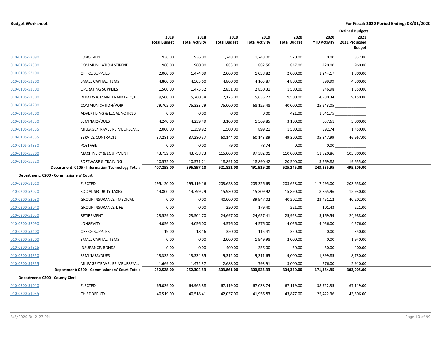|                                 |                                                  |                             |                               |                             |                               |                             |                             | <b>Defined Budgets</b>                 |
|---------------------------------|--------------------------------------------------|-----------------------------|-------------------------------|-----------------------------|-------------------------------|-----------------------------|-----------------------------|----------------------------------------|
|                                 |                                                  | 2018<br><b>Total Budget</b> | 2018<br><b>Total Activity</b> | 2019<br><b>Total Budget</b> | 2019<br><b>Total Activity</b> | 2020<br><b>Total Budget</b> | 2020<br><b>YTD Activity</b> | 2021<br>2021 Proposed<br><b>Budget</b> |
| 010-0105-52090                  | LONGEVITY                                        | 936.00                      | 936.00                        | 1,248.00                    | 1,248.00                      | 520.00                      | 0.00                        | 832.00                                 |
| 010-0105-52300                  | <b>COMMUNICATION STIPEND</b>                     | 960.00                      | 960.00                        | 883.00                      | 882.56                        | 847.00                      | 420.00                      | 960.00                                 |
| 010-0105-53100                  | <b>OFFICE SUPPLIES</b>                           | 2,000.00                    | 1,474.09                      | 2,000.00                    | 1,038.82                      | 2,000.00                    | 1,244.17                    | 1,800.00                               |
| 010-0105-53200                  | SMALL CAPITAL ITEMS                              | 4,800.00                    | 4,503.60                      | 4,800.00                    | 4,163.87                      | 4,800.00                    | 899.99                      | 4,500.00                               |
| 010-0105-53300                  | <b>OPERATING SUPPLIES</b>                        | 1,500.00                    | 1,475.52                      | 2,851.00                    | 2,850.31                      | 1,500.00                    | 946.98                      | 1,350.00                               |
| 010-0105-53500                  | REPAIRS & MAINTENANCE-EQUI                       | 9,500.00                    | 5,760.38                      | 7,173.00                    | 5,635.22                      | 9,500.00                    | 4,980.34                    | 9,150.00                               |
| 010-0105-54200                  | COMMUNICATION/VOIP                               | 79,705.00                   | 75,333.79                     | 75,000.00                   | 68,125.48                     | 40,000.00                   | 25,243.05                   |                                        |
| 010-0105-54300                  | ADVERTISING & LEGAL NOTICES                      | 0.00                        | 0.00                          | 0.00                        | 0.00                          | 421.00                      | 1,641.75                    |                                        |
| 010-0105-54350                  | SEMINARS/DUES                                    | 4,240.00                    | 4,239.49                      | 3,100.00                    | 1,569.85                      | 3,100.00                    | 637.61                      | 3,000.00                               |
| 010-0105-54355                  | MILEAGE/TRAVEL REIMBURSEM                        | 2,000.00                    | 1,359.92                      | 1,500.00                    | 899.21                        | 1,500.00                    | 392.74                      | 1,450.00                               |
| 010-0105-54555                  | SERVICE CONTRACTS                                | 37,281.00                   | 37,280.57                     | 60,144.00                   | 60,143.89                     | 49,300.00                   | 35,347.99                   | 46,967.00                              |
| 010-0105-54830                  | POSTAGE                                          | 0.00                        | 0.00                          | 79.00                       | 78.74                         | 0.00                        | 0.00                        |                                        |
| 010-0105-55700                  | MACHINERY & EQUIPMENT                            | 43,759.00                   | 43,758.73                     | 115,000.00                  | 97,382.01                     | 110,000.00                  | 11,820.86                   | 105,800.00                             |
| 010-0105-55720                  | SOFTWARE & TRAINING                              | 10,572.00                   | 10,571.21                     | 18,891.00                   | 18,890.42                     | 20,500.00                   | 13,569.88                   | 19,655.00                              |
|                                 | Department: 0105 - Information Technology Total: | 407,258.00                  | 396,897.10                    | 521,831.00                  | 491,919.20                    | 525,245.00                  | 243,335.95                  | 495,206.00                             |
|                                 | Department: 0200 - Commissioners' Court          |                             |                               |                             |                               |                             |                             |                                        |
| 010-0200-51010                  | <b>ELECTED</b>                                   | 195,120.00                  | 195,119.16                    | 203,658.00                  | 203,326.63                    | 203,658.00                  | 117,495.00                  | 203,658.00                             |
| 010-0200-52020                  | SOCIAL SECURITY TAXES                            | 14,800.00                   | 14,799.29                     | 15,930.00                   | 15,309.92                     | 15,890.00                   | 8,865.96                    | 15,930.00                              |
| 010-0200-52030                  | <b>GROUP INSURANCE - MEDICAL</b>                 | 0.00                        | 0.00                          | 40,000.00                   | 39,947.02                     | 40,202.00                   | 23,451.12                   | 40,202.00                              |
| 010-0200-52040                  | <b>GROUP INSURANCE-LIFE</b>                      | 0.00                        | 0.00                          | 250.00                      | 179.40                        | 221.00                      | 101.43                      | 221.00                                 |
| 010-0200-52050                  | RETIREMENT                                       | 23,529.00                   | 23,504.70                     | 24,697.00                   | 24,657.41                     | 25,923.00                   | 15,169.59                   | 24,988.00                              |
| 010-0200-52090                  | <b>LONGEVITY</b>                                 | 4,056.00                    | 4,056.00                      | 4,576.00                    | 4,576.00                      | 4,056.00                    | 4,056.00                    | 4,576.00                               |
| 010-0200-53100                  | <b>OFFICE SUPPLIES</b>                           | 19.00                       | 18.16                         | 350.00                      | 115.41                        | 350.00                      | 0.00                        | 350.00                                 |
| 010-0200-53200                  | <b>SMALL CAPITAL ITEMS</b>                       | 0.00                        | 0.00                          | 2,000.00                    | 1,949.98                      | 2,000.00                    | 0.00                        | 1,940.00                               |
| 010-0200-54315                  | INSURANCE, BONDS                                 | 0.00                        | 0.00                          | 400.00                      | 356.00                        | 50.00                       | 50.00                       | 400.00                                 |
| 010-0200-54350                  | SEMINARS/DUES                                    | 13,335.00                   | 13,334.85                     | 9,312.00                    | 9,311.65                      | 9,000.00                    | 1,899.85                    | 8,730.00                               |
| 010-0200-54355                  | MILEAGE/TRAVEL REIMBURSEM                        | 1,669.00                    | 1,472.37                      | 2,688.00                    | 793.91                        | 3,000.00                    | 276.00                      | 2,910.00                               |
|                                 | Department: 0200 - Commissioners' Court Total:   | 252,528.00                  | 252,304.53                    | 303,861.00                  | 300,523.33                    | 304,350.00                  | 171,364.95                  | 303,905.00                             |
| Department: 0300 - County Clerk |                                                  |                             |                               |                             |                               |                             |                             |                                        |
| 010-0300-51010                  | <b>ELECTED</b>                                   | 65,039.00                   | 64,965.88                     | 67,119.00                   | 67,038.74                     | 67,119.00                   | 38,722.35                   | 67,119.00                              |
| 010-0300-51035                  | <b>CHIEF DEPUTY</b>                              | 40,519.00                   | 40,518.41                     | 42,037.00                   | 41,956.83                     | 43,877.00                   | 25,422.36                   | 43,306.00                              |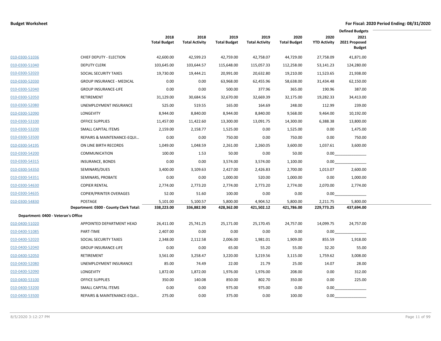|                                     |                                        |                             |                               |                             |                               |                             |                             | <b>Defined Budgets</b>                 |  |
|-------------------------------------|----------------------------------------|-----------------------------|-------------------------------|-----------------------------|-------------------------------|-----------------------------|-----------------------------|----------------------------------------|--|
|                                     |                                        | 2018<br><b>Total Budget</b> | 2018<br><b>Total Activity</b> | 2019<br><b>Total Budget</b> | 2019<br><b>Total Activity</b> | 2020<br><b>Total Budget</b> | 2020<br><b>YTD Activity</b> | 2021<br>2021 Proposed<br><b>Budget</b> |  |
| 010-0300-51036                      | CHIEF DEPUTY - ELECTION                | 42,600.00                   | 42,599.23                     | 42,759.00                   | 42,758.07                     | 44,729.00                   | 27,758.09                   | 41,871.00                              |  |
| 010-0300-51040                      | <b>DEPUTY CLERK</b>                    | 103,645.00                  | 103,644.57                    | 115,648.00                  | 115,057.33                    | 112,258.00                  | 53,141.23                   | 124,280.00                             |  |
| 010-0300-52020                      | SOCIAL SECURITY TAXES                  | 19,730.00                   | 19,444.21                     | 20,991.00                   | 20,632.80                     | 19,210.00                   | 11,523.65                   | 21,938.00                              |  |
| 010-0300-52030                      | <b>GROUP INSURANCE - MEDICAL</b>       | 0.00                        | 0.00                          | 63,968.00                   | 62,455.96                     | 58,638.00                   | 31,434.48                   | 62,150.00                              |  |
| 010-0300-52040                      | <b>GROUP INSURANCE-LIFE</b>            | 0.00                        | 0.00                          | 500.00                      | 377.96                        | 365.00                      | 190.96                      | 387.00                                 |  |
| 010-0300-52050                      | RETIREMENT                             | 31,129.00                   | 30,684.56                     | 32,670.00                   | 32,669.39                     | 32,175.00                   | 19,282.33                   | 34,413.00                              |  |
| 010-0300-52080                      | UNEMPLOYMENT INSURANCE                 | 525.00                      | 519.55                        | 165.00                      | 164.69                        | 248.00                      | 112.99                      | 239.00                                 |  |
| 010-0300-52090                      | LONGEVITY                              | 8,944.00                    | 8,840.00                      | 8,944.00                    | 8,840.00                      | 9,568.00                    | 9,464.00                    | 10,192.00                              |  |
| 010-0300-53100                      | <b>OFFICE SUPPLIES</b>                 | 11,457.00                   | 11,422.60                     | 13,300.00                   | 13,091.75                     | 14,300.00                   | 6,388.38                    | 13,800.00                              |  |
| 010-0300-53200                      | SMALL CAPITAL ITEMS                    | 2,159.00                    | 2,158.77                      | 1,525.00                    | 0.00                          | 1,525.00                    | 0.00                        | 1,475.00                               |  |
| 010-0300-53500                      | REPAIRS & MAINTENANCE-EQUI             | 0.00                        | 0.00                          | 750.00                      | 0.00                          | 750.00                      | 0.00                        | 750.00                                 |  |
| 010-0300-54195                      | ON LINE BIRTH RECORDS                  | 1,049.00                    | 1,048.59                      | 2,261.00                    | 2,260.05                      | 3,600.00                    | 1,037.61                    | 3,600.00                               |  |
| 010-0300-54200                      | <b>COMMUNICATION</b>                   | 100.00                      | 1.53                          | 50.00                       | 0.00                          | 50.00                       | 0.00                        |                                        |  |
| 010-0300-54315                      | <b>INSURANCE, BONDS</b>                | 0.00                        | 0.00                          | 3,574.00                    | 3,574.00                      | 1,100.00                    | 0.00                        |                                        |  |
| 010-0300-54350                      | SEMINARS/DUES                          | 3,400.00                    | 3,109.63                      | 2,427.00                    | 2,426.83                      | 2,700.00                    | 1,013.07                    | 2,600.00                               |  |
| 010-0300-54351                      | SEMINARS, PROBATE                      | 0.00                        | 0.00                          | 1,000.00                    | 520.00                        | 1,000.00                    | 0.00                        | 1,000.00                               |  |
| 010-0300-54630                      | <b>COPIER RENTAL</b>                   | 2,774.00                    | 2,773.20                      | 2,774.00                    | 2,773.20                      | 2,774.00                    | 2,070.00                    | 2,774.00                               |  |
| 010-0300-54635                      | <b>COPIER/PRINTER OVERAGES</b>         | 52.00                       | 51.60                         | 100.00                      | 0.00                          | 0.00                        | 0.00                        |                                        |  |
| 010-0300-54830                      | POSTAGE                                | 5,101.00                    | 5,100.57                      | 5,800.00                    | 4,904.52                      | 5,800.00                    | 2,211.75                    | 5,800.00                               |  |
|                                     | Department: 0300 - County Clerk Total: | 338,223.00                  | 336,882.90                    | 428,362.00                  | 421,502.12                    | 421,786.00                  | 229,773.25                  | 437,694.00                             |  |
| Department: 0400 - Veteran's Office |                                        |                             |                               |                             |                               |                             |                             |                                        |  |
| 010-0400-51020                      | APPOINTED DEPARTMENT HEAD              | 26,411.00                   | 25,741.25                     | 25,171.00                   | 25,170.45                     | 24,757.00                   | 14,099.75                   | 24,757.00                              |  |
| 010-0400-51085                      | PART-TIME                              | 2,407.00                    | 0.00                          | 0.00                        | 0.00                          | 0.00                        | 0.00                        |                                        |  |
| 010-0400-52020                      | SOCIAL SECURITY TAXES                  | 2,348.00                    | 2,112.58                      | 2,006.00                    | 1,981.01                      | 1,909.00                    | 855.59                      | 1,918.00                               |  |
| 010-0400-52040                      | <b>GROUP INSURANCE-LIFE</b>            | 0.00                        | 0.00                          | 65.00                       | 55.20                         | 55.00                       | 32.20                       | 55.00                                  |  |
| 010-0400-52050                      | RETIREMENT                             | 3,561.00                    | 3,258.47                      | 3,220.00                    | 3,219.56                      | 3,115.00                    | 1,759.62                    | 3,008.00                               |  |
| 010-0400-52080                      | UNEMPLOYMENT INSURANCE                 | 85.00                       | 74.49                         | 22.00                       | 21.79                         | 25.00                       | 14.07                       | 28.00                                  |  |
| 010-0400-52090                      | LONGEVITY                              | 1,872.00                    | 1,872.00                      | 1,976.00                    | 1,976.00                      | 208.00                      | 0.00                        | 312.00                                 |  |
| 010-0400-53100                      | <b>OFFICE SUPPLIES</b>                 | 350.00                      | 140.08                        | 850.00                      | 802.70                        | 350.00                      | 0.00                        | 225.00                                 |  |
| 010-0400-53200                      | SMALL CAPITAL ITEMS                    | 0.00                        | 0.00                          | 975.00                      | 975.00                        | 0.00                        | 0.00                        |                                        |  |
| 010-0400-53500                      | REPAIRS & MAINTENANCE-EQUI             | 275.00                      | 0.00                          | 375.00                      | 0.00                          | 100.00                      | 0.00                        |                                        |  |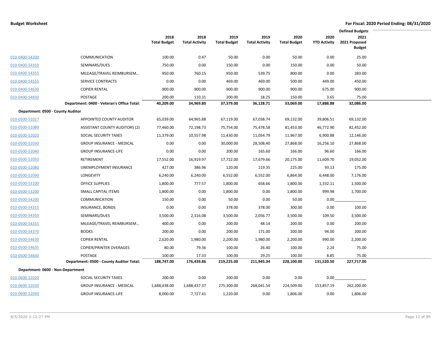|                                   |                                            |                             |                               |                             |                               |                             |                             | <b>Defined Budgets</b>                 |
|-----------------------------------|--------------------------------------------|-----------------------------|-------------------------------|-----------------------------|-------------------------------|-----------------------------|-----------------------------|----------------------------------------|
|                                   |                                            | 2018<br><b>Total Budget</b> | 2018<br><b>Total Activity</b> | 2019<br><b>Total Budget</b> | 2019<br><b>Total Activity</b> | 2020<br><b>Total Budget</b> | 2020<br><b>YTD Activity</b> | 2021<br>2021 Proposed<br><b>Budget</b> |
| 010-0400-54200                    | <b>COMMUNICATION</b>                       | 100.00                      | 0.47                          | 50.00                       | 0.00                          | 50.00                       | 0.00                        | 25.00                                  |
| 010-0400-54350                    | SEMINARS/DUES                              | 750.00                      | 0.00                          | 150.00                      | 0.00                          | 150.00                      | 0.00                        | 50.00                                  |
| 010-0400-54355                    | MILEAGE/TRAVEL REIMBURSEM                  | 950.00                      | 760.15                        | 950.00                      | 539.75                        | 800.00                      | 0.00                        | 283.00                                 |
| 010-0400-54555                    | <b>SERVICE CONTRACTS</b>                   | 0.00                        | 0.00                          | 469.00                      | 469.00                        | 500.00                      | 449.00                      | 450.00                                 |
| 010-0400-54630                    | <b>COPIER RENTAL</b>                       | 900.00                      | 900.00                        | 900.00                      | 900.00                        | 900.00                      | 675.00                      | 900.00                                 |
| 010-0400-54830                    | POSTAGE                                    | 200.00                      | 110.31                        | 200.00                      | 18.25                         | 150.00                      | 3.65                        | 75.00                                  |
|                                   | Department: 0400 - Veteran's Office Total: | 40,209.00                   | 34,969.80                     | 37,379.00                   | 36,128.71                     | 33,069.00                   | 17,888.88                   | 32,086.00                              |
| Department: 0500 - County Auditor |                                            |                             |                               |                             |                               |                             |                             |                                        |
| 010-0500-51027                    | APPOINTED COUNTY AUDITOR                   | 65,039.00                   | 64,965.88                     | 67,119.00                   | 67,038.74                     | 69,132.00                   | 39,806.51                   | 69,132.00                              |
| 010-0500-51080                    | <b>ASSISTANT COUNTY AUDITORS (2)</b>       | 77,460.00                   | 72,198.73                     | 75,754.00                   | 75,478.58                     | 81,453.00                   | 46,772.90                   | 82,452.00                              |
| 010-0500-52020                    | SOCIAL SECURITY TAXES                      | 11,379.00                   | 10,557.98                     | 11,430.00                   | 11,054.79                     | 11,967.00                   | 6,900.88                    | 12,146.00                              |
| 010-0500-52030                    | <b>GROUP INSURANCE - MEDICAL</b>           | 0.00                        | 0.00                          | 30,000.00                   | 28,508.40                     | 27,868.00                   | 16,256.10                   | 27,868.00                              |
| 010-0500-52040                    | <b>GROUP INSURANCE-LIFE</b>                | 0.00                        | 0.00                          | 200.00                      | 165.60                        | 166.00                      | 96.60                       | 166.00                                 |
| 010-0500-52050                    | RETIREMENT                                 | 17,552.00                   | 16,919.97                     | 17,722.00                   | 17,679.66                     | 20,175.00                   | 11,609.70                   | 19,052.00                              |
| 010-0500-52080                    | UNEMPLOYMENT INSURANCE                     | 427.00                      | 386.96                        | 120.00                      | 119.35                        | 225.00                      | 93.13                       | 175.00                                 |
| 010-0500-52090                    | LONGEVITY                                  | 6,240.00                    | 6,240.00                      | 6,552.00                    | 6,552.00                      | 6,864.00                    | 6,448.00                    | 7,176.00                               |
| 010-0500-53100                    | <b>OFFICE SUPPLIES</b>                     | 1,800.00                    | 777.57                        | 1,800.00                    | 658.66                        | 1,800.00                    | 1,332.11                    | 1,500.00                               |
| 010-0500-53200                    | SMALL CAPITAL ITEMS                        | 1,800.00                    | 0.00                          | 1,800.00                    | 0.00                          | 1,800.00                    | 999.98                      | 1,700.00                               |
| 010-0500-54200                    | <b>COMMUNICATION</b>                       | 150.00                      | 0.00                          | 50.00                       | 0.00                          | 50.00                       | 0.00                        |                                        |
| 010-0500-54315                    | <b>INSURANCE, BONDS</b>                    | 0.00                        | 0.00                          | 378.00                      | 378.00                        | 300.00                      | 0.00                        | 100.00                                 |
| 010-0500-54350                    | SEMINARS/DUES                              | 3,500.00                    | 2,316.08                      | 3,500.00                    | 2,056.77                      | 3,500.00                    | 109.50                      | 3,500.00                               |
| 010-0500-54355                    | MILEAGE/TRAVEL REIMBURSEM                  | 400.00                      | 0.00                          | 200.00                      | 48.14                         | 200.00                      | 0.00                        | 200.00                                 |
| 010-0500-54370                    | <b>BOOKS</b>                               | 200.00                      | 0.00                          | 200.00                      | 171.00                        | 200.00                      | 94.00                       | 200.00                                 |
| 010-0500-54630                    | <b>COPIER RENTAL</b>                       | 2,620.00                    | 1,980.00                      | 2,200.00                    | 1,980.00                      | 2,200.00                    | 990.00                      | 2,200.00                               |
| 010-0500-54635                    | <b>COPIER/PRINTER OVERAGES</b>             | 80.00                       | 79.36                         | 100.00                      | 26.40                         | 100.00                      | 2.24                        | 75.00                                  |
| 010-0500-54830                    | POSTAGE                                    | 100.00                      | 17.33                         | 100.00                      | 29.25                         | 100.00                      | 8.85                        | 75.00                                  |
|                                   | Department: 0500 - County Auditor Total:   | 188,747.00                  | 176,439.86                    | 219,225.00                  | 211,945.34                    | 228,100.00                  | 131,520.50                  | 227,717.00                             |
| Department: 0600 - Non-Department |                                            |                             |                               |                             |                               |                             |                             |                                        |
| 010-0600-52020                    | SOCIAL SECURITY TAXES                      | 200.00                      | 0.00                          | 200.00                      | 0.00                          | 0.00                        | 0.00                        |                                        |
| 010-0600-52030                    | <b>GROUP INSURANCE - MEDICAL</b>           | 1,688,438.00                | 1,688,437.37                  | 275,300.00                  | 268,041.54                    | 224,509.00                  | 153,857.19                  | 262,200.00                             |
| 010-0600-52040                    | <b>GROUP INSURANCE-LIFE</b>                | 8,000.00                    | 7,727.41                      | 1,220.00                    | 0.00                          | 1,806.00                    | 0.00                        | 1,806.00                               |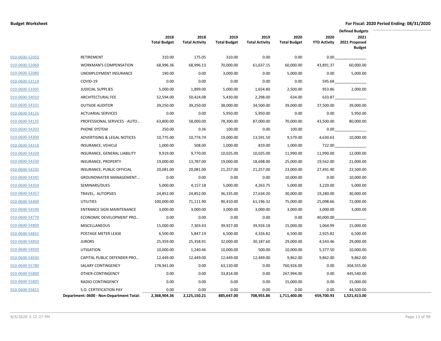|                |                                          |                             |                               |                             |                               |                             |                             | <b>Defined Budgets</b>                 |  |
|----------------|------------------------------------------|-----------------------------|-------------------------------|-----------------------------|-------------------------------|-----------------------------|-----------------------------|----------------------------------------|--|
|                |                                          | 2018<br><b>Total Budget</b> | 2018<br><b>Total Activity</b> | 2019<br><b>Total Budget</b> | 2019<br><b>Total Activity</b> | 2020<br><b>Total Budget</b> | 2020<br><b>YTD Activity</b> | 2021<br>2021 Proposed<br><b>Budget</b> |  |
| 010-0600-52050 | RETIREMENT                               | 310.00                      | 175.05                        | 310.00                      | 0.00                          | 0.00                        | 0.00                        |                                        |  |
| 010-0600-52060 | <b>WORKMAN'S COMPENSATION</b>            | 68,996.36                   | 68,996.13                     | 70,000.00                   | 61,637.15                     | 60,000.00                   | 43,891.37                   | 60,000.00                              |  |
| 010-0600-52080 | UNEMPLOYMENT INSURANCE                   | 190.00                      | 0.00                          | 3,000.00                    | 0.00                          | 5,000.00                    | 0.00                        | 5,000.00                               |  |
| 010-0600-53119 | COVID-19                                 | 0.00                        | 0.00                          | 0.00                        | 0.00                          | 0.00                        | 595.68                      |                                        |  |
| 010-0600-53305 | <b>JUDICIAL SUPPLIES</b>                 | 5,000.00                    | 1,899.00                      | 5,000.00                    | 1,654.80                      | 2,500.00                    | 953.86                      | 2,000.00                               |  |
| 010-0600-54010 | ARCHITECTURAL FEE                        | 52,594.00                   | 50,424.08                     | 5,430.00                    | 2,298.00                      | 634.00                      | 633.87                      |                                        |  |
| 010-0600-54101 | <b>OUTSIDE AUDITOR</b>                   | 39,250.00                   | 39,250.00                     | 38,000.00                   | 34,500.00                     | 39,000.00                   | 37,500.00                   | 39,000.00                              |  |
| 010-0600-54125 | <b>ACTUARIAL SERVICES</b>                | 0.00                        | 0.00                          | 5,950.00                    | 5,950.00                      | 0.00                        | 0.00                        | 5,950.00                               |  |
| 010-0600-54135 | PROFESSIONAL SERVICES - AUTO             | 63,800.00                   | 58,000.00                     | 78,300.00                   | 87,000.00                     | 70,000.00                   | 43,500.00                   | 80,000.00                              |  |
| 010-0600-54203 | PHONE SYSTEM                             | 250.00                      | 0.36                          | 100.00                      | 0.00                          | 100.00                      | 0.00                        |                                        |  |
| 010-0600-54300 | ADVERTISING & LEGAL NOTICES              | 10,775.00                   | 10,774.74                     | 19,000.00                   | 13,591.50                     | 9,579.00                    | 4,630.63                    | 10,000.00                              |  |
| 010-0600-54310 | INSURANCE, VEHICLE                       | 1,000.00                    | 508.00                        | 1,000.00                    | 819.00                        | 1,000.00                    | 722.00                      |                                        |  |
| 010-0600-54320 | INSURANCE, GENERAL LIABILITY             | 9,919.00                    | 9,770.00                      | 10,025.00                   | 10,025.00                     | 11,990.00                   | 11,990.00                   | 12,000.00                              |  |
| 010-0600-54330 | INSURANCE, PROPERTY                      | 19,000.00                   | 13,787.00                     | 19,000.00                   | 18,698.00                     | 25,000.00                   | 19,562.00                   | 21,000.00                              |  |
| 010-0600-54335 | INSURANCE, PUBLIC OFFICIAL               | 20,081.00                   | 20,081.00                     | 21,257.00                   | 21,257.00                     | 23,000.00                   | 27,491.90                   | 22,500.00                              |  |
| 010-0600-54345 | GROUNDWATER MANAGEMENT                   | 0.00                        | 0.00                          | 0.00                        | 0.00                          | 10,000.00                   | 0.00                        | 10,000.00                              |  |
| 010-0600-54350 | SEMINARS/DUES                            | 5,000.00                    | 4,157.18                      | 5,000.00                    | 4,263.75                      | 5,000.00                    | 3,220.00                    | 5,000.00                               |  |
| 010-0600-54357 | TRAVEL, AUTOPSIES                        | 24,852.00                   | 24,852.00                     | 36,335.00                   | 27,634.20                     | 30,000.00                   | 19,280.00                   | 30,000.00                              |  |
| 010-0600-54400 | <b>UTILITIES</b>                         | 100,000.00                  | 71,111.90                     | 90,410.00                   | 61,196.32                     | 75,000.00                   | 25,098.66                   | 72,000.00                              |  |
| 010-0600-54590 | <b>ENTRANCE SIGN MAINTENANCE</b>         | 3,000.00                    | 3,000.00                      | 3,000.00                    | 3,000.00                      | 3,000.00                    | 3,000.00                    | 3,000.00                               |  |
| 010-0600-54770 | ECONOMIC DEVELOPMENT PRO                 | 0.00                        | 0.00                          | 0.00                        | 0.00                          | 0.00                        | 40,000.00                   |                                        |  |
| 010-0600-54800 | <b>MISCELLANEOUS</b>                     | 15,000.00                   | 7,303.43                      | 39,927.00                   | 39,926.18                     | 15,000.00                   | 1,064.99                    | 15,000.00                              |  |
| 010-0600-54831 | POSTAGE METER LEASE                      | 6,500.00                    | 5,847.19                      | 6,500.00                    | 4,326.82                      | 6,500.00                    | 2,925.82                    | 6,500.00                               |  |
| 010-0600-54850 | <b>JURORS</b>                            | 25,359.00                   | 25,358.91                     | 32,000.00                   | 30,187.60                     | 29,000.00                   | 4,543.46                    | 29,000.00                              |  |
| 010-0600-54920 | LITIGATION                               | 10,000.00                   | 1,240.46                      | 10,000.00                   | 500.00                        | 10,000.00                   | 5,377.50                    | 10,000.00                              |  |
| 010-0600-54930 | CAPITAL PUBLIC DEFENDER PRO              | 12,449.00                   | 12,449.00                     | 12,449.00                   | 12,449.00                     | 9,862.00                    | 9,862.00                    | 9,862.00                               |  |
| 010-0600-55780 | <b>SALARY CONTINGENCY</b>                | 178,941.00                  | 0.00                          | 63,120.00                   | 0.00                          | 760,926.00                  | 0.00                        | 304,555.00                             |  |
| 010-0600-55800 | OTHER-CONTINGENCY                        | 0.00                        | 0.00                          | 33,814.00                   | 0.00                          | 267,994.00                  | 0.00                        | 445,540.00                             |  |
| 010-0600-55805 | <b>RADIO CONTINGENCY</b>                 | 0.00                        | 0.00                          | 0.00                        | 0.00                          | 15,000.00                   | 0.00                        | 15,000.00                              |  |
| 010-0600-55815 | S.O. CERTIFICATION PAY                   | 0.00                        | 0.00                          | 0.00                        | 0.00                          | 0.00                        | 0.00                        | 44,500.00                              |  |
|                | Department: 0600 - Non-Department Total: | 2,368,904.36                | 2,125,150.21                  | 885,647.00                  | 708,955.86                    | 1,711,400.00                | 459,700.93                  | 1,521,413.00                           |  |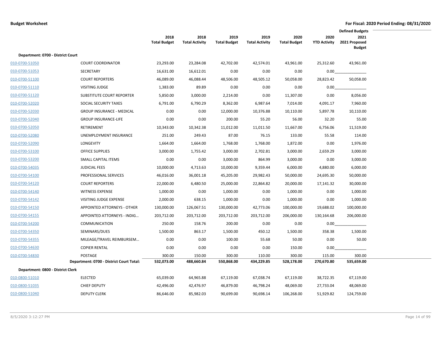|                                   |                                          |                             |                               |                             |                               |                             |                             | <b>Defined Budgets</b>                 |  |
|-----------------------------------|------------------------------------------|-----------------------------|-------------------------------|-----------------------------|-------------------------------|-----------------------------|-----------------------------|----------------------------------------|--|
|                                   |                                          | 2018<br><b>Total Budget</b> | 2018<br><b>Total Activity</b> | 2019<br><b>Total Budget</b> | 2019<br><b>Total Activity</b> | 2020<br><b>Total Budget</b> | 2020<br><b>YTD Activity</b> | 2021<br>2021 Proposed<br><b>Budget</b> |  |
| Department: 0700 - District Court |                                          |                             |                               |                             |                               |                             |                             |                                        |  |
| 010-0700-51050                    | <b>COURT COORDINATOR</b>                 | 23,293.00                   | 23,284.08                     | 42,702.00                   | 42,574.01                     | 43,961.00                   | 25,312.60                   | 43,961.00                              |  |
| 010-0700-51053                    | <b>SECRETARY</b>                         | 16,631.00                   | 16,612.01                     | 0.00                        | 0.00                          | 0.00                        | 0.00                        |                                        |  |
| 010-0700-51100                    | <b>COURT REPORTERS</b>                   | 46,089.00                   | 46,088.44                     | 48,506.00                   | 48,505.12                     | 50,058.00                   | 28,823.42                   | 50,058.00                              |  |
| 010-0700-51110                    | <b>VISITING JUDGE</b>                    | 1,383.00                    | 89.89                         | 0.00                        | 0.00                          | 0.00                        | 0.00                        |                                        |  |
| 010-0700-51120                    | <b>SUBSTITUTE COURT REPORTER</b>         | 5,850.00                    | 3,000.00                      | 2,214.00                    | 0.00                          | 11,307.00                   | 0.00                        | 8,056.00                               |  |
| 010-0700-52020                    | SOCIAL SECURITY TAXES                    | 6,791.00                    | 6,790.29                      | 8,362.00                    | 6,987.64                      | 7,014.00                    | 4,091.17                    | 7,960.00                               |  |
| 010-0700-52030                    | <b>GROUP INSURANCE - MEDICAL</b>         | 0.00                        | 0.00                          | 12,000.00                   | 10,376.88                     | 10,110.00                   | 5,897.78                    | 10,110.00                              |  |
| 010-0700-52040                    | <b>GROUP INSURANCE-LIFE</b>              | 0.00                        | 0.00                          | 200.00                      | 55.20                         | 56.00                       | 32.20                       | 55.00                                  |  |
| 010-0700-52050                    | <b>RETIREMENT</b>                        | 10,343.00                   | 10,342.38                     | 11,012.00                   | 11,011.50                     | 11,667.00                   | 6,756.06                    | 11,519.00                              |  |
| 010-0700-52080                    | UNEMPLOYMENT INSURANCE                   | 251.00                      | 249.43                        | 87.00                       | 76.15                         | 133.00                      | 55.58                       | 114.00                                 |  |
| 010-0700-52090                    | <b>LONGEVITY</b>                         | 1,664.00                    | 1,664.00                      | 1,768.00                    | 1,768.00                      | 1,872.00                    | 0.00                        | 1,976.00                               |  |
| 010-0700-53100                    | <b>OFFICE SUPPLIES</b>                   | 3,000.00                    | 1,755.42                      | 3,000.00                    | 2,702.81                      | 3,000.00                    | 2,659.29                    | 3,000.00                               |  |
| 010-0700-53200                    | <b>SMALL CAPITAL ITEMS</b>               | 0.00                        | 0.00                          | 3,000.00                    | 864.99                        | 3,000.00                    | 0.00                        | 3,000.00                               |  |
| 010-0700-54035                    | <b>JUDICIAL FEES</b>                     | 10,000.00                   | 4,713.63                      | 10,000.00                   | 9,359.44                      | 6,000.00                    | 4,880.00                    | 6,000.00                               |  |
| 010-0700-54100                    | PROFESSIONAL SERVICES                    | 46,016.00                   | 36,001.18                     | 45,205.00                   | 29,982.43                     | 50,000.00                   | 24,695.30                   | 50,000.00                              |  |
| 010-0700-54120                    | <b>COURT REPORTERS</b>                   | 22,000.00                   | 6,480.50                      | 25,000.00                   | 22,864.82                     | 20,000.00                   | 17,141.32                   | 30,000.00                              |  |
| 010-0700-54140                    | <b>WITNESS EXPENSE</b>                   | 1,000.00                    | 0.00                          | 1,000.00                    | 0.00                          | 1,000.00                    | 0.00                        | 1,000.00                               |  |
| 010-0700-54142                    | VISITING JUDGE EXPENSE                   | 2,000.00                    | 638.15                        | 1,000.00                    | 0.00                          | 1,000.00                    | 0.00                        | 1,000.00                               |  |
| 010-0700-54150                    | <b>APPOINTED ATTORNEYS - OTHER</b>       | 130.000.00                  | 126,067.51                    | 130,000.00                  | 42,773.06                     | 100,000.00                  | 19,688.02                   | 100,000.00                             |  |
| 010-0700-54155                    | APPOINTED ATTORNEYS - INDIG              | 203,712.00                  | 203,712.00                    | 203,712.00                  | 203,712.00                    | 206,000.00                  | 130,164.68                  | 206,000.00                             |  |
| 010-0700-54200                    | <b>COMMUNICATION</b>                     | 250.00                      | 158.76                        | 200.00                      | 0.00                          | 0.00                        | 0.00                        |                                        |  |
| 010-0700-54350                    | SEMINARS/DUES                            | 1,500.00                    | 863.17                        | 1,500.00                    | 450.12                        | 1,500.00                    | 358.38                      | 1,500.00                               |  |
| 010-0700-54355                    | MILEAGE/TRAVEL REIMBURSEM                | 0.00                        | 0.00                          | 100.00                      | 55.68                         | 50.00                       | 0.00                        | 50.00                                  |  |
| 010-0700-54630                    | <b>COPIER RENTAL</b>                     | 0.00                        | 0.00                          | 0.00                        | 0.00                          | 150.00                      | 0.00                        |                                        |  |
| 010-0700-54830                    | POSTAGE                                  | 300.00                      | 150.00                        | 300.00                      | 110.00                        | 300.00                      | 115.00                      | 300.00                                 |  |
|                                   | Department: 0700 - District Court Total: | 532,073.00                  | 488,660.84                    | 550,868.00                  | 434,229.85                    | 528,178.00                  | 270,670.80                  | 535,659.00                             |  |
| Department: 0800 - District Clerk |                                          |                             |                               |                             |                               |                             |                             |                                        |  |
| 010-0800-51010                    | <b>ELECTED</b>                           | 65,039.00                   | 64,965.88                     | 67,119.00                   | 67,038.74                     | 67,119.00                   | 38,722.35                   | 67,119.00                              |  |
| 010-0800-51035                    | <b>CHIEF DEPUTY</b>                      | 42,496.00                   | 42,476.97                     | 46,879.00                   | 46,798.24                     | 48,069.00                   | 27,733.04                   | 48,069.00                              |  |
| 010-0800-51040                    | <b>DEPUTY CLERK</b>                      | 86,646.00                   | 85,982.03                     | 90,699.00                   | 90,698.14                     | 106,268.00                  | 51,929.82                   | 124,759.00                             |  |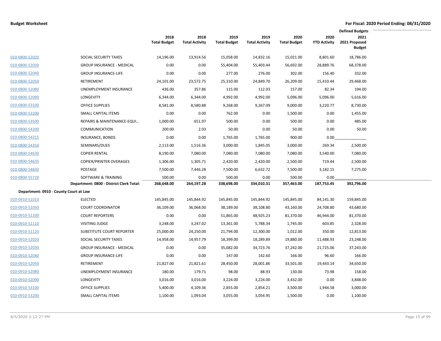|                                        |                                          |                             |                               |                             |                               |                             |                             | <b>Defined Budgets</b>                 |  |
|----------------------------------------|------------------------------------------|-----------------------------|-------------------------------|-----------------------------|-------------------------------|-----------------------------|-----------------------------|----------------------------------------|--|
|                                        |                                          | 2018<br><b>Total Budget</b> | 2018<br><b>Total Activity</b> | 2019<br><b>Total Budget</b> | 2019<br><b>Total Activity</b> | 2020<br><b>Total Budget</b> | 2020<br><b>YTD Activity</b> | 2021<br>2021 Proposed<br><b>Budget</b> |  |
| 010-0800-52020                         | SOCIAL SECURITY TAXES                    | 14,196.00                   | 13,914.56                     | 15,058.00                   | 14,832.16                     | 15,021.00                   | 8,801.60                    | 18,786.00                              |  |
| 010-0800-52030                         | <b>GROUP INSURANCE - MEDICAL</b>         | 0.00                        | 0.00                          | 55,404.00                   | 55,403.44                     | 56,692.00                   | 28,889.76                   | 68,378.00                              |  |
| 010-0800-52040                         | <b>GROUP INSURANCE-LIFE</b>              | 0.00                        | 0.00                          | 277.00                      | 276.00                        | 302.00                      | 156.40                      | 332.00                                 |  |
| 010-0800-52050                         | <b>RETIREMENT</b>                        | 24,101.00                   | 23,572.75                     | 25,310.00                   | 24,849.70                     | 26,209.00                   | 15,410.44                   | 29,468.00                              |  |
| 010-0800-52080                         | UNEMPLOYMENT INSURANCE                   | 436.00                      | 357.86                        | 115.00                      | 112.03                        | 157.00                      | 82.34                       | 194.00                                 |  |
| 010-0800-52090                         | <b>LONGEVITY</b>                         | 6,344.00                    | 6,344.00                      | 4,992.00                    | 4,992.00                      | 5,096.00                    | 5,096.00                    | 5,616.00                               |  |
| 010-0800-53100                         | <b>OFFICE SUPPLIES</b>                   | 8,581.00                    | 8,580.88                      | 9,268.00                    | 9,267.09                      | 9,000.00                    | 3,220.77                    | 8,730.00                               |  |
| 010-0800-53200                         | SMALL CAPITAL ITEMS                      | 0.00                        | 0.00                          | 762.00                      | 0.00                          | 1,500.00                    | 0.00                        | 1,455.00                               |  |
| 010-0800-53500                         | REPAIRS & MAINTENANCE-EQUI               | 1,000.00                    | 651.97                        | 500.00                      | 0.00                          | 500.00                      | 0.00                        | 485.00                                 |  |
| 010-0800-54200                         | <b>COMMUNICATION</b>                     | 200.00                      | 2.03                          | 50.00                       | 0.00                          | 50.00                       | 0.00                        | 50.00                                  |  |
| 010-0800-54315                         | INSURANCE, BONDS                         | 0.00                        | 0.00                          | 1,765.00                    | 1,765.00                      | 900.00                      | 0.00                        |                                        |  |
| 010-0800-54350                         | SEMINARS/DUES                            | 2,113.00                    | 1,516.36                      | 3,000.00                    | 1,845.05                      | 3,000.00                    | 269.34                      | 2,500.00                               |  |
| 010-0800-54630                         | <b>COPIER RENTAL</b>                     | 8,190.00                    | 7,080.00                      | 7,080.00                    | 7,080.00                      | 7,080.00                    | 3,540.00                    | 7,080.00                               |  |
| 010-0800-54635                         | <b>COPIER/PRINTER OVERAGES</b>           | 1,306.00                    | 1,305.71                      | 2,420.00                    | 2,420.00                      | 2,500.00                    | 719.44                      | 2,500.00                               |  |
| 010-0800-54830                         | POSTAGE                                  | 7,500.00                    | 7,446.28                      | 7,500.00                    | 6,632.72                      | 7,500.00                    | 3,182.15                    | 7,275.00                               |  |
| 010-0800-55720                         | SOFTWARE & TRAINING                      | 500.00                      | 0.00                          | 500.00                      | 0.00                          | 500.00                      | 0.00                        |                                        |  |
|                                        | Department: 0800 - District Clerk Total: | 268,648.00                  | 264,197.28                    | 338,698.00                  | 334,010.31                    | 357,463.00                  | 187,753.45                  | 392,796.00                             |  |
| Department: 0910 - County Court at Law |                                          |                             |                               |                             |                               |                             |                             |                                        |  |
| 010-0910-51010                         | <b>ELECTED</b>                           | 145,845.00                  | 145,844.92                    | 145,845.00                  | 145,844.92                    | 145,845.00                  | 84,141.30                   | 159,845.00                             |  |
| 010-0910-51050                         | <b>COURT COORDINATOR</b>                 | 36,109.00                   | 36,068.00                     | 38,189.00                   | 38,108.80                     | 43,160.00                   | 24,708.80                   | 43,680.00                              |  |
| 010-0910-51100                         | <b>COURT REPORTERS</b>                   | 0.00                        | 0.00                          | 51,865.00                   | 48,925.23                     | 81,370.00                   | 46,944.00                   | 81,370.00                              |  |
| 010-0910-51110                         | <b>VISITING JUDGE</b>                    | 3,248.00                    | 3,247.02                      | 13,361.00                   | 5,788.34                      | 1,745.00                    | 603.85                      | 2,328.00                               |  |
| 010-0910-51120                         | SUBSTITUTE COURT REPORTER                | 25,000.00                   | 24,250.00                     | 21,794.00                   | 12,300.00                     | 1,012.00                    | 350.00                      | 12,813.00                              |  |
| 010-0910-52020                         | SOCIAL SECURITY TAXES                    | 14,958.00                   | 14,957.79                     | 18,399.00                   | 18,289.89                     | 19,880.00                   | 11,488.93                   | 23,248.00                              |  |
| 010-0910-52030                         | <b>GROUP INSURANCE - MEDICAL</b>         | 0.00                        | 0.00                          | 35,082.00                   | 34,723.76                     | 37,242.00                   | 21,725.06                   | 37,243.00                              |  |
| 010-0910-52040                         | <b>GROUP INSURANCE-LIFE</b>              | 0.00                        | 0.00                          | 147.00                      | 142.60                        | 166.00                      | 96.60                       | 166.00                                 |  |
| 010-0910-52050                         | RETIREMENT                               | 21,827.00                   | 21,821.61                     | 28,450.00                   | 28,001.86                     | 33,501.00                   | 19,443.14                   | 34,650.00                              |  |
| 010-0910-52080                         | UNEMPLOYMENT INSURANCE                   | 180.00                      | 179.71                        | 98.00                       | 88.93                         | 130.00                      | 73.98                       | 158.00                                 |  |
| 010-0910-52090                         | LONGEVITY                                | 3,016.00                    | 3,016.00                      | 3,224.00                    | 3,224.00                      | 3,432.00                    | 0.00                        | 3,848.00                               |  |
| 010-0910-53100                         | <b>OFFICE SUPPLIES</b>                   | 5,400.00                    | 4,109.36                      | 2,855.00                    | 2,854.21                      | 3,500.00                    | 1,944.58                    | 3,000.00                               |  |
| 010-0910-53200                         | SMALL CAPITAL ITEMS                      | 1,100.00                    | 1,093.04                      | 3,055.00                    | 3,054.95                      | 1,500.00                    | 0.00                        | 1,100.00                               |  |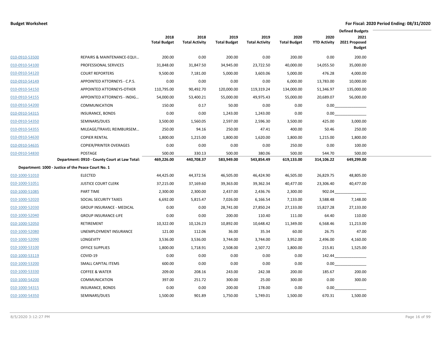|                |                                                     |                             |                               |                             |                               |                             |                             | <b>Defined Budgets</b>                 |  |
|----------------|-----------------------------------------------------|-----------------------------|-------------------------------|-----------------------------|-------------------------------|-----------------------------|-----------------------------|----------------------------------------|--|
|                |                                                     | 2018<br><b>Total Budget</b> | 2018<br><b>Total Activity</b> | 2019<br><b>Total Budget</b> | 2019<br><b>Total Activity</b> | 2020<br><b>Total Budget</b> | 2020<br><b>YTD Activity</b> | 2021<br>2021 Proposed<br><b>Budget</b> |  |
| 010-0910-53500 | REPAIRS & MAINTENANCE-EQUI                          | 200.00                      | 0.00                          | 200.00                      | 0.00                          | 200.00                      | 0.00                        | 200.00                                 |  |
| 010-0910-54100 | PROFESSIONAL SERVICES                               | 31,848.00                   | 31,847.50                     | 34,945.00                   | 23,722.50                     | 40,000.00                   | 14,055.50                   | 35,000.00                              |  |
| 010-0910-54120 | <b>COURT REPORTERS</b>                              | 9,500.00                    | 7,181.00                      | 5,000.00                    | 3,603.06                      | 5,000.00                    | 476.28                      | 4,000.00                               |  |
| 010-0910-54149 | APPOINTED ATTORNEYS - C.P.S.                        | 0.00                        | 0.00                          | 0.00                        | 0.00                          | 6,000.00                    | 13,783.00                   | 10,000.00                              |  |
| 010-0910-54150 | APPOINTED ATTORNEYS-OTHER                           | 110,795.00                  | 90,492.70                     | 120,000.00                  | 119,319.24                    | 134,000.00                  | 51,346.97                   | 135,000.00                             |  |
| 010-0910-54155 | APPOINTED ATTORNEYS - INDIG                         | 54,000.00                   | 53,400.21                     | 55,000.00                   | 49,975.43                     | 55,000.00                   | 20,689.07                   | 56,000.00                              |  |
| 010-0910-54200 | <b>COMMUNICATION</b>                                | 150.00                      | 0.17                          | 50.00                       | 0.00                          | 0.00                        | 0.00                        |                                        |  |
| 010-0910-54315 | <b>INSURANCE, BONDS</b>                             | 0.00                        | 0.00                          | 1,243.00                    | 1,243.00                      | 0.00                        | 0.00                        |                                        |  |
| 010-0910-54350 | SEMINARS/DUES                                       | 3,500.00                    | 1,560.05                      | 2,597.00                    | 2,596.30                      | 3,500.00                    | 425.00                      | 3,000.00                               |  |
| 010-0910-54355 | MILEAGE/TRAVEL REIMBURSEM                           | 250.00                      | 94.16                         | 250.00                      | 47.41                         | 400.00                      | 50.46                       | 250.00                                 |  |
| 010-0910-54630 | <b>COPIER RENTAL</b>                                | 1,800.00                    | 1,215.00                      | 1,800.00                    | 1,620.00                      | 1,800.00                    | 1,215.00                    | 1,800.00                               |  |
| 010-0910-54635 | <b>COPIER/PRINTER OVERAGES</b>                      | 0.00                        | 0.00                          | 0.00                        | 0.00                          | 250.00                      | 0.00                        | 100.00                                 |  |
| 010-0910-54830 | POSTAGE                                             | 500.00                      | 330.13                        | 500.00                      | 380.06                        | 500.00                      | 544.70                      | 500.00                                 |  |
|                | Department: 0910 - County Court at Law Total:       | 469,226.00                  | 440,708.37                    | 583,949.00                  | 543,854.49                    | 619,133.00                  | 314,106.22                  | 649,299.00                             |  |
|                | Department: 1000 - Justice of the Peace Court No. 1 |                             |                               |                             |                               |                             |                             |                                        |  |
| 010-1000-51010 | <b>ELECTED</b>                                      | 44,425.00                   | 44,372.56                     | 46,505.00                   | 46,424.90                     | 46,505.00                   | 26,829.75                   | 48,805.00                              |  |
| 010-1000-51051 | <b>JUSTICE COURT CLERK</b>                          | 37,215.00                   | 37,169.60                     | 39,363.00                   | 39,362.34                     | 40,477.00                   | 23,306.40                   | 40,477.00                              |  |
| 010-1000-51085 | PART TIME                                           | 2,300.00                    | 2,300.00                      | 2,437.00                    | 2,436.76                      | 2,300.00                    | 902.04                      |                                        |  |
| 010-1000-52020 | SOCIAL SECURITY TAXES                               | 6,692.00                    | 5,815.47                      | 7,026.00                    | 6,166.54                      | 7,133.00                    | 3,588.48                    | 7,148.00                               |  |
| 010-1000-52030 | <b>GROUP INSURANCE - MEDICAL</b>                    | 0.00                        | 0.00                          | 28,741.00                   | 27,850.24                     | 27,133.00                   | 15,827.28                   | 27,133.00                              |  |
| 010-1000-52040 | <b>GROUP INSURANCE-LIFE</b>                         | 0.00                        | 0.00                          | 200.00                      | 110.40                        | 111.00                      | 64.40                       | 110.00                                 |  |
| 010-1000-52050 | RETIREMENT                                          | 10,322.00                   | 10,126.23                     | 10,892.00                   | 10,648.42                     | 11,349.00                   | 6,568.46                    | 11,213.00                              |  |
| 010-1000-52080 | UNEMPLOYMENT INSURANCE                              | 121.00                      | 112.06                        | 36.00                       | 35.34                         | 60.00                       | 26.75                       | 47.00                                  |  |
| 010-1000-52090 | <b>LONGEVITY</b>                                    | 3,536.00                    | 3,536.00                      | 3,744.00                    | 3,744.00                      | 3,952.00                    | 2,496.00                    | 4,160.00                               |  |
| 010-1000-53100 | <b>OFFICE SUPPLIES</b>                              | 1,800.00                    | 1,718.91                      | 2,508.00                    | 2,507.72                      | 1,800.00                    | 215.81                      | 1,525.00                               |  |
| 010-1000-53119 | COVID-19                                            | 0.00                        | 0.00                          | 0.00                        | 0.00                          | 0.00                        | 142.44                      |                                        |  |
| 010-1000-53200 | SMALL CAPITAL ITEMS                                 | 600.00                      | 0.00                          | 0.00                        | 0.00                          | 0.00                        | 0.00                        |                                        |  |
| 010-1000-53330 | <b>COFFEE &amp; WATER</b>                           | 209.00                      | 208.16                        | 243.00                      | 242.38                        | 200.00                      | 185.67                      | 200.00                                 |  |
| 010-1000-54200 | COMMUNICATION                                       | 397.00                      | 251.72                        | 300.00                      | 25.00                         | 300.00                      | 0.00                        | 300.00                                 |  |
| 010-1000-54315 | <b>INSURANCE, BONDS</b>                             | 0.00                        | 0.00                          | 200.00                      | 178.00                        | 0.00                        | 0.00                        |                                        |  |
| 010-1000-54350 | SEMINARS/DUES                                       | 1,500.00                    | 901.89                        | 1,750.00                    | 1,749.01                      | 1,500.00                    | 670.31                      | 1,500.00                               |  |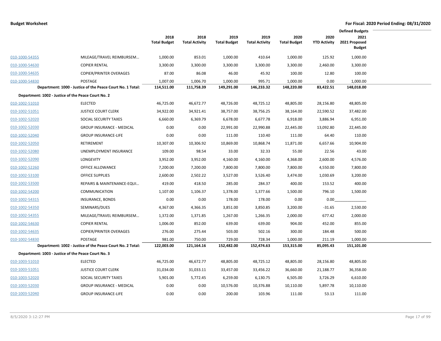|                |                                                            |                             |                               |                             |                               |                             |                             | <b>Defined Budgets</b>                 |  |
|----------------|------------------------------------------------------------|-----------------------------|-------------------------------|-----------------------------|-------------------------------|-----------------------------|-----------------------------|----------------------------------------|--|
|                |                                                            | 2018<br><b>Total Budget</b> | 2018<br><b>Total Activity</b> | 2019<br><b>Total Budget</b> | 2019<br><b>Total Activity</b> | 2020<br><b>Total Budget</b> | 2020<br><b>YTD Activity</b> | 2021<br>2021 Proposed<br><b>Budget</b> |  |
| 010-1000-54355 | MILEAGE/TRAVEL REIMBURSEM                                  | 1,000.00                    | 853.01                        | 1,000.00                    | 410.64                        | 1,000.00                    | 125.92                      | 1,000.00                               |  |
| 010-1000-54630 | <b>COPIER RENTAL</b>                                       | 3,300.00                    | 3,300.00                      | 3,300.00                    | 3,300.00                      | 3,300.00                    | 2,460.00                    | 3,300.00                               |  |
| 010-1000-54635 | <b>COPIER/PRINTER OVERAGES</b>                             | 87.00                       | 86.08                         | 46.00                       | 45.92                         | 100.00                      | 12.80                       | 100.00                                 |  |
| 010-1000-54830 | POSTAGE                                                    | 1,007.00                    | 1,006.70                      | 1,000.00                    | 995.71                        | 1,000.00                    | 0.00                        | 1,000.00                               |  |
|                | Department: 1000 - Justice of the Peace Court No. 1 Total: | 114,511.00                  | 111,758.39                    | 149,291.00                  | 146,233.32                    | 148,220.00                  | 83,422.51                   | 148,018.00                             |  |
|                | Department: 1002 - Justice of the Peace Court No. 2        |                             |                               |                             |                               |                             |                             |                                        |  |
| 010-1002-51010 | <b>ELECTED</b>                                             | 46,725.00                   | 46,672.77                     | 48,726.00                   | 48,725.12                     | 48,805.00                   | 28,156.80                   | 48,805.00                              |  |
| 010-1002-51051 | <b>JUSTICE COURT CLERK</b>                                 | 34,922.00                   | 34,921.41                     | 38,757.00                   | 38,756.25                     | 38,164.00                   | 22,590.52                   | 37,482.00                              |  |
| 010-1002-52020 | SOCIAL SECURITY TAXES                                      | 6,660.00                    | 6,369.79                      | 6,678.00                    | 6,677.78                      | 6,918.00                    | 3,886.94                    | 6,951.00                               |  |
| 010-1002-52030 | <b>GROUP INSURANCE - MEDICAL</b>                           | 0.00                        | 0.00                          | 22,991.00                   | 22,990.88                     | 22,445.00                   | 13,092.80                   | 22,445.00                              |  |
| 010-1002-52040 | <b>GROUP INSURANCE-LIFE</b>                                | 0.00                        | 0.00                          | 111.00                      | 110.40                        | 111.00                      | 64.40                       | 110.00                                 |  |
| 010-1002-52050 | RETIREMENT                                                 | 10,307.00                   | 10,306.92                     | 10,869.00                   | 10,868.74                     | 11,871.00                   | 6,657.66                    | 10,904.00                              |  |
| 010-1002-52080 | UNEMPLOYMENT INSURANCE                                     | 109.00                      | 98.54                         | 33.00                       | 32.33                         | 55.00                       | 22.56                       | 43.00                                  |  |
| 010-1002-52090 | <b>LONGEVITY</b>                                           | 3,952.00                    | 3,952.00                      | 4,160.00                    | 4,160.00                      | 4,368.00                    | 2,600.00                    | 4,576.00                               |  |
| 010-1002-52260 | OFFICE ALLOWANCE                                           | 7,200.00                    | 7,200.00                      | 7,800.00                    | 7,800.00                      | 7,800.00                    | 4,550.00                    | 7,800.00                               |  |
| 010-1002-53100 | <b>OFFICE SUPPLIES</b>                                     | 2,600.00                    | 2,502.22                      | 3,527.00                    | 3,526.40                      | 3,474.00                    | 1,030.69                    | 3,200.00                               |  |
| 010-1002-53500 | REPAIRS & MAINTENANCE-EQUI                                 | 419.00                      | 418.50                        | 285.00                      | 284.37                        | 400.00                      | 153.52                      | 400.00                                 |  |
| 010-1002-54200 | <b>COMMUNICATION</b>                                       | 1,107.00                    | 1,106.37                      | 1,378.00                    | 1,377.66                      | 1,500.00                    | 796.10                      | 1,500.00                               |  |
| 010-1002-54315 | <b>INSURANCE, BONDS</b>                                    | 0.00                        | 0.00                          | 178.00                      | 178.00                        | 0.00                        | 0.00                        |                                        |  |
| 010-1002-54350 | SEMINARS/DUES                                              | 4,367.00                    | 4,366.35                      | 3,851.00                    | 3,850.85                      | 3,200.00                    | $-31.65$                    | 2,530.00                               |  |
| 010-1002-54355 | MILEAGE/TRAVEL REIMBURSEM                                  | 1,372.00                    | 1,371.85                      | 1,267.00                    | 1,266.35                      | 2,000.00                    | 677.42                      | 2,000.00                               |  |
| 010-1002-54630 | <b>COPIER RENTAL</b>                                       | 1,006.00                    | 852.00                        | 639.00                      | 639.00                        | 904.00                      | 452.00                      | 855.00                                 |  |
| 010-1002-54635 | <b>COPIER/PRINTER OVERAGES</b>                             | 276.00                      | 275.44                        | 503.00                      | 502.16                        | 300.00                      | 184.48                      | 500.00                                 |  |
| 010-1002-54830 | POSTAGE                                                    | 981.00                      | 750.00                        | 729.00                      | 728.34                        | 1,000.00                    | 211.19                      | 1,000.00                               |  |
|                | Department: 1002 - Justice of the Peace Court No. 2 Total: | 122,003.00                  | 121,164.16                    | 152,482.00                  | 152,474.63                    | 153,315.00                  | 85,095.43                   | 151,101.00                             |  |
|                | Department: 1003 - Justice of the Peace Court No. 3        |                             |                               |                             |                               |                             |                             |                                        |  |
| 010-1003-51010 | <b>ELECTED</b>                                             | 46,725.00                   | 46,672.77                     | 48,805.00                   | 48,725.12                     | 48,805.00                   | 28,156.80                   | 48,805.00                              |  |
| 010-1003-51051 | <b>JUSTICE COURT CLERK</b>                                 | 31,034.00                   | 31,033.11                     | 33,457.00                   | 33,456.22                     | 36,660.00                   | 21,188.77                   | 36,358.00                              |  |
| 010-1003-52020 | SOCIAL SECURITY TAXES                                      | 5,901.00                    | 5,772.45                      | 6,259.00                    | 6,130.75                      | 6,505.00                    | 3,726.29                    | 6,610.00                               |  |
| 010-1003-52030 | <b>GROUP INSURANCE - MEDICAL</b>                           | 0.00                        | 0.00                          | 10,576.00                   | 10,376.88                     | 10,110.00                   | 5,897.78                    | 10,110.00                              |  |
| 010-1003-52040 | <b>GROUP INSURANCE-LIFE</b>                                | 0.00                        | 0.00                          | 200.00                      | 103.96                        | 111.00                      | 53.13                       | 111.00                                 |  |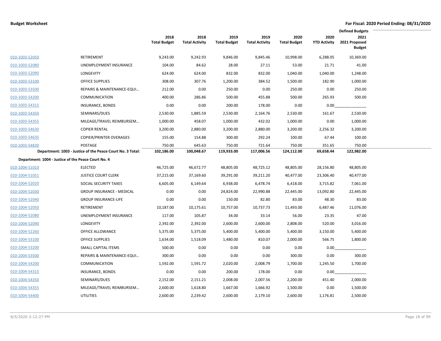|                |                                                            |                             |                               |                             |                               |                             |                             | <b>Defined Budgets</b>                 |  |
|----------------|------------------------------------------------------------|-----------------------------|-------------------------------|-----------------------------|-------------------------------|-----------------------------|-----------------------------|----------------------------------------|--|
|                |                                                            | 2018<br><b>Total Budget</b> | 2018<br><b>Total Activity</b> | 2019<br><b>Total Budget</b> | 2019<br><b>Total Activity</b> | 2020<br><b>Total Budget</b> | 2020<br><b>YTD Activity</b> | 2021<br>2021 Proposed<br><b>Budget</b> |  |
| 010-1003-52050 | RETIREMENT                                                 | 9,243.00                    | 9,242.93                      | 9,846.00                    | 9,845.46                      | 10,998.00                   | 6,288.05                    | 10,369.00                              |  |
| 010-1003-52080 | UNEMPLOYMENT INSURANCE                                     | 104.00                      | 84.62                         | 28.00                       | 27.11                         | 53.00                       | 21.71                       | 41.00                                  |  |
| 010-1003-52090 | LONGEVITY                                                  | 624.00                      | 624.00                        | 832.00                      | 832.00                        | 1,040.00                    | 1,040.00                    | 1,248.00                               |  |
| 010-1003-53100 | <b>OFFICE SUPPLIES</b>                                     | 308.00                      | 307.76                        | 1,200.00                    | 384.52                        | 1,500.00                    | 182.90                      | 1,000.00                               |  |
| 010-1003-53500 | REPAIRS & MAINTENANCE-EQUI                                 | 212.00                      | 0.00                          | 250.00                      | 0.00                          | 250.00                      | 0.00                        | 250.00                                 |  |
| 010-1003-54200 | <b>COMMUNICATION</b>                                       | 400.00                      | 286.86                        | 500.00                      | 455.88                        | 500.00                      | 265.93                      | 500.00                                 |  |
| 010-1003-54315 | INSURANCE, BONDS                                           | 0.00                        | 0.00                          | 200.00                      | 178.00                        | 0.00                        | 0.00                        |                                        |  |
| 010-1003-54350 | SEMINARS/DUES                                              | 2,530.00                    | 1,885.59                      | 2,530.00                    | 2,164.76                      | 2,530.00                    | 161.67                      | 2,530.00                               |  |
| 010-1003-54355 | MILEAGE/TRAVEL REIMBURSEM                                  | 1,000.00                    | 458.07                        | 1,000.00                    | 432.02                        | 1,000.00                    | 0.00                        | 1,000.00                               |  |
| 010-1003-54630 | <b>COPIER RENTAL</b>                                       | 3,200.00                    | 2,880.00                      | 3,200.00                    | 2,880.00                      | 3,200.00                    | 2,256.32                    | 3,200.00                               |  |
| 010-1003-54635 | <b>COPIER/PRINTER OVERAGES</b>                             | 155.00                      | 154.88                        | 300.00                      | 292.24                        | 100.00                      | 67.44                       | 100.00                                 |  |
| 010-1003-54830 | POSTAGE                                                    | 750.00                      | 645.63                        | 750.00                      | 721.64                        | 750.00                      | 351.65                      | 750.00                                 |  |
|                | Department: 1003 - Justice of the Peace Court No. 3 Total: | 102,186.00                  | 100,048.67                    | 119,933.00                  | 117,006.56                    | 124,112.00                  | 69,658.44                   | 122,982.00                             |  |
|                | Department: 1004 - Justice of the Peace Court No. 4        |                             |                               |                             |                               |                             |                             |                                        |  |
| 010-1004-51010 | <b>ELECTED</b>                                             | 46,725.00                   | 46,672.77                     | 48,805.00                   | 48,725.12                     | 48,805.00                   | 28,156.80                   | 48,805.00                              |  |
| 010-1004-51051 | <b>JUSTICE COURT CLERK</b>                                 | 37,215.00                   | 37,169.60                     | 39,291.00                   | 39,211.20                     | 40,477.00                   | 23,306.40                   | 40,477.00                              |  |
| 010-1004-52020 | SOCIAL SECURITY TAXES                                      | 6,605.00                    | 6,149.64                      | 6,938.00                    | 6,478.74                      | 6,418.00                    | 3,715.82                    | 7,061.00                               |  |
| 010-1004-52030 | <b>GROUP INSURANCE - MEDICAL</b>                           | 0.00                        | 0.00                          | 24,824.00                   | 22,990.88                     | 22,445.00                   | 13,092.80                   | 22,445.00                              |  |
| 010-1004-52040 | <b>GROUP INSURANCE-LIFE</b>                                | 0.00                        | 0.00                          | 150.00                      | 82.80                         | 83.00                       | 48.30                       | 83.00                                  |  |
| 010-1004-52050 | <b>RETIREMENT</b>                                          | 10,187.00                   | 10,175.61                     | 10,757.00                   | 10,737.73                     | 11,493.00                   | 6,487.46                    | 11,076.00                              |  |
| 010-1004-52080 | UNEMPLOYMENT INSURANCE                                     | 117.00                      | 105.87                        | 34.00                       | 33.14                         | 56.00                       | 23.35                       | 47.00                                  |  |
| 010-1004-52090 | LONGEVITY                                                  | 2,392.00                    | 2,392.00                      | 2,600.00                    | 2,600.00                      | 2,808.00                    | 520.00                      | 3,016.00                               |  |
| 010-1004-52260 | OFFICE ALLOWANCE                                           | 5,375.00                    | 5,375.00                      | 5,400.00                    | 5,400.00                      | 5,400.00                    | 3,150.00                    | 5,400.00                               |  |
| 010-1004-53100 | <b>OFFICE SUPPLIES</b>                                     | 1,634.00                    | 1,518.09                      | 1,480.00                    | 810.07                        | 2,000.00                    | 566.75                      | 1,800.00                               |  |
| 010-1004-53200 | SMALL CAPITAL ITEMS                                        | 500.00                      | 0.00                          | 0.00                        | 0.00                          | 0.00                        | 0.00                        |                                        |  |
| 010-1004-53500 | REPAIRS & MAINTENANCE-EQUI                                 | 300.00                      | 0.00                          | 0.00                        | 0.00                          | 300.00                      | 0.00                        | 300.00                                 |  |
| 010-1004-54200 | <b>COMMUNICATION</b>                                       | 1,592.00                    | 1,591.72                      | 2,020.00                    | 2,008.79                      | 1,700.00                    | 1,245.50                    | 1,700.00                               |  |
| 010-1004-54315 | INSURANCE, BONDS                                           | 0.00                        | 0.00                          | 200.00                      | 178.00                        | 0.00                        | 0.00                        |                                        |  |
| 010-1004-54350 | SEMINARS/DUES                                              | 2,152.00                    | 2,151.21                      | 2,008.00                    | 2,007.56                      | 2,200.00                    | 451.40                      | 2,000.00                               |  |
| 010-1004-54355 | MILEAGE/TRAVEL REIMBURSEM                                  | 2,600.00                    | 1,618.80                      | 1,667.00                    | 1,666.92                      | 1,500.00                    | 0.00                        | 1,500.00                               |  |
| 010-1004-54400 | <b>UTILITIES</b>                                           | 2,600.00                    | 2,239.42                      | 2,600.00                    | 2,179.10                      | 2,600.00                    | 1,176.81                    | 2,500.00                               |  |
|                |                                                            |                             |                               |                             |                               |                             |                             |                                        |  |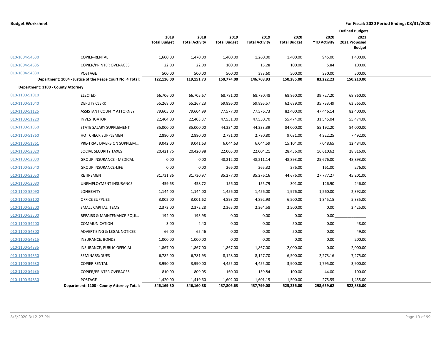|                                    |                                                            |                             |                               |                             |                               |                             |                             | <b>Defined Budgets</b>                 |
|------------------------------------|------------------------------------------------------------|-----------------------------|-------------------------------|-----------------------------|-------------------------------|-----------------------------|-----------------------------|----------------------------------------|
|                                    |                                                            | 2018<br><b>Total Budget</b> | 2018<br><b>Total Activity</b> | 2019<br><b>Total Budget</b> | 2019<br><b>Total Activity</b> | 2020<br><b>Total Budget</b> | 2020<br><b>YTD Activity</b> | 2021<br>2021 Proposed<br><b>Budget</b> |
| 010-1004-54630                     | COPIER-RENTAL                                              | 1,600.00                    | 1,470.00                      | 1,400.00                    | 1,260.00                      | 1,400.00                    | 945.00                      | 1,400.00                               |
| 010-1004-54635                     | <b>COPIER/PRINTER OVERAGES</b>                             | 22.00                       | 22.00                         | 100.00                      | 15.28                         | 100.00                      | 5.84                        | 100.00                                 |
| 010-1004-54830                     | <b>POSTAGE</b>                                             | 500.00                      | 500.00                        | 500.00                      | 383.60                        | 500.00                      | 330.00                      | 500.00                                 |
|                                    | Department: 1004 - Justice of the Peace Court No. 4 Total: | 122,116.00                  | 119,151.73                    | 150,774.00                  | 146,768.93                    | 150,285.00                  | 83,222.23                   | 150,210.00                             |
| Department: 1100 - County Attorney |                                                            |                             |                               |                             |                               |                             |                             |                                        |
| 010-1100-51010                     | <b>ELECTED</b>                                             | 66,706.00                   | 66,705.67                     | 68,781.00                   | 68,780.48                     | 68,860.00                   | 39,727.20                   | 68,860.00                              |
| 010-1100-51040                     | <b>DEPUTY CLERK</b>                                        | 55,268.00                   | 55,267.23                     | 59,896.00                   | 59,895.57                     | 62,689.00                   | 35,733.49                   | 63,565.00                              |
| 010-1100-51125                     | <b>ASSISTANT COUNTY ATTORNEY</b>                           | 79,605.00                   | 79,604.99                     | 77,577.00                   | 77,576.73                     | 82,400.00                   | 47,446.14                   | 82,400.00                              |
| 010-1100-51220                     | <b>INVESTIGATOR</b>                                        | 22,404.00                   | 22,403.37                     | 47,551.00                   | 47,550.70                     | 55,474.00                   | 31,545.04                   | 55,474.00                              |
| 010-1100-51850                     | STATE SALARY SUPPLEMENT                                    | 35,000.00                   | 35,000.00                     | 44,334.00                   | 44,333.39                     | 84,000.00                   | 55,192.20                   | 84,000.00                              |
| 010-1100-51860                     | HOT CHECK SUPPLEMENT                                       | 2,880.00                    | 2,880.00                      | 2,781.00                    | 2,780.80                      | 9,031.00                    | 4,322.25                    | 7,492.00                               |
| 010-1100-51861                     | PRE-TRIAL DIVERSION SUPPLEM                                | 9,042.00                    | 9,041.63                      | 6,044.63                    | 6,044.59                      | 15,104.00                   | 7,048.65                    | 12,484.00                              |
| 010-1100-52020                     | SOCIAL SECURITY TAXES                                      | 20,421.76                   | 20,420.98                     | 22,005.00                   | 22,004.21                     | 28,456.00                   | 16,610.62                   | 28,816.00                              |
| 010-1100-52030                     | <b>GROUP INSURANCE - MEDICAL</b>                           | 0.00                        | 0.00                          | 48,212.00                   | 48,211.14                     | 48,893.00                   | 25,676.00                   | 48,893.00                              |
| 010-1100-52040                     | <b>GROUP INSURANCE-LIFE</b>                                | 0.00                        | 0.00                          | 266.00                      | 265.32                        | 276.00                      | 161.00                      | 276.00                                 |
| 010-1100-52050                     | RETIREMENT                                                 | 31,731.86                   | 31,730.97                     | 35,277.00                   | 35,276.16                     | 44,676.00                   | 27,777.27                   | 45,201.00                              |
| 010-1100-52080                     | UNEMPLOYMENT INSURANCE                                     | 459.68                      | 458.72                        | 156.00                      | 155.79                        | 301.00                      | 126.90                      | 246.00                                 |
| 010-1100-52090                     | LONGEVITY                                                  | 1,144.00                    | 1,144.00                      | 1,456.00                    | 1,456.00                      | 1,976.00                    | 1,560.00                    | 2,392.00                               |
| 010-1100-53100                     | <b>OFFICE SUPPLIES</b>                                     | 3,002.00                    | 3,001.62                      | 4,893.00                    | 4,892.93                      | 6,500.00                    | 1,345.15                    | 5,335.00                               |
| 010-1100-53200                     | SMALL CAPITAL ITEMS                                        | 2,373.00                    | 2,372.28                      | 2,365.00                    | 2,364.58                      | 2,500.00                    | 0.00                        | 2,425.00                               |
| 010-1100-53500                     | REPAIRS & MAINTENANCE-EQUI                                 | 194.00                      | 193.98                        | 0.00                        | 0.00                          | 0.00                        | 0.00                        |                                        |
| 010-1100-54200                     | COMMUNICATION                                              | 3.00                        | 2.40                          | 0.00                        | 0.00                          | 50.00                       | 0.00                        | 48.00                                  |
| 010-1100-54300                     | ADVERTISING & LEGAL NOTICES                                | 66.00                       | 65.46                         | 0.00                        | 0.00                          | 50.00                       | 0.00                        | 49.00                                  |
| 010-1100-54315                     | INSURANCE, BONDS                                           | 1,000.00                    | 1,000.00                      | 0.00                        | 0.00                          | 0.00                        | 0.00                        | 200.00                                 |
| 010-1100-54335                     | INSURANCE, PUBLIC OFFICIAL                                 | 1,867.00                    | 1,867.00                      | 1,867.00                    | 1,867.00                      | 2,000.00                    | 0.00                        | 2,000.00                               |
| 010-1100-54350                     | SEMINARS/DUES                                              | 6,782.00                    | 6,781.93                      | 8,128.00                    | 8,127.70                      | 6,500.00                    | 2,273.16                    | 7,275.00                               |
| 010-1100-54630                     | <b>COPIER RENTAL</b>                                       | 3,990.00                    | 3,990.00                      | 4,455.00                    | 4,455.00                      | 3,900.00                    | 1,795.00                    | 3,900.00                               |
| 010-1100-54635                     | <b>COPIER/PRINTER OVERAGES</b>                             | 810.00                      | 809.05                        | 160.00                      | 159.84                        | 100.00                      | 44.00                       | 100.00                                 |
| 010-1100-54830                     | <b>POSTAGE</b>                                             | 1,420.00                    | 1,419.60                      | 1,602.00                    | 1,601.15                      | 1,500.00                    | 275.55                      | 1,455.00                               |
|                                    | Department: 1100 - County Attorney Total:                  | 346,169.30                  | 346,160.88                    | 437,806.63                  | 437,799.08                    | 525,236.00                  | 298,659.62                  | 522,886.00                             |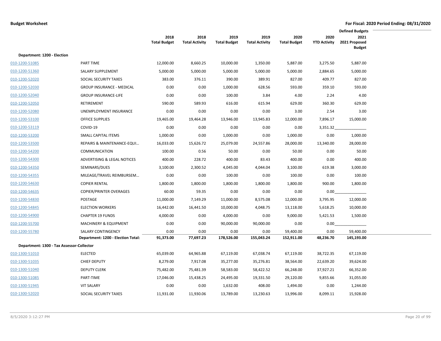|                                           |                                    |                             |                               |                             |                               |                             |                             | <b>Defined Budgets</b>                 |  |
|-------------------------------------------|------------------------------------|-----------------------------|-------------------------------|-----------------------------|-------------------------------|-----------------------------|-----------------------------|----------------------------------------|--|
|                                           |                                    | 2018<br><b>Total Budget</b> | 2018<br><b>Total Activity</b> | 2019<br><b>Total Budget</b> | 2019<br><b>Total Activity</b> | 2020<br><b>Total Budget</b> | 2020<br><b>YTD Activity</b> | 2021<br>2021 Proposed<br><b>Budget</b> |  |
| Department: 1200 - Election               |                                    |                             |                               |                             |                               |                             |                             |                                        |  |
| 010-1200-51085                            | PART TIME                          | 12,000.00                   | 8,660.25                      | 10,000.00                   | 1,350.00                      | 5,887.00                    | 3,275.50                    | 5,887.00                               |  |
| 010-1200-51360                            | SALARY SUPPLEMENT                  | 5,000.00                    | 5,000.00                      | 5,000.00                    | 5,000.00                      | 5,000.00                    | 2,884.65                    | 5,000.00                               |  |
| 010-1200-52020                            | SOCIAL SECURITY TAXES              | 383.00                      | 376.11                        | 390.00                      | 389.91                        | 827.00                      | 409.77                      | 827.00                                 |  |
| 010-1200-52030                            | <b>GROUP INSURANCE - MEDICAL</b>   | 0.00                        | 0.00                          | 1,000.00                    | 628.56                        | 593.00                      | 359.10                      | 593.00                                 |  |
| 010-1200-52040                            | <b>GROUP INSURANCE-LIFE</b>        | 0.00                        | 0.00                          | 100.00                      | 3.84                          | 4.00                        | 2.24                        | 4.00                                   |  |
| 010-1200-52050                            | <b>RETIREMENT</b>                  | 590.00                      | 589.93                        | 616.00                      | 615.94                        | 629.00                      | 360.30                      | 629.00                                 |  |
| 010-1200-52080                            | UNEMPLOYMENT INSURANCE             | 0.00                        | 0.00                          | 0.00                        | 0.00                          | 3.00                        | 2.54                        | 3.00                                   |  |
| 010-1200-53100                            | <b>OFFICE SUPPLIES</b>             | 19,465.00                   | 19,464.28                     | 13,946.00                   | 13,945.83                     | 12,000.00                   | 7,896.17                    | 15,000.00                              |  |
| 010-1200-53119                            | COVID-19                           | 0.00                        | 0.00                          | 0.00                        | 0.00                          | 0.00                        | 3,351.32                    |                                        |  |
| 010-1200-53200                            | <b>SMALL CAPITAL ITEMS</b>         | 1,000.00                    | 0.00                          | 1,000.00                    | 0.00                          | 1,000.00                    | 0.00                        | 1,000.00                               |  |
| 010-1200-53500                            | REPAIRS & MAINTENANCE-EQUI         | 16,033.00                   | 15,626.72                     | 25,079.00                   | 24,557.86                     | 28,000.00                   | 13,340.00                   | 28,000.00                              |  |
| 010-1200-54200                            | COMMUNICATION                      | 100.00                      | 0.56                          | 50.00                       | 0.00                          | 50.00                       | 0.00                        | 50.00                                  |  |
| 010-1200-54300                            | ADVERTISING & LEGAL NOTICES        | 400.00                      | 228.72                        | 400.00                      | 83.43                         | 400.00                      | 0.00                        | 400.00                                 |  |
| 010-1200-54350                            | SEMINARS/DUES                      | 3,100.00                    | 2,300.52                      | 4,045.00                    | 4,044.04                      | 3,100.00                    | 619.38                      | 3,000.00                               |  |
| 010-1200-54355                            | MILEAGE/TRAVEL REIMBURSEM          | 0.00                        | 0.00                          | 100.00                      | 0.00                          | 100.00                      | 0.00                        | 100.00                                 |  |
| 010-1200-54630                            | <b>COPIER RENTAL</b>               | 1,800.00                    | 1,800.00                      | 1,800.00                    | 1,800.00                      | 1,800.00                    | 900.00                      | 1,800.00                               |  |
| 010-1200-54635                            | <b>COPIER/PRINTER OVERAGES</b>     | 60.00                       | 59.35                         | 0.00                        | 0.00                          | 0.00                        | 0.00                        |                                        |  |
| 010-1200-54830                            | POSTAGE                            | 11,000.00                   | 7,149.29                      | 11,000.00                   | 8,575.08                      | 12,000.00                   | 3,795.95                    | 12,000.00                              |  |
| 010-1200-54845                            | <b>ELECTION WORKERS</b>            | 16,442.00                   | 16,441.50                     | 10,000.00                   | 4,048.75                      | 13,118.00                   | 5,618.25                    | 10,000.00                              |  |
| 010-1200-54900                            | <b>CHAPTER 19 FUNDS</b>            | 4,000.00                    | 0.00                          | 4,000.00                    | 0.00                          | 9,000.00                    | 5,421.53                    | 1,500.00                               |  |
| 010-1200-55700                            | <b>MACHINERY &amp; EQUIPMENT</b>   | 0.00                        | 0.00                          | 90,000.00                   | 90,000.00                     | 0.00                        | 0.00                        |                                        |  |
| 010-1200-55780                            | SALARY CONTINGENCY                 | 0.00                        | 0.00                          | 0.00                        | 0.00                          | 59,400.00                   | 0.00                        | 59,400.00                              |  |
|                                           | Department: 1200 - Election Total: | 91,373.00                   | 77,697.23                     | 178,526.00                  | 155,043.24                    | 152,911.00                  | 48,236.70                   | 145,193.00                             |  |
| Department: 1300 - Tax Assessor-Collector |                                    |                             |                               |                             |                               |                             |                             |                                        |  |
| 010-1300-51010                            | <b>ELECTED</b>                     | 65,039.00                   | 64,965.88                     | 67,119.00                   | 67,038.74                     | 67,119.00                   | 38,722.35                   | 67,119.00                              |  |
| 010-1300-51035                            | <b>CHIEF DEPUTY</b>                | 8,279.00                    | 7,917.08                      | 35,277.00                   | 35,276.81                     | 38,564.00                   | 22,639.20                   | 39,624.00                              |  |
| 010-1300-51040                            | <b>DEPUTY CLERK</b>                | 75,482.00                   | 75,481.39                     | 58,583.00                   | 58,422.52                     | 66,248.00                   | 37,927.21                   | 66,352.00                              |  |
| 010-1300-51085                            | PART-TIME                          | 17,046.00                   | 15,438.25                     | 24,495.00                   | 19,331.50                     | 29,120.00                   | 9,855.66                    | 31,055.00                              |  |
| 010-1300-51945                            | <b>VIT SALARY</b>                  | 0.00                        | 0.00                          | 1,632.00                    | 408.00                        | 1,494.00                    | 0.00                        | 1,244.00                               |  |
| 010-1300-52020                            | SOCIAL SECURITY TAXES              | 11,931.00                   | 11,930.06                     | 13,789.00                   | 13,230.63                     | 13,996.00                   | 8,099.11                    | 15,928.00                              |  |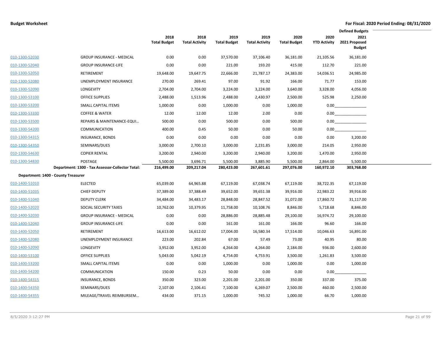|                |                                                  |                             |                               |                             |                               |                             |                             | <b>Defined Budgets</b>                 |  |
|----------------|--------------------------------------------------|-----------------------------|-------------------------------|-----------------------------|-------------------------------|-----------------------------|-----------------------------|----------------------------------------|--|
|                |                                                  | 2018<br><b>Total Budget</b> | 2018<br><b>Total Activity</b> | 2019<br><b>Total Budget</b> | 2019<br><b>Total Activity</b> | 2020<br><b>Total Budget</b> | 2020<br><b>YTD Activity</b> | 2021<br>2021 Proposed<br><b>Budget</b> |  |
| 010-1300-52030 | <b>GROUP INSURANCE - MEDICAL</b>                 | 0.00                        | 0.00                          | 37,570.00                   | 37,106.40                     | 36,181.00                   | 21,105.56                   | 36,181.00                              |  |
| 010-1300-52040 | <b>GROUP INSURANCE-LIFE</b>                      | 0.00                        | 0.00                          | 221.00                      | 193.20                        | 415.00                      | 112.70                      | 221.00                                 |  |
| 010-1300-52050 | RETIREMENT                                       | 19,648.00                   | 19,647.75                     | 22,666.00                   | 21,787.17                     | 24,383.00                   | 14,036.51                   | 24,985.00                              |  |
| 010-1300-52080 | UNEMPLOYMENT INSURANCE                           | 270.00                      | 269.41                        | 97.00                       | 91.92                         | 166.00                      | 71.77                       | 153.00                                 |  |
| 010-1300-52090 | LONGEVITY                                        | 2,704.00                    | 2,704.00                      | 3,224.00                    | 3,224.00                      | 3,640.00                    | 3,328.00                    | 4,056.00                               |  |
| 010-1300-53100 | <b>OFFICE SUPPLIES</b>                           | 2,488.00                    | 1,513.96                      | 2,488.00                    | 2,430.97                      | 2,500.00                    | 525.98                      | 2,250.00                               |  |
| 010-1300-53200 | SMALL CAPITAL ITEMS                              | 1,000.00                    | 0.00                          | 1,000.00                    | 0.00                          | 1,000.00                    | 0.00                        |                                        |  |
| 010-1300-53330 | <b>COFFEE &amp; WATER</b>                        | 12.00                       | 12.00                         | 12.00                       | 2.00                          | 0.00                        | 0.00                        |                                        |  |
| 010-1300-53500 | REPAIRS & MAINTENANCE-EQUI                       | 500.00                      | 0.00                          | 500.00                      | 0.00                          | 500.00                      | 0.00                        |                                        |  |
| 010-1300-54200 | <b>COMMUNICATION</b>                             | 400.00                      | 0.45                          | 50.00                       | 0.00                          | 50.00                       | 0.00                        |                                        |  |
| 010-1300-54315 | <b>INSURANCE, BONDS</b>                          | 0.00                        | 0.00                          | 0.00                        | 0.00                          | 0.00                        | 0.00                        | 3,200.00                               |  |
| 010-1300-54350 | SEMINARS/DUES                                    | 3,000.00                    | 2,700.10                      | 3,000.00                    | 2,231.85                      | 3,000.00                    | 214.05                      | 2,950.00                               |  |
| 010-1300-54630 | <b>COPIER RENTAL</b>                             | 3,200.00                    | 2,940.00                      | 3,200.00                    | 2,940.00                      | 3,200.00                    | 1,470.00                    | 2,950.00                               |  |
| 010-1300-54830 | POSTAGE                                          | 5,500.00                    | 3,696.71                      | 5,500.00                    | 3,885.90                      | 5,500.00                    | 2,864.00                    | 5,500.00                               |  |
|                | Department: 1300 - Tax Assessor-Collector Total: | 216,499.00                  | 209,217.04                    | 280,423.00                  | 267,601.61                    | 297,076.00                  | 160,972.10                  | 303,768.00                             |  |
|                | Department: 1400 - County Treasurer              |                             |                               |                             |                               |                             |                             |                                        |  |
| 010-1400-51010 | <b>ELECTED</b>                                   | 65,039.00                   | 64,965.88                     | 67,119.00                   | 67,038.74                     | 67,119.00                   | 38,722.35                   | 67,119.00                              |  |
| 010-1400-51035 | <b>CHIEF DEPUTY</b>                              | 37,389.00                   | 37,388.49                     | 39,652.00                   | 39,651.38                     | 39,916.00                   | 22,983.22                   | 39,916.00                              |  |
| 010-1400-51040 | <b>DEPUTY CLERK</b>                              | 34,484.00                   | 34,483.17                     | 28,848.00                   | 28,847.52                     | 31,072.00                   | 17,860.72                   | 31,117.00                              |  |
| 010-1400-52020 | SOCIAL SECURITY TAXES                            | 10,762.00                   | 10,379.95                     | 11,758.00                   | 10,108.76                     | 8,846.00                    | 5,718.68                    | 8,846.00                               |  |
| 010-1400-52030 | <b>GROUP INSURANCE - MEDICAL</b>                 | 0.00                        | 0.00                          | 28,886.00                   | 28,885.48                     | 29,100.00                   | 16,974.72                   | 29,100.00                              |  |
| 010-1400-52040 | <b>GROUP INSURANCE-LIFE</b>                      | 0.00                        | 0.00                          | 161.00                      | 161.00                        | 166.00                      | 96.60                       | 166.00                                 |  |
| 010-1400-52050 | RETIREMENT                                       | 16,613.00                   | 16,612.02                     | 17,004.00                   | 16,580.34                     | 17,514.00                   | 10,046.63                   | 16,891.00                              |  |
| 010-1400-52080 | UNEMPLOYMENT INSURANCE                           | 223.00                      | 202.84                        | 67.00                       | 57.49                         | 73.00                       | 40.95                       | 80.00                                  |  |
| 010-1400-52090 | LONGEVITY                                        | 3,952.00                    | 3,952.00                      | 4,264.00                    | 4,264.00                      | 2,184.00                    | 936.00                      | 2,600.00                               |  |
| 010-1400-53100 | <b>OFFICE SUPPLIES</b>                           | 5,043.00                    | 5,042.19                      | 4,754.00                    | 4,753.91                      | 3,500.00                    | 1,261.83                    | 3,500.00                               |  |
| 010-1400-53200 | SMALL CAPITAL ITEMS                              | 0.00                        | 0.00                          | 1,000.00                    | 0.00                          | 1,000.00                    | 0.00                        | 1,000.00                               |  |
| 010-1400-54200 | <b>COMMUNICATION</b>                             | 150.00                      | 0.23                          | 50.00                       | 0.00                          | 0.00                        | 0.00                        |                                        |  |
| 010-1400-54315 | INSURANCE, BONDS                                 | 350.00                      | 323.00                        | 2,201.00                    | 2,201.00                      | 350.00                      | 337.00                      | 375.00                                 |  |
| 010-1400-54350 | SEMINARS/DUES                                    | 2,107.00                    | 2,106.41                      | 7,100.00                    | 6,269.07                      | 2,500.00                    | 460.00                      | 2,500.00                               |  |
| 010-1400-54355 | MILEAGE/TRAVEL REIMBURSEM                        | 434.00                      | 371.15                        | 1,000.00                    | 745.32                        | 1,000.00                    | 66.70                       | 1,000.00                               |  |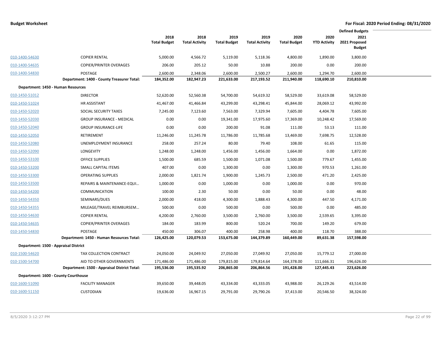|                                       |                                              |                             |                               |                             |                               |                             |                             | <b>Defined Budgets</b>                 |
|---------------------------------------|----------------------------------------------|-----------------------------|-------------------------------|-----------------------------|-------------------------------|-----------------------------|-----------------------------|----------------------------------------|
|                                       |                                              | 2018<br><b>Total Budget</b> | 2018<br><b>Total Activity</b> | 2019<br><b>Total Budget</b> | 2019<br><b>Total Activity</b> | 2020<br><b>Total Budget</b> | 2020<br><b>YTD Activity</b> | 2021<br>2021 Proposed<br><b>Budget</b> |
| 010-1400-54630                        | <b>COPIER RENTAL</b>                         | 5,000.00                    | 4,566.72                      | 5,119.00                    | 5,118.36                      | 4,800.00                    | 1,890.00                    | 3,800.00                               |
| 010-1400-54635                        | <b>COPIER/PRINTER OVERAGES</b>               | 206.00                      | 205.12                        | 50.00                       | 10.88                         | 200.00                      | 0.00                        | 200.00                                 |
| 010-1400-54830                        | POSTAGE                                      | 2,600.00                    | 2,348.06                      | 2,600.00                    | 2,500.27                      | 2,600.00                    | 1,294.70                    | 2,600.00                               |
|                                       | Department: 1400 - County Treasurer Total:   | 184,352.00                  | 182,947.23                    | 221,633.00                  | 217,193.52                    | 211,940.00                  | 118,690.10                  | 210,810.00                             |
| Department: 1450 - Human Resources    |                                              |                             |                               |                             |                               |                             |                             |                                        |
| 010-1450-51012                        | <b>DIRECTOR</b>                              | 52,620.00                   | 52,560.38                     | 54,700.00                   | 54,619.32                     | 58,529.00                   | 33,619.08                   | 58,529.00                              |
| 010-1450-51024                        | HR ASSISTANT                                 | 41,467.00                   | 41,466.84                     | 43,299.00                   | 43,298.41                     | 45,844.00                   | 28,069.12                   | 43,992.00                              |
| 010-1450-52020                        | SOCIAL SECURITY TAXES                        | 7,245.00                    | 7,123.60                      | 7,563.00                    | 7,329.94                      | 7,605.00                    | 4,404.78                    | 7,605.00                               |
| 010-1450-52030                        | <b>GROUP INSURANCE - MEDICAL</b>             | 0.00                        | 0.00                          | 19,341.00                   | 17,975.60                     | 17,369.00                   | 10,248.42                   | 17,569.00                              |
| 010-1450-52040                        | <b>GROUP INSURANCE-LIFE</b>                  | 0.00                        | 0.00                          | 200.00                      | 91.08                         | 111.00                      | 53.13                       | 111.00                                 |
| 010-1450-52050                        | RETIREMENT                                   | 11,246.00                   | 11,245.78                     | 11,786.00                   | 11,785.68                     | 13,469.00                   | 7,698.75                    | 12,528.00                              |
| 010-1450-52080                        | UNEMPLOYMENT INSURANCE                       | 258.00                      | 257.24                        | 80.00                       | 79.40                         | 108.00                      | 61.65                       | 115.00                                 |
| 010-1450-52090                        | LONGEVITY                                    | 1,248.00                    | 1,248.00                      | 1,456.00                    | 1,456.00                      | 1,664.00                    | 0.00                        | 1,872.00                               |
| 010-1450-53100                        | <b>OFFICE SUPPLIES</b>                       | 1,500.00                    | 685.59                        | 1,500.00                    | 1,071.08                      | 1,500.00                    | 779.67                      | 1,455.00                               |
| 010-1450-53200                        | SMALL CAPITAL ITEMS                          | 407.00                      | 0.00                          | 1,300.00                    | 0.00                          | 1,300.00                    | 970.53                      | 1,261.00                               |
| 010-1450-53300                        | <b>OPERATING SUPPLIES</b>                    | 2,000.00                    | 1,821.74                      | 1,900.00                    | 1,245.73                      | 2,500.00                    | 471.20                      | 2,425.00                               |
| 010-1450-53500                        | REPAIRS & MAINTENANCE-EQUI                   | 1,000.00                    | 0.00                          | 1,000.00                    | 0.00                          | 1,000.00                    | 0.00                        | 970.00                                 |
| 010-1450-54200                        | <b>COMMUNICATION</b>                         | 100.00                      | 2.30                          | 50.00                       | 0.00                          | 50.00                       | 0.00                        | 48.00                                  |
| 010-1450-54350                        | SEMINARS/DUES                                | 2,000.00                    | 418.00                        | 4,300.00                    | 1,888.43                      | 4,300.00                    | 447.50                      | 4,171.00                               |
| 010-1450-54355                        | MILEAGE/TRAVEL REIMBURSEM                    | 500.00                      | 0.00                          | 500.00                      | 0.00                          | 500.00                      | 0.00                        | 485.00                                 |
| 010-1450-54630                        | <b>COPIER RENTAL</b>                         | 4,200.00                    | 2,760.00                      | 3,500.00                    | 2,760.00                      | 3,500.00                    | 2,539.65                    | 3,395.00                               |
| 010-1450-54635                        | <b>COPIER/PRINTER OVERAGES</b>               | 184.00                      | 183.99                        | 800.00                      | 520.24                        | 700.00                      | 149.20                      | 679.00                                 |
| 010-1450-54830                        | POSTAGE                                      | 450.00                      | 306.07                        | 400.00                      | 258.98                        | 400.00                      | 118.70                      | 388.00                                 |
|                                       | Department: 1450 - Human Resources Total:    | 126,425.00                  | 120,079.53                    | 153,675.00                  | 144,379.89                    | 160,449.00                  | 89,631.38                   | 157,598.00                             |
| Department: 1500 - Appraisal District |                                              |                             |                               |                             |                               |                             |                             |                                        |
| 010-1500-54620                        | TAX COLLECTION CONTRACT                      | 24,050.00                   | 24,049.92                     | 27,050.00                   | 27,049.92                     | 27,050.00                   | 15,779.12                   | 27,000.00                              |
| 010-1500-54700                        | AID TO OTHER GOVERNMENTS                     | 171,486.00                  | 171,486.00                    | 179,815.00                  | 179,814.64                    | 164,378.00                  | 111,666.31                  | 196,626.00                             |
|                                       | Department: 1500 - Appraisal District Total: | 195,536.00                  | 195,535.92                    | 206,865.00                  | 206,864.56                    | 191,428.00                  | 127,445.43                  | 223,626.00                             |
| Department: 1600 - County Courthouse  |                                              |                             |                               |                             |                               |                             |                             |                                        |
| 010-1600-51090                        | <b>FACILITY MANAGER</b>                      | 39,650.00                   | 39,448.05                     | 43,334.00                   | 43,333.05                     | 43,988.00                   | 26,129.26                   | 43,514.00                              |
| 010-1600-51150                        | <b>CUSTODIAN</b>                             | 19,636.00                   | 16,967.15                     | 29,791.00                   | 29,790.26                     | 37,413.00                   | 20,546.50                   | 38,324.00                              |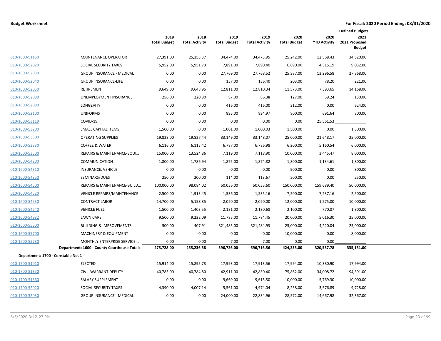|                                    |                                             |                             |                               |                             |                               |                             |                             | <b>Defined Budgets</b>                 |  |
|------------------------------------|---------------------------------------------|-----------------------------|-------------------------------|-----------------------------|-------------------------------|-----------------------------|-----------------------------|----------------------------------------|--|
|                                    |                                             | 2018<br><b>Total Budget</b> | 2018<br><b>Total Activity</b> | 2019<br><b>Total Budget</b> | 2019<br><b>Total Activity</b> | 2020<br><b>Total Budget</b> | 2020<br><b>YTD Activity</b> | 2021<br>2021 Proposed<br><b>Budget</b> |  |
| 010-1600-51160                     | <b>MAINTENANCE OPERATOR</b>                 | 27,391.00                   | 25,355.37                     | 34,474.00                   | 34,473.95                     | 25,242.00                   | 12,568.43                   | 34,820.00                              |  |
| 010-1600-52020                     | SOCIAL SECURITY TAXES                       | 5,952.00                    | 5,951.73                      | 7,891.00                    | 7,890.40                      | 6,690.00                    | 4,315.19                    | 9,032.00                               |  |
| 010-1600-52030                     | <b>GROUP INSURANCE - MEDICAL</b>            | 0.00                        | 0.00                          | 27,769.00                   | 27,768.52                     | 25,387.00                   | 13,296.58                   | 27,868.00                              |  |
| 010-1600-52040                     | <b>GROUP INSURANCE-LIFE</b>                 | 0.00                        | 0.00                          | 157.00                      | 156.40                        | 203.00                      | 78.20                       | 221.00                                 |  |
| 010-1600-52050                     | RETIREMENT                                  | 9,649.00                    | 9,648.95                      | 12,811.00                   | 12,810.34                     | 11,573.00                   | 7,393.65                    | 14,168.00                              |  |
| 010-1600-52080                     | UNEMPLOYMENT INSURANCE                      | 256.00                      | 220.80                        | 87.00                       | 86.38                         | 127.00                      | 59.24                       | 130.00                                 |  |
| 010-1600-52090                     | LONGEVITY                                   | 0.00                        | 0.00                          | 416.00                      | 416.00                        | 312.00                      | 0.00                        | 624.00                                 |  |
| 010-1600-52100                     | <b>UNIFORMS</b>                             | 0.00                        | 0.00                          | 895.00                      | 894.97                        | 800.00                      | 691.64                      | 800.00                                 |  |
| 010-1600-53119                     | COVID-19                                    | 0.00                        | 0.00                          | 0.00                        | 0.00                          | 0.00                        | 25,561.53                   |                                        |  |
| 010-1600-53200                     | <b>SMALL CAPITAL ITEMS</b>                  | 1,500.00                    | 0.00                          | 1,001.00                    | 1,000.03                      | 1,500.00                    | 0.00                        | 1,500.00                               |  |
| 010-1600-53300                     | <b>OPERATING SUPPLIES</b>                   | 19,828.00                   | 19,827.44                     | 33,149.00                   | 33,148.07                     | 25,000.00                   | 21,648.17                   | 25,000.00                              |  |
| 010-1600-53330                     | <b>COFFEE &amp; WATER</b>                   | 6,116.00                    | 6,115.42                      | 6,787.00                    | 6,786.98                      | 6,200.00                    | 5,160.54                    | 6,000.00                               |  |
| 010-1600-53500                     | REPAIRS & MAINTENANCE-EQUI                  | 15,000.00                   | 13,524.86                     | 7,119.00                    | 7,118.90                      | 10,000.00                   | 3,445.47                    | 8,000.00                               |  |
| 010-1600-54200                     | <b>COMMUNICATION</b>                        | 1,800.00                    | 1,786.94                      | 1,875.00                    | 1,874.82                      | 1,800.00                    | 1,134.61                    | 1,800.00                               |  |
| 010-1600-54310                     | INSURANCE, VEHICLE                          | 0.00                        | 0.00                          | 0.00                        | 0.00                          | 900.00                      | 0.00                        | 800.00                                 |  |
| 010-1600-54350                     | SEMINARS/DUES                               | 250.00                      | 200.00                        | 114.00                      | 113.67                        | 500.00                      | 0.00                        | 250.00                                 |  |
| 010-1600-54500                     | REPAIRS & MAINTENANCE-BUILD                 | 100,000.00                  | 98,084.02                     | 50,056.00                   | 50,055.60                     | 150,000.00                  | 159,689.40                  | 50,000.00                              |  |
| 010-1600-54520                     | VEHICLE REPAIRS/MAINTENANCE                 | 2,500.00                    | 1,913.45                      | 1,536.00                    | 1,535.16                      | 7,500.00                    | 7,237.16                    | 2,500.00                               |  |
| 010-1600-54530                     | <b>CONTRACT LABOR</b>                       | 14,700.00                   | 5,158.85                      | 2,020.00                    | 2,020.00                      | 12,000.00                   | 1,575.00                    | 10,000.00                              |  |
| 010-1600-54540                     | <b>VEHICLE FUEL</b>                         | 1,500.00                    | 1,403.55                      | 2,181.00                    | 2,180.68                      | 2,100.00                    | 770.87                      | 1,800.00                               |  |
| 010-1600-54932                     | <b>LAWN CARE</b>                            | 9,500.00                    | 9,222.09                      | 11,785.00                   | 11,784.45                     | 20,000.00                   | 5,016.30                    | 25,000.00                              |  |
| 010-1600-55300                     | <b>BUILDING &amp; IMPROVEMENTS</b>          | 500.00                      | 407.91                        | 321,485.00                  | 321,484.93                    | 25,000.00                   | 4,220.04                    | 25,000.00                              |  |
| 010-1600-55700                     | <b>MACHINERY &amp; EQUIPMENT</b>            | 0.00                        | 0.00                          | 0.00                        | 0.00                          | 10,000.00                   | 0.00                        | 8,000.00                               |  |
| 010-1600-55730                     | MONTHLY ENTERPRISE SERVICE                  | 0.00                        | 0.00                          | $-7.00$                     | $-7.00$                       | 0.00                        | 0.00                        |                                        |  |
|                                    | Department: 1600 - County Courthouse Total: | 275,728.00                  | 255,236.58                    | 596,726.00                  | 596,716.56                    | 424,235.00                  | 320,537.78                  | 335,151.00                             |  |
| Department: 1700 - Constable No. 1 |                                             |                             |                               |                             |                               |                             |                             |                                        |  |
| 010-1700-51010                     | <b>ELECTED</b>                              | 15,914.00                   | 15,895.73                     | 17,993.00                   | 17,913.56                     | 17,994.00                   | 10,380.90                   | 17,994.00                              |  |
| 010-1700-51350                     | <b>CIVIL WARRANT DEPUTY</b>                 | 40,785.00                   | 40,784.80                     | 42,911.00                   | 42,830.40                     | 75,862.00                   | 34,008.72                   | 94,391.00                              |  |
| 010-1700-51360                     | SALARY SUPPLEMENT                           | 0.00                        | 0.00                          | 9,669.00                    | 9,615.50                      | 10,000.00                   | 5,769.30                    | 10,000.00                              |  |
| 010-1700-52020                     | SOCIAL SECURITY TAXES                       | 4,390.00                    | 4,007.14                      | 5,561.00                    | 4,974.04                      | 8,258.00                    | 3,576.89                    | 9,728.00                               |  |
| 010-1700-52030                     | <b>GROUP INSURANCE - MEDICAL</b>            | 0.00                        | 0.00                          | 24,000.00                   | 22,834.96                     | 28,572.00                   | 14,667.98                   | 32,367.00                              |  |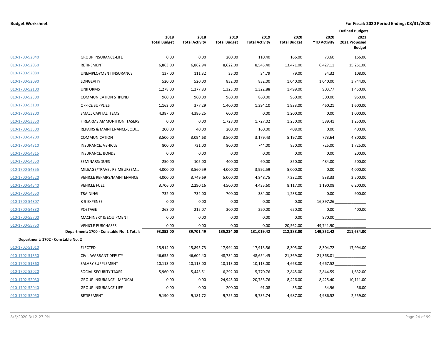|                                    |                                           |                             |                               |                             |                               |                             |                             | <b>Defined Budgets</b>                 |  |
|------------------------------------|-------------------------------------------|-----------------------------|-------------------------------|-----------------------------|-------------------------------|-----------------------------|-----------------------------|----------------------------------------|--|
|                                    |                                           | 2018<br><b>Total Budget</b> | 2018<br><b>Total Activity</b> | 2019<br><b>Total Budget</b> | 2019<br><b>Total Activity</b> | 2020<br><b>Total Budget</b> | 2020<br><b>YTD Activity</b> | 2021<br>2021 Proposed<br><b>Budget</b> |  |
| 010-1700-52040                     | <b>GROUP INSURANCE-LIFE</b>               | 0.00                        | 0.00                          | 200.00                      | 110.40                        | 166.00                      | 73.60                       | 166.00                                 |  |
| 010-1700-52050                     | <b>RETIREMENT</b>                         | 6,863.00                    | 6,862.94                      | 8,622.00                    | 8,545.40                      | 13,471.00                   | 6,427.11                    | 15,251.00                              |  |
| 010-1700-52080                     | UNEMPLOYMENT INSURANCE                    | 137.00                      | 111.32                        | 35.00                       | 34.79                         | 79.00                       | 34.32                       | 108.00                                 |  |
| 010-1700-52090                     | <b>LONGEVITY</b>                          | 520.00                      | 520.00                        | 832.00                      | 832.00                        | 1,040.00                    | 1,040.00                    | 3,744.00                               |  |
| 010-1700-52100                     | <b>UNIFORMS</b>                           | 1,278.00                    | 1,277.83                      | 1,323.00                    | 1,322.88                      | 1,499.00                    | 903.77                      | 1,450.00                               |  |
| 010-1700-52300                     | <b>COMMUNICATION STIPEND</b>              | 960.00                      | 960.00                        | 960.00                      | 860.00                        | 960.00                      | 300.00                      | 960.00                                 |  |
| 010-1700-53100                     | <b>OFFICE SUPPLIES</b>                    | 1,163.00                    | 377.29                        | 1,400.00                    | 1,394.10                      | 1,933.00                    | 460.21                      | 1,600.00                               |  |
| 010-1700-53200                     | SMALL CAPITAL ITEMS                       | 4,387.00                    | 4,386.25                      | 600.00                      | 0.00                          | 1,200.00                    | 0.00                        | 1,000.00                               |  |
| 010-1700-53350                     | FIREARMS, AMMUNITION, TASERS              | 0.00                        | 0.00                          | 1,728.00                    | 1,727.02                      | 1,250.00                    | 589.41                      | 1,250.00                               |  |
| 010-1700-53500                     | REPAIRS & MAINTENANCE-EQUI                | 200.00                      | 40.00                         | 200.00                      | 160.00                        | 408.00                      | 0.00                        | 400.00                                 |  |
| 010-1700-54200                     | <b>COMMUNICATION</b>                      | 3,500.00                    | 3,094.68                      | 3,500.00                    | 3,179.43                      | 5,197.00                    | 773.64                      | 4,800.00                               |  |
| 010-1700-54310                     | INSURANCE, VEHICLE                        | 800.00                      | 731.00                        | 800.00                      | 744.00                        | 850.00                      | 725.00                      | 1,725.00                               |  |
| 010-1700-54315                     | <b>INSURANCE, BONDS</b>                   | 0.00                        | 0.00                          | 0.00                        | 0.00                          | 0.00                        | 0.00                        | 200.00                                 |  |
| 010-1700-54350                     | SEMINARS/DUES                             | 250.00                      | 105.00                        | 400.00                      | 60.00                         | 850.00                      | 484.00                      | 500.00                                 |  |
| 010-1700-54355                     | MILEAGE/TRAVEL REIMBURSEM                 | 4,000.00                    | 3,560.59                      | 4,000.00                    | 3,992.59                      | 5,000.00                    | 0.00                        | 4,000.00                               |  |
| 010-1700-54520                     | <b>VEHICLE REPAIRS/MAINTENANCE</b>        | 4,000.00                    | 3,749.69                      | 5,000.00                    | 4,848.75                      | 7,232.00                    | 938.33                      | 2,500.00                               |  |
| 010-1700-54540                     | <b>VEHICLE FUEL</b>                       | 3,706.00                    | 2,290.16                      | 4,500.00                    | 4,435.60                      | 8,117.00                    | 1,190.08                    | 6,200.00                               |  |
| 010-1700-54550                     | <b>TRAINING</b>                           | 732.00                      | 732.00                        | 700.00                      | 384.00                        | 1,238.00                    | 0.00                        | 900.00                                 |  |
| 010-1700-54807                     | K-9 EXPENSE                               | 0.00                        | 0.00                          | 0.00                        | 0.00                          | 0.00                        | 16,897.26                   |                                        |  |
| 010-1700-54830                     | POSTAGE                                   | 268.00                      | 215.07                        | 300.00                      | 220.00                        | 650.00                      | 0.00                        | 400.00                                 |  |
| 010-1700-55700                     | <b>MACHINERY &amp; EQUIPMENT</b>          | 0.00                        | 0.00                          | 0.00                        | 0.00                          | 0.00                        | 870.00                      |                                        |  |
| 010-1700-55750                     | <b>VEHICLE PURCHASES</b>                  | 0.00                        | 0.00                          | 0.00                        | 0.00                          | 20,562.00                   | 49,741.90                   |                                        |  |
|                                    | Department: 1700 - Constable No. 1 Total: | 93,853.00                   | 89,701.49                     | 135,234.00                  | 131,019.42                    | 212,388.00                  | 149,852.42                  | 211,634.00                             |  |
| Department: 1702 - Constable No. 2 |                                           |                             |                               |                             |                               |                             |                             |                                        |  |
| 010-1702-51010                     | <b>ELECTED</b>                            | 15,914.00                   | 15,895.73                     | 17,994.00                   | 17,913.56                     | 8,305.00                    | 8,304.72                    | 17,994.00                              |  |
| 010-1702-51350                     | <b>CIVIL WARRANT DEPUTY</b>               | 46,655.00                   | 46,602.40                     | 48,734.00                   | 48,654.45                     | 21,369.00                   | 21,368.01                   |                                        |  |
| 010-1702-51360                     | SALARY SUPPLEMENT                         | 10,113.00                   | 10,113.00                     | 10,113.00                   | 10,113.00                     | 4,668.00                    | 4,667.52                    |                                        |  |
| 010-1702-52020                     | SOCIAL SECURITY TAXES                     | 5,960.00                    | 5,443.51                      | 6,292.00                    | 5,770.76                      | 2,845.00                    | 2,844.59                    | 1,632.00                               |  |
| 010-1702-52030                     | <b>GROUP INSURANCE - MEDICAL</b>          | 0.00                        | 0.00                          | 24,945.00                   | 20,753.76                     | 8,426.00                    | 8,425.40                    | 10,111.00                              |  |
| 010-1702-52040                     | <b>GROUP INSURANCE-LIFE</b>               | 0.00                        | 0.00                          | 200.00                      | 91.08                         | 35.00                       | 34.96                       | 56.00                                  |  |
| 010-1702-52050                     | RETIREMENT                                | 9,190.00                    | 9,181.72                      | 9,755.00                    | 9,735.74                      | 4,987.00                    | 4,986.52                    | 2,559.00                               |  |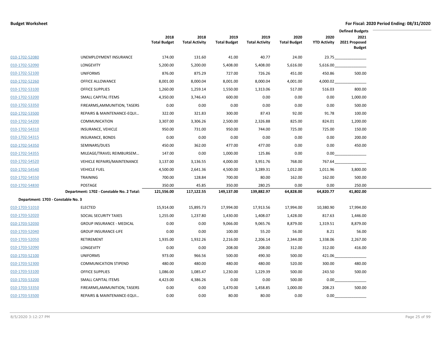|                                    |                                           |                             |                               |                             |                               |                             |                             | <b>Defined Budgets</b>                 |
|------------------------------------|-------------------------------------------|-----------------------------|-------------------------------|-----------------------------|-------------------------------|-----------------------------|-----------------------------|----------------------------------------|
|                                    |                                           | 2018<br><b>Total Budget</b> | 2018<br><b>Total Activity</b> | 2019<br><b>Total Budget</b> | 2019<br><b>Total Activity</b> | 2020<br><b>Total Budget</b> | 2020<br><b>YTD Activity</b> | 2021<br>2021 Proposed<br><b>Budget</b> |
| 010-1702-52080                     | UNEMPLOYMENT INSURANCE                    | 174.00                      | 131.60                        | 41.00                       | 40.77                         | 24.00                       |                             | 23.75                                  |
| 010-1702-52090                     | <b>LONGEVITY</b>                          | 5,200.00                    | 5,200.00                      | 5,408.00                    | 5,408.00                      | 5,616.00                    | 5,616.00                    |                                        |
| 010-1702-52100                     | <b>UNIFORMS</b>                           | 876.00                      | 875.29                        | 727.00                      | 726.26                        | 451.00                      | 450.86                      | 500.00                                 |
| 010-1702-52260                     | OFFICE ALLOWANCE                          | 8,001.00                    | 8,000.04                      | 8,001.00                    | 8,000.04                      | 4,001.00                    | 4,000.02                    |                                        |
| 010-1702-53100                     | <b>OFFICE SUPPLIES</b>                    | 1,260.00                    | 1,259.14                      | 1,550.00                    | 1,313.06                      | 517.00                      | 516.03                      | 800.00                                 |
| 010-1702-53200                     | SMALL CAPITAL ITEMS                       | 4,350.00                    | 3,746.43                      | 600.00                      | 0.00                          | 0.00                        | 0.00                        | 1,000.00                               |
| 010-1702-53350                     | FIREARMS, AMMUNITION, TASERS              | 0.00                        | 0.00                          | 0.00                        | 0.00                          | 0.00                        | 0.00                        | 500.00                                 |
| 010-1702-53500                     | REPAIRS & MAINTENANCE-EQUI                | 322.00                      | 321.83                        | 300.00                      | 87.43                         | 92.00                       | 91.78                       | 100.00                                 |
| 010-1702-54200                     | <b>COMMUNICATION</b>                      | 3,307.00                    | 3,306.26                      | 2,500.00                    | 2,326.88                      | 825.00                      | 824.01                      | 1,200.00                               |
| 010-1702-54310                     | INSURANCE, VEHICLE                        | 950.00                      | 731.00                        | 950.00                      | 744.00                        | 725.00                      | 725.00                      | 150.00                                 |
| 010-1702-54315                     | INSURANCE, BONDS                          | 0.00                        | 0.00                          | 0.00                        | 0.00                          | 0.00                        | 0.00                        | 200.00                                 |
| 010-1702-54350                     | SEMINARS/DUES                             | 450.00                      | 362.00                        | 477.00                      | 477.00                        | 0.00                        | 0.00                        | 450.00                                 |
| 010-1702-54355                     | MILEAGE/TRAVEL REIMBURSEM                 | 147.00                      | 0.00                          | 1,000.00                    | 125.86                        | 0.00                        | 0.00                        |                                        |
| 010-1702-54520                     | <b>VEHICLE REPAIRS/MAINTENANCE</b>        | 3,137.00                    | 3,136.55                      | 4,000.00                    | 3,951.76                      | 768.00                      | 767.64                      |                                        |
| 010-1702-54540                     | <b>VEHICLE FUEL</b>                       | 4,500.00                    | 2,641.36                      | 4,500.00                    | 3,289.31                      | 1,012.00                    | 1,011.96                    | 3,800.00                               |
| 010-1702-54550                     | <b>TRAINING</b>                           | 700.00                      | 128.84                        | 700.00                      | 80.00                         | 162.00                      | 162.00                      | 500.00                                 |
| 010-1702-54830                     | POSTAGE                                   | 350.00                      | 45.85                         | 350.00                      | 280.25                        | 0.00                        | 0.00                        | 250.00                                 |
|                                    | Department: 1702 - Constable No. 2 Total: | 121,556.00                  | 117,122.55                    | 149,137.00                  | 139,882.97                    | 64,828.00                   | 64,820.77                   | 41,802.00                              |
| Department: 1703 - Constable No. 3 |                                           |                             |                               |                             |                               |                             |                             |                                        |
| 010-1703-51010                     | <b>ELECTED</b>                            | 15,914.00                   | 15,895.73                     | 17,994.00                   | 17,913.56                     | 17,994.00                   | 10,380.90                   | 17,994.00                              |
| 010-1703-52020                     | SOCIAL SECURITY TAXES                     | 1,255.00                    | 1,237.80                      | 1,430.00                    | 1,408.07                      | 1,428.00                    | 817.63                      | 1,446.00                               |
| 010-1703-52030                     | <b>GROUP INSURANCE - MEDICAL</b>          | 0.00                        | 0.00                          | 9,066.00                    | 9,065.76                      | 8,879.00                    | 1,319.51                    | 8,879.00                               |
| 010-1703-52040                     | <b>GROUP INSURANCE-LIFE</b>               | 0.00                        | 0.00                          | 100.00                      | 55.20                         | 56.00                       | 8.21                        | 56.00                                  |
| 010-1703-52050                     | RETIREMENT                                | 1,935.00                    | 1,932.26                      | 2,216.00                    | 2,206.14                      | 2,344.00                    | 1,338.06                    | 2,267.00                               |
| 010-1703-52090                     | <b>LONGEVITY</b>                          | 0.00                        | 0.00                          | 208.00                      | 208.00                        | 312.00                      | 312.00                      | 416.00                                 |
| 010-1703-52100                     | <b>UNIFORMS</b>                           | 973.00                      | 966.56                        | 500.00                      | 490.30                        | 500.00                      | 421.06                      |                                        |
| 010-1703-52300                     | <b>COMMUNICATION STIPEND</b>              | 480.00                      | 480.00                        | 480.00                      | 480.00                        | 520.00                      | 300.00                      | 480.00                                 |
| 010-1703-53100                     | <b>OFFICE SUPPLIES</b>                    | 1,086.00                    | 1,085.47                      | 1,230.00                    | 1,229.39                      | 500.00                      | 243.50                      | 500.00                                 |
| 010-1703-53200                     | SMALL CAPITAL ITEMS                       | 4,423.00                    | 4,386.26                      | 0.00                        | 0.00                          | 500.00                      | 0.00                        |                                        |
| 010-1703-53350                     | FIREARMS, AMMUNITION, TASERS              | 0.00                        | 0.00                          | 1,470.00                    | 1,458.85                      | 1,000.00                    | 208.23                      | 500.00                                 |
| 010-1703-53500                     | REPAIRS & MAINTENANCE-EQUI                | 0.00                        | 0.00                          | 80.00                       | 80.00                         | 0.00                        | 0.00                        |                                        |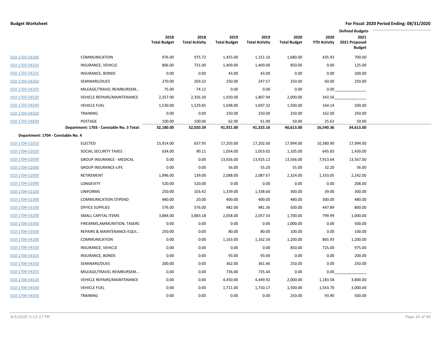|                                    |                                           |                             |                               |                             |                               |                             |                             | <b>Defined Budgets</b>                 |  |
|------------------------------------|-------------------------------------------|-----------------------------|-------------------------------|-----------------------------|-------------------------------|-----------------------------|-----------------------------|----------------------------------------|--|
|                                    |                                           | 2018<br><b>Total Budget</b> | 2018<br><b>Total Activity</b> | 2019<br><b>Total Budget</b> | 2019<br><b>Total Activity</b> | 2020<br><b>Total Budget</b> | 2020<br><b>YTD Activity</b> | 2021<br>2021 Proposed<br><b>Budget</b> |  |
| 010-1703-54200                     | <b>COMMUNICATION</b>                      | 976.00                      | 975.72                        | 1,455.00                    | 1,151.16                      | 1,680.00                    | 435.93                      | 700.00                                 |  |
| 010-1703-54310                     | INSURANCE, VEHICLE                        | 806.00                      | 731.00                        | 1,469.00                    | 1,469.00                      | 850.00                      | 0.00                        | 125.00                                 |  |
| 010-1703-54315                     | INSURANCE, BONDS                          | 0.00                        | 0.00                          | 43.00                       | 43.00                         | 0.00                        | 0.00                        | 200.00                                 |  |
| 010-1703-54350                     | SEMINARS/DUES                             | 270.00                      | 269.32                        | 250.00                      | 247.57                        | 250.00                      | 60.00                       | 250.00                                 |  |
| 010-1703-54355                     | MILEAGE/TRAVEL REIMBURSEM                 | 75.00                       | 74.12                         | 0.00                        | 0.00                          | 0.00                        | 0.00                        |                                        |  |
| 010-1703-54520                     | VEHICLE REPAIRS/MAINTENANCE               | 2,357.00                    | 2,356.30                      | 1,920.00                    | 1,807.94                      | 2,000.00                    | 343.56                      |                                        |  |
| 010-1703-54540                     | <b>VEHICLE FUEL</b>                       | 1,530.00                    | 1,529.85                      | 1,698.00                    | 1,697.32                      | 1,500.00                    | 164.14                      | 500.00                                 |  |
| 010-1703-54550                     | <b>TRAINING</b>                           | 0.00                        | 0.00                          | 250.00                      | 250.00                        | 250.00                      | 162.00                      | 250.00                                 |  |
| 010-1703-54830                     | POSTAGE                                   | 100.00                      | 100.00                        | 62.00                       | 61.90                         | 50.00                       | 25.63                       | 50.00                                  |  |
|                                    | Department: 1703 - Constable No. 3 Total: | 32,180.00                   | 32,020.39                     | 41,921.00                   | 41,323.16                     | 40,613.00                   | 16,540.36                   | 34,613.00                              |  |
| Department: 1704 - Constable No. 4 |                                           |                             |                               |                             |                               |                             |                             |                                        |  |
| 010-1704-51010                     | <b>ELECTED</b>                            | 15,914.00                   | 637.95                        | 17,203.00                   | 17,202.60                     | 17,994.00                   | 10,380.90                   | 17,994.00                              |  |
| 010-1704-52020                     | SOCIAL SECURITY TAXES                     | 634.00                      | 90.11                         | 1,054.00                    | 1,053.02                      | 1,105.00                    | 645.83                      | 1,430.00                               |  |
| 010-1704-52030                     | <b>GROUP INSURANCE - MEDICAL</b>          | 0.00                        | 0.00                          | 13,926.00                   | 13,925.12                     | 13,566.00                   | 7,913.64                    | 13,567.00                              |  |
| 010-1704-52040                     | <b>GROUP INSURANCE-LIFE</b>               | 0.00                        | 0.00                          | 56.00                       | 55.20                         | 55.00                       | 32.20                       | 56.00                                  |  |
| 010-1704-52050                     | RETIREMENT                                | 1,996.00                    | 139.00                        | 2,088.00                    | 2,087.67                      | 2,324.00                    | 1,333.05                    | 2,242.00                               |  |
| 010-1704-52090                     | LONGEVITY                                 | 520.00                      | 520.00                        | 0.00                        | 0.00                          | 0.00                        | 0.00                        | 208.00                                 |  |
| 010-1704-52100                     | <b>UNIFORMS</b>                           | 250.00                      | 103.42                        | 1,339.00                    | 1,338.60                      | 300.00                      | 39.00                       | 300.00                                 |  |
| 010-1704-52300                     | <b>COMMUNICATION STIPEND</b>              | 480.00                      | 20.00                         | 400.00                      | 400.00                        | 480.00                      | 300.00                      | 480.00                                 |  |
| 010-1704-53100                     | <b>OFFICE SUPPLIES</b>                    | 576.00                      | 576.00                        | 982.00                      | 981.36                        | 500.00                      | 447.89                      | 800.00                                 |  |
| 010-1704-53200                     | SMALL CAPITAL ITEMS                       | 3,884.00                    | 3,883.18                      | 2,058.00                    | 2,057.33                      | 1,700.00                    | 799.99                      | 1,000.00                               |  |
| 010-1704-53350                     | FIREARMS, AMMUNITION, TASERS              | 0.00                        | 0.00                          | 0.00                        | 0.00                          | 1,000.00                    | 0.00                        | 500.00                                 |  |
| 010-1704-53500                     | REPAIRS & MAINTENANCE-EQUI                | 250.00                      | 0.00                          | 80.00                       | 80.00                         | 100.00                      | 0.00                        | 100.00                                 |  |
| 010-1704-54200                     | <b>COMMUNICATION</b>                      | 0.00                        | 0.00                          | 1,163.00                    | 1,162.50                      | 1,200.00                    | 865.93                      | 1,200.00                               |  |
| 010-1704-54310                     | INSURANCE, VEHICLE                        | 0.00                        | 0.00                          | 0.00                        | 0.00                          | 850.00                      | 725.00                      | 975.00                                 |  |
| 010-1704-54315                     | INSURANCE, BONDS                          | 0.00                        | 0.00                          | 93.00                       | 93.00                         | 0.00                        | 0.00                        | 200.00                                 |  |
| 010-1704-54350                     | SEMINARS/DUES                             | 200.00                      | 0.00                          | 362.00                      | 361.46                        | 250.00                      | 0.00                        | 250.00                                 |  |
| 010-1704-54355                     | MILEAGE/TRAVEL REIMBURSEM                 | 0.00                        | 0.00                          | 736.00                      | 735.44                        | 0.00                        | 0.00                        |                                        |  |
| 010-1704-54520                     | <b>VEHICLE REPAIRS/MAINTENANCE</b>        | 0.00                        | 0.00                          | 4,450.00                    | 4,449.92                      | 2,000.00                    | 1,183.58                    | 3,800.00                               |  |
| 010-1704-54540                     | <b>VEHICLE FUEL</b>                       | 0.00                        | 0.00                          | 1,711.00                    | 1,710.17                      | 1,500.00                    | 1,563.70                    | 3,000.00                               |  |
| 010-1704-54550                     | TRAINING                                  | 0.00                        | 0.00                          | 0.00                        | 0.00                          | 250.00                      | 93.90                       | 500.00                                 |  |

 $\overline{\phantom{0}}$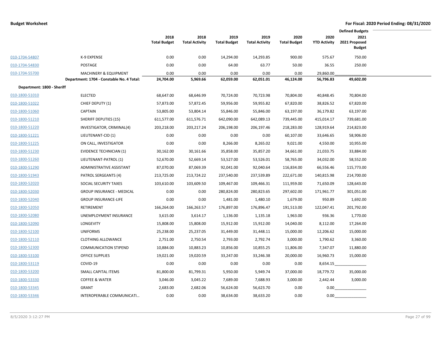|                            |                                           |                             |                               |                             |                               |                             |                             | <b>Defined Budgets</b>                 |  |  |  |  |
|----------------------------|-------------------------------------------|-----------------------------|-------------------------------|-----------------------------|-------------------------------|-----------------------------|-----------------------------|----------------------------------------|--|--|--|--|
|                            |                                           | 2018<br><b>Total Budget</b> | 2018<br><b>Total Activity</b> | 2019<br><b>Total Budget</b> | 2019<br><b>Total Activity</b> | 2020<br><b>Total Budget</b> | 2020<br><b>YTD Activity</b> | 2021<br>2021 Proposed<br><b>Budget</b> |  |  |  |  |
| 010-1704-54807             | K-9 EXPENSE                               | 0.00                        | 0.00                          | 14,294.00                   | 14,293.85                     | 900.00                      | 575.67                      | 750.00                                 |  |  |  |  |
| 010-1704-54830             | POSTAGE                                   | 0.00                        | 0.00                          | 64.00                       | 63.77                         | 50.00                       | 36.55                       | 250.00                                 |  |  |  |  |
| 010-1704-55700             | MACHINERY & EQUIPMENT                     | 0.00                        | 0.00                          | 0.00                        | 0.00                          | 0.00                        | 29,860.00                   |                                        |  |  |  |  |
|                            | Department: 1704 - Constable No. 4 Total: | 24,704.00                   | 5,969.66                      | 62,059.00                   | 62,051.01                     | 46,124.00                   | 56,796.83                   | 49,602.00                              |  |  |  |  |
| Department: 1800 - Sheriff |                                           |                             |                               |                             |                               |                             |                             |                                        |  |  |  |  |
| 010-1800-51010             | <b>ELECTED</b>                            | 68,647.00                   | 68,646.99                     | 70,724.00                   | 70,723.98                     | 70,804.00                   | 40,848.45                   | 70,804.00                              |  |  |  |  |
| 010-1800-51022             | CHIEF DEPUTY (1)                          | 57,873.00                   | 57,872.45                     | 59,956.00                   | 59,955.82                     | 67,820.00                   | 38,826.52                   | 67,820.00                              |  |  |  |  |
| 010-1800-51060             | <b>CAPTAIN</b>                            | 53,805.00                   | 53,804.14                     | 55,846.00                   | 55,846.00                     | 63,197.00                   | 36,179.82                   | 63,197.00                              |  |  |  |  |
| 010-1800-51210             | <b>SHERIFF DEPUTIES (15)</b>              | 611,577.00                  | 611,576.71                    | 642,090.00                  | 642,089.13                    | 739,445.00                  | 415,014.17                  | 739,681.00                             |  |  |  |  |
| 010-1800-51220             | INVESTIGATOR, CRIMINAL(4)                 | 203,218.00                  | 203,217.24                    | 206,198.00                  | 206,197.46                    | 218,283.00                  | 128,919.64                  | 214,823.00                             |  |  |  |  |
| 010-1800-51221             | LIEUTENANT-CID (1)                        | 0.00                        | 0.00                          | 0.00                        | 0.00                          | 60,107.00                   | 33,646.65                   | 58,906.00                              |  |  |  |  |
| 010-1800-51225             | ON CALL, INVESTIGATOR                     | 0.00                        | 0.00                          | 8,266.00                    | 8,265.02                      | 9,021.00                    | 4,550.00                    | 10,955.00                              |  |  |  |  |
| 010-1800-51230             | <b>EVIDENCE TECHNICIAN (1)</b>            | 30,162.00                   | 30,161.66                     | 35,858.00                   | 35,857.20                     | 34,661.00                   | 21,033.75                   | 33,884.00                              |  |  |  |  |
| 010-1800-51260             | LIEUTENANT-PATROL (1)                     | 52,670.00                   | 52,669.14                     | 53,527.00                   | 53,526.01                     | 58,765.00                   | 34,032.00                   | 58,552.00                              |  |  |  |  |
| 010-1800-51290             | ADMINISTRATIVE ASSISTANT                  | 87,070.00                   | 87,069.39                     | 92,041.00                   | 92,040.64                     | 116,834.00                  | 66,556.46                   | 115,773.00                             |  |  |  |  |
| 010-1800-51943             | PATROL SERGEANTS (4)                      | 213,725.00                  | 213,724.22                    | 237,540.00                  | 237,539.89                    | 222,671.00                  | 140,815.98                  | 214,700.00                             |  |  |  |  |
| 010-1800-52020             | SOCIAL SECURITY TAXES                     | 103,610.00                  | 103,609.50                    | 109,467.00                  | 109,466.31                    | 111,959.00                  | 71,650.09                   | 128,643.00                             |  |  |  |  |
| 010-1800-52030             | <b>GROUP INSURANCE - MEDICAL</b>          | 0.00                        | 0.00                          | 280,824.00                  | 280,823.65                    | 297,602.00                  | 171,961.77                  | 301,051.00                             |  |  |  |  |
| 010-1800-52040             | <b>GROUP INSURANCE-LIFE</b>               | 0.00                        | 0.00                          | 1,481.00                    | 1,480.10                      | 1,679.00                    | 950.89                      | 1,692.00                               |  |  |  |  |
| 010-1800-52050             | RETIREMENT                                | 166,264.00                  | 166,263.57                    | 176,897.00                  | 176,896.47                    | 191,513.00                  | 122,047.41                  | 201,792.00                             |  |  |  |  |
| 010-1800-52080             | UNEMPLOYMENT INSURANCE                    | 3,615.00                    | 3,614.17                      | 1,136.00                    | 1,135.18                      | 1,963.00                    | 936.36                      | 1,770.00                               |  |  |  |  |
| 010-1800-52090             | LONGEVITY                                 | 15,808.00                   | 15,808.00                     | 15,912.00                   | 15,912.00                     | 14,040.00                   | 8,112.00                    | 17,264.00                              |  |  |  |  |
| 010-1800-52100             | <b>UNIFORMS</b>                           | 25,238.00                   | 25,237.05                     | 31,449.00                   | 31,448.11                     | 15,000.00                   | 12,206.62                   | 15,000.00                              |  |  |  |  |
| 010-1800-52110             | <b>CLOTHING ALLOWANCE</b>                 | 2,751.00                    | 2,750.54                      | 2,793.00                    | 2,792.74                      | 3,000.00                    | 1,790.62                    | 3,360.00                               |  |  |  |  |
| 010-1800-52300             | <b>COMMUNICATION STIPEND</b>              | 10,884.00                   | 10,883.23                     | 10,856.00                   | 10,855.25                     | 11,806.00                   | 7,347.07                    | 11,880.00                              |  |  |  |  |
| 010-1800-53100             | <b>OFFICE SUPPLIES</b>                    | 19,021.00                   | 19,020.59                     | 33,247.00                   | 33,246.38                     | 20,000.00                   | 16,960.73                   | 15,000.00                              |  |  |  |  |
| 010-1800-53119             | COVID-19                                  | 0.00                        | 0.00                          | 0.00                        | 0.00                          | 0.00                        | 8,654.15                    |                                        |  |  |  |  |
| 010-1800-53200             | SMALL CAPITAL ITEMS                       | 81,800.00                   | 81,799.31                     | 5,950.00                    | 5,949.74                      | 37,000.00                   | 18,779.72                   | 35,000.00                              |  |  |  |  |
| 010-1800-53330             | <b>COFFEE &amp; WATER</b>                 | 3,046.00                    | 3,045.22                      | 7,689.00                    | 7,688.93                      | 3,000.00                    | 2,442.44                    | 3,000.00                               |  |  |  |  |
| 010-1800-53345             | <b>GRANT</b>                              | 2,683.00                    | 2,682.06                      | 56,624.00                   | 56,623.70                     | 0.00                        | 0.00                        |                                        |  |  |  |  |
| 010-1800-53346             | INTEROPERABLE COMMUNICATI                 | 0.00                        | 0.00                          | 38,634.00                   | 38,633.20                     | 0.00                        | 0.00                        |                                        |  |  |  |  |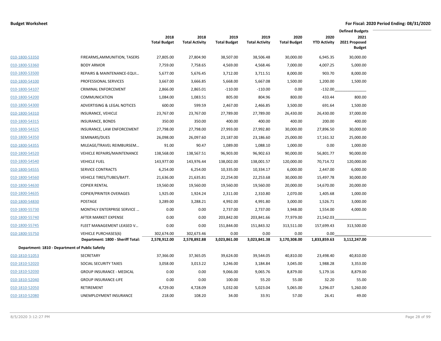|                                                 |                                                                  |                             |                               |                             |                               |                             |                             | <b>Defined Budgets</b>                 |  |
|-------------------------------------------------|------------------------------------------------------------------|-----------------------------|-------------------------------|-----------------------------|-------------------------------|-----------------------------|-----------------------------|----------------------------------------|--|
|                                                 |                                                                  | 2018<br><b>Total Budget</b> | 2018<br><b>Total Activity</b> | 2019<br><b>Total Budget</b> | 2019<br><b>Total Activity</b> | 2020<br><b>Total Budget</b> | 2020<br><b>YTD Activity</b> | 2021<br>2021 Proposed<br><b>Budget</b> |  |
| 010-1800-53350                                  | FIREARMS, AMMUNITION, TASERS                                     | 27,805.00                   | 27,804.90                     | 38,507.00                   | 38,506.48                     | 30,000.00                   | 6,945.35                    | 30,000.00                              |  |
| 010-1800-53360                                  | <b>BODY ARMOR</b>                                                | 7,759.00                    | 7,758.65                      | 4,569.00                    | 4,568.46                      | 7,000.00                    | 4,007.25                    | 5,000.00                               |  |
| 010-1800-53500                                  | REPAIRS & MAINTENANCE-EQUI                                       | 5,677.00                    | 5,676.45                      | 3,712.00                    | 3,711.51                      | 8,000.00                    | 903.70                      | 8,000.00                               |  |
| 010-1800-54100                                  | PROFESSIONAL SERVICES                                            | 3,667.00                    | 3,666.85                      | 5,668.00                    | 5,667.08                      | 1,500.00                    | 1,200.00                    | 1,500.00                               |  |
| 010-1800-54107                                  | <b>CRIMINAL ENFORCEMENT</b>                                      | 2,866.00                    | 2,865.01                      | $-110.00$                   | $-110.00$                     | 0.00                        | $-132.00$                   |                                        |  |
| 010-1800-54200                                  | <b>COMMUNICATION</b>                                             | 1,084.00                    | 1,083.51                      | 805.00                      | 804.96                        | 800.00                      | 433.44                      | 800.00                                 |  |
| 010-1800-54300                                  | ADVERTISING & LEGAL NOTICES                                      | 600.00                      | 599.59                        | 2,467.00                    | 2,466.85                      | 3,500.00                    | 691.64                      | 1,500.00                               |  |
| 010-1800-54310                                  | INSURANCE, VEHICLE                                               | 23,767.00                   | 23,767.00                     | 27,789.00                   | 27,789.00                     | 26,430.00                   | 26,430.00                   | 37,000.00                              |  |
| 010-1800-54315                                  | <b>INSURANCE, BONDS</b>                                          | 350.00                      | 350.00                        | 400.00                      | 400.00                        | 400.00                      | 200.00                      | 400.00                                 |  |
| 010-1800-54325                                  | INSURANCE, LAW ENFORCEMENT                                       | 27,798.00                   | 27,798.00                     | 27,993.00                   | 27,992.80                     | 30,000.00                   | 27,896.50                   | 30,000.00                              |  |
| 010-1800-54350                                  | SEMINARS/DUES                                                    | 26,098.00                   | 26,097.60                     | 23,187.00                   | 23,186.60                     | 25,000.00                   | 17,161.32                   | 25,000.00                              |  |
| 010-1800-54355                                  | MILEAGE/TRAVEL REIMBURSEM                                        | 91.00                       | 90.47                         | 1,089.00                    | 1,088.10                      | 1,000.00                    | 0.00                        | 1,000.00                               |  |
| 010-1800-54520                                  | <b>VEHICLE REPAIRS/MAINTENANCE</b>                               | 138,568.00                  | 138,567.51                    | 96,903.00                   | 96,902.63                     | 90,000.00                   | 56,801.77                   | 90,000.00                              |  |
| 010-1800-54540                                  | <b>VEHICLE FUEL</b>                                              | 143,977.00                  | 143,976.44                    | 138,002.00                  | 138,001.57                    | 120,000.00                  | 70,714.72                   | 120,000.00                             |  |
| 010-1800-54555                                  | SERVICE CONTRACTS                                                | 6,254.00                    | 6,254.00                      | 10,335.00                   | 10,334.17                     | 6,000.00                    | 2,447.00                    | 6,000.00                               |  |
| 010-1800-54560                                  | VEHICLE TIRES/TUBES/BATT.                                        | 21,636.00                   | 21,635.81                     | 22,254.00                   | 22,253.68                     | 30,000.00                   | 15,497.78                   | 30,000.00                              |  |
| 010-1800-54630                                  | <b>COPIER RENTAL</b>                                             | 19,560.00                   | 19,560.00                     | 19,560.00                   | 19,560.00                     | 20,000.00                   | 14,670.00                   | 20,000.00                              |  |
| 010-1800-54635                                  | <b>COPIER/PRINTER OVERAGES</b>                                   | 1,925.00                    | 1,924.24                      | 2,311.00                    | 2,310.80                      | 2,070.00                    | 1,405.68                    | 1,000.00                               |  |
| 010-1800-54830                                  | <b>POSTAGE</b>                                                   | 3,289.00                    | 3,288.21                      | 4,992.00                    | 4,991.80                      | 3,000.00                    | 1,526.71                    | 3,000.00                               |  |
| 010-1800-55730                                  | MONTHLY ENTERPRISE SERVICE                                       | 0.00                        | 0.00                          | 2,737.00                    | 2,737.00                      | 3,948.00                    | 1,554.00                    | 4,000.00                               |  |
| 010-1800-55740                                  | AFTER MARKET EXPENSE                                             | 0.00                        | 0.00                          | 203,842.00                  | 203,841.66                    | 77,979.00                   | 21,542.03                   |                                        |  |
| 010-1800-55745                                  | FLEET MANAGEMENT LEASED V                                        | 0.00                        | 0.00                          | 151,844.00                  | 151,843.32                    | 313,511.00                  | 157,699.43                  | 313,500.00                             |  |
| 010-1800-55750                                  | <b>VEHICLE PURCHASES(6)</b><br>Department: 1800 - Sheriff Total: | 302,674.00<br>2,578,912.00  | 302,673.46<br>2,578,892.88    | 0.00<br>3,023,861.00        | 0.00<br>3,023,841.38          | 0.00<br>3,170,308.00        | 0.00<br>1,833,859.63        | 3,112,247.00                           |  |
| Department: 1810 - Department of Public Safetly |                                                                  |                             |                               |                             |                               |                             |                             |                                        |  |
| 010-1810-51053                                  | SECRETARY                                                        | 37,366.00                   | 37,365.05                     | 39,624.00                   | 39,544.05                     | 40,810.00                   | 23,498.40                   | 40,810.00                              |  |
| 010-1810-52020                                  | SOCIAL SECURITY TAXES                                            | 3,058.00                    | 3,013.22                      | 3,246.00                    | 3,184.84                      | 3,045.00                    | 1,988.28                    | 3,353.00                               |  |
| 010-1810-52030                                  | <b>GROUP INSURANCE - MEDICAL</b>                                 | 0.00                        | 0.00                          | 9,066.00                    | 9,065.76                      | 8,879.00                    | 5,179.16                    | 8,879.00                               |  |
| 010-1810-52040                                  | <b>GROUP INSURANCE-LIFE</b>                                      | 0.00                        | 0.00                          | 100.00                      | 55.20                         | 55.00                       | 32.20                       | 55.00                                  |  |
| 010-1810-52050                                  | RETIREMENT                                                       | 4,729.00                    | 4,728.09                      | 5,032.00                    | 5,023.04                      | 5,065.00                    | 3,296.07                    | 5,260.00                               |  |
| 010-1810-52080                                  | UNEMPLOYMENT INSURANCE                                           | 218.00                      | 108.20                        | 34.00                       | 33.91                         | 57.00                       | 26.41                       | 49.00                                  |  |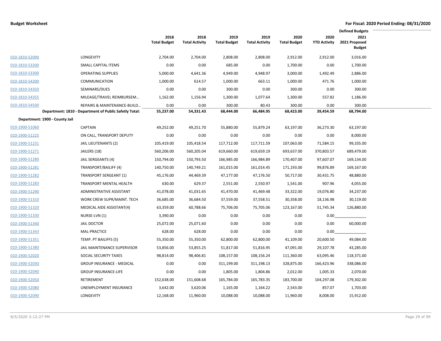|                                |                                                        |                             |                               |                             |                               |                             |                             | <b>Defined Budgets</b>                 |  |
|--------------------------------|--------------------------------------------------------|-----------------------------|-------------------------------|-----------------------------|-------------------------------|-----------------------------|-----------------------------|----------------------------------------|--|
|                                |                                                        | 2018<br><b>Total Budget</b> | 2018<br><b>Total Activity</b> | 2019<br><b>Total Budget</b> | 2019<br><b>Total Activity</b> | 2020<br><b>Total Budget</b> | 2020<br><b>YTD Activity</b> | 2021<br>2021 Proposed<br><b>Budget</b> |  |
| 010-1810-52090                 | <b>LONGEVITY</b>                                       | 2,704.00                    | 2,704.00                      | 2,808.00                    | 2,808.00                      | 2,912.00                    | 2,912.00                    | 3,016.00                               |  |
| 010-1810-53200                 | SMALL CAPITAL ITEMS                                    | 0.00                        | 0.00                          | 685.00                      | 0.00                          | 1,700.00                    | 0.00                        | 1,700.00                               |  |
| 010-1810-53300                 | <b>OPERATING SUPPLIES</b>                              | 5,000.00                    | 4,641.36                      | 4,949.00                    | 4,948.97                      | 3,000.00                    | 1,492.49                    | 2,886.00                               |  |
| 010-1810-54200                 | <b>COMMUNICATION</b>                                   | 1.000.00                    | 614.57                        | 1,000.00                    | 663.11                        | 1,000.00                    | 471.76                      | 1.000.00                               |  |
| 010-1810-54350                 | SEMINARS/DUES                                          | 0.00                        | 0.00                          | 300.00                      | 0.00                          | 300.00                      | 0.00                        | 300.00                                 |  |
| 010-1810-54355                 | MILEAGE/TRAVEL REIMBURSEM                              | 1,162.00                    | 1,156.94                      | 1,300.00                    | 1,077.64                      | 1,300.00                    | 557.82                      | 1,186.00                               |  |
| 010-1810-54500                 | REPAIRS & MAINTENANCE-BUILD                            | 0.00                        | 0.00                          | 300.00                      | 80.43                         | 300.00                      | 0.00                        | 300.00                                 |  |
|                                | Department: 1810 - Department of Public Safetly Total: | 55,237.00                   | 54,331.43                     | 68,444.00                   | 66,484.95                     | 68,423.00                   | 39,454.59                   | 68,794.00                              |  |
| Department: 1900 - County Jail |                                                        |                             |                               |                             |                               |                             |                             |                                        |  |
| 010-1900-51060                 | <b>CAPTAIN</b>                                         | 49,252.00                   | 49,251.70                     | 55,880.00                   | 55,879.24                     | 63,197.00                   | 36,273.30                   | 63,197.00                              |  |
| 010-1900-51225                 | ON CALL, TRANSPORT DEPUTY                              | 0.00                        | 0.00                          | 0.00                        | 0.00                          | 0.00                        | 0.00                        | 8,000.00                               |  |
| 010-1900-51231                 | <b>JAIL LIEUTENANTS (2)</b>                            | 105,419.00                  | 105,418.54                    | 117,712.00                  | 117,711.59                    | 107,063.00                  | 71,584.15                   | 99,335.00                              |  |
| 010-1900-51271                 | JAILERS (18)                                           | 560,206.00                  | 560,205.04                    | 619,660.00                  | 619,659.19                    | 693,637.00                  | 370,803.57                  | 689,479.00                             |  |
| 010-1900-51280                 | JAIL SERGEANTS (4)                                     | 150,794.00                  | 150,793.50                    | 166,985.00                  | 166,984.89                    | 170,407.00                  | 97,607.07                   | 169,134.00                             |  |
| 010-1900-51281                 | TRANSPORT/BAILIFF (4)                                  | 140,750.00                  | 140,749.21                    | 161,015.00                  | 161,014.45                    | 171,193.00                  | 99,876.89                   | 169,167.00                             |  |
| 010-1900-51282                 | <b>TRANSPORT SERGEANT (1)</b>                          | 45,176.00                   | 44,469.39                     | 47,177.00                   | 47,176.50                     | 50,717.00                   | 30,431.75                   | 48,880.00                              |  |
| 010-1900-51283                 | TRANSPORT-MENTAL HEALTH                                | 630.00                      | 629.37                        | 2,551.00                    | 2,550.97                      | 1,541.00                    | 907.96                      | 4,055.00                               |  |
| 010-1900-51290                 | ADMINISTRATIVE ASSISTANT                               | 41,078.00                   | 41,031.65                     | 41,470.00                   | 41,469.48                     | 33,322.00                   | 19,076.80                   | 34,237.00                              |  |
| 010-1900-51310                 | WORK CREW SUPR/MAINT. TECH                             | 36,685.00                   | 36,684.50                     | 37,559.00                   | 37,558.51                     | 30,358.00                   | 18,136.98                   | 30,119.00                              |  |
| 010-1900-51320                 | MEDICAL AIDE ASSISTANT(4)                              | 63,359.00                   | 60,788.66                     | 75,706.00                   | 75,705.06                     | 123,167.00                  | 51,745.34                   | 126,880.00                             |  |
| 010-1900-51330                 | NURSE-LVN (1)                                          | 3,390.00                    | 0.00                          | 0.00                        | 0.00                          | 0.00                        | 0.00                        |                                        |  |
| 010-1900-51340                 | JAIL DOCTOR                                            | 25,072.00                   | 25,071.60                     | 0.00                        | 0.00                          | 0.00                        | 0.00                        | 60,000.00                              |  |
| 010-1900-51343                 | <b>MAL-PRACTICE</b>                                    | 628.00                      | 628.00                        | 0.00                        | 0.00                          | 0.00                        | 0.00                        |                                        |  |
| 010-1900-51351                 | TEMP. PT BAILIFFS (5)                                  | 55,350.00                   | 55,350.00                     | 62,800.00                   | 62,800.00                     | 41,109.00                   | 20,600.50                   | 49,084.00                              |  |
| 010-1900-51380                 | JAIL MAINTENANCE SUPERVISOR                            | 53,856.00                   | 53,855.25                     | 51,817.00                   | 51,816.95                     | 47,091.00                   | 29,107.78                   | 43,285.00                              |  |
| 010-1900-52020                 | SOCIAL SECURITY TAXES                                  | 98,814.00                   | 98,406.81                     | 108,157.00                  | 108,156.24                    | 111,360.00                  | 63,095.46                   | 118,371.00                             |  |
| 010-1900-52030                 | <b>GROUP INSURANCE - MEDICAL</b>                       | 0.00                        | 0.00                          | 311,199.00                  | 311,198.13                    | 328,875.00                  | 166,423.96                  | 338,086.00                             |  |
| 010-1900-52040                 | <b>GROUP INSURANCE-LIFE</b>                            | 0.00                        | 0.00                          | 1,805.00                    | 1,804.86                      | 2,012.00                    | 1,005.33                    | 2,070.00                               |  |
| 010-1900-52050                 | RETIREMENT                                             | 152,638.00                  | 151,608.68                    | 165,784.00                  | 165,783.35                    | 183,700.00                  | 104,297.08                  | 179,302.00                             |  |
| 010-1900-52080                 | UNEMPLOYMENT INSURANCE                                 | 3,642.00                    | 3,620.06                      | 1,165.00                    | 1,164.22                      | 2,543.00                    | 857.07                      | 1,703.00                               |  |
| 010-1900-52090                 | <b>LONGEVITY</b>                                       | 12,168.00                   | 11,960.00                     | 10,088.00                   | 10,088.00                     | 11,960.00                   | 8,008.00                    | 15,912.00                              |  |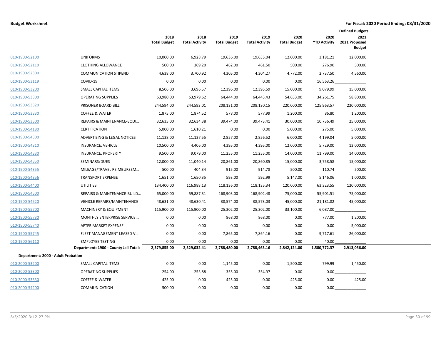|                                    |                                       |                             |                               |                             |                               |                             |                             | <b>Defined Budgets</b>                 |  |
|------------------------------------|---------------------------------------|-----------------------------|-------------------------------|-----------------------------|-------------------------------|-----------------------------|-----------------------------|----------------------------------------|--|
|                                    |                                       | 2018<br><b>Total Budget</b> | 2018<br><b>Total Activity</b> | 2019<br><b>Total Budget</b> | 2019<br><b>Total Activity</b> | 2020<br><b>Total Budget</b> | 2020<br><b>YTD Activity</b> | 2021<br>2021 Proposed<br><b>Budget</b> |  |
| 010-1900-52100                     | <b>UNIFORMS</b>                       | 10,000.00                   | 6,928.79                      | 19,636.00                   | 19,635.04                     | 12,000.00                   | 3,181.21                    | 12,000.00                              |  |
| 010-1900-52110                     | <b>CLOTHING ALLOWANCE</b>             | 500.00                      | 369.20                        | 462.00                      | 461.50                        | 500.00                      | 276.90                      | 500.00                                 |  |
| 010-1900-52300                     | <b>COMMUNICATION STIPEND</b>          | 4,638.00                    | 3,700.92                      | 4,305.00                    | 4,304.27                      | 4,772.00                    | 2,737.50                    | 4,560.00                               |  |
| 010-1900-53119                     | COVID-19                              | 0.00                        | 0.00                          | 0.00                        | 0.00                          | 0.00                        | 16,563.26                   |                                        |  |
| 010-1900-53200                     | SMALL CAPITAL ITEMS                   | 8,506.00                    | 3,696.57                      | 12,396.00                   | 12,395.59                     | 15,000.00                   | 9,079.99                    | 15,000.00                              |  |
| 010-1900-53300                     | <b>OPERATING SUPPLIES</b>             | 63,980.00                   | 63,979.62                     | 64,444.00                   | 64,443.43                     | 54,653.00                   | 34,261.75                   | 58,800.00                              |  |
| 010-1900-53320                     | PRISONER BOARD BILL                   | 244,594.00                  | 244,593.01                    | 208,131.00                  | 208,130.15                    | 220,000.00                  | 125,963.57                  | 220,000.00                             |  |
| 010-1900-53330                     | <b>COFFEE &amp; WATER</b>             | 1,875.00                    | 1,874.52                      | 578.00                      | 577.99                        | 1,200.00                    | 86.80                       | 1,200.00                               |  |
| 010-1900-53500                     | REPAIRS & MAINTENANCE-EQUI            | 32,635.00                   | 32,634.38                     | 39,474.00                   | 39,473.41                     | 30,000.00                   | 10,736.49                   | 25,000.00                              |  |
| 010-1900-54180                     | <b>CERTIFICATION</b>                  | 5,000.00                    | 1,610.21                      | 0.00                        | 0.00                          | 5,000.00                    | 275.00                      | 5,000.00                               |  |
| 010-1900-54300                     | ADVERTISING & LEGAL NOTICES           | 11,138.00                   | 11,137.55                     | 2,857.00                    | 2,856.52                      | 6,000.00                    | 4,199.04                    | 5,000.00                               |  |
| 010-1900-54310                     | INSURANCE, VEHICLE                    | 10,500.00                   | 4,406.00                      | 4,395.00                    | 4,395.00                      | 12,000.00                   | 5,729.00                    | 13,000.00                              |  |
| 010-1900-54330                     | <b>INSURANCE, PROPERTY</b>            | 9,500.00                    | 9,079.00                      | 11,255.00                   | 11,255.00                     | 14,000.00                   | 11,799.00                   | 14,000.00                              |  |
| 010-1900-54350                     | SEMINARS/DUES                         | 12,000.00                   | 11,040.14                     | 20,861.00                   | 20,860.85                     | 15,000.00                   | 3,758.58                    | 15,000.00                              |  |
| 010-1900-54355                     | MILEAGE/TRAVEL REIMBURSEM             | 500.00                      | 404.34                        | 915.00                      | 914.78                        | 500.00                      | 110.74                      | 500.00                                 |  |
| 010-1900-54356                     | <b>TRANSPORT EXPENSE</b>              | 1,651.00                    | 1,650.35                      | 593.00                      | 592.99                        | 5,147.00                    | 5,146.06                    | 1,000.00                               |  |
| 010-1900-54400                     | <b>UTILITIES</b>                      | 134,400.00                  | 116,988.13                    | 118,136.00                  | 118,135.34                    | 120,000.00                  | 63,323.55                   | 120,000.00                             |  |
| 010-1900-54500                     | REPAIRS & MAINTENANCE-BUILD           | 65,000.00                   | 59,887.31                     | 168,903.00                  | 168,902.48                    | 75,000.00                   | 55,901.51                   | 75,000.00                              |  |
| 010-1900-54520                     | <b>VEHICLE REPAIRS/MAINTENANCE</b>    | 48,631.00                   | 48,630.41                     | 38,574.00                   | 38,573.03                     | 45,000.00                   | 21,181.82                   | 45,000.00                              |  |
| 010-1900-55700                     | <b>MACHINERY &amp; EQUIPMENT</b>      | 115,900.00                  | 115,900.00                    | 25,302.00                   | 25,302.00                     | 33,100.00                   | 6,087.00                    |                                        |  |
| 010-1900-55730                     | MONTHLY ENTERPRISE SERVICE            | 0.00                        | 0.00                          | 868.00                      | 868.00                        | 0.00                        | 777.00                      | 1,200.00                               |  |
| 010-1900-55740                     | AFTER MARKET EXPENSE                  | 0.00                        | 0.00                          | 0.00                        | 0.00                          | 0.00                        | 0.00                        | 5,000.00                               |  |
| 010-1900-55745                     | FLEET MANAGEMENT LEASED V             | 0.00                        | 0.00                          | 7,865.00                    | 7,864.16                      | 0.00                        | 9,717.61                    | 26,000.00                              |  |
| 010-1900-56110                     | <b>EMPLOYEE TESTING</b>               | 0.00                        | 0.00                          | 0.00                        | 0.00                          | 0.00                        | 40.00                       |                                        |  |
|                                    | Department: 1900 - County Jail Total: | 2,379,855.00                | 2,329,032.41                  | 2,788,480.00                | 2,788,463.16                  | 2,842,124.00                | 1,580,772.37                | 2,913,056.00                           |  |
| Department: 2000 - Adult Probation |                                       |                             |                               |                             |                               |                             |                             |                                        |  |
| 010-2000-53200                     | SMALL CAPITAL ITEMS                   | 0.00                        | 0.00                          | 1,145.00                    | 0.00                          | 1,500.00                    | 799.99                      | 1,450.00                               |  |
| 010-2000-53300                     | <b>OPERATING SUPPLIES</b>             | 254.00                      | 253.88                        | 355.00                      | 354.97                        | 0.00                        | 0.00                        |                                        |  |
| 010-2000-53330                     | <b>COFFEE &amp; WATER</b>             | 425.00                      | 0.00                          | 425.00                      | 0.00                          | 425.00                      | 0.00                        | 425.00                                 |  |
| 010-2000-54200                     | <b>COMMUNICATION</b>                  | 500.00                      | 0.00                          | 0.00                        | 0.00                          | 0.00                        | 0.00                        |                                        |  |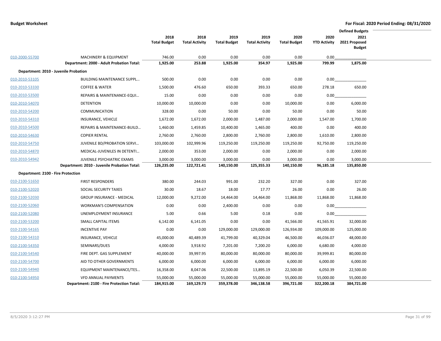|                                    |                                              |                     |                       |                     |                       |                     |                     | <b>Defined Budgets</b> |  |
|------------------------------------|----------------------------------------------|---------------------|-----------------------|---------------------|-----------------------|---------------------|---------------------|------------------------|--|
|                                    |                                              | 2018                | 2018                  | 2019                | 2019                  | 2020                | 2020                | 2021                   |  |
|                                    |                                              | <b>Total Budget</b> | <b>Total Activity</b> | <b>Total Budget</b> | <b>Total Activity</b> | <b>Total Budget</b> | <b>YTD Activity</b> | 2021 Proposed          |  |
|                                    |                                              |                     |                       |                     |                       |                     |                     | <b>Budget</b>          |  |
| 010-2000-55700                     | <b>MACHINERY &amp; EQUIPMENT</b>             | 746.00              | 0.00                  | 0.00                | 0.00                  | 0.00                | 0.00                |                        |  |
|                                    | Department: 2000 - Adult Probation Total:    | 1,925.00            | 253.88                | 1,925.00            | 354.97                | 1,925.00            | 799.99              | 1,875.00               |  |
|                                    | Department: 2010 - Juvenile Probation        |                     |                       |                     |                       |                     |                     |                        |  |
| 010-2010-53105                     | <b>BUILDING MAINTENANCE SUPPL</b>            | 500.00              | 0.00                  | 0.00                | 0.00                  | 0.00                | 0.00                |                        |  |
| 010-2010-53330                     | <b>COFFEE &amp; WATER</b>                    | 1,500.00            | 476.60                | 650.00              | 393.33                | 650.00              | 278.18              | 650.00                 |  |
| 010-2010-53500                     | REPAIRS & MAINTENANCE-EQUI                   | 15.00               | 0.00                  | 0.00                | 0.00                  | 0.00                | 0.00                |                        |  |
| 010-2010-54070                     | <b>DETENTION</b>                             | 10,000.00           | 10,000.00             | 0.00                | 0.00                  | 10,000.00           | 0.00                | 6,000.00               |  |
| 010-2010-54200                     | <b>COMMUNICATION</b>                         | 328.00              | 0.00                  | 50.00               | 0.00                  | 50.00               | 0.00                | 50.00                  |  |
| 010-2010-54310                     | INSURANCE, VEHICLE                           | 1,672.00            | 1,672.00              | 2,000.00            | 1,487.00              | 2,000.00            | 1,547.00            | 1,700.00               |  |
| 010-2010-54500                     | REPAIRS & MAINTENANCE-BUILD                  | 1,460.00            | 1,459.85              | 10,400.00           | 1,465.00              | 400.00              | 0.00                | 400.00                 |  |
| 010-2010-54630                     | <b>COPIER RENTAL</b>                         | 2,760.00            | 2,760.00              | 2,800.00            | 2,760.00              | 2,800.00            | 1,610.00            | 2,800.00               |  |
| 010-2010-54750                     | JUVENILE BD/PROBATION SERVI                  | 103,000.00          | 102,999.96            | 119,250.00          | 119,250.00            | 119,250.00          | 92,750.00           | 119,250.00             |  |
| 010-2010-54870                     | MEDICAL-JUVENILES IN DETENTI                 | 2,000.00            | 353.00                | 2,000.00            | 0.00                  | 2,000.00            | 0.00                | 2,000.00               |  |
| 010-2010-54942                     | JUVENILE PSYCHIATRIC EXAMS                   | 3,000.00            | 3,000.00              | 3,000.00            | 0.00                  | 3,000.00            | 0.00                | 3,000.00               |  |
|                                    | Department: 2010 - Juvenile Probation Total: | 126,235.00          | 122,721.41            | 140,150.00          | 125,355.33            | 140,150.00          | 96,185.18           | 135,850.00             |  |
| Department: 2100 - Fire Protection |                                              |                     |                       |                     |                       |                     |                     |                        |  |
| 010-2100-51650                     | <b>FIRST RESPONDERS</b>                      | 380.00              | 244.03                | 991.00              | 232.20                | 327.00              | 0.00                | 327.00                 |  |
| 010-2100-52020                     | SOCIAL SECURITY TAXES                        | 30.00               | 18.67                 | 18.00               | 17.77                 | 26.00               | 0.00                | 26.00                  |  |
| 010-2100-52030                     | <b>GROUP INSURANCE - MEDICAL</b>             | 12,000.00           | 9,272.00              | 14,464.00           | 14,464.00             | 11,868.00           | 11,868.00           | 11,868.00              |  |
| 010-2100-52060                     | <b>WORKMAN'S COMPENSATION</b>                | 0.00                | 0.00                  | 2,400.00            | 0.00                  | 0.00                | 0.00                |                        |  |
| 010-2100-52080                     | UNEMPLOYMENT INSURANCE                       | 5.00                | 0.66                  | 5.00                | 0.18                  | 0.00                | 0.00                |                        |  |
| 010-2100-53200                     | SMALL CAPITAL ITEMS                          | 6,142.00            | 6,141.05              | 0.00                | 0.00                  | 41,566.00           | 41,565.91           | 32,000.00              |  |
| 010-2100-54165                     | <b>INCENTIVE PAY</b>                         | 0.00                | 0.00                  | 129,000.00          | 129,000.00            | 126,934.00          | 109,000.00          | 125,000.00             |  |
| 010-2100-54310                     | INSURANCE, VEHICLE                           | 45,000.00           | 40,489.39             | 41,799.00           | 40,329.04             | 46,500.00           | 46,036.07           | 48,000.00              |  |
| 010-2100-54350                     | SEMINARS/DUES                                | 4,000.00            | 3,918.92              | 7,201.00            | 7,200.20              | 6,000.00            | 6,680.00            | 4,000.00               |  |
| 010-2100-54540                     | FIRE DEPT. GAS SUPPLEMENT                    | 40,000.00           | 39,997.95             | 80,000.00           | 80,000.00             | 80,000.00           | 39,999.81           | 80,000.00              |  |
| 010-2100-54700                     | AID TO OTHER GOVERNMENTS                     | 6,000.00            | 6,000.00              | 6,000.00            | 6,000.00              | 6,000.00            | 6,000.00            | 6,000.00               |  |
| 010-2100-54940                     | EQUIPMENT MAINTENANCE/TES                    | 16,358.00           | 8,047.06              | 22,500.00           | 13,895.19             | 22,500.00           | 6,050.39            | 22,500.00              |  |
| 010-2100-54950                     | <b>VFD ANNUAL PAYMENTS</b>                   | 55,000.00           | 55,000.00             | 55,000.00           | 55,000.00             | 55,000.00           | 55,000.00           | 55,000.00              |  |
|                                    | Department: 2100 - Fire Protection Total:    | 184,915.00          | 169,129.73            | 359,378.00          | 346,138.58            | 396,721.00          | 322,200.18          | 384,721.00             |  |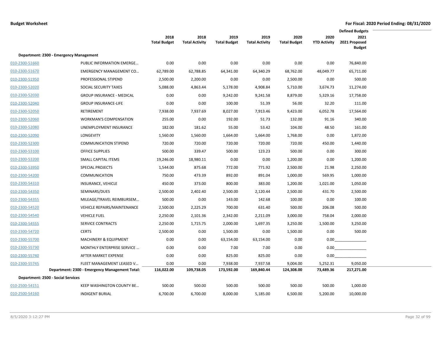|                |                                                |                             |                               |                             |                               |                             |                             | <b>Defined Budgets</b>                 |  |
|----------------|------------------------------------------------|-----------------------------|-------------------------------|-----------------------------|-------------------------------|-----------------------------|-----------------------------|----------------------------------------|--|
|                |                                                | 2018<br><b>Total Budget</b> | 2018<br><b>Total Activity</b> | 2019<br><b>Total Budget</b> | 2019<br><b>Total Activity</b> | 2020<br><b>Total Budget</b> | 2020<br><b>YTD Activity</b> | 2021<br>2021 Proposed<br><b>Budget</b> |  |
|                | Department: 2300 - Emergency Management        |                             |                               |                             |                               |                             |                             |                                        |  |
| 010-2300-51660 | PUBLIC INFORMATION EMERGE                      | 0.00                        | 0.00                          | 0.00                        | 0.00                          | 0.00                        | 0.00                        | 76,840.00                              |  |
| 010-2300-51670 | <b>EMERGENCY MANAGEMENT CO</b>                 | 62,789.00                   | 62,788.85                     | 64,341.00                   | 64,340.29                     | 68,762.00                   | 48,049.77                   | 65,711.00                              |  |
| 010-2300-51950 | PROFESSIONAL STIPEND                           | 2,500.00                    | 2,200.00                      | 0.00                        | 0.00                          | 2,500.00                    | 0.00                        | 500.00                                 |  |
| 010-2300-52020 | SOCIAL SECURITY TAXES                          | 5,088.00                    | 4,863.44                      | 5,178.00                    | 4,908.84                      | 5,710.00                    | 3,674.73                    | 11,274.00                              |  |
| 010-2300-52030 | <b>GROUP INSURANCE - MEDICAL</b>               | 0.00                        | 0.00                          | 9,242.00                    | 9,241.58                      | 8,879.00                    | 5,329.16                    | 17,758.00                              |  |
| 010-2300-52040 | <b>GROUP INSURANCE-LIFE</b>                    | 0.00                        | 0.00                          | 100.00                      | 51.39                         | 56.00                       | 32.20                       | 111.00                                 |  |
| 010-2300-52050 | <b>RETIREMENT</b>                              | 7,938.00                    | 7,937.69                      | 8,027.00                    | 7,913.46                      | 9,423.00                    | 6,052.78                    | 17,564.00                              |  |
| 010-2300-52060 | WORKMAN'S COMPENSATION                         | 255.00                      | 0.00                          | 192.00                      | 51.73                         | 132.00                      | 91.16                       | 340.00                                 |  |
| 010-2300-52080 | UNEMPLOYMENT INSURANCE                         | 182.00                      | 181.62                        | 55.00                       | 53.42                         | 104.00                      | 48.50                       | 161.00                                 |  |
| 010-2300-52090 | <b>LONGEVITY</b>                               | 1,560.00                    | 1,560.00                      | 1,664.00                    | 1,664.00                      | 1,768.00                    | 0.00                        | 1,872.00                               |  |
| 010-2300-52300 | <b>COMMUNICATION STIPEND</b>                   | 720.00                      | 720.00                        | 720.00                      | 720.00                        | 720.00                      | 450.00                      | 1,440.00                               |  |
| 010-2300-53100 | <b>OFFICE SUPPLIES</b>                         | 500.00                      | 339.47                        | 500.00                      | 123.23                        | 500.00                      | 0.00                        | 300.00                                 |  |
| 010-2300-53200 | SMALL CAPITAL ITEMS                            | 19,246.00                   | 18,980.11                     | 0.00                        | 0.00                          | 1,200.00                    | 0.00                        | 1,200.00                               |  |
| 010-2300-53950 | <b>SPECIAL PROJECTS</b>                        | 1,544.00                    | 875.68                        | 772.00                      | 771.92                        | 2,500.00                    | 21.98                       | 2,250.00                               |  |
| 010-2300-54200 | <b>COMMUNICATION</b>                           | 750.00                      | 473.39                        | 892.00                      | 891.04                        | 1,000.00                    | 569.95                      | 1,000.00                               |  |
| 010-2300-54310 | INSURANCE, VEHICLE                             | 450.00                      | 373.00                        | 800.00                      | 383.00                        | 1,200.00                    | 1,021.00                    | 1,050.00                               |  |
| 010-2300-54350 | SEMINARS/DUES                                  | 2,500.00                    | 2,402.40                      | 2,500.00                    | 2,120.44                      | 2,500.00                    | 431.70                      | 2,500.00                               |  |
| 010-2300-54355 | MILEAGE/TRAVEL REIMBURSEM                      | 500.00                      | 0.00                          | 143.00                      | 142.68                        | 100.00                      | 0.00                        | 100.00                                 |  |
| 010-2300-54520 | <b>VEHICLE REPAIRS/MAINTENANCE</b>             | 2,500.00                    | 2,225.29                      | 700.00                      | 631.40                        | 500.00                      | 206.08                      | 500.00                                 |  |
| 010-2300-54540 | <b>VEHICLE FUEL</b>                            | 2,250.00                    | 2,101.36                      | 2,342.00                    | 2,211.09                      | 3,000.00                    | 758.04                      | 2,000.00                               |  |
| 010-2300-54555 | SERVICE CONTRACTS                              | 2,250.00                    | 1,715.75                      | 2,000.00                    | 1,697.35                      | 3,250.00                    | 1,500.00                    | 3,250.00                               |  |
| 010-2300-54720 | <b>CERTS</b>                                   | 2,500.00                    | 0.00                          | 1,500.00                    | 0.00                          | 1,500.00                    | 0.00                        | 500.00                                 |  |
| 010-2300-55700 | <b>MACHINERY &amp; EQUIPMENT</b>               | 0.00                        | 0.00                          | 63,154.00                   | 63,154.00                     | 0.00                        | 0.00                        |                                        |  |
| 010-2300-55730 | MONTHLY ENTERPRISE SERVICE                     | 0.00                        | 0.00                          | 7.00                        | 7.00                          | 0.00                        | 0.00                        |                                        |  |
| 010-2300-55740 | AFTER MARKET EXPENSE                           | 0.00                        | 0.00                          | 825.00                      | 825.00                        | 0.00                        | 0.00                        |                                        |  |
| 010-2300-55745 | FLEET MANAGEMENT LEASED V                      | 0.00                        | 0.00                          | 7,938.00                    | 7,937.58                      | 9,004.00                    | 5,252.31                    | 9,050.00                               |  |
|                | Department: 2300 - Emergency Management Total: | 116,022.00                  | 109,738.05                    | 173,592.00                  | 169,840.44                    | 124,308.00                  | 73,489.36                   | 217,271.00                             |  |
|                | Department: 2500 - Social Services             |                             |                               |                             |                               |                             |                             |                                        |  |
| 010-2500-54151 | KEEP WASHINGTON COUNTY BE                      | 500.00                      | 500.00                        | 500.00                      | 500.00                        | 500.00                      | 500.00                      | 1,000.00                               |  |
| 010-2500-54160 | <b>INDIGENT BURIAL</b>                         | 6,700.00                    | 6,700.00                      | 8,000.00                    | 5,185.00                      | 6,500.00                    | 5,200.00                    | 10,000.00                              |  |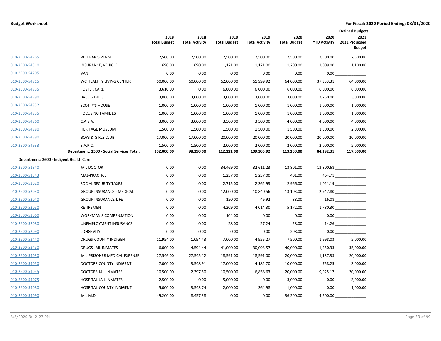|                                         |                                           | 2018<br><b>Total Budget</b> | 2018<br><b>Total Activity</b> | 2019<br><b>Total Budget</b> | 2019<br><b>Total Activity</b> | 2020<br><b>Total Budget</b> | 2020<br><b>YTD Activity</b> | <b>Defined Budgets</b><br>2021<br>2021 Proposed |  |
|-----------------------------------------|-------------------------------------------|-----------------------------|-------------------------------|-----------------------------|-------------------------------|-----------------------------|-----------------------------|-------------------------------------------------|--|
|                                         |                                           |                             |                               |                             |                               |                             |                             | <b>Budget</b>                                   |  |
| 010-2500-54265                          | <b>VETERAN'S PLAZA</b>                    | 2,500.00                    | 2,500.00                      | 2,500.00                    | 2,500.00                      | 2,500.00                    | 2,500.00                    | 2,500.00                                        |  |
| 010-2500-54310                          | INSURANCE, VEHICLE                        | 690.00                      | 690.00                        | 1,121.00                    | 1,121.00                      | 1,200.00                    | 1,009.00                    | 1,100.00                                        |  |
| 010-2500-54705                          | <b>VAN</b>                                | 0.00                        | 0.00                          | 0.00                        | 0.00                          | 0.00                        | 0.00                        |                                                 |  |
| 010-2500-54715                          | WC HEALTHY LIVING CENTER                  | 60,000.00                   | 60,000.00                     | 62,000.00                   | 61,999.92                     | 64,000.00                   | 37,333.31                   | 64,000.00                                       |  |
| 010-2500-54755                          | <b>FOSTER CARE</b>                        | 3,610.00                    | 0.00                          | 6,000.00                    | 6,000.00                      | 6,000.00                    | 6,000.00                    | 6,000.00                                        |  |
| 010-2500-54790                          | <b>BVCOG DUES</b>                         | 3,000.00                    | 3,000.00                      | 3,000.00                    | 3,000.00                      | 3,000.00                    | 2,250.00                    | 3,000.00                                        |  |
| 010-2500-54832                          | <b>SCOTTY'S HOUSE</b>                     | 1,000.00                    | 1,000.00                      | 1,000.00                    | 1,000.00                      | 1,000.00                    | 1,000.00                    | 1,000.00                                        |  |
| 010-2500-54855                          | <b>FOCUSING FAMILIES</b>                  | 1,000.00                    | 1,000.00                      | 1,000.00                    | 1,000.00                      | 1,000.00                    | 1,000.00                    | 1,000.00                                        |  |
| 010-2500-54860                          | C.A.S.A.                                  | 3,000.00                    | 3,000.00                      | 3,500.00                    | 3,500.00                      | 4,000.00                    | 4,000.00                    | 4,000.00                                        |  |
| 010-2500-54880                          | <b>HERITAGE MUSEUM</b>                    | 1,500.00                    | 1,500.00                      | 1,500.00                    | 1,500.00                      | 1,500.00                    | 1,500.00                    | 2,000.00                                        |  |
| 010-2500-54890                          | <b>BOYS &amp; GIRLS CLUB</b>              | 17,000.00                   | 17,000.00                     | 20,000.00                   | 20,000.00                     | 20,000.00                   | 20,000.00                   | 20,000.00                                       |  |
| 010-2500-54933                          | S.A.R.C.                                  | 1,500.00                    | 1,500.00                      | 2,000.00                    | 2,000.00                      | 2,000.00                    | 2,000.00                    | 2,000.00                                        |  |
|                                         | Department: 2500 - Social Services Total: | 102,000.00                  | 98,390.00                     | 112,121.00                  | 109,305.92                    | 113,200.00                  | 84,292.31                   | 117,600.00                                      |  |
| Department: 2600 - Indigent Health Care |                                           |                             |                               |                             |                               |                             |                             |                                                 |  |
| 010-2600-51340                          | <b>JAIL DOCTOR</b>                        | 0.00                        | 0.00                          | 34,469.00                   | 32,611.23                     | 13,801.00                   |                             | 13,800.68                                       |  |
| 010-2600-51343                          | <b>MAL-PRACTICE</b>                       | 0.00                        | 0.00                          | 1,237.00                    | 1,237.00                      | 401.00                      |                             | 464.71                                          |  |
| 010-2600-52020                          | SOCIAL SECURITY TAXES                     | 0.00                        | 0.00                          | 2,715.00                    | 2,362.93                      | 2,966.00                    |                             | 1,021.19                                        |  |
| 010-2600-52030                          | <b>GROUP INSURANCE - MEDICAL</b>          | 0.00                        | 0.00                          | 12,000.00                   | 10,840.56                     | 13,103.00                   |                             | 2,947.80                                        |  |
| 010-2600-52040                          | <b>GROUP INSURANCE-LIFE</b>               | 0.00                        | 0.00                          | 150.00                      | 46.92                         | 88.00                       |                             |                                                 |  |
| 010-2600-52050                          | RETIREMENT                                | 0.00                        | 0.00                          | 4,209.00                    | 4,014.30                      | 5,172.00                    |                             | 1,780.30                                        |  |
| 010-2600-52060                          | <b>WORKMAN'S COMPENSATION</b>             | 0.00                        | 0.00                          | 104.00                      | 0.00                          | 0.00                        |                             | 0.00                                            |  |
| 010-2600-52080                          | UNEMPLOYMENT INSURANCE                    | 0.00                        | 0.00                          | 28.00                       | 27.24                         | 58.00                       |                             | 14.26                                           |  |
| 010-2600-52090                          | LONGEVITY                                 | 0.00                        | 0.00                          | 0.00                        | 0.00                          | 208.00                      | 0.00                        |                                                 |  |
| 010-2600-53440                          | DRUGS-COUNTY INDIGENT                     | 11,954.00                   | 1,094.43                      | 7,000.00                    | 4,955.27                      | 7,500.00                    | 1,998.03                    | 5,000.00                                        |  |
| 010-2600-53450                          | <b>DRUGS-JAIL INMATES</b>                 | 6,000.00                    | 4,594.44                      | 41,000.00                   | 30,093.57                     | 40,000.00                   | 11,450.33                   | 35,000.00                                       |  |
| 010-2600-54030                          | JAIL-PRISONER MEDICAL EXPENSE             | 27,546.00                   | 27,545.12                     | 18,591.00                   | 18,591.00                     | 20,000.00                   | 11,137.33                   | 20,000.00                                       |  |
| 010-2600-54050                          | DOCTORS-COUNTY INDIGENT                   | 7,000.00                    | 3,548.91                      | 17,000.00                   | 4,182.70                      | 10,000.00                   | 758.25                      | 3,000.00                                        |  |
| 010-2600-54055                          | DOCTORS-JAIL INMATES                      | 10,500.00                   | 2,397.50                      | 10,500.00                   | 6,858.63                      | 20,000.00                   | 9,925.17                    | 20,000.00                                       |  |
| 010-2600-54075                          | HOSPITAL-JAIL INMATES                     | 2,500.00                    | 0.00                          | 5,000.00                    | 0.00                          | 3,000.00                    | 0.00                        | 3,000.00                                        |  |
| 010-2600-54080                          | HOSPITAL-COUNTY INDIGENT                  | 5,000.00                    | 3,543.74                      | 2,000.00                    | 364.98                        | 1,000.00                    | 0.00                        | 1,000.00                                        |  |
| 010-2600-54090                          | JAIL M.D.                                 | 49,200.00                   | 8,457.38                      | 0.00                        | 0.00                          | 36,200.00                   | 14,200.00                   |                                                 |  |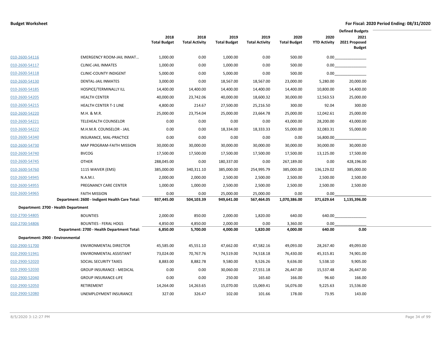|                                                    |                                                |                             |                               |                             |                               |                             |                             | <b>Defined Budgets</b>                 |  |
|----------------------------------------------------|------------------------------------------------|-----------------------------|-------------------------------|-----------------------------|-------------------------------|-----------------------------|-----------------------------|----------------------------------------|--|
|                                                    |                                                | 2018<br><b>Total Budget</b> | 2018<br><b>Total Activity</b> | 2019<br><b>Total Budget</b> | 2019<br><b>Total Activity</b> | 2020<br><b>Total Budget</b> | 2020<br><b>YTD Activity</b> | 2021<br>2021 Proposed<br><b>Budget</b> |  |
| 010-2600-54116                                     | <b>EMERGENCY ROOM-JAIL INMAT</b>               | 1,000.00                    | 0.00                          | 1,000.00                    | 0.00                          | 500.00                      | 0.00                        |                                        |  |
| 010-2600-54117                                     | <b>CLINIC-JAIL INMATES</b>                     | 1,000.00                    | 0.00                          | 1,000.00                    | 0.00                          | 500.00                      | 0.00                        |                                        |  |
| 010-2600-54118                                     | <b>CLINIC-COUNTY INDIGENT</b>                  | 5,000.00                    | 0.00                          | 5,000.00                    | 0.00                          | 500.00                      | $0.00\,$                    |                                        |  |
| 010-2600-54130                                     | <b>DENTAL-JAIL INMATES</b>                     | 3,000.00                    | 0.00                          | 18,567.00                   | 18,567.00                     | 23,000.00                   | 5,280.00                    | 20,000.00                              |  |
| 010-2600-54185                                     | HOSPICE/TERMINALLY ILL                         | 14,400.00                   | 14,400.00                     | 14,400.00                   | 14,400.00                     | 14,400.00                   | 10,800.00                   | 14,400.00                              |  |
| 010-2600-54205                                     | <b>HEALTH CENTER</b>                           | 40,000.00                   | 23,742.06                     | 40,000.00                   | 18,600.32                     | 30,000.00                   | 12,563.53                   | 25,000.00                              |  |
| 010-2600-54215                                     | <b>HEALTH CENTER T-1 LINE</b>                  | 4,800.00                    | 214.67                        | 27,500.00                   | 25,216.50                     | 300.00                      | 92.04                       | 300.00                                 |  |
| 010-2600-54220                                     | M.H. & M.R.                                    | 25,000.00                   | 23,754.04                     | 25,000.00                   | 23,664.78                     | 25,000.00                   | 12,042.61                   | 25,000.00                              |  |
| 010-2600-54221                                     | <b>TELEHEALTH COUNSELOR</b>                    | 0.00                        | 0.00                          | 0.00                        | 0.00                          | 43,000.00                   | 28,200.00                   | 43,000.00                              |  |
| 010-2600-54222                                     | M.H.M.R. COUNSELOR - JAIL                      | 0.00                        | 0.00                          | 18,334.00                   | 18,333.33                     | 55,000.00                   | 32,083.31                   | 55,000.00                              |  |
| 010-2600-54340                                     | INSURANCE, MAL-PRACTICE                        | 0.00                        | 0.00                          | 0.00                        | 0.00                          | 0.00                        | 16,800.00                   |                                        |  |
| 010-2600-54730                                     | MAP PROGRAM-FAITH MISSION                      | 30,000.00                   | 30,000.00                     | 30,000.00                   | 30,000.00                     | 30,000.00                   | 30,000.00                   | 30,000.00                              |  |
| 010-2600-54740                                     | <b>BVCOG</b>                                   | 17,500.00                   | 17,500.00                     | 17,500.00                   | 17,500.00                     | 17,500.00                   | 13,125.00                   | 17,500.00                              |  |
| 010-2600-54745                                     | <b>OTHER</b>                                   | 288,045.00                  | 0.00                          | 180,337.00                  | 0.00                          | 267,189.00                  | 0.00                        | 428,196.00                             |  |
| 010-2600-54760                                     | 1115 WAIVER (EMS)                              | 385,000.00                  | 340,311.10                    | 385,000.00                  | 254,995.79                    | 385,000.00                  | 136,129.02                  | 385,000.00                             |  |
| 010-2600-54945                                     | N.A.M.I.                                       | 2,000.00                    | 2,000.00                      | 2,500.00                    | 2,500.00                      | 2,500.00                    | 2,500.00                    | 2,500.00                               |  |
| 010-2600-54955                                     | PREGNANCY CARE CENTER                          | 1,000.00                    | 1,000.00                      | 2,500.00                    | 2,500.00                      | 2,500.00                    | 2,500.00                    | 2,500.00                               |  |
| 010-2600-54965                                     | <b>FAITH MISSION</b>                           | 0.00                        | 0.00                          | 25,000.00                   | 25,000.00                     | 0.00                        | 0.00                        |                                        |  |
|                                                    | Department: 2600 - Indigent Health Care Total: | 937,445.00                  | 504,103.39                    | 949,641.00                  | 567,464.05                    | 1,070,386.00                | 371,629.64                  | 1,135,396.00                           |  |
| Department: 2700 - Health Department               |                                                |                             |                               |                             |                               |                             |                             |                                        |  |
| 010-2700-54805                                     | <b>BOUNTIES</b>                                | 2,000.00                    | 850.00                        | 2,000.00                    | 1,820.00                      | 640.00                      | 640.00                      |                                        |  |
| 010-2700-54806                                     | <b>BOUNTIES - FERAL HOGS</b>                   | 4,850.00                    | 4,850.00                      | 2,000.00                    | 0.00                          | 3,360.00                    | 0.00                        |                                        |  |
|                                                    | Department: 2700 - Health Department Total:    | 6,850.00                    | 5,700.00                      | 4,000.00                    | 1,820.00                      | 4,000.00                    | 640.00                      | 0.00                                   |  |
| Department: 2900 - Environmental<br>010-2900-51700 | <b>ENVIRONMENTAL DIRECTOR</b>                  | 45,585.00                   | 45,551.10                     | 47,662.00                   | 47,582.16                     | 49,093.00                   | 28,267.40                   | 49,093.00                              |  |
| 010-2900-51941                                     | ENVIRONMENTAL ASSISTANT                        | 73,024.00                   | 70,767.76                     | 74,519.00                   | 74,518.18                     | 76,430.00                   | 45,315.81                   | 74,901.00                              |  |
| 010-2900-52020                                     | SOCIAL SECURITY TAXES                          | 8,883.00                    | 8,882.78                      | 9,580.00                    | 9,526.26                      | 9,636.00                    | 5,538.10                    | 9,905.00                               |  |
| 010-2900-52030                                     | <b>GROUP INSURANCE - MEDICAL</b>               | 0.00                        | 0.00                          | 30,060.00                   | 27,551.18                     | 26,447.00                   | 15,537.48                   | 26,447.00                              |  |
|                                                    |                                                |                             |                               |                             |                               |                             |                             |                                        |  |
| 010-2900-52040<br>010-2900-52050                   | <b>GROUP INSURANCE-LIFE</b>                    | 0.00                        | 0.00                          | 250.00<br>15,070.00         | 165.60<br>15,069.41           | 166.00                      | 96.60<br>9,225.63           | 166.00                                 |  |
|                                                    | RETIREMENT                                     | 14,264.00                   | 14,263.65                     |                             |                               | 16,076.00                   |                             | 15,536.00                              |  |
| 010-2900-52080                                     | UNEMPLOYMENT INSURANCE                         | 327.00                      | 326.47                        | 102.00                      | 101.66                        | 178.00                      | 73.95                       | 143.00                                 |  |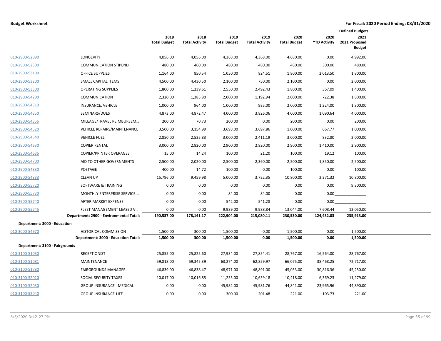|                                |                                                                      |                             |                               |                             |                               |                             |                             | <b>Defined Budgets</b>                 |  |
|--------------------------------|----------------------------------------------------------------------|-----------------------------|-------------------------------|-----------------------------|-------------------------------|-----------------------------|-----------------------------|----------------------------------------|--|
|                                |                                                                      | 2018<br><b>Total Budget</b> | 2018<br><b>Total Activity</b> | 2019<br><b>Total Budget</b> | 2019<br><b>Total Activity</b> | 2020<br><b>Total Budget</b> | 2020<br><b>YTD Activity</b> | 2021<br>2021 Proposed<br><b>Budget</b> |  |
| 010-2900-52090                 | LONGEVITY                                                            | 4,056.00                    | 4,056.00                      | 4,368.00                    | 4,368.00                      | 4,680.00                    | 0.00                        | 4,992.00                               |  |
| 010-2900-52300                 | <b>COMMUNICATION STIPEND</b>                                         | 480.00                      | 460.00                        | 480.00                      | 480.00                        | 480.00                      | 300.00                      | 480.00                                 |  |
| 010-2900-53100                 | <b>OFFICE SUPPLIES</b>                                               | 1,164.00                    | 850.54                        | 1,050.00                    | 824.51                        | 1,800.00                    | 2,013.50                    | 1,800.00                               |  |
| 010-2900-53200                 | SMALL CAPITAL ITEMS                                                  | 4,500.00                    | 4,430.50                      | 2,100.00                    | 750.00                        | 2,100.00                    | 0.00                        | 2,000.00                               |  |
| 010-2900-53300                 | <b>OPERATING SUPPLIES</b>                                            | 1,800.00                    | 1,239.61                      | 2,550.00                    | 2,492.43                      | 1,800.00                    | 367.09                      | 1,400.00                               |  |
| 010-2900-54200                 | <b>COMMUNICATION</b>                                                 | 2,320.00                    | 1,385.80                      | 2,000.00                    | 1,192.94                      | 2,000.00                    | 722.38                      | 1,800.00                               |  |
| 010-2900-54310                 | INSURANCE, VEHICLE                                                   | 1,000.00                    | 964.00                        | 1,000.00                    | 985.00                        | 2,000.00                    | 1,224.00                    | 1,300.00                               |  |
| 010-2900-54350                 | SEMINARS/DUES                                                        | 4,873.00                    | 4,872.47                      | 4,000.00                    | 3,826.06                      | 4,000.00                    | 1,090.64                    | 4,000.00                               |  |
| 010-2900-54355                 | MILEAGE/TRAVEL REIMBURSEM                                            | 200.00                      | 70.73                         | 200.00                      | 0.00                          | 200.00                      | 0.00                        | 200.00                                 |  |
| 010-2900-54520                 | <b>VEHICLE REPAIRS/MAINTENANCE</b>                                   | 3,500.00                    | 3,154.99                      | 3,698.00                    | 3,697.86                      | 1,000.00                    | 667.77                      | 1,000.00                               |  |
| 010-2900-54540                 | <b>VEHICLE FUEL</b>                                                  | 2,850.00                    | 2,535.83                      | 3,000.00                    | 2,411.19                      | 3,000.00                    | 832.80                      | 2,000.00                               |  |
| 010-2900-54630                 | <b>COPIER RENTAL</b>                                                 | 3,000.00                    | 2,820.00                      | 2,900.00                    | 2,820.00                      | 2,900.00                    | 1,410.00                    | 2,900.00                               |  |
| 010-2900-54635                 | <b>COPIER/PRINTER OVERAGES</b>                                       | 15.00                       | 14.24                         | 100.00                      | 21.20                         | 100.00                      | 19.12                       | 100.00                                 |  |
| 010-2900-54700                 | AID TO OTHER GOVERNMENTS                                             | 2,500.00                    | 2,020.00                      | 2,500.00                    | 2,360.00                      | 2,500.00                    | 1,850.00                    | 2,500.00                               |  |
| 010-2900-54830                 | POSTAGE                                                              | 400.00                      | 14.72                         | 100.00                      | 0.00                          | 100.00                      | 0.00                        | 100.00                                 |  |
| 010-2900-54833                 | <b>CLEAN UP</b>                                                      | 15,796.00                   | 9,459.98                      | 5,000.00                    | 3,722.35                      | 10,800.00                   | 2,271.32                    | 10,800.00                              |  |
| 010-2900-55720                 | SOFTWARE & TRAINING                                                  | 0.00                        | 0.00                          | 0.00                        | 0.00                          | 0.00                        | 0.00                        | 9,300.00                               |  |
| 010-2900-55730                 | MONTHLY ENTERPRISE SERVICE                                           | 0.00                        | 0.00                          | 84.00                       | 84.00                         | 0.00                        | 0.00                        |                                        |  |
| 010-2900-55740                 | AFTER MARKET EXPENSE                                                 | 0.00                        | 0.00                          | 542.00                      | 541.28                        | 0.00                        | 0.00                        |                                        |  |
| 010-2900-55745                 | FLEET MANAGEMENT LEASED V<br>Department: 2900 - Environmental Total: | 0.00<br>190,537.00          | 0.00<br>178,141.17            | 9,989.00<br>222,904.00      | 9,988.84<br>215,080.11        | 13,044.00<br>230,530.00     | 7,608.44<br>124,432.03      | 13,050.00<br>235,913.00                |  |
| Department: 3000 - Education   |                                                                      |                             |                               |                             |                               |                             |                             |                                        |  |
| 010-3000-54970                 | HISTORICAL COMMISSION                                                | 1,500.00                    | 300.00                        | 1,500.00                    | 0.00                          | 1,500.00                    | 0.00                        | 1,500.00                               |  |
|                                | Department: 3000 - Education Total:                                  | 1,500.00                    | 300.00                        | 1,500.00                    | 0.00                          | 1,500.00                    | 0.00                        | 1,500.00                               |  |
| Department: 3100 - Fairgrounds |                                                                      |                             |                               |                             |                               |                             |                             |                                        |  |
| 010-3100-51030                 | <b>RECEPTIONIST</b>                                                  | 25,855.00                   | 25,825.60                     | 27,934.00                   | 27,854.41                     | 28,767.00                   | 16,564.00                   | 28,767.00                              |  |
| 010-3100-51081                 | MAINTENANCE                                                          | 59,818.00                   | 59,345.39                     | 63,274.00                   | 62,859.97                     | 66,075.00                   | 38,468.25                   | 72,717.00                              |  |
| 010-3100-51780                 | <b>FAIRGROUNDS MANAGER</b>                                           | 46,839.00                   | 46,838.47                     | 48,971.00                   | 48,891.00                     | 45,033.00                   | 30,816.36                   | 45,250.00                              |  |
| 010-3100-52020                 | SOCIAL SECURITY TAXES                                                | 10,017.00                   | 10,016.85                     | 11,255.00                   | 10,659.18                     | 10,418.00                   | 6,369.23                    | 11,279.00                              |  |
| 010-3100-52030                 | <b>GROUP INSURANCE - MEDICAL</b>                                     | 0.00                        | 0.00                          | 45,982.00                   | 45,981.76                     | 44,841.00                   | 23,965.96                   | 44,890.00                              |  |
| 010-3100-52040                 | <b>GROUP INSURANCE-LIFE</b>                                          | 0.00                        | 0.00                          | 300.00                      | 201.48                        | 221.00                      | 103.73                      | 221.00                                 |  |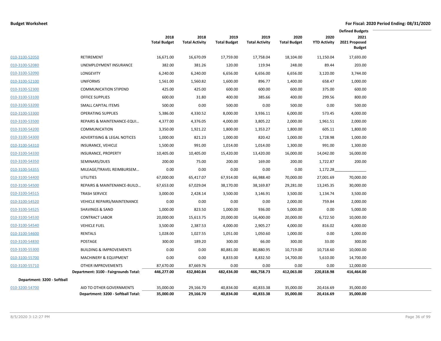|                             |                                                                    |                             |                               |                             |                               |                             |                             | <b>Defined Budgets</b>                 |
|-----------------------------|--------------------------------------------------------------------|-----------------------------|-------------------------------|-----------------------------|-------------------------------|-----------------------------|-----------------------------|----------------------------------------|
|                             |                                                                    | 2018<br><b>Total Budget</b> | 2018<br><b>Total Activity</b> | 2019<br><b>Total Budget</b> | 2019<br><b>Total Activity</b> | 2020<br><b>Total Budget</b> | 2020<br><b>YTD Activity</b> | 2021<br>2021 Proposed<br><b>Budget</b> |
| 010-3100-52050              | RETIREMENT                                                         | 16,671.00                   | 16,670.09                     | 17,759.00                   | 17,758.04                     | 18,104.00                   | 11,150.04                   | 17,693.00                              |
| 010-3100-52080              | UNEMPLOYMENT INSURANCE                                             | 382.00                      | 381.26                        | 120.00                      | 119.94                        | 248.00                      | 89.44                       | 203.00                                 |
| 010-3100-52090              | LONGEVITY                                                          | 6,240.00                    | 6,240.00                      | 6,656.00                    | 6,656.00                      | 6,656.00                    | 3,120.00                    | 3,744.00                               |
| 010-3100-52100              | <b>UNIFORMS</b>                                                    | 1,561.00                    | 1,560.82                      | 1,600.00                    | 896.77                        | 1,400.00                    | 658.47                      | 1,000.00                               |
| 010-3100-52300              | <b>COMMUNICATION STIPEND</b>                                       | 425.00                      | 425.00                        | 600.00                      | 600.00                        | 600.00                      | 375.00                      | 600.00                                 |
| 010-3100-53100              | <b>OFFICE SUPPLIES</b>                                             | 600.00                      | 31.80                         | 400.00                      | 385.66                        | 400.00                      | 299.56                      | 800.00                                 |
| 010-3100-53200              | SMALL CAPITAL ITEMS                                                | 500.00                      | 0.00                          | 500.00                      | 0.00                          | 500.00                      | 0.00                        | 500.00                                 |
| 010-3100-53300              | <b>OPERATING SUPPLIES</b>                                          | 5,386.00                    | 4,330.52                      | 8,000.00                    | 3,936.11                      | 6,000.00                    | 573.45                      | 4,000.00                               |
| 010-3100-53500              | REPAIRS & MAINTENANCE-EQUI                                         | 4,377.00                    | 4,376.05                      | 4,000.00                    | 3,805.22                      | 2,000.00                    | 1,961.51                    | 2,000.00                               |
| 010-3100-54200              | <b>COMMUNICATION</b>                                               | 3,350.00                    | 1,921.22                      | 1,800.00                    | 1,353.27                      | 1,800.00                    | 605.11                      | 1,800.00                               |
| 010-3100-54300              | ADVERTISING & LEGAL NOTICES                                        | 1,000.00                    | 821.23                        | 1,000.00                    | 820.42                        | 1,000.00                    | 1,728.98                    | 1,000.00                               |
| 010-3100-54310              | INSURANCE, VEHICLE                                                 | 1,500.00                    | 991.00                        | 1,014.00                    | 1,014.00                      | 1,300.00                    | 991.00                      | 1,300.00                               |
| 010-3100-54330              | <b>INSURANCE, PROPERTY</b>                                         | 10,405.00                   | 10,405.00                     | 15,420.00                   | 13,420.00                     | 16,000.00                   | 14,042.00                   | 16,000.00                              |
| 010-3100-54350              | SEMINARS/DUES                                                      | 200.00                      | 75.00                         | 200.00                      | 169.00                        | 200.00                      | 1,722.87                    | 200.00                                 |
| 010-3100-54355              | MILEAGE/TRAVEL REIMBURSEM                                          | 0.00                        | 0.00                          | 0.00                        | 0.00                          | 0.00                        | 1,172.28                    |                                        |
| 010-3100-54400              | UTILITIES                                                          | 67,000.00                   | 65,417.07                     | 67,914.00                   | 66,988.40                     | 70,000.00                   | 27,001.69                   | 70,000.00                              |
| 010-3100-54500              | REPAIRS & MAINTENANCE-BUILD                                        | 67,653.00                   | 67,029.04                     | 38,170.00                   | 38,169.87                     | 29,281.00                   | 13,245.35                   | 30,000.00                              |
| 010-3100-54515              | <b>TRASH SERVICE</b>                                               | 3,000.00                    | 2,428.14                      | 3,500.00                    | 3,146.91                      | 3,500.00                    | 1,134.74                    | 3,500.00                               |
| 010-3100-54520              | <b>VEHICLE REPAIRS/MAINTENANCE</b>                                 | 0.00                        | 0.00                          | 0.00                        | 0.00                          | 2,000.00                    | 759.84                      | 2,000.00                               |
| 010-3100-54525              | <b>SHAVINGS &amp; SAND</b>                                         | 1,000.00                    | 823.50                        | 1,000.00                    | 936.00                        | 5,000.00                    | 0.00                        | 5,000.00                               |
| 010-3100-54530              | <b>CONTRACT LABOR</b>                                              | 20,000.00                   | 15,613.75                     | 20,000.00                   | 16,400.00                     | 20,000.00                   | 6,722.50                    | 10,000.00                              |
| 010-3100-54540              | <b>VEHICLE FUEL</b>                                                | 3,500.00                    | 2,387.53                      | 4,000.00                    | 2,905.27                      | 4,000.00                    | 816.02                      | 4,000.00                               |
| 010-3100-54600              | <b>RENTALS</b>                                                     | 1,028.00                    | 1,027.55                      | 1,051.00                    | 1,050.60                      | 1,000.00                    | 0.00                        | 1,000.00                               |
| 010-3100-54830              | POSTAGE                                                            | 300.00                      | 189.20                        | 300.00                      | 66.00                         | 300.00                      | 33.00                       | 300.00                                 |
| 010-3100-55300              | <b>BUILDING &amp; IMPROVEMENTS</b>                                 | 0.00                        | 0.00                          | 80,881.00                   | 80,880.95                     | 10,719.00                   | 10,718.60                   | 10,000.00                              |
| 010-3100-55700              | <b>MACHINERY &amp; EQUIPMENT</b>                                   | 0.00                        | 0.00                          | 8,833.00                    | 8,832.50                      | 14,700.00                   | 5,610.00                    | 14,700.00                              |
| 010-3100-55710              | <b>OTHER IMPROVEMENTS</b><br>Department: 3100 - Fairgrounds Total: | 87,670.00<br>446,277.00     | 87,669.76<br>432,840.84       | 0.00<br>482,434.00          | 0.00<br>466,758.73            | 0.00<br>412,063.00          | 0.00<br>220,818.98          | 12,000.00<br>416,464.00                |
| Department: 3200 - Softball |                                                                    |                             |                               |                             |                               |                             |                             |                                        |
| 010-3200-54700              | AID TO OTHER GOVERNMENTS<br>Department: 3200 - Softball Total:     | 35,000.00<br>35,000.00      | 29,166.70<br>29,166.70        | 40,834.00<br>40,834.00      | 40,833.38<br>40,833.38        | 35,000.00<br>35,000.00      | 20,416.69<br>20,416.69      | 35,000.00<br>35,000.00                 |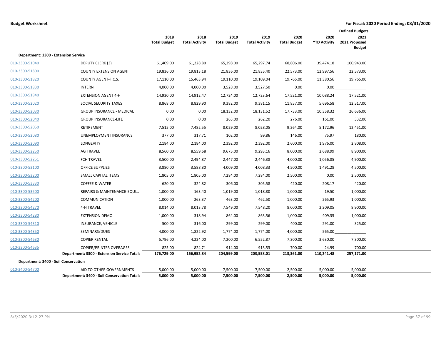|                |                                             |                             |                               |                             |                               |                             |                             | <b>Defined Budgets</b>                 |  |
|----------------|---------------------------------------------|-----------------------------|-------------------------------|-----------------------------|-------------------------------|-----------------------------|-----------------------------|----------------------------------------|--|
|                |                                             | 2018<br><b>Total Budget</b> | 2018<br><b>Total Activity</b> | 2019<br><b>Total Budget</b> | 2019<br><b>Total Activity</b> | 2020<br><b>Total Budget</b> | 2020<br><b>YTD Activity</b> | 2021<br>2021 Proposed<br><b>Budget</b> |  |
|                | Department: 3300 - Extension Service        |                             |                               |                             |                               |                             |                             |                                        |  |
| 010-3300-51040 | <b>DEPUTY CLERK (3)</b>                     | 61,409.00                   | 61,228.80                     | 65,298.00                   | 65,297.74                     | 68,806.00                   | 39,474.18                   | 100,943.00                             |  |
| 010-3300-51800 | <b>COUNTY EXTENSION AGENT</b>               | 19,836.00                   | 19,813.18                     | 21,836.00                   | 21,835.40                     | 22,573.00                   | 12,997.56                   | 22,573.00                              |  |
| 010-3300-51820 | COUNTY AGENT-F.C.S.                         | 17,110.00                   | 15,463.94                     | 19,110.00                   | 19,109.04                     | 19,765.00                   | 11,380.56                   | 19,765.00                              |  |
| 010-3300-51830 | <b>INTERN</b>                               | 4,000.00                    | 4,000.00                      | 3,528.00                    | 3,527.50                      | 0.00                        | 0.00                        |                                        |  |
| 010-3300-51840 | <b>EXTENSION AGENT 4-H</b>                  | 14,930.00                   | 14,912.47                     | 12,724.00                   | 12,723.64                     | 17,521.00                   | 10,088.24                   | 17,521.00                              |  |
| 010-3300-52020 | SOCIAL SECURITY TAXES                       | 8,868.00                    | 8,829.90                      | 9,382.00                    | 9,381.15                      | 11,857.00                   | 5,696.58                    | 12,517.00                              |  |
| 010-3300-52030 | <b>GROUP INSURANCE - MEDICAL</b>            | 0.00                        | 0.00                          | 18,132.00                   | 18,131.52                     | 17,733.00                   | 10,358.32                   | 26,636.00                              |  |
| 010-3300-52040 | <b>GROUP INSURANCE-LIFE</b>                 | 0.00                        | 0.00                          | 263.00                      | 262.20                        | 276.00                      | 161.00                      | 332.00                                 |  |
| 010-3300-52050 | <b>RETIREMENT</b>                           | 7,515.00                    | 7,482.55                      | 8,029.00                    | 8,028.05                      | 9,264.00                    | 5,172.96                    | 12,451.00                              |  |
| 010-3300-52080 | UNEMPLOYMENT INSURANCE                      | 377.00                      | 317.71                        | 102.00                      | 99.86                         | 146.00                      | 75.97                       | 180.00                                 |  |
| 010-3300-52090 | LONGEVITY                                   | 2,184.00                    | 2,184.00                      | 2,392.00                    | 2,392.00                      | 2,600.00                    | 1,976.00                    | 2,808.00                               |  |
| 010-3300-52250 | <b>AG TRAVEL</b>                            | 8,560.00                    | 8,559.68                      | 9,675.00                    | 9,293.16                      | 8,000.00                    | 2,688.99                    | 8,900.00                               |  |
| 010-3300-52251 | <b>FCH TRAVEL</b>                           | 3,500.00                    | 2,494.87                      | 2,447.00                    | 2,446.38                      | 4,000.00                    | 1,056.85                    | 4,900.00                               |  |
| 010-3300-53100 | <b>OFFICE SUPPLIES</b>                      | 3,880.00                    | 3,588.80                      | 4,009.00                    | 4,008.33                      | 4,500.00                    | 1,491.28                    | 4,500.00                               |  |
| 010-3300-53200 | SMALL CAPITAL ITEMS                         | 1,805.00                    | 1,805.00                      | 7,284.00                    | 7,284.00                      | 2,500.00                    | 0.00                        | 2,500.00                               |  |
| 010-3300-53330 | <b>COFFEE &amp; WATER</b>                   | 620.00                      | 324.82                        | 306.00                      | 305.58                        | 420.00                      | 208.17                      | 420.00                                 |  |
| 010-3300-53500 | REPAIRS & MAINTENANCE-EQUI                  | 1,000.00                    | 163.40                        | 1,019.00                    | 1,018.80                      | 1,000.00                    | 19.50                       | 1,000.00                               |  |
| 010-3300-54200 | <b>COMMUNICATION</b>                        | 1,000.00                    | 263.37                        | 463.00                      | 462.50                        | 1,000.00                    | 265.93                      | 1,000.00                               |  |
| 010-3300-54270 | <b>4-H TRAVEL</b>                           | 8,014.00                    | 8,013.78                      | 7,549.00                    | 7,548.20                      | 8,000.00                    | 2,209.05                    | 8,900.00                               |  |
| 010-3300-54280 | <b>EXTENSION DEMO</b>                       | 1,000.00                    | 318.94                        | 864.00                      | 863.56                        | 1,000.00                    | 409.35                      | 1,000.00                               |  |
| 010-3300-54310 | INSURANCE, VEHICLE                          | 500.00                      | 316.00                        | 299.00                      | 299.00                        | 400.00                      | 291.00                      | 325.00                                 |  |
| 010-3300-54350 | SEMINARS/DUES                               | 4,000.00                    | 1,822.92                      | 1,774.00                    | 1,774.00                      | 4,000.00                    | 565.00                      |                                        |  |
| 010-3300-54630 | <b>COPIER RENTAL</b>                        | 5,796.00                    | 4,224.00                      | 7,200.00                    | 6,552.87                      | 7,300.00                    | 3,630.00                    | 7,300.00                               |  |
| 010-3300-54635 | <b>COPIER/PRINTER OVERAGES</b>              | 825.00                      | 824.71                        | 914.00                      | 913.53                        | 700.00                      | 24.99                       | 700.00                                 |  |
|                | Department: 3300 - Extension Service Total: | 176,729.00                  | 166,952.84                    | 204,599.00                  | 203,558.01                    | 213,361.00                  | 110,241.48                  | 257,171.00                             |  |
|                | Department: 3400 - Soil Conservation        |                             |                               |                             |                               |                             |                             |                                        |  |
| 010-3400-54700 | AID TO OTHER GOVERNMENTS                    | 5,000.00                    | 5,000.00                      | 7,500.00                    | 7,500.00                      | 2,500.00                    | 5,000.00                    | 5,000.00                               |  |
|                | Department: 3400 - Soil Conservation Total: | 5,000.00                    | 5,000.00                      | 7,500.00                    | 7,500.00                      | 2,500.00                    | 5,000.00                    | 5,000.00                               |  |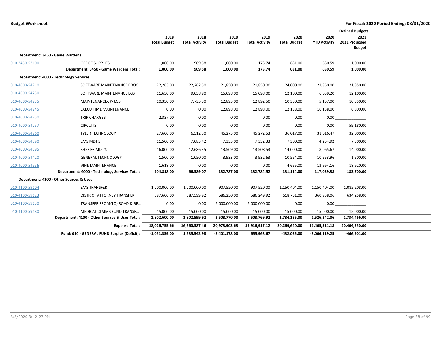|                |                                                |                     |                       |                     |                       |                     |                     | <b>Defined Budgets</b> |  |
|----------------|------------------------------------------------|---------------------|-----------------------|---------------------|-----------------------|---------------------|---------------------|------------------------|--|
|                |                                                | 2018                | 2018                  | 2019                | 2019                  | 2020                | 2020                | 2021                   |  |
|                |                                                | <b>Total Budget</b> | <b>Total Activity</b> | <b>Total Budget</b> | <b>Total Activity</b> | <b>Total Budget</b> | <b>YTD Activity</b> | 2021 Proposed          |  |
|                |                                                |                     |                       |                     |                       |                     |                     | <b>Budget</b>          |  |
|                | Department: 3450 - Game Wardens                |                     |                       |                     |                       |                     |                     |                        |  |
| 010-3450-53100 | <b>OFFICE SUPPLIES</b>                         | 1,000.00            | 909.58                | 1,000.00            | 173.74                | 631.00              | 630.59              | 1,000.00               |  |
|                | Department: 3450 - Game Wardens Total:         | 1,000.00            | 909.58                | 1,000.00            | 173.74                | 631.00              | 630.59              | 1,000.00               |  |
|                | Department: 4000 - Technology Services         |                     |                       |                     |                       |                     |                     |                        |  |
| 010-4000-54210 | SOFTWARE MAINTENANCE EDOC                      | 22,263.00           | 22,262.50             | 21,850.00           | 21,850.00             | 24,000.00           | 21,850.00           | 21,850.00              |  |
| 010-4000-54230 | SOFTWARE MAINTENANCE LGS                       | 11,650.00           | 9,058.80              | 15,098.00           | 15,098.00             | 12,100.00           | 6,039.20            | 12,100.00              |  |
| 010-4000-54235 | MAINTENANCE-JP-LGS                             | 10,350.00           | 7,735.50              | 12,893.00           | 12,892.50             | 10,350.00           | 5,157.00            | 10,350.00              |  |
| 010-4000-54245 | <b>EXECU TIME MAINTENANCE</b>                  | 0.00                | 0.00                  | 12,898.00           | 12,898.00             | 12,138.00           | 16,138.00           | 6,800.00               |  |
| 010-4000-54250 | <b>TRIP CHARGES</b>                            | 2,337.00            | 0.00                  | 0.00                | 0.00                  | 0.00                | 0.00                |                        |  |
| 010-4000-54257 | <b>CIRCUITS</b>                                | 0.00                | 0.00                  | 0.00                | 0.00                  | 0.00                | 0.00                | 59,180.00              |  |
| 010-4000-54260 | <b>TYLER TECHNOLOGY</b>                        | 27,600.00           | 6,512.50              | 45,273.00           | 45,272.53             | 36,017.00           | 31,016.47           | 32,000.00              |  |
| 010-4000-54390 | <b>EMS MDT'S</b>                               | 11,500.00           | 7,083.42              | 7,333.00            | 7,332.33              | 7,300.00            | 4,254.92            | 7,300.00               |  |
| 010-4000-54395 | SHERIFF MDT'S                                  | 16,000.00           | 12,686.35             | 13,509.00           | 13,508.53             | 14,000.00           | 8,065.67            | 14,000.00              |  |
| 010-4000-54420 | <b>GENERAL TECHNOLOGY</b>                      | 1,500.00            | 1,050.00              | 3,933.00            | 3,932.63              | 10,554.00           | 10,553.96           | 1,500.00               |  |
| 010-4000-54556 | <b>VINE MAINTENANCE</b>                        | 1,618.00            | 0.00                  | 0.00                | 0.00                  | 4,655.00            | 13,964.16           | 18,620.00              |  |
|                | Department: 4000 - Technology Services Total:  | 104,818.00          | 66,389.07             | 132,787.00          | 132,784.52            | 131,114.00          | 117,039.38          | 183,700.00             |  |
|                | Department: 4100 - Other Sources & Uses        |                     |                       |                     |                       |                     |                     |                        |  |
| 010-4100-59104 | <b>EMS TRANSFER</b>                            | 1,200,000.00        | 1,200,000.00          | 907,520.00          | 907,520.00            | 1,150,404.00        | 1,150,404.00        | 1,085,208.00           |  |
| 010-4100-59123 | DISTRICT ATTORNEY TRANSFER                     | 587,600.00          | 587,599.92            | 586,250.00          | 586,249.92            | 618,751.00          | 360,938.06          | 634,258.00             |  |
| 010-4100-59150 | TRANSFER FROM(TO) ROAD & BR                    | 0.00                | 0.00                  | 2,000,000.00        | 2,000,000.00          | 0.00                | 0.00                |                        |  |
| 010-4100-59180 | MEDICAL CLAIMS FUND TRANSF                     | 15,000.00           | 15,000.00             | 15,000.00           | 15,000.00             | 15,000.00           | 15,000.00           | 15,000.00              |  |
|                | Department: 4100 - Other Sources & Uses Total: | 1,802,600.00        | 1,802,599.92          | 3,508,770.00        | 3,508,769.92          | 1,784,155.00        | 1,526,342.06        | 1,734,466.00           |  |
|                | <b>Expense Total:</b>                          | 18,026,755.66       | 16,960,387.46         | 20,973,903.63       | 19,916,917.12         | 20,269,640.00       | 11,405,311.18       | 20,404,550.00          |  |
|                | Fund: 010 - GENERAL FUND Surplus (Deficit):    | $-1,051,339.00$     | 1,535,542.98          | $-2,401,178.00$     | 655,968.67            | -432,025.00         | $-3,006,119.25$     | $-466,901.00$          |  |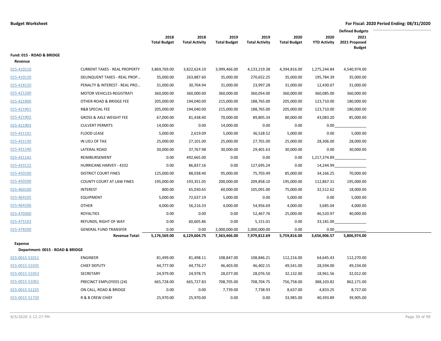|                                                    |                                      |                             |                               |                             |                               |                             |                             | <b>Defined Budgets</b>                 |  |
|----------------------------------------------------|--------------------------------------|-----------------------------|-------------------------------|-----------------------------|-------------------------------|-----------------------------|-----------------------------|----------------------------------------|--|
|                                                    |                                      | 2018<br><b>Total Budget</b> | 2018<br><b>Total Activity</b> | 2019<br><b>Total Budget</b> | 2019<br><b>Total Activity</b> | 2020<br><b>Total Budget</b> | 2020<br><b>YTD Activity</b> | 2021<br>2021 Proposed<br><b>Budget</b> |  |
| Fund: 015 - ROAD & BRIDGE<br>Revenue               |                                      |                             |                               |                             |                               |                             |                             |                                        |  |
| 015-410110                                         | <b>CURRENT TAXES - REAL PROPERTY</b> | 3,869,769.00                | 3,822,624.10                  | 3,999,466.00                | 4,133,219.38                  | 4,394,816.00                | 1,275,244.84                | 4,540,974.00                           |  |
| 015-410120                                         | DELINQUENT TAXES - REAL PROP         | 35,000.00                   | 263,887.60                    | 35,000.00                   | 270,652.25                    | 35,000.00                   | 195,784.39                  | 35,000.00                              |  |
| 015-418120                                         | PENALTY & INTEREST - REAL PRO        | 31,000.00                   | 30,704.94                     | 31,000.00                   | 23,997.28                     | 31,000.00                   | 12,430.07                   | 31,000.00                              |  |
| 015-421200                                         | <b>MOTOR VEHICLES-REGISTRATI</b>     | 360,000.00                  | 360,000.00                    | 360,000.00                  | 360,054.00                    | 360,000.00                  | 360,085.00                  | 360,000.00                             |  |
| 015-421900                                         | OTHER-ROAD & BRIDGE FEE              | 205,000.00                  | 194,040.00                    | 215,000.00                  | 188,765.00                    | 205,000.00                  | 123,710.00                  | 180,000.00                             |  |
| 015-421901                                         | <b>R&amp;B SPECIAL FEE</b>           | 205,000.00                  | 194,040.00                    | 215,000.00                  | 188,765.00                    | 205,000.00                  | 123,710.00                  | 180,000.00                             |  |
| 015-421902                                         | <b>GROSS &amp; AXLE WEIGHT FEE</b>   | 67,000.00                   | 81,438.40                     | 70,000.00                   | 89,805.34                     | 80,000.00                   | 43,083.20                   | 85,000.00                              |  |
| 015-421903                                         | <b>CULVERT PERMITS</b>               | 14,000.00                   | 0.00                          | 14,000.00                   | 0.00                          | 0.00                        | 0.00                        |                                        |  |
| 015-431101                                         | <b>FLOOD LEASE</b>                   | 5,000.00                    | 2,619.09                      | 5,000.00                    | 36,528.52                     | 5,000.00                    | 0.00                        | 5,000.00                               |  |
| 015-431130                                         | IN LIEU OF TAX                       | 25,000.00                   | 27,101.00                     | 25,000.00                   | 27,701.00                     | 25,000.00                   | 28,306.00                   | 28,000.00                              |  |
| 015-431140                                         | LATERAL ROAD                         | 30,000.00                   | 37,767.98                     | 30,000.00                   | 29,401.63                     | 30,000.00                   | 0.00                        | 30,000.00                              |  |
| 015-431141                                         | REIMBURSEMENT                        | 0.00                        | 492,665.00                    | 0.00                        | 0.00                          | 0.00                        | 1,217,374.89                |                                        |  |
| 015-433122                                         | <b>HURRICANE HARVEY - 4332</b>       | 0.00                        | 86,837.16                     | 0.00                        | 127,695.24                    | 0.00                        | 14,244.99                   |                                        |  |
| 015-450100                                         | <b>DISTRICT COURT FINES</b>          | 125,000.00                  | 88,038.40                     | 95,000.00                   | 75,703.49                     | 85,000.00                   | 34,166.25                   | 70,000.00                              |  |
| 015-450200                                         | <b>COUNTY COURT AT LAW FINES</b>     | 195,000.00                  | 193,351.05                    | 200,000.00                  | 209,858.10                    | 195,000.00                  | 112,867.31                  | 195,000.00                             |  |
| 015-460100                                         | <b>INTEREST</b>                      | 800.00                      | 65,030.65                     | 60,000.00                   | 105,091.00                    | 75,000.00                   | 32,512.62                   | 18,000.00                              |  |
| 015-464105                                         | <b>EQUIPMENT</b>                     | 5,000.00                    | 72,637.19                     | 5,000.00                    | 0.00                          | 5,000.00                    | 0.00                        | 5,000.00                               |  |
| 015-464106                                         | <b>OTHER</b>                         | 4,000.00                    | 56,216.33                     | 4,000.00                    | 54,956.69                     | 4,000.00                    | 3,685.04                    | 4,000.00                               |  |
| 015-470300                                         | <b>ROYALTIES</b>                     | 0.00                        | 0.00                          | 0.00                        | 52,467.76                     | 25,000.00                   | 46,520.97                   | 40,000.00                              |  |
| 015-475103                                         | REFUNDS, RIGHT OF WAY                | 0.00                        | 60,605.86                     | 0.00                        | 5,151.01                      | 0.00                        | 33,181.00                   |                                        |  |
| 015-478200                                         | <b>GENERAL FUND TRANSFER</b>         | 0.00                        | 0.00                          | 2,000,000.00                | 2,000,000.00                  | 0.00                        | 0.00                        |                                        |  |
|                                                    | <b>Revenue Total:</b>                | 5,176,569.00                | 6,129,604.75                  | 7,363,466.00                | 7,979,812.69                  | 5,759,816.00                | 3,656,906.57                | 5,806,974.00                           |  |
| <b>Expense</b><br>Department: 0015 - ROAD & BRIDGE |                                      |                             |                               |                             |                               |                             |                             |                                        |  |
| 015-0015-51011                                     | <b>ENGINEER</b>                      | 81,499.00                   | 81,498.11                     | 108,847.00                  | 108,846.21                    | 112,216.00                  | 64,645.43                   | 112,270.00                             |  |
| 015-0015-51035                                     | <b>CHIEF DEPUTY</b>                  | 44,777.00                   | 44,776.27                     | 46,403.00                   | 46,402.15                     | 49,541.00                   | 28,594.00                   | 49,234.00                              |  |
| 015-0015-51053                                     | SECRETARY                            | 24,979.00                   | 24,978.75                     | 28,077.00                   | 28,076.50                     | 32,132.00                   | 18,961.56                   | 32,012.00                              |  |
| 015-0015-51061                                     | PRECINCT EMPLOYEES (24)              | 665,728.00                  | 665,727.83                    | 708,705.00                  | 708,704.75                    | 756,758.00                  | 388,103.82                  | 862,171.00                             |  |
| 015-0015-51225                                     | ON CALL, ROAD & BRIDGE               | 0.00                        | 0.00                          | 7,739.00                    | 7,738.93                      | 8,637.00                    | 4,833.25                    | 8,727.00                               |  |
| 015-0015-51720                                     | R & B CREW CHIEF                     | 25,970.00                   | 25,970.00                     | 0.00                        | 0.00                          | 33,985.00                   | 40,393.89                   | 39,905.00                              |  |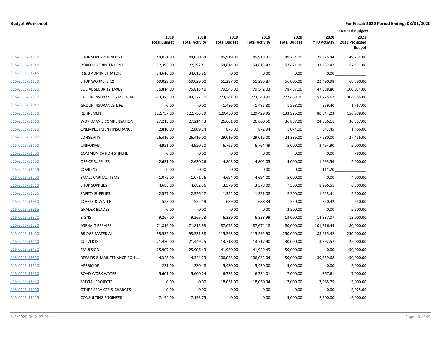|                |                                  |                             |                               |                             |                               |                             |                             | <b>Defined Budgets</b>                 |
|----------------|----------------------------------|-----------------------------|-------------------------------|-----------------------------|-------------------------------|-----------------------------|-----------------------------|----------------------------------------|
|                |                                  | 2018<br><b>Total Budget</b> | 2018<br><b>Total Activity</b> | 2019<br><b>Total Budget</b> | 2019<br><b>Total Activity</b> | 2020<br><b>Total Budget</b> | 2020<br><b>YTD Activity</b> | 2021<br>2021 Proposed<br><b>Budget</b> |
| 015-0015-51730 | <b>SHOP SUPERINTENDENT</b>       | 44,031.00                   | 44,030.64                     | 45,919.00                   | 45,918.31                     | 49,234.00                   | 28,325.44                   | 49,234.00                              |
| 015-0015-51740 | ROAD SUPERINTENDENT              | 22,393.00                   | 22,392.41                     | 54,614.00                   | 54,613.82                     | 57,471.00                   | 33,452.87                   | 57,471.00                              |
| 015-0015-51745 | R & B ADMINISTRATOR              | 34,616.00                   | 34,615.96                     | 0.00                        | 0.00                          | 0.00                        | 0.00                        |                                        |
| 015-0015-51750 | <b>SHOP WORKERS (2)</b>          | 69,029.00                   | 69,029.00                     | 61,297.00                   | 61,296.87                     | 56,006.00                   | 22,490.98                   | 68,890.00                              |
| 015-0015-52020 | SOCIAL SECURITY TAXES            | 75,814.00                   | 75,813.40                     | 79,543.00                   | 79,542.03                     | 78,487.00                   | 47,388.80                   | 100,074.00                             |
| 015-0015-52030 | <b>GROUP INSURANCE - MEDICAL</b> | 283,323.00                  | 283,322.10                    | 273,341.00                  | 273,340.90                    | 277,468.00                  | 153,725.62                  | 304,865.00                             |
| 015-0015-52040 | <b>GROUP INSURANCE-LIFE</b>      | 0.00                        | 0.00                          | 1,486.00                    | 1,485.80                      | 1,598.00                    | 869.40                      | 1,767.00                               |
| 015-0015-52050 | <b>RETIREMENT</b>                | 122,757.00                  | 122,756.39                    | 129,430.00                  | 129,429.95                    | 133,925.00                  | 80,844.03                   | 156,978.00                             |
| 015-0015-52060 | <b>WORKMAN'S COMPENSATION</b>    | 27,215.00                   | 27,214.43                     | 26,661.00                   | 26,660.50                     | 36,857.00                   | 24,856.11                   | 36,857.00                              |
| 015-0015-52080 | UNEMPLOYMENT INSURANCE           | 2,810.00                    | 2,809.24                      | 873.00                      | 872.94                        | 1,074.00                    | 647.45                      | 1,466.00                               |
| 015-0015-52090 | LONGEVITY                        | 26,416.00                   | 26,416.00                     | 29,016.00                   | 29,016.00                     | 24,336.00                   | 17,680.00                   | 27,456.00                              |
| 015-0015-52100 | <b>UNIFORMS</b>                  | 4,921.00                    | 4,920.20                      | 6,765.00                    | 6,764.49                      | 5,000.00                    | 3,464.90                    | 5,000.00                               |
| 015-0015-52300 | <b>COMMUNICATION STIPEND</b>     | 0.00                        | 0.00                          | 0.00                        | 0.00                          | 0.00                        | 0.00                        | 780.00                                 |
| 015-0015-53100 | <b>OFFICE SUPPLIES</b>           | 2,631.00                    | 2,630.26                      | 4,803.00                    | 4,802.05                      | 4,000.00                    | 1,695.56                    | 2,000.00                               |
| 015-0015-53119 | COVID-19                         | 0.00                        | 0.00                          | 0.00                        | 0.00                          | 0.00                        | 111.20                      |                                        |
| 015-0015-53200 | SMALL CAPITAL ITEMS              | 1,072.00                    | 1,071.76                      | 4,694.00                    | 4,694.00                      | 5,000.00                    | 0.00                        | 4,000.00                               |
| 015-0015-53310 | <b>SHOP SUPPLIES</b>             | 4,683.00                    | 4,682.56                      | 3,579.00                    | 3,578.09                      | 7,500.00                    | 8,296.51                    | 6,500.00                               |
| 015-0015-53325 | <b>SAFETY SUPPLIES</b>           | 2,527.00                    | 2,526.17                      | 1,352.00                    | 1,351.08                      | 2,500.00                    | 1,623.41                    | 2,500.00                               |
| 015-0015-53330 | <b>COFFEE &amp; WATER</b>        | 523.00                      | 522.19                        | 689.00                      | 688.34                        | 250.00                      | 350.42                      | 250.00                                 |
| 015-0015-53365 | <b>GRADER BLADES</b>             | 0.00                        | 0.00                          | 0.00                        | 0.00                          | 2,500.00                    | 0.00                        | 2,500.00                               |
| 015-0015-53370 | <b>SIGNS</b>                     | 9,267.00                    | 9,266.73                      | 6,339.00                    | 6,338.99                      | 13,000.00                   | 14,837.07                   | 13,000.00                              |
| 015-0015-53390 | <b>ASPHALT REPAIRS</b>           | 71,816.00                   | 71,815.93                     | 87,675.00                   | 87,674.18                     | 80,000.00                   | 101,316.49                  | 80,000.00                              |
| 015-0015-53400 | <b>BRIDGE MATERIAL</b>           | 93,532.00                   | 93,531.88                     | 115,593.00                  | 115,592.90                    | 250,000.00                  | 83,615.42                   | 250,000.00                             |
| 015-0015-53410 | <b>CULVERTS</b>                  | 21,450.00                   | 21,449.25                     | 13,718.00                   | 13,717.90                     | 30,000.00                   | 3,392.57                    | 25,000.00                              |
| 015-0015-53420 | <b>EMULSION</b>                  | 25,907.00                   | 25,906.43                     | 41,930.00                   | 41,929.49                     | 50,000.00                   | 0.00                        | 50,000.00                              |
| 015-0015-53500 | REPAIRS & MAINTENANCE-EQUI       | 4,345.00                    | 4,344.23                      | 106,033.00                  | 106,032.04                    | 50,000.00                   | 39,359.68                   | 50,000.00                              |
| 015-0015-53510 | <b>HERBICIDE</b>                 | 231.00                      | 230.48                        | 5,430.00                    | 5,430.00                      | 5,000.00                    | 0.00                        | 5,000.00                               |
| 015-0015-53520 | <b>ROAD WORK WATER</b>           | 5,601.00                    | 5,600.24                      | 6,735.00                    | 6,734.01                      | 7,000.00                    | 367.61                      | 7,000.00                               |
| 015-0015-53950 | <b>SPECIAL PROJECTS</b>          | 0.00                        | 0.00                          | 18,051.00                   | 18,050.94                     | 17,000.00                   | 17,085.75                   | 13,000.00                              |
| 015-0015-54000 | OTHER SERVICES & CHARGES         | 0.00                        | 0.00                          | 0.00                        | 0.00                          | 0.00                        | 0.00                        | 3,025.00                               |
| 015-0015-54115 | <b>CONSULTING ENGINEER</b>       | 7,194.00                    | 7,193.75                      | 0.00                        | 0.00                          | 5,000.00                    | 2,500.00                    | 15,000.00                              |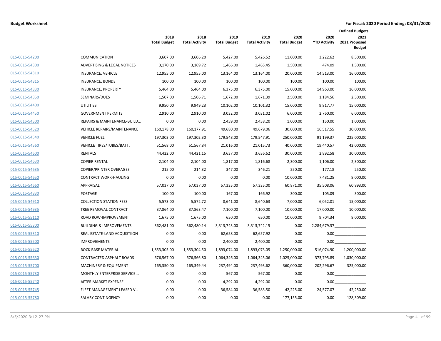|                |                                    |                             |                               |                             |                               |                             |                             | <b>Defined Budgets</b>                 |
|----------------|------------------------------------|-----------------------------|-------------------------------|-----------------------------|-------------------------------|-----------------------------|-----------------------------|----------------------------------------|
|                |                                    | 2018<br><b>Total Budget</b> | 2018<br><b>Total Activity</b> | 2019<br><b>Total Budget</b> | 2019<br><b>Total Activity</b> | 2020<br><b>Total Budget</b> | 2020<br><b>YTD Activity</b> | 2021<br>2021 Proposed<br><b>Budget</b> |
| 015-0015-54200 | <b>COMMUNICATION</b>               | 3,607.00                    | 3,606.20                      | 5,427.00                    | 5,426.52                      | 11,000.00                   | 3,222.62                    | 8,500.00                               |
| 015-0015-54300 | ADVERTISING & LEGAL NOTICES        | 3,170.00                    | 3,169.72                      | 1,466.00                    | 1,465.45                      | 1,500.00                    | 474.09                      | 1,500.00                               |
| 015-0015-54310 | INSURANCE, VEHICLE                 | 12,955.00                   | 12,955.00                     | 13,164.00                   | 13,164.00                     | 20,000.00                   | 14,513.00                   | 16,000.00                              |
| 015-0015-54315 | INSURANCE, BONDS                   | 100.00                      | 100.00                        | 100.00                      | 100.00                        | 100.00                      | 100.00                      | 100.00                                 |
| 015-0015-54330 | <b>INSURANCE, PROPERTY</b>         | 5,464.00                    | 5,464.00                      | 6,375.00                    | 6,375.00                      | 15,000.00                   | 14,963.00                   | 16,000.00                              |
| 015-0015-54350 | SEMINARS/DUES                      | 1,507.00                    | 1,506.71                      | 1,672.00                    | 1,671.39                      | 2,500.00                    | 1,184.56                    | 2,500.00                               |
| 015-0015-54400 | <b>UTILITIES</b>                   | 9,950.00                    | 9,949.23                      | 10,102.00                   | 10,101.32                     | 15,000.00                   | 9,817.77                    | 15,000.00                              |
| 015-0015-54450 | <b>GOVERNMENT PERMITS</b>          | 2,910.00                    | 2,910.00                      | 3,032.00                    | 3,031.02                      | 6,000.00                    | 2,760.00                    | 6,000.00                               |
| 015-0015-54500 | REPAIRS & MAINTENANCE-BUILD        | 0.00                        | 0.00                          | 2,459.00                    | 2,458.20                      | 1,000.00                    | 150.00                      | 1,000.00                               |
| 015-0015-54520 | <b>VEHICLE REPAIRS/MAINTENANCE</b> | 160,178.00                  | 160,177.91                    | 49,680.00                   | 49,679.06                     | 30,000.00                   | 16,517.55                   | 30,000.00                              |
| 015-0015-54540 | <b>VEHICLE FUEL</b>                | 197,303.00                  | 197,302.30                    | 179,548.00                  | 179,547.91                    | 250,000.00                  | 91,199.37                   | 225,000.00                             |
| 015-0015-54560 | VEHICLE TIRES/TUBES/BATT.          | 51,568.00                   | 51,567.84                     | 21,016.00                   | 21,015.73                     | 40,000.00                   | 19,440.57                   | 42,000.00                              |
| 015-0015-54600 | RENTALS                            | 44,422.00                   | 44,421.15                     | 3,637.00                    | 3,636.62                      | 30,000.00                   | 2,892.58                    | 30,000.00                              |
| 015-0015-54630 | <b>COPIER RENTAL</b>               | 2,104.00                    | 2,104.00                      | 1,817.00                    | 1,816.68                      | 2,300.00                    | 1,106.00                    | 2,300.00                               |
| 015-0015-54635 | <b>COPIER/PRINTER OVERAGES</b>     | 215.00                      | 214.32                        | 347.00                      | 346.21                        | 250.00                      | 177.18                      | 250.00                                 |
| 015-0015-54650 | <b>CONTRACT WORK-HAULING</b>       | 0.00                        | 0.00                          | 0.00                        | 0.00                          | 10,000.00                   | 7,481.25                    | 8,000.00                               |
| 015-0015-54660 | APPRAISAL                          | 57,037.00                   | 57,037.00                     | 57,335.00                   | 57,335.00                     | 60,871.00                   | 35,508.06                   | 60,893.00                              |
| 015-0015-54830 | POSTAGE                            | 100.00                      | 100.00                        | 167.00                      | 166.92                        | 300.00                      | 105.09                      | 300.00                                 |
| 015-0015-54910 | <b>COLLECTION STATION FEES</b>     | 5,573.00                    | 5,572.72                      | 8,641.00                    | 8,640.63                      | 7,000.00                    | 6,052.01                    | 15,000.00                              |
| 015-0015-54935 | TREE REMOVAL CONTRACT              | 37,864.00                   | 37,863.47                     | 7,100.00                    | 7,100.00                      | 10,000.00                   | 17,000.00                   | 10,000.00                              |
| 015-0015-55110 | ROAD ROW-IMPROVEMENT               | 1,675.00                    | 1,675.00                      | 650.00                      | 650.00                        | 10,000.00                   | 9,704.34                    | 8,000.00                               |
| 015-0015-55300 | <b>BUILDING &amp; IMPROVEMENTS</b> | 362,481.00                  | 362,480.14                    | 3,313,743.00                | 3,313,742.15                  | 0.00                        | 2,284,679.37                |                                        |
| 015-0015-55310 | REAL ESTATE-LAND ACQUISTIION       | 0.00                        | 0.00                          | 62,658.00                   | 62,657.92                     | 0.00                        | 0.00                        |                                        |
| 015-0015-55500 | <b>IMPROVEMENTS</b>                | 0.00                        | 0.00                          | 2,400.00                    | 2,400.00                      | 0.00                        | 0.00                        |                                        |
| 015-0015-55620 | ROCK BASE MATERIAL                 | 1,853,305.00                | 1,853,304.50                  | 1,893,074.00                | 1,893,073.05                  | 1,250,000.00                | 516,074.90                  | 1,200,000.00                           |
| 015-0015-55630 | CONTRACTED ASPHALT ROADS           | 676,567.00                  | 676,566.80                    | 1,064,346.00                | 1,064,345.06                  | 1,025,000.00                | 373,795.89                  | 1,030,000.00                           |
| 015-0015-55700 | <b>MACHINERY &amp; EQUIPMENT</b>   | 165,350.00                  | 165,349.44                    | 237,494.00                  | 237,493.62                    | 360,000.00                  | 202,296.67                  | 325,000.00                             |
| 015-0015-55730 | MONTHLY ENTERPRISE SERVICE         | 0.00                        | 0.00                          | 567.00                      | 567.00                        | 0.00                        | 0.00                        |                                        |
| 015-0015-55740 | AFTER MARKET EXPENSE               | 0.00                        | 0.00                          | 4,292.00                    | 4,292.00                      | 0.00                        | 0.00                        |                                        |
| 015-0015-55745 | FLEET MANAGEMENT LEASED V          | 0.00                        | 0.00                          | 36,584.00                   | 36,583.50                     | 42,225.00                   | 24,577.07                   | 42,250.00                              |
| 015-0015-55780 | SALARY CONTINGENCY                 | 0.00                        | 0.00                          | 0.00                        | 0.00                          | 177,155.00                  | 0.00                        | 128,309.00                             |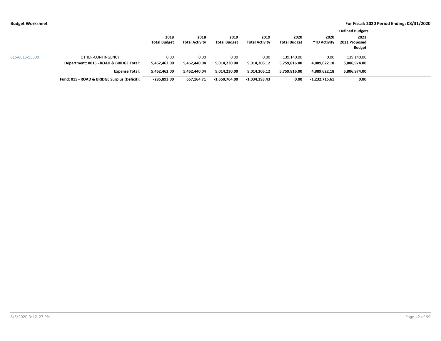|                |                                              |                     |                       |                     |                       |                     |                     | <b>Defined Budgets</b> |  |
|----------------|----------------------------------------------|---------------------|-----------------------|---------------------|-----------------------|---------------------|---------------------|------------------------|--|
|                |                                              | 2018                | 2018                  | 2019                | 2019                  | 2020                | 2020                | 2021                   |  |
|                |                                              | <b>Total Budget</b> | <b>Total Activity</b> | <b>Total Budget</b> | <b>Total Activity</b> | <b>Total Budget</b> | <b>YTD Activity</b> | 2021 Proposed          |  |
|                |                                              |                     |                       |                     |                       |                     |                     | <b>Budget</b>          |  |
| 015-0015-55800 | OTHER-CONTINGENCY                            | 0.00                | 0.00                  | 0.00                | 0.00                  | 139,140.00          | 0.00                | 139,140.00             |  |
|                | Department: 0015 - ROAD & BRIDGE Total:      | 5,462,462.00        | 5.462.440.04          | 9,014,230.00        | 9,014,206.12          | 5,759,816.00        | 4,889,622.18        | 5,806,974.00           |  |
|                | <b>Expense Total:</b>                        | 5,462,462.00        | 5.462.440.04          | 9,014,230.00        | 9.014.206.12          | 5,759,816.00        | 4,889,622.18        | 5,806,974.00           |  |
|                | Fund: 015 - ROAD & BRIDGE Surplus (Deficit): | $-285,893.00$       | 667,164.71            | $-1,650,764.00$     | -1,034,393.43         | 0.00                | $-1,232,715.61$     | 0.00                   |  |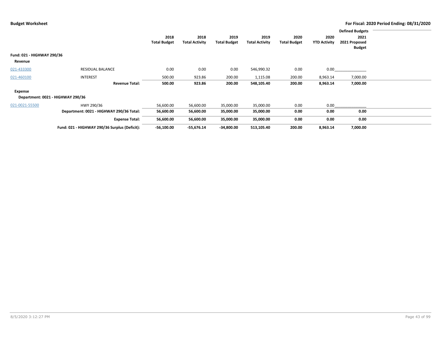|                                       |                                               |                             |                               |                             |                               |                             |                             | <b>Defined Budgets</b> |  |
|---------------------------------------|-----------------------------------------------|-----------------------------|-------------------------------|-----------------------------|-------------------------------|-----------------------------|-----------------------------|------------------------|--|
|                                       |                                               | 2018<br><b>Total Budget</b> | 2018<br><b>Total Activity</b> | 2019<br><b>Total Budget</b> | 2019<br><b>Total Activity</b> | 2020<br><b>Total Budget</b> | 2020<br><b>YTD Activity</b> | 2021<br>2021 Proposed  |  |
|                                       |                                               |                             |                               |                             |                               |                             |                             | <b>Budget</b>          |  |
| Fund: 021 - HIGHWAY 290/36<br>Revenue |                                               |                             |                               |                             |                               |                             |                             |                        |  |
| 021-433300                            | <b>RESIDUAL BALANCE</b>                       | 0.00                        | 0.00                          | 0.00                        | 546,990.32                    | 0.00                        | 0.00                        |                        |  |
| 021-460100                            | <b>INTEREST</b>                               | 500.00                      | 923.86                        | 200.00                      | 1,115.08                      | 200.00                      | 8,963.14                    | 7,000.00               |  |
|                                       | <b>Revenue Total:</b>                         | 500.00                      | 923.86                        | 200.00                      | 548,105.40                    | 200.00                      | 8,963.14                    | 7,000.00               |  |
| Expense                               |                                               |                             |                               |                             |                               |                             |                             |                        |  |
|                                       | Department: 0021 - HIGHWAY 290/36             |                             |                               |                             |                               |                             |                             |                        |  |
| 021-0021-55500                        | HWY 290/36                                    | 56,600.00                   | 56,600.00                     | 35,000.00                   | 35,000.00                     | 0.00                        | 0.00                        |                        |  |
|                                       | Department: 0021 - HIGHWAY 290/36 Total:      | 56,600.00                   | 56,600.00                     | 35,000.00                   | 35,000.00                     | 0.00                        | 0.00                        | 0.00                   |  |
|                                       | <b>Expense Total:</b>                         | 56,600.00                   | 56,600.00                     | 35,000.00                   | 35,000.00                     | 0.00                        | 0.00                        | 0.00                   |  |
|                                       | Fund: 021 - HIGHWAY 290/36 Surplus (Deficit): | $-56,100.00$                | $-55,676.14$                  | $-34,800.00$                | 513,105.40                    | 200.00                      | 8,963.14                    | 7,000.00               |  |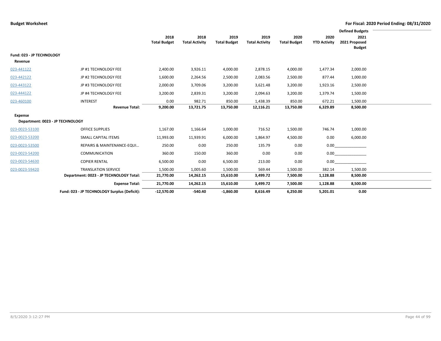|                                                    |                                              |                             |                               |                             |                               |                             |                             | <b>Defined Budgets</b>                 |  |
|----------------------------------------------------|----------------------------------------------|-----------------------------|-------------------------------|-----------------------------|-------------------------------|-----------------------------|-----------------------------|----------------------------------------|--|
|                                                    |                                              | 2018<br><b>Total Budget</b> | 2018<br><b>Total Activity</b> | 2019<br><b>Total Budget</b> | 2019<br><b>Total Activity</b> | 2020<br><b>Total Budget</b> | 2020<br><b>YTD Activity</b> | 2021<br>2021 Proposed<br><b>Budget</b> |  |
| Fund: 023 - JP TECHNOLOGY<br>Revenue               |                                              |                             |                               |                             |                               |                             |                             |                                        |  |
| 023-441122                                         | JP #1 TECHNOLOGY FEE                         | 2,400.00                    | 3,926.11                      | 4,000.00                    | 2,878.15                      | 4,000.00                    | 1,477.34                    | 2,000.00                               |  |
| 023-442122                                         | JP #2 TECHNOLOGY FEE                         | 1,600.00                    | 2,264.56                      | 2,500.00                    | 2,083.56                      | 2,500.00                    | 877.44                      | 1,000.00                               |  |
| 023-443122                                         | JP #3 TECHNOLOGY FEE                         | 2,000.00                    | 3,709.06                      | 3,200.00                    | 3,621.48                      | 3,200.00                    | 1,923.16                    | 2,500.00                               |  |
| 023-444122                                         | JP #4 TECHNOLOGY FEE                         | 3,200.00                    | 2,839.31                      | 3,200.00                    | 2,094.63                      | 3,200.00                    | 1,379.74                    | 1,500.00                               |  |
| 023-460100                                         | <b>INTEREST</b>                              | 0.00                        | 982.71                        | 850.00                      | 1,438.39                      | 850.00                      | 672.21                      | 1,500.00                               |  |
|                                                    | <b>Revenue Total:</b>                        | 9,200.00                    | 13,721.75                     | 13,750.00                   | 12,116.21                     | 13,750.00                   | 6,329.89                    | 8,500.00                               |  |
| <b>Expense</b><br>Department: 0023 - JP TECHNOLOGY |                                              |                             |                               |                             |                               |                             |                             |                                        |  |
| 023-0023-53100                                     | <b>OFFICE SUPPLIES</b>                       | 1,167.00                    | 1,166.64                      | 1,000.00                    | 716.52                        | 1,500.00                    | 746.74                      | 1,000.00                               |  |
| 023-0023-53200                                     | SMALL CAPITAL ITEMS                          | 11,993.00                   | 11,939.91                     | 6,000.00                    | 1,864.97                      | 4,500.00                    | 0.00                        | 6,000.00                               |  |
| 023-0023-53500                                     | REPAIRS & MAINTENANCE-EQUI                   | 250.00                      | 0.00                          | 250.00                      | 135.79                        | 0.00                        | 0.00                        |                                        |  |
| 023-0023-54200                                     | <b>COMMUNICATION</b>                         | 360.00                      | 150.00                        | 360.00                      | 0.00                          | 0.00                        | 0.00                        |                                        |  |
| 023-0023-54630                                     | <b>COPIER RENTAL</b>                         | 6,500.00                    | 0.00                          | 6,500.00                    | 213.00                        | 0.00                        | 0.00                        |                                        |  |
| 023-0023-59420                                     | <b>TRANSLATION SERVICE</b>                   | 1,500.00                    | 1,005.60                      | 1,500.00                    | 569.44                        | 1,500.00                    | 382.14                      | 1,500.00                               |  |
|                                                    | Department: 0023 - JP TECHNOLOGY Total:      | 21,770.00                   | 14,262.15                     | 15,610.00                   | 3,499.72                      | 7,500.00                    | 1,128.88                    | 8,500.00                               |  |
|                                                    | <b>Expense Total:</b>                        | 21,770.00                   | 14,262.15                     | 15,610.00                   | 3,499.72                      | 7,500.00                    | 1,128.88                    | 8,500.00                               |  |
|                                                    | Fund: 023 - JP TECHNOLOGY Surplus (Deficit): | $-12,570.00$                | $-540.40$                     | $-1,860.00$                 | 8,616.49                      | 6,250.00                    | 5,201.01                    | 0.00                                   |  |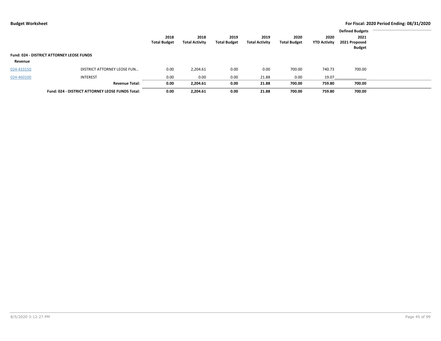|            |                                                  |                     |                       |                     |                       |                     |                     | <b>Defined Budgets</b> |  |
|------------|--------------------------------------------------|---------------------|-----------------------|---------------------|-----------------------|---------------------|---------------------|------------------------|--|
|            |                                                  | 2018                | 2018                  | 2019                | 2019                  | 2020                | 2020                | 2021                   |  |
|            |                                                  | <b>Total Budget</b> | <b>Total Activity</b> | <b>Total Budget</b> | <b>Total Activity</b> | <b>Total Budget</b> | <b>YTD Activity</b> | 2021 Proposed          |  |
|            |                                                  |                     |                       |                     |                       |                     |                     | <b>Budget</b>          |  |
|            | <b>Fund: 024 - DISTRICT ATTORNEY LEOSE FUNDS</b> |                     |                       |                     |                       |                     |                     |                        |  |
| Revenue    |                                                  |                     |                       |                     |                       |                     |                     |                        |  |
| 024-433150 | DISTRICT ATTORNEY LEOSE FUN                      | 0.00                | 2,204.61              | 0.00                | 0.00                  | 700.00              | 740.73              | 700.00                 |  |
| 024-460100 | <b>INTEREST</b>                                  | 0.00                | 0.00                  | 0.00                | 21.88                 | 0.00                | 19.07               |                        |  |
|            | <b>Revenue Total:</b>                            | 0.00                | 2,204.61              | 0.00                | 21.88                 | 700.00              | 759.80              | 700.00                 |  |
|            | Fund: 024 - DISTRICT ATTORNEY LEOSE FUNDS Total: | 0.00                | 2,204.61              | 0.00                | 21.88                 | 700.00              | 759.80              | 700.00                 |  |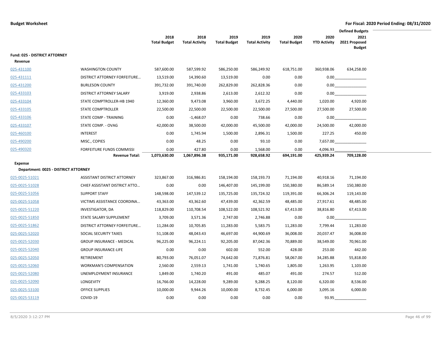|                                                 |                                     | <b>Defined Budgets</b>      |                               |                             |                               |                             |                             |                                        |  |
|-------------------------------------------------|-------------------------------------|-----------------------------|-------------------------------|-----------------------------|-------------------------------|-----------------------------|-----------------------------|----------------------------------------|--|
|                                                 |                                     | 2018<br><b>Total Budget</b> | 2018<br><b>Total Activity</b> | 2019<br><b>Total Budget</b> | 2019<br><b>Total Activity</b> | 2020<br><b>Total Budget</b> | 2020<br><b>YTD Activity</b> | 2021<br>2021 Proposed<br><b>Budget</b> |  |
| Fund: 025 - DISTRICT ATTORNEY<br>Revenue        |                                     |                             |                               |                             |                               |                             |                             |                                        |  |
| 025-431100                                      | <b>WASHINGTON COUNTY</b>            | 587,600.00                  | 587,599.92                    | 586,250.00                  | 586,249.92                    | 618,751.00                  | 360,938.06                  | 634,258.00                             |  |
| 025-431111                                      | <b>DISTRICT ATTORNEY FORFEITURE</b> | 13,519.00                   | 14,390.60                     | 13,519.00                   | 0.00                          | 0.00                        | 0.00                        |                                        |  |
| 025-431200                                      | <b>BURLESON COUNTY</b>              | 391,732.00                  | 391,740.00                    | 262,829.00                  | 262,828.36                    | 0.00                        | 0.00                        |                                        |  |
| 025-433103                                      | DISTRICT ATTORNEY SALARY            | 3,919.00                    | 2,938.86                      | 2,613.00                    | 2,612.32                      | 0.00                        | 0.00                        |                                        |  |
| 025-433104                                      | STATE COMPTROLLER-HB 1940           | 12,360.00                   | 9,473.08                      | 3,960.00                    | 3,672.25                      | 4,440.00                    | 1,020.00                    | 4,920.00                               |  |
| 025-433105                                      | <b>STATE COMPTROLLER</b>            | 22,500.00                   | 22,500.00                     | 22,500.00                   | 22,500.00                     | 27,500.00                   | 27,500.00                   | 27,500.00                              |  |
| 025-433106                                      | STATE COMP - TRAINING               | 0.00                        | $-1,468.07$                   | 0.00                        | 738.66                        | 0.00                        | 0.00                        |                                        |  |
| 025-433107                                      | STATE COMP. - OVAG                  | 42,000.00                   | 38,500.00                     | 42,000.00                   | 45,500.00                     | 42,000.00                   | 24,500.00                   | 42,000.00                              |  |
| 025-460100                                      | INTEREST                            | 0.00                        | 1,745.94                      | 1,500.00                    | 2,896.31                      | 1,500.00                    | 227.25                      | 450.00                                 |  |
| 025-490200                                      | MISC., COPIES                       | 0.00                        | 48.25                         | 0.00                        | 93.10                         | 0.00                        | 7,657.00                    |                                        |  |
| 025-490320                                      | FORFEITURE FUNDS COMMISSI           | 0.00                        | 427.80                        | 0.00                        | 1,568.00                      | 0.00                        | 4,096.93                    |                                        |  |
|                                                 | <b>Revenue Total:</b>               | 1,073,630.00                | 1,067,896.38                  | 935,171.00                  | 928,658.92                    | 694,191.00                  | 425,939.24                  | 709,128.00                             |  |
| Expense<br>Department: 0025 - DISTRICT ATTORNEY |                                     |                             |                               |                             |                               |                             |                             |                                        |  |
| 025-0025-51021                                  | ASSISTANT DISTRICT ATTORNEY         | 323,867.00                  | 316,986.81                    | 158,194.00                  | 158,193.73                    | 71,194.00                   | 40,918.16                   | 71,194.00                              |  |
| 025-0025-51028                                  | CHIEF ASSISTANT DISTRICT ATTO       | 0.00                        | 0.00                          | 146,407.00                  | 145,199.00                    | 150,380.00                  | 86,589.14                   | 150,380.00                             |  |
| 025-0025-51056                                  | <b>SUPPORT STAFF</b>                | 148,598.00                  | 147,539.12                    | 135,725.00                  | 135,724.32                    | 119,391.00                  | 66,306.24                   | 119,143.00                             |  |
| 025-0025-51058                                  | VICTIMS ASSISTANCE COORDINA         | 43,363.00                   | 43,362.60                     | 47,439.00                   | 42,362.59                     | 48,485.00                   | 27,917.61                   | 48,485.00                              |  |
| 025-0025-51220                                  | INVESTIGATOR, DA                    | 118,829.00                  | 110,708.54                    | 108,522.00                  | 108,521.92                    | 67,413.00                   | 38,816.80                   | 67,413.00                              |  |
| 025-0025-51850                                  | STATE SALARY SUPPLEMENT             | 3,709.00                    | 3,571.36                      | 2,747.00                    | 2,746.88                      | 0.00                        | 0.00                        |                                        |  |
| 025-0025-51862                                  | DISTRICT ATTORNEY FORFEITURE        | 11,284.00                   | 10,705.85                     | 11,283.00                   | 5,583.75                      | 11,283.00                   | 7,799.44                    | 11,283.00                              |  |
| 025-0025-52020                                  | SOCIAL SECURITY TAXES               | 51,108.00                   | 48,043.43                     | 46,697.00                   | 44,900.69                     | 36,008.00                   | 20,037.47                   | 36,008.00                              |  |
| 025-0025-52030                                  | <b>GROUP INSURANCE - MEDICAL</b>    | 96,225.00                   | 96,224.11                     | 92,205.00                   | 87,042.36                     | 70,889.00                   | 38,549.00                   | 70,961.00                              |  |
| 025-0025-52040                                  | <b>GROUP INSURANCE-LIFE</b>         | 0.00                        | 0.00                          | 602.00                      | 552.00                        | 428.00                      | 253.00                      | 442.00                                 |  |
| 025-0025-52050                                  | RETIREMENT                          | 80,793.00                   | 76,051.07                     | 74,642.00                   | 71,876.81                     | 58,067.00                   | 34,285.88                   | 55,818.00                              |  |
| 025-0025-52060                                  | <b>WORKMAN'S COMPENSATION</b>       | 2,560.00                    | 2,559.13                      | 1,741.00                    | 1,740.65                      | 1,805.00                    | 1,263.95                    | 1,103.00                               |  |
| 025-0025-52080                                  | UNEMPLOYMENT INSURANCE              | 1,849.00                    | 1,740.20                      | 491.00                      | 485.07                        | 491.00                      | 274.57                      | 512.00                                 |  |
| 025-0025-52090                                  | LONGEVITY                           | 16,766.00                   | 14,228.00                     | 9,289.00                    | 9,288.25                      | 8,120.00                    | 6,320.00                    | 8,536.00                               |  |
| 025-0025-53100                                  | <b>OFFICE SUPPLIES</b>              | 10,000.00                   | 9,944.26                      | 10,000.00                   | 8,732.45                      | 6,000.00                    | 3,095.16                    | 6,000.00                               |  |
| 025-0025-53119                                  | COVID-19                            | 0.00                        | 0.00                          | 0.00                        | 0.00                          | 0.00                        | 93.95                       |                                        |  |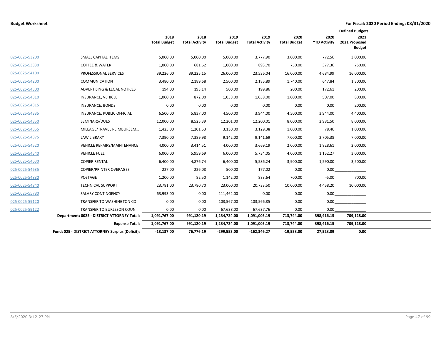|                |                                                  |                             |                               |                             |                               |                             |                             | <b>Defined Budgets</b>                 |  |
|----------------|--------------------------------------------------|-----------------------------|-------------------------------|-----------------------------|-------------------------------|-----------------------------|-----------------------------|----------------------------------------|--|
|                |                                                  | 2018<br><b>Total Budget</b> | 2018<br><b>Total Activity</b> | 2019<br><b>Total Budget</b> | 2019<br><b>Total Activity</b> | 2020<br><b>Total Budget</b> | 2020<br><b>YTD Activity</b> | 2021<br>2021 Proposed<br><b>Budget</b> |  |
| 025-0025-53200 | <b>SMALL CAPITAL ITEMS</b>                       | 5,000.00                    | 5,000.00                      | 5,000.00                    | 3,777.90                      | 3,000.00                    | 772.56                      | 3,000.00                               |  |
| 025-0025-53330 | <b>COFFEE &amp; WATER</b>                        | 1,000.00                    | 681.62                        | 1,000.00                    | 893.70                        | 750.00                      | 377.36                      | 750.00                                 |  |
| 025-0025-54100 | PROFESSIONAL SERVICES                            | 39,226.00                   | 39,225.15                     | 26,000.00                   | 23,536.04                     | 16,000.00                   | 4,684.99                    | 16,000.00                              |  |
| 025-0025-54200 | COMMUNICATION                                    | 3,480.00                    | 2,189.68                      | 2,500.00                    | 2,185.89                      | 1,740.00                    | 647.84                      | 1,300.00                               |  |
| 025-0025-54300 | ADVERTISING & LEGAL NOTICES                      | 194.00                      | 193.14                        | 500.00                      | 199.86                        | 200.00                      | 172.61                      | 200.00                                 |  |
| 025-0025-54310 | INSURANCE, VEHICLE                               | 1,000.00                    | 872.00                        | 1,058.00                    | 1,058.00                      | 1,000.00                    | 507.00                      | 800.00                                 |  |
| 025-0025-54315 | INSURANCE, BONDS                                 | 0.00                        | 0.00                          | 0.00                        | 0.00                          | 0.00                        | 0.00                        | 200.00                                 |  |
| 025-0025-54335 | INSURANCE, PUBLIC OFFICIAL                       | 6,500.00                    | 5,837.00                      | 4,500.00                    | 3,944.00                      | 4,500.00                    | 3,944.00                    | 4,400.00                               |  |
| 025-0025-54350 | SEMINARS/DUES                                    | 12,000.00                   | 8,525.39                      | 12,201.00                   | 12,200.01                     | 8,000.00                    | 2,981.50                    | 8,000.00                               |  |
| 025-0025-54355 | MILEAGE/TRAVEL REIMBURSEM                        | 1,425.00                    | 1,201.53                      | 3,130.00                    | 3,129.38                      | 1,000.00                    | 78.46                       | 1,000.00                               |  |
| 025-0025-54375 | <b>LAW LIBRARY</b>                               | 7,390.00                    | 7,389.98                      | 9,142.00                    | 9,141.69                      | 7,000.00                    | 2,705.38                    | 7,000.00                               |  |
| 025-0025-54520 | <b>VEHICLE REPAIRS/MAINTENANCE</b>               | 4,000.00                    | 3,414.51                      | 4,000.00                    | 3,669.19                      | 2,000.00                    | 1,828.61                    | 2,000.00                               |  |
| 025-0025-54540 | <b>VEHICLE FUEL</b>                              | 6,000.00                    | 5,959.69                      | 6,000.00                    | 5,734.05                      | 4,000.00                    | 1,152.27                    | 3,000.00                               |  |
| 025-0025-54630 | <b>COPIER RENTAL</b>                             | 6,400.00                    | 4,876.74                      | 6,400.00                    | 5,586.24                      | 3,900.00                    | 1,590.00                    | 3,500.00                               |  |
| 025-0025-54635 | <b>COPIER/PRINTER OVERAGES</b>                   | 227.00                      | 226.08                        | 500.00                      | 177.02                        | 0.00                        | 0.00                        |                                        |  |
| 025-0025-54830 | POSTAGE                                          | 1,200.00                    | 82.50                         | 1,142.00                    | 883.64                        | 700.00                      | $-5.00$                     | 700.00                                 |  |
| 025-0025-54840 | <b>TECHNICAL SUPPORT</b>                         | 23,781.00                   | 23,780.70                     | 23,000.00                   | 20,733.50                     | 10,000.00                   | 4,458.20                    | 10,000.00                              |  |
| 025-0025-55780 | <b>SALARY CONTINGENCY</b>                        | 63,993.00                   | 0.00                          | 111,462.00                  | 0.00                          | 0.00                        |                             |                                        |  |
| 025-0025-59120 | TRANSFER TO WASHINGTON CO                        | 0.00                        | 0.00                          | 103,567.00                  | 103,566.85                    | 0.00                        |                             | 0.00                                   |  |
| 025-0025-59122 | TRANSFER TO BURLESON COUN                        | 0.00                        | 0.00                          | 67,638.00                   | 67,637.76                     | 0.00                        | 0.00                        |                                        |  |
|                | Department: 0025 - DISTRICT ATTORNEY Total:      | 1,091,767.00                | 991,120.19                    | 1,234,724.00                | 1,091,005.19                  | 713,744.00                  | 398,416.15                  | 709,128.00                             |  |
|                | <b>Expense Total:</b>                            | 1,091,767.00                | 991,120.19                    | 1,234,724.00                | 1,091,005.19                  | 713,744.00                  | 398,416.15                  | 709,128.00                             |  |
|                | Fund: 025 - DISTRICT ATTORNEY Surplus (Deficit): | $-18.137.00$                | 76.776.19                     | $-299.553.00$               | $-162,346.27$                 | $-19.553.00$                | 27,523.09                   | 0.00                                   |  |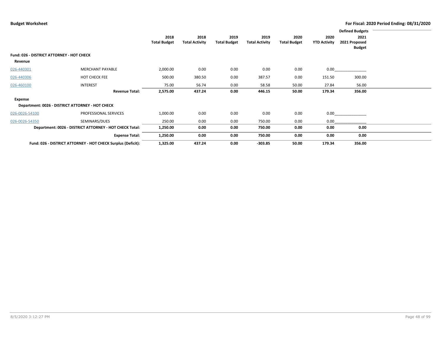|                |                                                              |                     |                       |                     |                       |                     |                     | <b>Defined Budgets</b>         |  |
|----------------|--------------------------------------------------------------|---------------------|-----------------------|---------------------|-----------------------|---------------------|---------------------|--------------------------------|--|
|                |                                                              | 2018                | 2018                  | 2019                | 2019                  | 2020                | 2020                | 2021                           |  |
|                |                                                              | <b>Total Budget</b> | <b>Total Activity</b> | <b>Total Budget</b> | <b>Total Activity</b> | <b>Total Budget</b> | <b>YTD Activity</b> | 2021 Proposed<br><b>Budget</b> |  |
|                | Fund: 026 - DISTRICT ATTORNEY - HOT CHECK                    |                     |                       |                     |                       |                     |                     |                                |  |
| Revenue        |                                                              |                     |                       |                     |                       |                     |                     |                                |  |
| 026-440301     | <b>MERCHANT PAYABLE</b>                                      | 2,000.00            | 0.00                  | 0.00                | 0.00                  | 0.00                | 0.00                |                                |  |
| 026-440306     | <b>HOT CHECK FEE</b>                                         | 500.00              | 380.50                | 0.00                | 387.57                | 0.00                | 151.50              | 300.00                         |  |
| 026-460100     | <b>INTEREST</b>                                              | 75.00               | 56.74                 | 0.00                | 58.58                 | 50.00               | 27.84               | 56.00                          |  |
|                | <b>Revenue Total:</b>                                        | 2,575.00            | 437.24                | 0.00                | 446.15                | 50.00               | 179.34              | 356.00                         |  |
| <b>Expense</b> |                                                              |                     |                       |                     |                       |                     |                     |                                |  |
|                | Department: 0026 - DISTRICT ATTORNEY - HOT CHECK             |                     |                       |                     |                       |                     |                     |                                |  |
| 026-0026-54100 | PROFESSIONAL SERVICES                                        | 1,000.00            | 0.00                  | 0.00                | 0.00                  | 0.00                | 0.00                |                                |  |
| 026-0026-54350 | SEMINARS/DUES                                                | 250.00              | 0.00                  | 0.00                | 750.00                | 0.00                | 0.00                |                                |  |
|                | Department: 0026 - DISTRICT ATTORNEY - HOT CHECK Total:      | 1,250.00            | 0.00                  | 0.00                | 750.00                | 0.00                | 0.00                | 0.00                           |  |
|                | <b>Expense Total:</b>                                        | 1,250.00            | 0.00                  | 0.00                | 750.00                | 0.00                | 0.00                | 0.00                           |  |
|                | Fund: 026 - DISTRICT ATTORNEY - HOT CHECK Surplus (Deficit): | 1,325.00            | 437.24                | 0.00                | $-303.85$             | 50.00               | 179.34              | 356.00                         |  |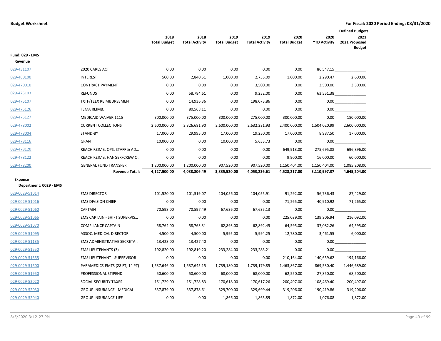|                                          |                                    |                             |                               |                             |                               |                             |                             | <b>Defined Budgets</b>                 |  |
|------------------------------------------|------------------------------------|-----------------------------|-------------------------------|-----------------------------|-------------------------------|-----------------------------|-----------------------------|----------------------------------------|--|
|                                          |                                    | 2018<br><b>Total Budget</b> | 2018<br><b>Total Activity</b> | 2019<br><b>Total Budget</b> | 2019<br><b>Total Activity</b> | 2020<br><b>Total Budget</b> | 2020<br><b>YTD Activity</b> | 2021<br>2021 Proposed<br><b>Budget</b> |  |
| <b>Fund: 029 - EMS</b><br>Revenue        |                                    |                             |                               |                             |                               |                             |                             |                                        |  |
| 029-431107                               | 2020 CARES ACT                     | 0.00                        | 0.00                          | 0.00                        | 0.00                          | 0.00                        | 86,547.15                   |                                        |  |
| 029-460100                               | <b>INTEREST</b>                    | 500.00                      | 2,840.51                      | 1,000.00                    | 2,755.09                      | 1,000.00                    | 2,290.47                    | 2,600.00                               |  |
| 029-470010                               | <b>CONTRACT PAYMENT</b>            | 0.00                        | 0.00                          | 0.00                        | 3,500.00                      | 0.00                        | 3,500.00                    | 3,500.00                               |  |
| 029-475103                               | <b>REFUNDS</b>                     | 0.00                        | 58,784.61                     | 0.00                        | 9,252.00                      | 0.00                        | 63,551.38                   |                                        |  |
| 029-475107                               | <b>TXTF/TEEX REIMBURSEMENT</b>     | 0.00                        | 14,936.36                     | 0.00                        | 198,073.86                    | 0.00                        | 0.00                        |                                        |  |
| 029-475126                               | FEMA REIMB.                        | 0.00                        | 80,568.11                     | 0.00                        | 0.00                          | 0.00                        | 0.00                        |                                        |  |
| 029-475127                               | MEDICAID WAIVER 1115               | 300,000.00                  | 375,000.00                    | 300,000.00                  | 275,000.00                    | 300,000.00                  | 0.00                        | 180,000.00                             |  |
| 029-478002                               | <b>CURRENT COLLECTIONS</b>         | 2,600,000.00                | 2,326,681.90                  | 2,600,000.00                | 2,632,231.93                  | 2,400,000.00                | 1,504,020.99                | 2,600,000.00                           |  |
| 029-478004                               | STAND-BY                           | 17,000.00                   | 29,995.00                     | 17,000.00                   | 19,250.00                     | 17,000.00                   | 8,987.50                    | 17,000.00                              |  |
| 029-478116                               | <b>GRANT</b>                       | 10,000.00                   | 0.00                          | 10,000.00                   | 5,653.73                      | 0.00                        | 0.00                        |                                        |  |
| 029-478120                               | REACH REIMB. OPS, STAFF & AD       | 0.00                        | 0.00                          | 0.00                        | 0.00                          | 649,913.00                  | 275,695.88                  | 696,896.00                             |  |
| 029-478122                               | REACH REIMB. HANGER/CREW Q         | 0.00                        | 0.00                          | 0.00                        | 0.00                          | 9,900.00                    | 16,000.00                   | 60,000.00                              |  |
| 029-478200                               | <b>GENERAL FUND TRANSFER</b>       | 1,200,000.00                | 1,200,000.00                  | 907,520.00                  | 907,520.00                    | 1,150,404.00                | 1,150,404.00                | 1,085,208.00                           |  |
|                                          | <b>Revenue Total:</b>              | 4,127,500.00                | 4,088,806.49                  | 3,835,520.00                | 4,053,236.61                  | 4,528,217.00                | 3,110,997.37                | 4,645,204.00                           |  |
| <b>Expense</b>                           |                                    |                             |                               |                             |                               |                             |                             |                                        |  |
| Department: 0029 - EMS<br>029-0029-51014 | <b>EMS DIRECTOR</b>                | 101,520.00                  |                               |                             |                               | 91,292.00                   |                             | 87,429.00                              |  |
| 029-0029-51016                           | <b>EMS DIVISION CHIEF</b>          | 0.00                        | 101,519.07<br>0.00            | 104,056.00                  | 104,055.91                    |                             | 56,736.43                   |                                        |  |
|                                          | <b>CAPTAIN</b>                     | 70,598.00                   | 70,597.49                     | 0.00<br>67,636.00           | 0.00<br>67,635.13             | 71,265.00<br>0.00           | 40,910.92<br>0.00           | 71,265.00                              |  |
| 029-0029-51060<br>029-0029-51065         | EMS CAPTAIN - SHIFT SUPERVIS       | 0.00                        | 0.00                          | 0.00                        | 0.00                          | 225,039.00                  | 139,306.94                  | 216,092.00                             |  |
| 029-0029-51070                           | <b>COMPLIANCE CAPTAIN</b>          | 58,764.00                   | 58,763.31                     | 62,893.00                   | 62,892.45                     | 64,595.00                   | 37,082.26                   | 64,595.00                              |  |
| 029-0029-51095                           | ASSOC. MEDICAL DIRECTOR            | 4,500.00                    | 4,500.00                      | 5,995.00                    | 5,994.25                      | 12,780.00                   | 3,461.55                    | 6,000.00                               |  |
| 029-0029-51135                           | EMS ADMINISTRATIVE SECRETA         | 13,428.00                   | 13,427.40                     | 0.00                        | 0.00                          | 0.00                        | 0.00                        |                                        |  |
| 029-0029-51550                           | <b>EMS LIEUTENANTS (3)</b>         | 192,820.00                  | 192,819.20                    | 233,284.00                  | 233,283.21                    | 0.00                        | 0.00                        |                                        |  |
| 029-0029-51555                           | <b>EMS LIEUTENANT - SUPERVISOR</b> | 0.00                        | 0.00                          | 0.00                        | 0.00                          | 210,164.00                  | 140,659.62                  | 194,166.00                             |  |
| 029-0029-51600                           | PARAMEDICS-EMTS (28 FT, 14 PT)     | 1,537,646.00                | 1,537,645.15                  | 1,739,180.00                | 1,739,179.85                  | 1,463,867.00                | 869,530.40                  | 1,446,689.00                           |  |
| 029-0029-51950                           | PROFESSIONAL STIPEND               | 50,600.00                   | 50,600.00                     | 68,000.00                   | 68,000.00                     | 62,550.00                   | 27,850.00                   | 68,500.00                              |  |
| 029-0029-52020                           | SOCIAL SECURITY TAXES              | 151,729.00                  | 151,728.83                    | 170,618.00                  | 170,617.26                    | 200,497.00                  | 108,469.40                  | 200,497.00                             |  |
| 029-0029-52030                           | <b>GROUP INSURANCE - MEDICAL</b>   | 337,879.00                  | 337,878.61                    | 329,700.00                  | 329,699.44                    | 319,206.00                  | 190,419.86                  | 319,206.00                             |  |
|                                          | <b>GROUP INSURANCE-LIFE</b>        |                             |                               |                             |                               |                             |                             |                                        |  |
| 029-0029-52040                           |                                    | 0.00                        | 0.00                          | 1,866.00                    | 1,865.89                      | 1,872.00                    | 1,076.08                    | 1,872.00                               |  |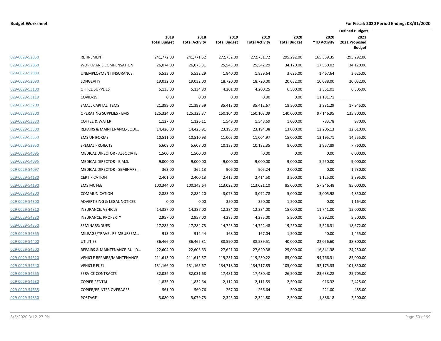|                |                                        |                             |                               |                             |                               |                             |                             | <b>Defined Budgets</b>                 |  |
|----------------|----------------------------------------|-----------------------------|-------------------------------|-----------------------------|-------------------------------|-----------------------------|-----------------------------|----------------------------------------|--|
|                |                                        | 2018<br><b>Total Budget</b> | 2018<br><b>Total Activity</b> | 2019<br><b>Total Budget</b> | 2019<br><b>Total Activity</b> | 2020<br><b>Total Budget</b> | 2020<br><b>YTD Activity</b> | 2021<br>2021 Proposed<br><b>Budget</b> |  |
| 029-0029-52050 | RETIREMENT                             | 241,772.00                  | 241,771.52                    | 272,752.00                  | 272,751.72                    | 295,292.00                  | 165,359.35                  | 295,292.00                             |  |
| 029-0029-52060 | <b>WORKMAN'S COMPENSATION</b>          | 26,074.00                   | 26,073.31                     | 25,543.00                   | 25,542.29                     | 34,120.00                   | 17,550.02                   | 34,120.00                              |  |
| 029-0029-52080 | UNEMPLOYMENT INSURANCE                 | 5,533.00                    | 5,532.29                      | 1,840.00                    | 1,839.64                      | 3,625.00                    | 1,467.64                    | 3,625.00                               |  |
| 029-0029-52090 | LONGEVITY                              | 19,032.00                   | 19,032.00                     | 18,720.00                   | 18,720.00                     | 20,032.00                   | 10,088.00                   | 20,032.00                              |  |
| 029-0029-53100 | <b>OFFICE SUPPLIES</b>                 | 5,135.00                    | 5,134.80                      | 4,201.00                    | 4,200.25                      | 6,500.00                    | 2,351.01                    | 6,305.00                               |  |
| 029-0029-53119 | COVID-19                               | 0.00                        | 0.00                          | 0.00                        | 0.00                          | 0.00                        | 11,181.71                   |                                        |  |
| 029-0029-53200 | <b>SMALL CAPITAL ITEMS</b>             | 21,399.00                   | 21,398.59                     | 35,413.00                   | 35,412.67                     | 18,500.00                   | 2,331.29                    | 17,945.00                              |  |
| 029-0029-53300 | <b>OPERATING SUPPLIES - EMS</b>        | 125,324.00                  | 125,323.37                    | 150,104.00                  | 150,103.09                    | 140,000.00                  | 97,146.95                   | 135,800.00                             |  |
| 029-0029-53330 | <b>COFFEE &amp; WATER</b>              | 1,127.00                    | 1,126.11                      | 1,549.00                    | 1,548.69                      | 1,000.00                    | 783.78                      | 970.00                                 |  |
| 029-0029-53500 | REPAIRS & MAINTENANCE-EQUI             | 14,426.00                   | 14,425.91                     | 23,195.00                   | 23,194.38                     | 13,000.00                   | 12,206.13                   | 12,610.00                              |  |
| 029-0029-53550 | <b>EMS UNIFORMS</b>                    | 10,511.00                   | 10,510.93                     | 11,005.00                   | 11,004.97                     | 15,000.00                   | 13,195.71                   | 14,555.00                              |  |
| 029-0029-53950 | <b>SPECIAL PROJECTS</b>                | 5,608.00                    | 5,608.00                      | 10,133.00                   | 10,132.35                     | 8,000.00                    | 2,957.89                    | 7,760.00                               |  |
| 029-0029-54095 | MEDICAL DIRECTOR - ASSOCIATE           | 1,500.00                    | 1,500.00                      | 0.00                        | 0.00                          | 0.00                        | 0.00                        | 6,000.00                               |  |
| 029-0029-54096 | MEDICAL DIRECTOR - E.M.S.              | 9,000.00                    | 9,000.00                      | 9,000.00                    | 9,000.00                      | 9,000.00                    | 5,250.00                    | 9,000.00                               |  |
| 029-0029-54097 | <b>MEDICAL DIRECTOR - SEMINARS</b>     | 363.00                      | 362.13                        | 906.00                      | 905.24                        | 2,000.00                    | 0.00                        | 1,730.00                               |  |
| 029-0029-54180 | <b>CERTIFICATION</b>                   | 2,401.00                    | 2,400.13                      | 2,415.00                    | 2,414.50                      | 3,500.00                    | 1,125.00                    | 3,395.00                               |  |
| 029-0029-54190 | <b>EMS MC FEE</b>                      | 100,344.00                  | 100,343.64                    | 113,022.00                  | 113,021.10                    | 85,000.00                   | 57,246.48                   | 85,000.00                              |  |
| 029-0029-54200 | <b>COMMUNICATION</b>                   | 2,883.00                    | 2,882.20                      | 3,073.00                    | 3,072.78                      | 5,000.00                    | 3,005.98                    | 4,850.00                               |  |
| 029-0029-54300 | <b>ADVERTISING &amp; LEGAL NOTICES</b> | 0.00                        | 0.00                          | 350.00                      | 350.00                        | 1,200.00                    | 0.00                        | 1,164.00                               |  |
| 029-0029-54310 | INSURANCE, VEHICLE                     | 14,387.00                   | 14,387.00                     | 12,384.00                   | 12,384.00                     | 15,000.00                   | 11,741.00                   | 15,000.00                              |  |
| 029-0029-54330 | INSURANCE, PROPERTY                    | 2,957.00                    | 2,957.00                      | 4,285.00                    | 4,285.00                      | 5,500.00                    | 5,292.00                    | 5,500.00                               |  |
| 029-0029-54350 | SEMINARS/DUES                          | 17,285.00                   | 17,284.73                     | 14,723.00                   | 14,722.48                     | 19,250.00                   | 5,526.31                    | 18,672.00                              |  |
| 029-0029-54355 | MILEAGE/TRAVEL REIMBURSEM              | 913.00                      | 912.44                        | 168.00                      | 167.04                        | 1,500.00                    | 40.00                       | 1,455.00                               |  |
| 029-0029-54400 | <b>UTILITIES</b>                       | 36,466.00                   | 36,465.31                     | 38,590.00                   | 38,589.51                     | 40,000.00                   | 22,056.60                   | 38,800.00                              |  |
| 029-0029-54500 | REPAIRS & MAINTENANCE-BUILD            | 22,604.00                   | 22,603.63                     | 27,621.00                   | 27,620.38                     | 25,000.00                   | 16,841.38                   | 24,250.00                              |  |
| 029-0029-54520 | <b>VEHICLE REPAIRS/MAINTENANCE</b>     | 211,613.00                  | 211,612.57                    | 119,231.00                  | 119,230.22                    | 85,000.00                   | 94,766.31                   | 85,000.00                              |  |
| 029-0029-54540 | <b>VEHICLE FUEL</b>                    | 131,166.00                  | 131,165.67                    | 134,718.00                  | 134,717.85                    | 105,000.00                  | 52,175.33                   | 101,850.00                             |  |
| 029-0029-54555 | <b>SERVICE CONTRACTS</b>               | 32,032.00                   | 32,031.68                     | 17,481.00                   | 17,480.40                     | 26,500.00                   | 23,633.28                   | 25,705.00                              |  |
| 029-0029-54630 | <b>COPIER RENTAL</b>                   | 1,833.00                    | 1,832.64                      | 2,112.00                    | 2,111.59                      | 2,500.00                    | 916.32                      | 2,425.00                               |  |
| 029-0029-54635 | <b>COPIER/PRINTER OVERAGES</b>         | 561.00                      | 560.76                        | 267.00                      | 266.64                        | 500.00                      | 221.00                      | 485.00                                 |  |
| 029-0029-54830 | POSTAGE                                | 3,080.00                    | 3,079.73                      | 2,345.00                    | 2,344.80                      | 2,500.00                    | 1,886.18                    | 2,500.00                               |  |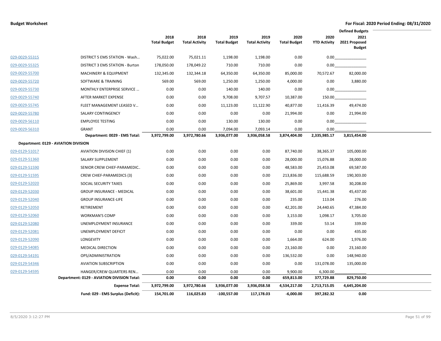|                |                                             |                             |                               |                             |                               |                             |                             | <b>Defined Budgets</b>                 |
|----------------|---------------------------------------------|-----------------------------|-------------------------------|-----------------------------|-------------------------------|-----------------------------|-----------------------------|----------------------------------------|
|                |                                             | 2018<br><b>Total Budget</b> | 2018<br><b>Total Activity</b> | 2019<br><b>Total Budget</b> | 2019<br><b>Total Activity</b> | 2020<br><b>Total Budget</b> | 2020<br><b>YTD Activity</b> | 2021<br>2021 Proposed<br><b>Budget</b> |
| 029-0029-55315 | DISTRICT 5 EMS STATION - Wash               | 75,022.00                   | 75,021.11                     | 1,198.00                    | 1,198.00                      | 0.00                        | 0.00                        |                                        |
| 029-0029-55325 | DISTRICT 3 EMS STATION - Burton             | 178,050.00                  | 178,049.22                    | 710.00                      | 710.00                        | 0.00                        | 0.00                        |                                        |
| 029-0029-55700 | <b>MACHINERY &amp; EQUIPMENT</b>            | 132,345.00                  | 132,344.18                    | 64,350.00                   | 64,350.00                     | 85,000.00                   | 70,572.67                   | 82,000.00                              |
| 029-0029-55720 | SOFTWARE & TRAINING                         | 569.00                      | 569.00                        | 1,250.00                    | 1,250.00                      | 4,000.00                    | 0.00                        | 3,880.00                               |
| 029-0029-55730 | MONTHLY ENTERPRISE SERVICE                  | 0.00                        | 0.00                          | 140.00                      | 140.00                        | 0.00                        | 0.00                        |                                        |
| 029-0029-55740 | AFTER MARKET EXPENSE                        | 0.00                        | 0.00                          | 9,708.00                    | 9,707.57                      | 10,387.00                   | 150.00                      |                                        |
| 029-0029-55745 | FLEET MANAGEMENT LEASED V                   | 0.00                        | 0.00                          | 11,123.00                   | 11,122.90                     | 40,877.00                   | 11,416.39                   | 49,474.00                              |
| 029-0029-55780 | SALARY CONTINGENCY                          | 0.00                        | 0.00                          | 0.00                        | 0.00                          | 21,994.00                   | 0.00                        | 21,994.00                              |
| 029-0029-56110 | <b>EMPLOYEE TESTING</b>                     | 0.00                        | 0.00                          | 130.00                      | 130.00                        | 0.00                        | 0.00                        |                                        |
| 029-0029-56310 | GRANT                                       | 0.00                        | 0.00                          | 7,094.00                    | 7,093.14                      | 0.00                        | 0.00                        |                                        |
|                | Department: 0029 - EMS Total:               | 3,972,799.00                | 3,972,780.66                  | 3,936,077.00                | 3,936,058.58                  | 3,874,404.00                | 2,335,985.17                | 3,815,454.00                           |
|                | Department: 0129 - AVIATION DIVISION        |                             |                               |                             |                               |                             |                             |                                        |
| 029-0129-51017 | <b>AVIATION DIVISION CHIEF (1)</b>          | 0.00                        | 0.00                          | 0.00                        | 0.00                          | 87,740.00                   | 38,365.37                   | 105,000.00                             |
| 029-0129-51360 | SALARY SUPPLEMENT                           | 0.00                        | 0.00                          | 0.00                        | 0.00                          | 28,000.00                   | 15,076.88                   | 28,000.00                              |
| 029-0129-51590 | SENIOR CREW CHIEF-PARAMEDIC                 | 0.00                        | 0.00                          | 0.00                        | 0.00                          | 48,583.00                   | 25,453.08                   | 69,587.00                              |
| 029-0129-51595 | CREW CHIEF-PARAMEDICS (3)                   | 0.00                        | 0.00                          | 0.00                        | 0.00                          | 213,836.00                  | 115,688.59                  | 190,303.00                             |
| 029-0129-52020 | SOCIAL SECURITY TAXES                       | 0.00                        | 0.00                          | 0.00                        | 0.00                          | 25,869.00                   | 3,997.58                    | 30,208.00                              |
| 029-0129-52030 | <b>GROUP INSURANCE - MEDICAL</b>            | 0.00                        | 0.00                          | 0.00                        | 0.00                          | 38,601.00                   | 15,441.38                   | 45,437.00                              |
| 029-0129-52040 | <b>GROUP INSURANCE-LIFE</b>                 | 0.00                        | 0.00                          | 0.00                        | 0.00                          | 235.00                      | 113.04                      | 276.00                                 |
| 029-0129-52050 | RETIREMENT                                  | 0.00                        | 0.00                          | 0.00                        | 0.00                          | 42,201.00                   | 24,440.65                   | 47,384.00                              |
| 029-0129-52060 | <b>WORKMAN'S COMP</b>                       | 0.00                        | 0.00                          | 0.00                        | 0.00                          | 3,153.00                    | 1,098.17                    | 3,705.00                               |
| 029-0129-52080 | UNEMPLOYMENT INSURANCE                      | 0.00                        | 0.00                          | 0.00                        | 0.00                          | 339.00                      | 53.14                       | 339.00                                 |
| 029-0129-52081 | UNEMPLOYMENT DEFICIT                        | 0.00                        | 0.00                          | 0.00                        | 0.00                          | 0.00                        | 0.00                        | 435.00                                 |
| 029-0129-52090 | LONGEVITY                                   | 0.00                        | 0.00                          | 0.00                        | 0.00                          | 1,664.00                    | 624.00                      | 1,976.00                               |
| 029-0129-54085 | <b>MEDICAL DIRECTION</b>                    | 0.00                        | 0.00                          | 0.00                        | 0.00                          | 23,160.00                   | 0.00                        | 23,160.00                              |
| 029-0129-54191 | OPS/ADMINISTRATION                          | 0.00                        | 0.00                          | 0.00                        | 0.00                          | 136,532.00                  | 0.00                        | 148,940.00                             |
| 029-0129-54346 | <b>AVIATION SUBSCRIPTION</b>                | 0.00                        | 0.00                          | 0.00                        | 0.00                          | 0.00                        | 131,078.00                  | 135,000.00                             |
| 029-0129-54595 | HANGER/CREW QUARTERS REN                    | 0.00                        | 0.00                          | 0.00                        | 0.00                          | 9,900.00                    | 6,300.00                    |                                        |
|                | Department: 0129 - AVIATION DIVISION Total: | 0.00                        | 0.00                          | 0.00                        | 0.00                          | 659,813.00                  | 377,729.88                  | 829,750.00                             |
|                | <b>Expense Total:</b>                       | 3,972,799.00                | 3,972,780.66                  | 3,936,077.00                | 3,936,058.58                  | 4,534,217.00                | 2,713,715.05                | 4,645,204.00                           |
|                | Fund: 029 - EMS Surplus (Deficit):          | 154,701.00                  | 116,025.83                    | $-100,557.00$               | 117,178.03                    | $-6,000.00$                 | 397,282.32                  | 0.00                                   |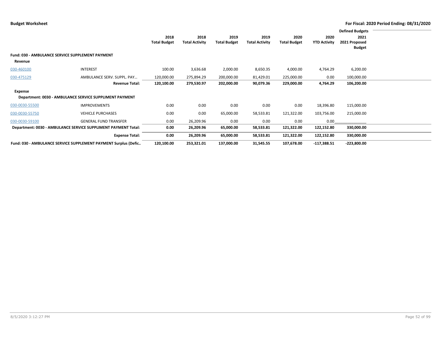|                |                                                                 |                     |                       |                     |                       |                     |                     | <b>Defined Budgets</b> |  |
|----------------|-----------------------------------------------------------------|---------------------|-----------------------|---------------------|-----------------------|---------------------|---------------------|------------------------|--|
|                |                                                                 | 2018                | 2018                  | 2019                | 2019                  | 2020                | 2020                | 2021                   |  |
|                |                                                                 | <b>Total Budget</b> | <b>Total Activity</b> | <b>Total Budget</b> | <b>Total Activity</b> | <b>Total Budget</b> | <b>YTD Activity</b> | 2021 Proposed          |  |
|                |                                                                 |                     |                       |                     |                       |                     |                     | <b>Budget</b>          |  |
|                | <b>Fund: 030 - AMBULANCE SERVICE SUPPLEMENT PAYMENT</b>         |                     |                       |                     |                       |                     |                     |                        |  |
| Revenue        |                                                                 |                     |                       |                     |                       |                     |                     |                        |  |
| 030-460100     | <b>INTEREST</b>                                                 | 100.00              | 3,636.68              | 2,000.00            | 8,650.35              | 4,000.00            | 4,764.29            | 6,200.00               |  |
| 030-475129     | AMBULANCE SERV. SUPPL. PAY                                      | 120,000.00          | 275,894.29            | 200,000.00          | 81,429.01             | 225,000.00          | 0.00                | 100,000.00             |  |
|                | <b>Revenue Total:</b>                                           | 120,100.00          | 279,530.97            | 202,000.00          | 90,079.36             | 229,000.00          | 4,764.29            | 106,200.00             |  |
| Expense        |                                                                 |                     |                       |                     |                       |                     |                     |                        |  |
|                | Department: 0030 - AMBULANCE SERVICE SUPPLIMENT PAYMENT         |                     |                       |                     |                       |                     |                     |                        |  |
| 030-0030-55500 | <b>IMPROVEMENTS</b>                                             | 0.00                | 0.00                  | 0.00                | 0.00                  | 0.00                | 18,396.80           | 115,000.00             |  |
| 030-0030-55750 | <b>VEHICLE PURCHASES</b>                                        | 0.00                | 0.00                  | 65,000.00           | 58,533.81             | 121,322.00          | 103,756.00          | 215,000.00             |  |
| 030-0030-59100 | <b>GENERAL FUND TRANSFER</b>                                    | 0.00                | 26,209.96             | 0.00                | 0.00                  | 0.00                | 0.00                |                        |  |
|                | Department: 0030 - AMBULANCE SERVICE SUPPLIMENT PAYMENT Total:  | 0.00                | 26,209.96             | 65,000.00           | 58,533.81             | 121,322.00          | 122,152.80          | 330,000.00             |  |
|                | <b>Expense Total:</b>                                           | 0.00                | 26,209.96             | 65,000.00           | 58,533.81             | 121,322.00          | 122,152.80          | 330,000.00             |  |
|                | Fund: 030 - AMBULANCE SERVICE SUPPLEMENT PAYMENT Surplus (Defic | 120,100.00          | 253,321.01            | 137,000.00          | 31,545.55             | 107,678.00          | $-117,388.51$       | $-223,800.00$          |  |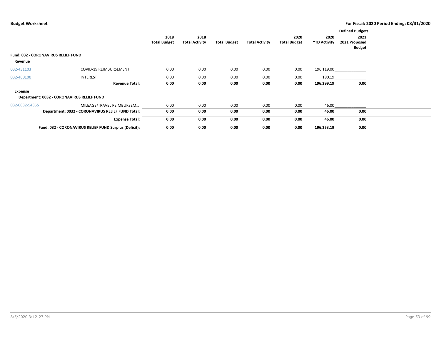|                                                       |                                                        |                             |                               |                     |                       |                             |                             | <b>Defined Budgets</b>                 |  |
|-------------------------------------------------------|--------------------------------------------------------|-----------------------------|-------------------------------|---------------------|-----------------------|-----------------------------|-----------------------------|----------------------------------------|--|
|                                                       |                                                        | 2018<br><b>Total Budget</b> | 2018<br><b>Total Activity</b> | <b>Total Budget</b> | <b>Total Activity</b> | 2020<br><b>Total Budget</b> | 2020<br><b>YTD Activity</b> | 2021<br>2021 Proposed<br><b>Budget</b> |  |
| <b>Fund: 032 - CORONAVIRUS RELIEF FUND</b><br>Revenue |                                                        |                             |                               |                     |                       |                             |                             |                                        |  |
| 032-431103                                            | COVID-19 REIMBURSEMENT                                 | 0.00                        | 0.00                          | 0.00                | 0.00                  | 0.00                        | 196,119.00                  |                                        |  |
| 032-460100                                            | <b>INTEREST</b>                                        | 0.00                        | 0.00                          | 0.00                | 0.00                  | 0.00                        | 180.19                      |                                        |  |
|                                                       | <b>Revenue Total:</b>                                  | 0.00                        | 0.00                          | 0.00                | 0.00                  | 0.00                        | 196,299.19                  | 0.00                                   |  |
| Expense                                               |                                                        |                             |                               |                     |                       |                             |                             |                                        |  |
|                                                       | Department: 0032 - CORONAVIRUS RELIEF FUND             |                             |                               |                     |                       |                             |                             |                                        |  |
| 032-0032-54355                                        | MILEAGE/TRAVEL REIMBURSEM                              | 0.00                        | 0.00                          | 0.00                | 0.00                  | 0.00                        | 46.00                       |                                        |  |
|                                                       | Department: 0032 - CORONAVIRUS RELIEF FUND Total:      | 0.00                        | 0.00                          | 0.00                | 0.00                  | 0.00                        | 46.00                       | 0.00                                   |  |
|                                                       | <b>Expense Total:</b>                                  | 0.00                        | 0.00                          | 0.00                | 0.00                  | 0.00                        | 46.00                       | 0.00                                   |  |
|                                                       | Fund: 032 - CORONAVIRUS RELIEF FUND Surplus (Deficit): | 0.00                        | 0.00                          | 0.00                | 0.00                  | 0.00                        | 196,253.19                  | 0.00                                   |  |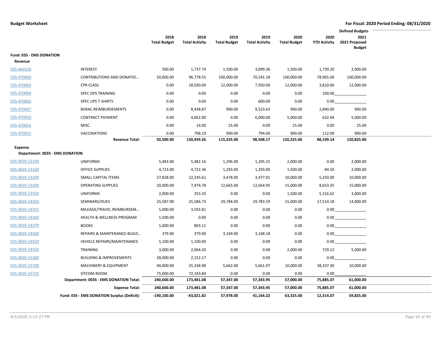|                                 |                                             |                             |                               |                             |                               |                             | <b>Defined Budgets</b>      |                                        |  |  |
|---------------------------------|---------------------------------------------|-----------------------------|-------------------------------|-----------------------------|-------------------------------|-----------------------------|-----------------------------|----------------------------------------|--|--|
|                                 |                                             | 2018<br><b>Total Budget</b> | 2018<br><b>Total Activity</b> | 2019<br><b>Total Budget</b> | 2019<br><b>Total Activity</b> | 2020<br><b>Total Budget</b> | 2020<br><b>YTD Activity</b> | 2021<br>2021 Proposed<br><b>Budget</b> |  |  |
| Fund: 035 - EMS DONATION        |                                             |                             |                               |                             |                               |                             |                             |                                        |  |  |
| Revenue                         |                                             |                             |                               |                             |                               |                             |                             |                                        |  |  |
| 035-460100                      | <b>INTEREST</b>                             | 500.00                      | 1,737.74                      | 1,500.00                    | 3,099.36                      | 1,500.00                    | 1,739.20                    | 2,000.00                               |  |  |
| 035-470000                      | CONTRIBUTIONS AND DONATIO                   | 50,000.00                   | 96,778.55                     | 100,000.00                  | 70,541.18                     | 100,000.00                  | 78,965.00                   | 100,000.00                             |  |  |
| 035-470003                      | <b>CPR CLASS</b>                            | 0.00                        | 18,030.00                     | 12,000.00                   | 7,950.00                      | 12,000.00                   | 3,810.00                    | 12,000.00                              |  |  |
| 035-470004                      | <b>SPEC OPS TRAINING</b>                    | 0.00                        | 0.00                          | 0.00                        | 0.00                          | 0.00                        | 100.00                      |                                        |  |  |
| 035-470005                      | <b>SPEC UPS T-SHIRTS</b>                    | 0.00                        | 0.00                          | 0.00                        | 600.00                        | 0.00                        | 0.00                        |                                        |  |  |
| 035-470007                      | <b>BVRAC REIMBURSEMENTS</b>                 | 0.00                        | 8,438.87                      | 900.00                      | 9,523.63                      | 900.00                      | 2,840.00                    | 900.00                                 |  |  |
| 035-470010                      | <b>CONTRACT PAYMENT</b>                     | 0.00                        | 4,662.00                      | 0.00                        | 6,000.00                      | 5,000.00                    | 632.94                      | 5,000.00                               |  |  |
| 035-470014                      | MISC.                                       | 0.00                        | 14.00                         | 25.00                       | 0.00                          | 25.00                       | 0.00                        | 25.00                                  |  |  |
| 035-470015                      | VACCINATIONS                                | 0.00                        | 798.10                        | 900.00                      | 794.00                        | 900.00                      | 112.00                      | 900.00                                 |  |  |
|                                 | <b>Revenue Total:</b>                       | 50,500.00                   | 130,459.26                    | 115,325.00                  | 98,508.17                     | 120,325.00                  | 88,199.14                   | 120,825.00                             |  |  |
| Expense                         |                                             |                             |                               |                             |                               |                             |                             |                                        |  |  |
| Department: 0035 - EMS DONATION |                                             |                             |                               |                             |                               |                             |                             |                                        |  |  |
| 035-0035-52100                  | <b>UNIFORMS</b>                             | 5,483.00                    | 5,482.16                      | 1,296.00                    | 1,295.25                      | 2,000.00                    | 0.00                        | 2,000.00                               |  |  |
| 035-0035-53100                  | <b>OFFICE SUPPLIES</b>                      | 4,723.00                    | 4,722.36                      | 1,293.00                    | 1,293.00                      | 1,500.00                    | 84.50                       | 2,000.00                               |  |  |
| 035-0035-53200                  | SMALL CAPITAL ITEMS                         | 27,828.00                   | 22,245.61                     | 3,478.00                    | 3,477.01                      | 10,000.00                   | 5,250.00                    | 10,000.00                              |  |  |
| 035-0035-53300                  | <b>OPERATING SUPPLIES</b>                   | 20,000.00                   | 7,474.78                      | 12,665.00                   | 12,664.95                     | 15,000.00                   | 8,653.35                    | 15,000.00                              |  |  |
| 035-0035-53550                  | <b>UNIFORMS</b>                             | 2,000.00                    | 355.33                        | 0.00                        | 0.00                          | 1,500.00                    | 5,316.62                    | 3,000.00                               |  |  |
| 035-0035-54350                  | SEMINARS/DUES                               | 25,587.00                   | 25,586.73                     | 29,784.00                   | 29,783.59                     | 15,000.00                   | 17,514.18                   | 14,000.00                              |  |  |
| 035-0035-54355                  | MILEAGE/TRAVEL REIMBURSEM                   | 5,000.00                    | 3,592.81                      | 0.00                        | 0.00                          | 0.00                        | $0.00\,$                    |                                        |  |  |
| 035-0035-54360                  | <b>HEALTH &amp; WELLNESS PROGRAM</b>        | 1,500.00                    | 0.00                          | 0.00                        | 0.00                          | 0.00                        | 0.00                        |                                        |  |  |
| 035-0035-54370                  | <b>BOOKS</b>                                | 1,000.00                    | 803.11                        | 0.00                        | 0.00                          | 0.00                        | 0.00                        |                                        |  |  |
| 035-0035-54500                  | REPAIRS & MAINTENANCE-BUILD                 | 379.00                      | 379.00                        | 3,169.00                    | 3,168.18                      | 0.00                        | 0.00                        |                                        |  |  |
| 035-0035-54520                  | <b>VEHICLE REPAIRS/MAINTENANCE</b>          | 1,100.00                    | 1,100.00                      | 0.00                        | 0.00                          | 0.00                        | 0.00                        |                                        |  |  |
| 035-0035-54550                  | TRAINING                                    | 3,000.00                    | 2,064.20                      | 0.00                        | 0.00                          | 2,000.00                    | 729.12                      | 5,000.00                               |  |  |
| 035-0035-55300                  | <b>BUILDING &amp; IMPROVEMENTS</b>          | 28,000.00                   | 2,152.17                      | 0.00                        | 0.00                          | 0.00                        | 0.00                        |                                        |  |  |
| 035-0035-55700                  | <b>MACHINERY &amp; EQUIPMENT</b>            | 40,000.00                   | 25,338.98                     | 5,662.00                    | 5,661.97                      | 10,000.00                   | 38,337.30                   | 10,000.00                              |  |  |
| 035-0035-55735                  | SITCOM ROOM                                 | 75,000.00                   | 72,183.84                     | 0.00                        | 0.00                          | 0.00                        | 0.00                        |                                        |  |  |
|                                 | Department: 0035 - EMS DONATION Total:      | 240,600.00                  | 173,481.08                    | 57,347.00                   | 57,343.95                     | 57,000.00                   | 75,885.07                   | 61,000.00                              |  |  |
|                                 | <b>Expense Total:</b>                       | 240,600.00                  | 173,481.08                    | 57,347.00                   | 57,343.95                     | 57,000.00                   | 75,885.07                   | 61,000.00                              |  |  |
|                                 | Fund: 035 - EMS DONATION Surplus (Deficit): | $-190,100.00$               | -43,021.82                    | 57,978.00                   | 41,164.22                     | 63,325.00                   | 12,314.07                   | 59,825.00                              |  |  |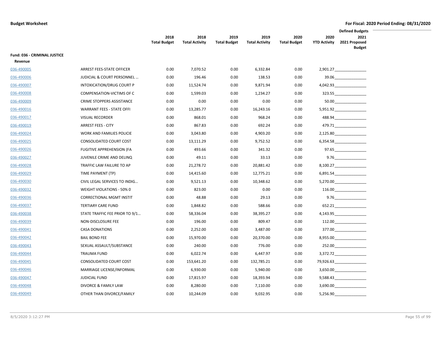|                                         |                                  |                             |                               |                             |                               |                             |                             | <b>Defined Budgets</b>                                                                                                                                                                                                         |  |
|-----------------------------------------|----------------------------------|-----------------------------|-------------------------------|-----------------------------|-------------------------------|-----------------------------|-----------------------------|--------------------------------------------------------------------------------------------------------------------------------------------------------------------------------------------------------------------------------|--|
|                                         |                                  | 2018<br><b>Total Budget</b> | 2018<br><b>Total Activity</b> | 2019<br><b>Total Budget</b> | 2019<br><b>Total Activity</b> | 2020<br><b>Total Budget</b> | 2020<br><b>YTD Activity</b> | 2021<br>2021 Proposed<br><b>Budget</b>                                                                                                                                                                                         |  |
| Fund: 036 - CRIMINAL JUSTICE<br>Revenue |                                  |                             |                               |                             |                               |                             |                             |                                                                                                                                                                                                                                |  |
| 036-490005                              | ARREST FEES-STATE OFFICER        | 0.00                        | 7,070.52                      | 0.00                        | 6,332.84                      | 0.00                        |                             | $2,901.27$ _______________                                                                                                                                                                                                     |  |
| 036-490006                              | JUDICIAL & COURT PERSONNEL       | 0.00                        | 196.46                        | 0.00                        | 138.53                        | 0.00                        |                             |                                                                                                                                                                                                                                |  |
| 036-490007                              | INTOXICATION/DRUG COURT P        | 0.00                        | 11,524.74                     | 0.00                        | 9,871.94                      | 0.00                        |                             | 4,042.93                                                                                                                                                                                                                       |  |
| 036-490008                              | COMPENSATION-VICTIMS OF C        | 0.00                        | 1,599.03                      | 0.00                        | 1,234.27                      | 0.00                        |                             | 323.55 and the set of the set of the set of the set of the set of the set of the set of the set of the set of the set of the set of the set of the set of the set of the set of the set of the set of the set of the set of th |  |
| 036-490009                              | CRIME STOPPERS ASSISTANCE        | 0.00                        | 0.00                          | 0.00                        | 0.00                          | 0.00                        |                             |                                                                                                                                                                                                                                |  |
| 036-490016                              | <b>WARRANT FEES - STATE OFFI</b> | 0.00                        | 13,285.77                     | 0.00                        | 16,243.16                     | 0.00                        |                             | 5,951.92                                                                                                                                                                                                                       |  |
| 036-490017                              | <b>VISUAL RECORDER</b>           | 0.00                        | 868.01                        | 0.00                        | 968.24                        | 0.00                        |                             | $488.94$                                                                                                                                                                                                                       |  |
| 036-490019                              | <b>ARREST FEES - CITY</b>        | 0.00                        | 867.83                        | 0.00                        | 692.24                        | 0.00                        |                             | 479.71                                                                                                                                                                                                                         |  |
| 036-490024                              | WORK AND FAMILIES POLICIE        | 0.00                        | 3,043.80                      | 0.00                        | 4,903.20                      | 0.00                        |                             | 2,125.80                                                                                                                                                                                                                       |  |
| 036-490025                              | CONSOLIDATED COURT COST          | 0.00                        | 13,111.29                     | 0.00                        | 9,752.52                      | 0.00                        |                             | 6,354.58                                                                                                                                                                                                                       |  |
| 036-490026                              | <b>FUGITIVE APPREHENSION (FA</b> | 0.00                        | 493.66                        | 0.00                        | 341.32                        | 0.00                        |                             | 97.65                                                                                                                                                                                                                          |  |
| 036-490027                              | JUVENILE CRIME AND DELINQ        | 0.00                        | 49.11                         | 0.00                        | 33.13                         | 0.00                        |                             | 9.76                                                                                                                                                                                                                           |  |
| 036-490028                              | TRAFFIC LAW FAILURE TO AP        | 0.00                        | 21,278.72                     | 0.00                        | 20,881.42                     | 0.00                        |                             | 8,100.27                                                                                                                                                                                                                       |  |
| 036-490029                              | TIME PAYMENT (TP)                | 0.00                        | 14,415.60                     | 0.00                        | 12,775.21                     | 0.00                        |                             | 6,891.54                                                                                                                                                                                                                       |  |
| 036-490030                              | CIVIL LEGAL SERVICES TO INDIG    | 0.00                        | 9,521.13                      | 0.00                        | 10,348.62                     | 0.00                        |                             | 5,270.00                                                                                                                                                                                                                       |  |
| 036-490032                              | WEIGHT VIOLATIONS - 50% 0        | 0.00                        | 823.00                        | 0.00                        | 0.00                          | 0.00                        |                             | 116.00                                                                                                                                                                                                                         |  |
| 036-490036                              | <b>CORRECTIONAL MGMT INSTIT</b>  | 0.00                        | 48.88                         | 0.00                        | 29.13                         | 0.00                        |                             | 9.76                                                                                                                                                                                                                           |  |
| 036-490037                              | <b>TERTIARY CARE FUND</b>        | 0.00                        | 1,848.82                      | 0.00                        | 588.66                        | 0.00                        |                             | 652.21                                                                                                                                                                                                                         |  |
| 036-490038                              | STATE TRAFFIC FEE PRIOR TO 9/1   | 0.00                        | 58,336.04                     | 0.00                        | 38,395.27                     | 0.00                        |                             | 4,143.95                                                                                                                                                                                                                       |  |
| 036-490039                              | NON-DISCLOSURE FEE               | 0.00                        | 196.00                        | 0.00                        | 809.47                        | 0.00                        |                             | 112.00                                                                                                                                                                                                                         |  |
| 036-490041                              | <b>CASA DONATIONS</b>            | 0.00                        | 2,252.00                      | 0.00                        | 3,487.00                      | 0.00                        |                             |                                                                                                                                                                                                                                |  |
| 036-490042                              | <b>BAIL BOND FEE</b>             | 0.00                        | 15,970.00                     | 0.00                        | 20,370.00                     | 0.00                        |                             |                                                                                                                                                                                                                                |  |
| 036-490043                              | SEXUAL ASSAULT/SUBSTANCE         | 0.00                        | 240.00                        | 0.00                        | 776.00                        | 0.00                        |                             | 252.00                                                                                                                                                                                                                         |  |
| 036-490044                              | <b>TRAUMA FUND</b>               | 0.00                        | 6,022.74                      | 0.00                        | 6,447.97                      | 0.00                        |                             | 3,372.72                                                                                                                                                                                                                       |  |
| 036-490045                              | CONSOLIDATED COURT COST          | 0.00                        | 153,641.20                    | 0.00                        | 132,785.21                    | 0.00                        |                             | 79,926.63                                                                                                                                                                                                                      |  |
| 036-490046                              | MARRIAGE LICENSE/INFORMAL        | 0.00                        | 6,930.00                      | 0.00                        | 5,940.00                      | 0.00                        |                             | 3,650.00                                                                                                                                                                                                                       |  |
| 036-490047                              | <b>JUDICIAL FUND</b>             | 0.00                        | 17,815.97                     | 0.00                        | 18,393.94                     | 0.00                        |                             |                                                                                                                                                                                                                                |  |
| 036-490048                              | DIVORCE & FAMILY LAW             | 0.00                        | 8,280.00                      | 0.00                        | 7,110.00                      | 0.00                        |                             | 3,690.00                                                                                                                                                                                                                       |  |
| 036-490049                              | OTHER THAN DIVORCE/FAMILY        | 0.00                        | 10,244.09                     | 0.00                        | 9,032.95                      | 0.00                        | 5,256.90                    |                                                                                                                                                                                                                                |  |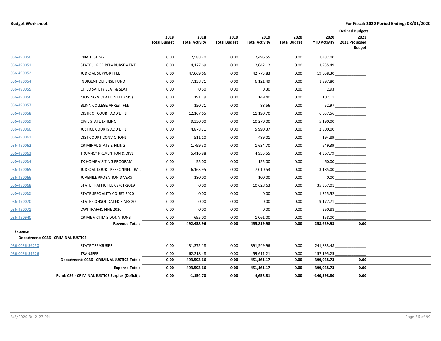|                |                                                 |                             |                               |                             |                               |                             |                             | <b>Defined Budgets</b>                                                                                                                                                                                                         |  |
|----------------|-------------------------------------------------|-----------------------------|-------------------------------|-----------------------------|-------------------------------|-----------------------------|-----------------------------|--------------------------------------------------------------------------------------------------------------------------------------------------------------------------------------------------------------------------------|--|
|                |                                                 | 2018<br><b>Total Budget</b> | 2018<br><b>Total Activity</b> | 2019<br><b>Total Budget</b> | 2019<br><b>Total Activity</b> | 2020<br><b>Total Budget</b> | 2020<br><b>YTD Activity</b> | 2021<br>2021 Proposed<br><b>Budget</b>                                                                                                                                                                                         |  |
| 036-490050     | <b>DNA TESTING</b>                              | 0.00                        | 2,588.20                      | 0.00                        | 2,496.55                      | 0.00                        |                             |                                                                                                                                                                                                                                |  |
| 036-490051     | STATE JUROR REIMBURSEMENT                       | 0.00                        | 14,127.69                     | 0.00                        | 12,042.12                     | 0.00                        |                             | 3,935.49                                                                                                                                                                                                                       |  |
| 036-490052     | <b>JUDICIAL SUPPORT FEE</b>                     | 0.00                        | 47,069.66                     | 0.00                        | 42,773.83                     | 0.00                        |                             | 19,058.30                                                                                                                                                                                                                      |  |
| 036-490054     | <b>INDIGENT DEFENSE FUND</b>                    | 0.00                        | 7,138.71                      | 0.00                        | 6,121.49                      | 0.00                        |                             | 1,997.80                                                                                                                                                                                                                       |  |
| 036-490055     | CHILD SAFETY SEAT & SEAT                        | 0.00                        | 0.60                          | 0.00                        | 0.30                          | 0.00                        |                             |                                                                                                                                                                                                                                |  |
| 036-490056     | MOVING VIOLATION FEE (MV)                       | 0.00                        | 191.19                        | 0.00                        | 149.40                        | 0.00                        |                             | 102.11                                                                                                                                                                                                                         |  |
| 036-490057     | BLINN COLLEGE ARREST FEE                        | 0.00                        | 150.71                        | 0.00                        | 88.56                         | 0.00                        |                             | 52.97                                                                                                                                                                                                                          |  |
| 036-490058     | DISTRICT COURT ADD'L FILI                       | 0.00                        | 12,167.65                     | 0.00                        | 11,190.70                     | 0.00                        |                             | 6,037.56                                                                                                                                                                                                                       |  |
| 036-490059     | <b>CIVIL STATE E-FILING</b>                     | 0.00                        | 9,330.00                      | 0.00                        | 10,270.00                     | 0.00                        |                             | 5,190.00                                                                                                                                                                                                                       |  |
| 036-490060     | <b>JUSTICE COURTS ADD'L FILI</b>                | 0.00                        | 4,878.71                      | 0.00                        | 5,990.37                      | 0.00                        |                             |                                                                                                                                                                                                                                |  |
| 036-490061     | DIST COURT CONVICTIONS                          | 0.00                        | 511.10                        | 0.00                        | 489.01                        | 0.00                        |                             | 194.89                                                                                                                                                                                                                         |  |
| 036-490062     | <b>CRIMINAL STATE E-FILING</b>                  | 0.00                        | 1,799.50                      | 0.00                        | 1,634.70                      | 0.00                        |                             | 649.39                                                                                                                                                                                                                         |  |
| 036-490063     | TRUANCY PREVENTION & DIVE                       | 0.00                        | 5,416.88                      | 0.00                        | 4,935.55                      | 0.00                        |                             | 4,367.79                                                                                                                                                                                                                       |  |
| 036-490064     | TX HOME VISITING PROGRAM                        | 0.00                        | 55.00                         | 0.00                        | 155.00                        | 0.00                        |                             | 60.00 and the set of the set of the set of the set of the set of the set of the set of the set of the set of the set of the set of the set of the set of the set of the set of the set of the set of the set of the set of the |  |
| 036-490065     | JUDICIAL COURT PERSONNEL TRA                    | 0.00                        | 6,163.95                      | 0.00                        | 7,010.53                      | 0.00                        |                             |                                                                                                                                                                                                                                |  |
| 036-490066     | <b>JUVENILE PROBATION DIVERS</b>                | 0.00                        | 180.00                        | 0.00                        | 100.00                        | 0.00                        |                             | 0.00                                                                                                                                                                                                                           |  |
| 036-490068     | STATE TRAFFIC FEE 09/01/2019                    | 0.00                        | 0.00                          | 0.00                        | 10,628.63                     | 0.00                        |                             | 35,357.01                                                                                                                                                                                                                      |  |
| 036-490069     | STATE SPECIALITY COURT 2020                     | 0.00                        | 0.00                          | 0.00                        | 0.00                          | 0.00                        |                             | 1,325.52                                                                                                                                                                                                                       |  |
| 036-490070     | STATE CONSOLIDATED FINES 20                     | 0.00                        | 0.00                          | 0.00                        | 0.00                          | 0.00                        |                             | 9,177.71                                                                                                                                                                                                                       |  |
| 036-490071     | DWI TRAFFIC FINE 2020                           | 0.00                        | 0.00                          | 0.00                        | 0.00                          | 0.00                        |                             | 260.88                                                                                                                                                                                                                         |  |
| 036-490940     | <b>CRIME VICTIM'S DONATIONS</b>                 | 0.00                        | 695.00                        | 0.00                        | 1,061.00                      | 0.00                        | 158.00                      |                                                                                                                                                                                                                                |  |
|                | <b>Revenue Total:</b>                           | 0.00                        | 492,438.96                    | 0.00                        | 455,819.98                    | 0.00                        | 258,629.93                  | 0.00                                                                                                                                                                                                                           |  |
| <b>Expense</b> | Department: 0036 - CRIMINAL JUSTICE             |                             |                               |                             |                               |                             |                             |                                                                                                                                                                                                                                |  |
| 036-0036-56250 | <b>STATE TREASURER</b>                          | 0.00                        | 431,375.18                    | 0.00                        | 391,549.96                    | 0.00                        | 241,833.48                  |                                                                                                                                                                                                                                |  |
| 036-0036-59626 | TRANSFER                                        | 0.00                        | 62,218.48                     | 0.00                        | 59,611.21                     | 0.00                        | 157,195.25                  |                                                                                                                                                                                                                                |  |
|                | Department: 0036 - CRIMINAL JUSTICE Total:      | 0.00                        | 493,593.66                    | 0.00                        | 451,161.17                    | 0.00                        | 399,028.73                  | 0.00                                                                                                                                                                                                                           |  |
|                | <b>Expense Total:</b>                           | 0.00                        | 493,593.66                    | 0.00                        | 451,161.17                    | 0.00                        | 399,028.73                  | 0.00                                                                                                                                                                                                                           |  |
|                | Fund: 036 - CRIMINAL JUSTICE Surplus (Deficit): | 0.00                        | $-1,154.70$                   | 0.00                        | 4,658.81                      | 0.00                        | -140,398.80                 | 0.00                                                                                                                                                                                                                           |  |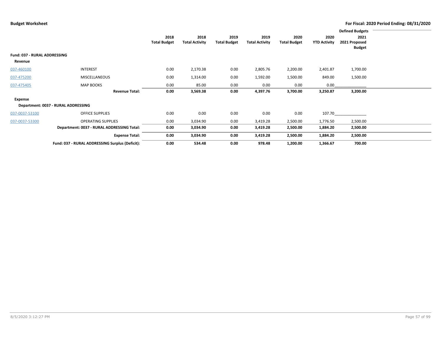|                              |                                                 |                     |                       |                     |                       |                     |                     | <b>Defined Budgets</b>         |  |
|------------------------------|-------------------------------------------------|---------------------|-----------------------|---------------------|-----------------------|---------------------|---------------------|--------------------------------|--|
|                              |                                                 | 2018                | 2018                  | 2019                | 2019                  | 2020                | 2020                | 2021                           |  |
|                              |                                                 | <b>Total Budget</b> | <b>Total Activity</b> | <b>Total Budget</b> | <b>Total Activity</b> | <b>Total Budget</b> | <b>YTD Activity</b> | 2021 Proposed<br><b>Budget</b> |  |
| Fund: 037 - RURAL ADDRESSING |                                                 |                     |                       |                     |                       |                     |                     |                                |  |
| Revenue                      |                                                 |                     |                       |                     |                       |                     |                     |                                |  |
| 037-460100                   | <b>INTEREST</b>                                 | 0.00                | 2,170.38              | 0.00                | 2,805.76              | 2,200.00            | 2,401.87            | 1,700.00                       |  |
| 037-475200                   | MISCELLANEOUS                                   | 0.00                | 1,314.00              | 0.00                | 1,592.00              | 1,500.00            | 849.00              | 1,500.00                       |  |
| 037-475405                   | <b>MAP BOOKS</b>                                | 0.00                | 85.00                 | 0.00                | 0.00                  | 0.00                | 0.00                |                                |  |
|                              | <b>Revenue Total:</b>                           | 0.00                | 3,569.38              | 0.00                | 4,397.76              | 3,700.00            | 3,250.87            | 3,200.00                       |  |
| Expense                      |                                                 |                     |                       |                     |                       |                     |                     |                                |  |
|                              | Department: 0037 - RURAL ADDRESSING             |                     |                       |                     |                       |                     |                     |                                |  |
| 037-0037-53100               | <b>OFFICE SUPPLIES</b>                          | 0.00                | 0.00                  | 0.00                | 0.00                  | 0.00                | 107.70              |                                |  |
| 037-0037-53300               | <b>OPERATING SUPPLIES</b>                       | 0.00                | 3,034.90              | 0.00                | 3,419.28              | 2,500.00            | 1,776.50            | 2,500.00                       |  |
|                              | Department: 0037 - RURAL ADDRESSING Total:      | 0.00                | 3,034.90              | 0.00                | 3,419.28              | 2,500.00            | 1,884.20            | 2,500.00                       |  |
|                              | <b>Expense Total:</b>                           | 0.00                | 3,034.90              | 0.00                | 3,419.28              | 2,500.00            | 1,884.20            | 2,500.00                       |  |
|                              | Fund: 037 - RURAL ADDRESSING Surplus (Deficit): | 0.00                | 534.48                | 0.00                | 978.48                | 1,200.00            | 1,366.67            | 700.00                         |  |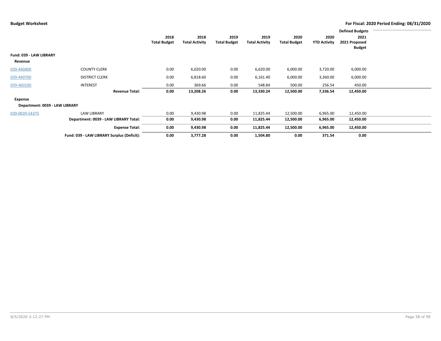|                                |                                            |                     |                       |                     |                       |                     |                     | <b>Defined Budgets</b> |  |
|--------------------------------|--------------------------------------------|---------------------|-----------------------|---------------------|-----------------------|---------------------|---------------------|------------------------|--|
|                                |                                            | 2018                | 2018                  | 2019                | 2019                  | 2020                | 2020                | 2021                   |  |
|                                |                                            | <b>Total Budget</b> | <b>Total Activity</b> | <b>Total Budget</b> | <b>Total Activity</b> | <b>Total Budget</b> | <b>YTD Activity</b> | 2021 Proposed          |  |
|                                |                                            |                     |                       |                     |                       |                     |                     | <b>Budget</b>          |  |
| Fund: 039 - LAW LIBRARY        |                                            |                     |                       |                     |                       |                     |                     |                        |  |
| Revenue                        |                                            |                     |                       |                     |                       |                     |                     |                        |  |
| 039-440400                     | <b>COUNTY CLERK</b>                        | 0.00                | 6,020.00              | 0.00                | 6,620.00              | 6,000.00            | 3,720.00            | 6,000.00               |  |
| 039-440700                     | <b>DISTRICT CLERK</b>                      | 0.00                | 6,818.60              | 0.00                | 6,161.40              | 6,000.00            | 3,360.00            | 6,000.00               |  |
| 039-460100                     | <b>INTEREST</b>                            | 0.00                | 369.66                | 0.00                | 548.84                | 500.00              | 256.54              | 450.00                 |  |
|                                | <b>Revenue Total:</b>                      | 0.00                | 13,208.26             | 0.00                | 13,330.24             | 12,500.00           | 7,336.54            | 12,450.00              |  |
| Expense                        |                                            |                     |                       |                     |                       |                     |                     |                        |  |
| Department: 0039 - LAW LIBRARY |                                            |                     |                       |                     |                       |                     |                     |                        |  |
| 039-0039-54375                 | <b>LAW LIBRARY</b>                         | 0.00                | 9,430.98              | 0.00                | 11,825.44             | 12,500.00           | 6,965.00            | 12,450.00              |  |
|                                | Department: 0039 - LAW LIBRARY Total:      | 0.00                | 9,430.98              | 0.00                | 11,825.44             | 12,500.00           | 6,965.00            | 12,450.00              |  |
|                                | <b>Expense Total:</b>                      | 0.00                | 9,430.98              | 0.00                | 11,825.44             | 12,500.00           | 6,965.00            | 12,450.00              |  |
|                                | Fund: 039 - LAW LIBRARY Surplus (Deficit): | 0.00                | 3,777.28              | 0.00                | 1,504.80              | 0.00                | 371.54              | 0.00                   |  |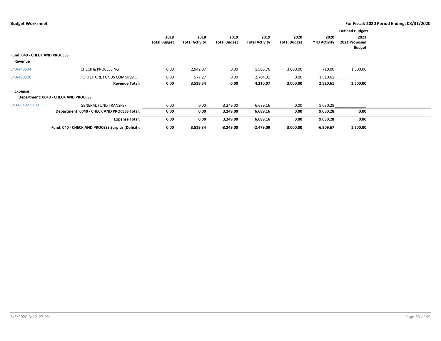|                                                 |                                                  |                             |                               |                             |                               |                             |                             | <b>Defined Budgets</b>                 |  |
|-------------------------------------------------|--------------------------------------------------|-----------------------------|-------------------------------|-----------------------------|-------------------------------|-----------------------------|-----------------------------|----------------------------------------|--|
|                                                 |                                                  | 2018<br><b>Total Budget</b> | 2018<br><b>Total Activity</b> | 2019<br><b>Total Budget</b> | 2019<br><b>Total Activity</b> | 2020<br><b>Total Budget</b> | 2020<br><b>YTD Activity</b> | 2021<br>2021 Proposed<br><b>Budget</b> |  |
| <b>Fund: 040 - CHECK AND PROCESS</b><br>Revenue |                                                  |                             |                               |                             |                               |                             |                             |                                        |  |
| 040-440304                                      | <b>CHECK &amp; PROCESSING</b>                    | 0.00                        | 2,942.07                      | 0.00                        | 1,505.76                      | 3,000.00                    | 710.00                      | 1,500.00                               |  |
| 040-490320                                      | FORFEITURE FUNDS COMMISSI                        | 0.00                        | 577.27                        | 0.00                        | 2,704.31                      | 0.00                        | 1,810.61                    |                                        |  |
|                                                 | <b>Revenue Total:</b>                            | 0.00                        | 3,519.34                      | 0.00                        | 4,210.07                      | 3,000.00                    | 2,520.61                    | 1,500.00                               |  |
| Expense                                         | Department: 0040 - CHECK AND PROCESS             |                             |                               |                             |                               |                             |                             |                                        |  |
| 040-0040-59100                                  | <b>GENERAL FUND TRANSFER</b>                     | 0.00                        | 0.00                          | 3,249.00                    | 6,689.16                      | 0.00                        | 9,030.28                    |                                        |  |
|                                                 | Department: 0040 - CHECK AND PROCESS Total:      | 0.00                        | 0.00                          | 3,249.00                    | 6,689.16                      | 0.00                        | 9,030.28                    | 0.00                                   |  |
|                                                 | <b>Expense Total:</b>                            | 0.00                        | 0.00                          | 3,249.00                    | 6,689.16                      | 0.00                        | 9,030.28                    | 0.00                                   |  |
|                                                 | Fund: 040 - CHECK AND PROCESS Surplus (Deficit): | 0.00                        | 3,519.34                      | $-3,249.00$                 | $-2,479.09$                   | 3,000.00                    | $-6,509.67$                 | 1,500.00                               |  |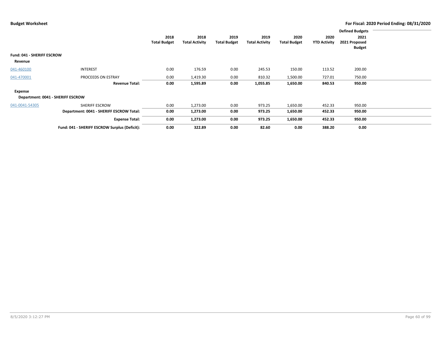|                                       |                                               |                             |                               |                             |                               |                             |                             | <b>Defined Budgets</b>                 |  |
|---------------------------------------|-----------------------------------------------|-----------------------------|-------------------------------|-----------------------------|-------------------------------|-----------------------------|-----------------------------|----------------------------------------|--|
|                                       |                                               | 2018<br><b>Total Budget</b> | 2018<br><b>Total Activity</b> | 2019<br><b>Total Budget</b> | 2019<br><b>Total Activity</b> | 2020<br><b>Total Budget</b> | 2020<br><b>YTD Activity</b> | 2021<br>2021 Proposed<br><b>Budget</b> |  |
| Fund: 041 - SHERIFF ESCROW<br>Revenue |                                               |                             |                               |                             |                               |                             |                             |                                        |  |
| 041-460100                            | <b>INTEREST</b>                               | 0.00                        | 176.59                        | 0.00                        | 245.53                        | 150.00                      | 113.52                      | 200.00                                 |  |
| 041-470001                            | PROCEEDS ON ESTRAY                            | 0.00                        | 1,419.30                      | 0.00                        | 810.32                        | 1,500.00                    | 727.01                      | 750.00                                 |  |
|                                       | <b>Revenue Total:</b>                         | 0.00                        | 1,595.89                      | 0.00                        | 1,055.85                      | 1,650.00                    | 840.53                      | 950.00                                 |  |
| Expense                               | Department: 0041 - SHERIFF ESCROW             |                             |                               |                             |                               |                             |                             |                                        |  |
| 041-0041-54305                        | SHERIFF ESCROW                                | 0.00                        | 1,273.00                      | 0.00                        | 973.25                        | 1,650.00                    | 452.33                      | 950.00                                 |  |
|                                       | Department: 0041 - SHERIFF ESCROW Total:      | 0.00                        | 1,273.00                      | 0.00                        | 973.25                        | 1,650.00                    | 452.33                      | 950.00                                 |  |
|                                       | <b>Expense Total:</b>                         | 0.00                        | 1,273.00                      | 0.00                        | 973.25                        | 1,650.00                    | 452.33                      | 950.00                                 |  |
|                                       | Fund: 041 - SHERIFF ESCROW Surplus (Deficit): | 0.00                        | 322.89                        | 0.00                        | 82.60                         | 0.00                        | 388.20                      | 0.00                                   |  |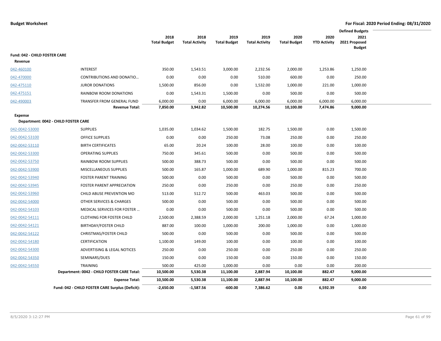|                                          |                                                     |                             |                               |                             |                               |                             |                             | <b>Defined Budgets</b>                 |  |
|------------------------------------------|-----------------------------------------------------|-----------------------------|-------------------------------|-----------------------------|-------------------------------|-----------------------------|-----------------------------|----------------------------------------|--|
|                                          |                                                     | 2018<br><b>Total Budget</b> | 2018<br><b>Total Activity</b> | 2019<br><b>Total Budget</b> | 2019<br><b>Total Activity</b> | 2020<br><b>Total Budget</b> | 2020<br><b>YTD Activity</b> | 2021<br>2021 Proposed<br><b>Budget</b> |  |
| Fund: 042 - CHILD FOSTER CARE<br>Revenue |                                                     |                             |                               |                             |                               |                             |                             |                                        |  |
| 042-460100                               | <b>INTEREST</b>                                     | 350.00                      | 1,543.51                      | 3,000.00                    | 2,232.56                      | 2,000.00                    | 1,253.86                    | 1,250.00                               |  |
| 042-470000                               | CONTRIBUTIONS AND DONATIO                           | 0.00                        | 0.00                          | 0.00                        | 510.00                        | 600.00                      | 0.00                        | 250.00                                 |  |
| 042-475110                               | <b>JUROR DONATIONS</b>                              | 1,500.00                    | 856.00                        | 0.00                        | 1,532.00                      | 1,000.00                    | 221.00                      | 1,000.00                               |  |
| 042-475151                               | RAINBOW ROOM DONATIONS                              | 0.00                        | 1,543.31                      | 1,500.00                    | 0.00                          | 500.00                      | 0.00                        | 500.00                                 |  |
| 042-490003                               | TRANSFER FROM GENERAL FUND<br><b>Revenue Total:</b> | 6,000.00<br>7,850.00        | 0.00<br>3,942.82              | 6,000.00<br>10,500.00       | 6,000.00<br>10,274.56         | 6,000.00<br>10,100.00       | 6,000.00<br>7,474.86        | 6,000.00<br>9,000.00                   |  |
| Expense                                  |                                                     |                             |                               |                             |                               |                             |                             |                                        |  |
| Department: 0042 - CHILD FOSTER CARE     |                                                     |                             |                               |                             |                               |                             |                             |                                        |  |
| 042-0042-53000                           | <b>SUPPLIES</b>                                     | 1,035.00                    | 1,034.62                      | 1,500.00                    | 182.75                        | 1,500.00                    | 0.00                        | 1,500.00                               |  |
| 042-0042-53100                           | <b>OFFICE SUPPLIES</b>                              | 0.00                        | 0.00                          | 250.00                      | 73.08                         | 250.00                      | 0.00                        | 250.00                                 |  |
| 042-0042-53110                           | <b>BIRTH CERTIFICATES</b>                           | 65.00                       | 20.24                         | 100.00                      | 28.00                         | 100.00                      | 0.00                        | 100.00                                 |  |
| 042-0042-53300                           | <b>OPERATING SUPPLIES</b>                           | 750.00                      | 345.61                        | 500.00                      | 0.00                          | 500.00                      | 0.00                        | 500.00                                 |  |
| 042-0042-53750                           | RAINBOW ROOM SUPPLIES                               | 500.00                      | 388.73                        | 500.00                      | 0.00                          | 500.00                      | 0.00                        | 500.00                                 |  |
| 042-0042-53900                           | MISCELLANEOUS SUPPLIES                              | 500.00                      | 165.87                        | 1,000.00                    | 689.90                        | 1,000.00                    | 815.23                      | 700.00                                 |  |
| 042-0042-53940                           | <b>FOSTER PARENT TRAINING</b>                       | 500.00                      | 0.00                          | 500.00                      | 0.00                          | 500.00                      | 0.00                        | 500.00                                 |  |
| 042-0042-53945                           | <b>FOSTER PARENT APPRECIATION</b>                   | 250.00                      | 0.00                          | 250.00                      | 0.00                          | 250.00                      | 0.00                        | 250.00                                 |  |
| 042-0042-53960                           | CHILD ABUSE PREVENTION MO                           | 513.00                      | 512.72                        | 500.00                      | 463.03                        | 500.00                      | 0.00                        | 500.00                                 |  |
| 042-0042-54000                           | OTHER SERVICES & CHARGES                            | 500.00                      | 0.00                          | 500.00                      | 0.00                          | 500.00                      | 0.00                        | 500.00                                 |  |
| 042-0042-54103                           | MEDICAL SERVICES FOR FOSTER                         | 0.00                        | 0.00                          | 500.00                      | 0.00                          | 500.00                      | 0.00                        | 500.00                                 |  |
| 042-0042-54111                           | <b>CLOTHING FOR FOSTER CHILD</b>                    | 2,500.00                    | 2,388.59                      | 2,000.00                    | 1,251.18                      | 2,000.00                    | 67.24                       | 1,000.00                               |  |
| 042-0042-54121                           | BIRTHDAY/FOSTER CHILD                               | 887.00                      | 100.00                        | 1,000.00                    | 200.00                        | 1,000.00                    | 0.00                        | 1,000.00                               |  |
| 042-0042-54122                           | CHRISTMAS/FOSTER CHILD                              | 500.00                      | 0.00                          | 500.00                      | 0.00                          | 500.00                      | 0.00                        | 500.00                                 |  |
| 042-0042-54180                           | <b>CERTIFICATION</b>                                | 1,100.00                    | 149.00                        | 100.00                      | 0.00                          | 100.00                      | 0.00                        | 100.00                                 |  |
| 042-0042-54300                           | ADVERTISING & LEGAL NOTICES                         | 250.00                      | 0.00                          | 250.00                      | 0.00                          | 250.00                      | 0.00                        | 250.00                                 |  |
| 042-0042-54350                           | SEMINARS/DUES                                       | 150.00                      | 0.00                          | 150.00                      | 0.00                          | 150.00                      | 0.00                        | 150.00                                 |  |
| 042-0042-54550                           | TRAINING                                            | 500.00                      | 425.00                        | 1,000.00                    | 0.00                          | 0.00                        | 0.00                        | 200.00                                 |  |
|                                          | Department: 0042 - CHILD FOSTER CARE Total:         | 10,500.00                   | 5,530.38                      | 11,100.00                   | 2,887.94                      | 10,100.00                   | 882.47                      | 9,000.00                               |  |
|                                          | <b>Expense Total:</b>                               | 10,500.00                   | 5,530.38                      | 11,100.00                   | 2,887.94                      | 10,100.00                   | 882.47                      | 9,000.00                               |  |
|                                          | Fund: 042 - CHILD FOSTER CARE Surplus (Deficit):    | $-2,650.00$                 | $-1,587.56$                   | -600.00                     | 7,386.62                      | 0.00                        | 6,592.39                    | 0.00                                   |  |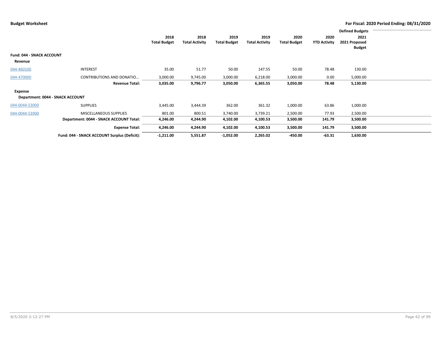|                                  |                                              |                     |                       |                     |                       |                     |                     | <b>Defined Budgets</b> |  |
|----------------------------------|----------------------------------------------|---------------------|-----------------------|---------------------|-----------------------|---------------------|---------------------|------------------------|--|
|                                  |                                              | 2018                | 2018                  | 2019                | 2019                  | 2020                | 2020                | 2021                   |  |
|                                  |                                              | <b>Total Budget</b> | <b>Total Activity</b> | <b>Total Budget</b> | <b>Total Activity</b> | <b>Total Budget</b> | <b>YTD Activity</b> | 2021 Proposed          |  |
|                                  |                                              |                     |                       |                     |                       |                     |                     | <b>Budget</b>          |  |
| <b>Fund: 044 - SNACK ACCOUNT</b> |                                              |                     |                       |                     |                       |                     |                     |                        |  |
| Revenue                          |                                              |                     |                       |                     |                       |                     |                     |                        |  |
| 044-460100                       | <b>INTEREST</b>                              | 35.00               | 51.77                 | 50.00               | 147.55                | 50.00               | 78.48               | 130.00                 |  |
| 044-470000                       | <b>CONTRIBUTIONS AND DONATIO</b>             | 3,000.00            | 9,745.00              | 3,000.00            | 6,218.00              | 3,000.00            | 0.00                | 5,000.00               |  |
|                                  | <b>Revenue Total:</b>                        | 3,035.00            | 9,796.77              | 3,050.00            | 6,365.55              | 3,050.00            | 78.48               | 5,130.00               |  |
| Expense                          |                                              |                     |                       |                     |                       |                     |                     |                        |  |
|                                  | Department: 0044 - SNACK ACCOUNT             |                     |                       |                     |                       |                     |                     |                        |  |
| 044-0044-53000                   | <b>SUPPLIES</b>                              | 3,445.00            | 3,444.39              | 362.00              | 361.32                | 1,000.00            | 63.86               | 1,000.00               |  |
| 044-0044-53900                   | <b>MISCELLANEOUS SUPPLIES</b>                | 801.00              | 800.51                | 3,740.00            | 3,739.21              | 2,500.00            | 77.93               | 2,500.00               |  |
|                                  | Department: 0044 - SNACK ACCOUNT Total:      | 4,246.00            | 4,244.90              | 4,102.00            | 4,100.53              | 3,500.00            | 141.79              | 3,500.00               |  |
|                                  | <b>Expense Total:</b>                        | 4,246.00            | 4,244.90              | 4,102.00            | 4,100.53              | 3,500.00            | 141.79              | 3,500.00               |  |
|                                  | Fund: 044 - SNACK ACCOUNT Surplus (Deficit): | $-1,211.00$         | 5,551.87              | $-1,052.00$         | 2,265.02              | -450.00             | $-63.31$            | 1,630.00               |  |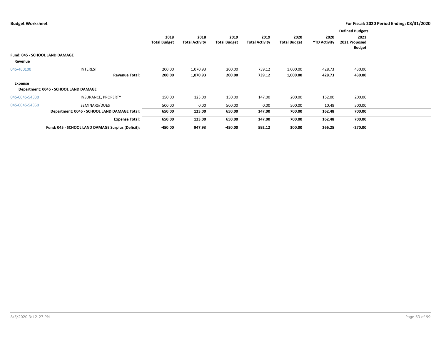|                |                                                   |                     |                       |                     |                       |                     |                     | <b>Defined Budgets</b> |  |
|----------------|---------------------------------------------------|---------------------|-----------------------|---------------------|-----------------------|---------------------|---------------------|------------------------|--|
|                |                                                   | 2018                | 2018                  | 2019                | 2019                  | 2020                | 2020                | 2021                   |  |
|                |                                                   | <b>Total Budget</b> | <b>Total Activity</b> | <b>Total Budget</b> | <b>Total Activity</b> | <b>Total Budget</b> | <b>YTD Activity</b> | 2021 Proposed          |  |
|                |                                                   |                     |                       |                     |                       |                     |                     | <b>Budget</b>          |  |
|                | <b>Fund: 045 - SCHOOL LAND DAMAGE</b>             |                     |                       |                     |                       |                     |                     |                        |  |
| Revenue        |                                                   |                     |                       |                     |                       |                     |                     |                        |  |
| 045-460100     | <b>INTEREST</b>                                   | 200.00              | 1,070.93              | 200.00              | 739.12                | 1,000.00            | 428.73              | 430.00                 |  |
|                | <b>Revenue Total:</b>                             | 200.00              | 1,070.93              | 200.00              | 739.12                | 1,000.00            | 428.73              | 430.00                 |  |
| Expense        |                                                   |                     |                       |                     |                       |                     |                     |                        |  |
|                | Department: 0045 - SCHOOL LAND DAMAGE             |                     |                       |                     |                       |                     |                     |                        |  |
| 045-0045-54330 | INSURANCE, PROPERTY                               | 150.00              | 123.00                | 150.00              | 147.00                | 200.00              | 152.00              | 200.00                 |  |
| 045-0045-54350 | SEMINARS/DUES                                     | 500.00              | 0.00                  | 500.00              | 0.00                  | 500.00              | 10.48               | 500.00                 |  |
|                | Department: 0045 - SCHOOL LAND DAMAGE Total:      | 650.00              | 123.00                | 650.00              | 147.00                | 700.00              | 162.48              | 700.00                 |  |
|                | <b>Expense Total:</b>                             | 650.00              | 123.00                | 650.00              | 147.00                | 700.00              | 162.48              | 700.00                 |  |
|                | Fund: 045 - SCHOOL LAND DAMAGE Surplus (Deficit): | $-450.00$           | 947.93                | -450.00             | 592.12                | 300.00              | 266.25              | $-270.00$              |  |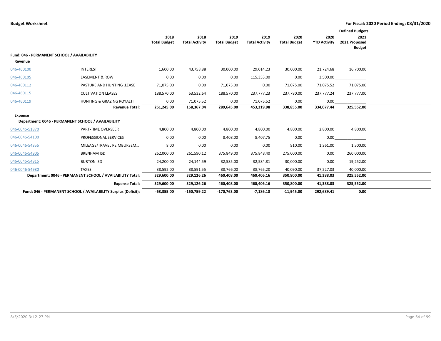|                                             |                                                                |                     |                       |                     |                       |                     |                     | <b>Defined Budgets</b> |  |
|---------------------------------------------|----------------------------------------------------------------|---------------------|-----------------------|---------------------|-----------------------|---------------------|---------------------|------------------------|--|
|                                             |                                                                | 2018                | 2018                  | 2019                | 2019                  | 2020                | 2020                | 2021                   |  |
|                                             |                                                                | <b>Total Budget</b> | <b>Total Activity</b> | <b>Total Budget</b> | <b>Total Activity</b> | <b>Total Budget</b> | <b>YTD Activity</b> | 2021 Proposed          |  |
|                                             |                                                                |                     |                       |                     |                       |                     |                     | <b>Budget</b>          |  |
| Fund: 046 - PERMANENT SCHOOL / AVAILABILITY |                                                                |                     |                       |                     |                       |                     |                     |                        |  |
| Revenue                                     |                                                                |                     |                       |                     |                       |                     |                     |                        |  |
| 046-460100                                  | <b>INTEREST</b>                                                | 1,600.00            | 43,758.88             | 30,000.00           | 29,014.23             | 30,000.00           | 21,724.68           | 16,700.00              |  |
| 046-460105                                  | <b>EASEMENT &amp; ROW</b>                                      | 0.00                | 0.00                  | 0.00                | 115,353.00            | 0.00                | 3,500.00            |                        |  |
| 046-460112                                  | <b>PASTURE AND HUNTING .LEASE</b>                              | 71,075.00           | 0.00                  | 71,075.00           | 0.00                  | 71,075.00           | 71,075.52           | 71,075.00              |  |
| 046-460115                                  | <b>CULTIVATION LEASES</b>                                      | 188,570.00          | 53,532.64             | 188,570.00          | 237,777.23            | 237,780.00          | 237,777.24          | 237,777.00             |  |
| 046-460119                                  | HUNTING & GRAZING ROYALTI                                      | 0.00                | 71,075.52             | 0.00                | 71,075.52             | 0.00                | 0.00                |                        |  |
|                                             | <b>Revenue Total:</b>                                          | 261,245.00          | 168,367.04            | 289,645.00          | 453,219.98            | 338,855.00          | 334,077.44          | 325,552.00             |  |
| Expense                                     |                                                                |                     |                       |                     |                       |                     |                     |                        |  |
|                                             | Department: 0046 - PERMANENT SCHOOL / AVAILABILITY             |                     |                       |                     |                       |                     |                     |                        |  |
| 046-0046-51870                              | PART-TIME OVERSEER                                             | 4,800.00            | 4,800.00              | 4,800.00            | 4,800.00              | 4,800.00            | 2,800.00            | 4,800.00               |  |
| 046-0046-54100                              | PROFESSIONAL SERVICES                                          | 0.00                | 0.00                  | 8,408.00            | 8,407.75              | 0.00                | 0.00                |                        |  |
| 046-0046-54355                              | MILEAGE/TRAVEL REIMBURSEM                                      | 8.00                | 0.00                  | 0.00                | 0.00                  | 910.00              | 1,361.00            | 1,500.00               |  |
| 046-0046-54905                              | <b>BRENHAM ISD</b>                                             | 262,000.00          | 261,590.12            | 375,849.00          | 375,848.40            | 275,000.00          | 0.00                | 260,000.00             |  |
| 046-0046-54915                              | <b>BURTON ISD</b>                                              | 24,200.00           | 24,144.59             | 32,585.00           | 32,584.81             | 30,000.00           | 0.00                | 19,252.00              |  |
| 046-0046-54980                              | <b>TAXES</b>                                                   | 38,592.00           | 38,591.55             | 38,766.00           | 38,765.20             | 40,090.00           | 37,227.03           | 40,000.00              |  |
|                                             | Department: 0046 - PERMANENT SCHOOL / AVAILABILITY Total:      | 329,600.00          | 329,126.26            | 460,408.00          | 460,406.16            | 350,800.00          | 41,388.03           | 325,552.00             |  |
|                                             | <b>Expense Total:</b>                                          | 329,600.00          | 329,126.26            | 460,408.00          | 460,406.16            | 350,800.00          | 41,388.03           | 325,552.00             |  |
|                                             | Fund: 046 - PERMANENT SCHOOL / AVAILABILITY Surplus (Deficit): | $-68,355.00$        | $-160,759.22$         | $-170,763.00$       | $-7,186.18$           | $-11,945.00$        | 292,689.41          | 0.00                   |  |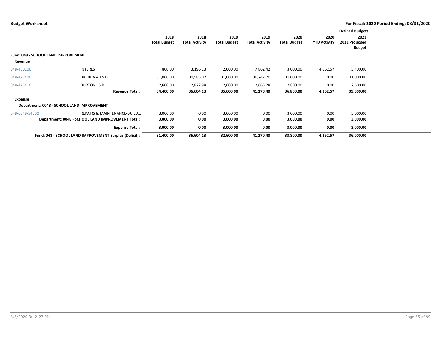|                |                                                        |                     |                       |                     |                       |                     |                     | <b>Defined Budgets</b> |  |
|----------------|--------------------------------------------------------|---------------------|-----------------------|---------------------|-----------------------|---------------------|---------------------|------------------------|--|
|                |                                                        | 2018                | 2018                  | 2019                | 2019                  | 2020                | 2020                | 2021                   |  |
|                |                                                        | <b>Total Budget</b> | <b>Total Activity</b> | <b>Total Budget</b> | <b>Total Activity</b> | <b>Total Budget</b> | <b>YTD Activity</b> | 2021 Proposed          |  |
|                |                                                        |                     |                       |                     |                       |                     |                     | <b>Budget</b>          |  |
|                | Fund: 048 - SCHOOL LAND IMPROVEMENT                    |                     |                       |                     |                       |                     |                     |                        |  |
| Revenue        |                                                        |                     |                       |                     |                       |                     |                     |                        |  |
| 048-460100     | INTEREST                                               | 800.00              | 3,196.13              | 2,000.00            | 7,862.42              | 3,000.00            | 4,362.57            | 5,400.00               |  |
| 048-475400     | BRENHAM I.S.D.                                         | 31,000.00           | 30,585.02             | 31,000.00           | 30,742.70             | 31,000.00           | 0.00                | 31,000.00              |  |
| 048-475410     | BURTON I.S.D.                                          | 2,600.00            | 2,822.98              | 2,600.00            | 2,665.28              | 2,800.00            | 0.00                | 2,600.00               |  |
|                | <b>Revenue Total:</b>                                  | 34,400.00           | 36,604.13             | 35,600.00           | 41,270.40             | 36,800.00           | 4,362.57            | 39,000.00              |  |
| Expense        |                                                        |                     |                       |                     |                       |                     |                     |                        |  |
|                | Department: 0048 - SCHOOL LAND IMPROVEMENT             |                     |                       |                     |                       |                     |                     |                        |  |
| 048-0048-54500 | REPAIRS & MAINTENANCE-BUILD                            | 3,000.00            | 0.00                  | 3,000.00            | 0.00                  | 3,000.00            | 0.00                | 3,000.00               |  |
|                | Department: 0048 - SCHOOL LAND IMPROVEMENT Total:      | 3,000.00            | 0.00                  | 3,000.00            | 0.00                  | 3,000.00            | 0.00                | 3,000.00               |  |
|                | <b>Expense Total:</b>                                  | 3,000.00            | 0.00                  | 3,000.00            | 0.00                  | 3,000.00            | 0.00                | 3,000.00               |  |
|                | Fund: 048 - SCHOOL LAND IMPROVEMENT Surplus (Deficit): | 31,400.00           | 36,604.13             | 32,600.00           | 41,270.40             | 33,800.00           | 4,362.57            | 36,000.00              |  |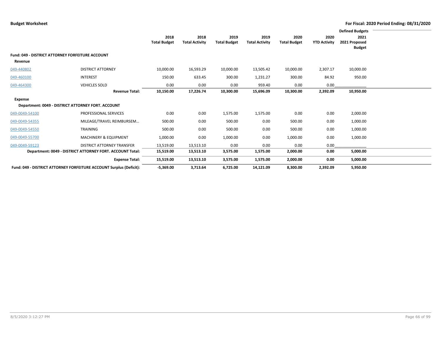|                                                         |                                                                     |                             |                               |                             |                               |                             |                             | <b>Defined Budgets</b> |
|---------------------------------------------------------|---------------------------------------------------------------------|-----------------------------|-------------------------------|-----------------------------|-------------------------------|-----------------------------|-----------------------------|------------------------|
|                                                         |                                                                     | 2018<br><b>Total Budget</b> | 2018<br><b>Total Activity</b> | 2019<br><b>Total Budget</b> | 2019<br><b>Total Activity</b> | 2020<br><b>Total Budget</b> | 2020<br><b>YTD Activity</b> | 2021<br>2021 Proposed  |
|                                                         |                                                                     |                             |                               |                             |                               |                             |                             | <b>Budget</b>          |
| <b>Fund: 049 - DISTRICT ATTORNEY FORFEITURE ACCOUNT</b> |                                                                     |                             |                               |                             |                               |                             |                             |                        |
| Revenue                                                 |                                                                     |                             |                               |                             |                               |                             |                             |                        |
| 049-440802                                              | <b>DISTRICT ATTORNEY</b>                                            | 10,000.00                   | 16,593.29                     | 10,000.00                   | 13,505.42                     | 10,000.00                   | 2,307.17                    | 10,000.00              |
| 049-460100                                              | <b>INTEREST</b>                                                     | 150.00                      | 633.45                        | 300.00                      | 1,231.27                      | 300.00                      | 84.92                       | 950.00                 |
| 049-464300                                              | <b>VEHICLES SOLD</b>                                                | 0.00                        | 0.00                          | 0.00                        | 959.40                        | 0.00                        | 0.00                        |                        |
|                                                         | <b>Revenue Total:</b>                                               | 10,150.00                   | 17,226.74                     | 10,300.00                   | 15,696.09                     | 10,300.00                   | 2,392.09                    | 10,950.00              |
| Expense                                                 |                                                                     |                             |                               |                             |                               |                             |                             |                        |
|                                                         | Department: 0049 - DISTRICT ATTORNEY FORT. ACCOUNT                  |                             |                               |                             |                               |                             |                             |                        |
| 049-0049-54100                                          | PROFESSIONAL SERVICES                                               | 0.00                        | 0.00                          | 1,575.00                    | 1,575.00                      | 0.00                        | 0.00                        | 2,000.00               |
| 049-0049-54355                                          | MILEAGE/TRAVEL REIMBURSEM                                           | 500.00                      | 0.00                          | 500.00                      | 0.00                          | 500.00                      | 0.00                        | 1,000.00               |
| 049-0049-54550                                          | TRAINING                                                            | 500.00                      | 0.00                          | 500.00                      | 0.00                          | 500.00                      | 0.00                        | 1,000.00               |
| 049-0049-55700                                          | MACHINERY & EQUIPMENT                                               | 1,000.00                    | 0.00                          | 1,000.00                    | 0.00                          | 1,000.00                    | 0.00                        | 1,000.00               |
| 049-0049-59123                                          | <b>DISTRICT ATTORNEY TRANSFER</b>                                   | 13,519.00                   | 13,513.10                     | 0.00                        | 0.00                          | 0.00                        | 0.00                        |                        |
|                                                         | Department: 0049 - DISTRICT ATTORNEY FORT. ACCOUNT Total:           | 15,519.00                   | 13,513.10                     | 3,575.00                    | 1,575.00                      | 2,000.00                    | 0.00                        | 5,000.00               |
|                                                         | <b>Expense Total:</b>                                               | 15,519.00                   | 13,513.10                     | 3,575.00                    | 1,575.00                      | 2,000.00                    | 0.00                        | 5,000.00               |
|                                                         | Fund: 049 - DISTRICT ATTORNEY FORFEITURE ACCOUNT Surplus (Deficit): | $-5,369.00$                 | 3,713.64                      | 6,725.00                    | 14,121.09                     | 8,300.00                    | 2,392.09                    | 5,950.00               |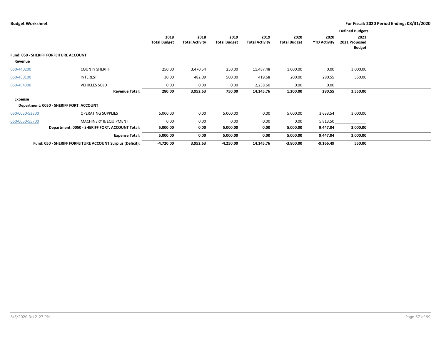|                |                                                           |                     |                       |                     |                       |                     |                     | <b>Defined Budgets</b> |  |
|----------------|-----------------------------------------------------------|---------------------|-----------------------|---------------------|-----------------------|---------------------|---------------------|------------------------|--|
|                |                                                           | 2018                | 2018                  | 2019                | 2019                  | 2020                | 2020                | 2021                   |  |
|                |                                                           | <b>Total Budget</b> | <b>Total Activity</b> | <b>Total Budget</b> | <b>Total Activity</b> | <b>Total Budget</b> | <b>YTD Activity</b> | 2021 Proposed          |  |
|                |                                                           |                     |                       |                     |                       |                     |                     | <b>Budget</b>          |  |
|                | Fund: 050 - SHERIFF FORFEITURE ACCOUNT                    |                     |                       |                     |                       |                     |                     |                        |  |
| Revenue        |                                                           |                     |                       |                     |                       |                     |                     |                        |  |
| 050-440200     | <b>COUNTY SHERIFF</b>                                     | 250.00              | 3,470.54              | 250.00              | 11,487.48             | 1,000.00            | 0.00                | 3,000.00               |  |
| 050-460100     | <b>INTEREST</b>                                           | 30.00               | 482.09                | 500.00              | 419.68                | 200.00              | 280.55              | 550.00                 |  |
| 050-464300     | <b>VEHICLES SOLD</b>                                      | 0.00                | 0.00                  | 0.00                | 2,238.60              | 0.00                | 0.00                |                        |  |
|                | <b>Revenue Total:</b>                                     | 280.00              | 3,952.63              | 750.00              | 14,145.76             | 1,200.00            | 280.55              | 3,550.00               |  |
| <b>Expense</b> |                                                           |                     |                       |                     |                       |                     |                     |                        |  |
|                | Department: 0050 - SHERIFF FORT. ACCOUNT                  |                     |                       |                     |                       |                     |                     |                        |  |
| 050-0050-53300 | <b>OPERATING SUPPLIES</b>                                 | 5,000.00            | 0.00                  | 5,000.00            | 0.00                  | 5,000.00            | 3,633.54            | 3,000.00               |  |
| 050-0050-55700 | <b>MACHINERY &amp; EQUIPMENT</b>                          | 0.00                | 0.00                  | 0.00                | 0.00                  | 0.00                | 5,813.50            |                        |  |
|                | Department: 0050 - SHERIFF FORT. ACCOUNT Total:           | 5,000.00            | 0.00                  | 5,000.00            | 0.00                  | 5,000.00            | 9,447.04            | 3,000.00               |  |
|                | <b>Expense Total:</b>                                     | 5,000.00            | 0.00                  | 5,000.00            | 0.00                  | 5,000.00            | 9,447.04            | 3,000.00               |  |
|                | Fund: 050 - SHERIFF FORFEITURE ACCOUNT Surplus (Deficit): | -4,720.00           | 3,952.63              | $-4,250.00$         | 14,145.76             | $-3,800.00$         | $-9,166.49$         | 550.00                 |  |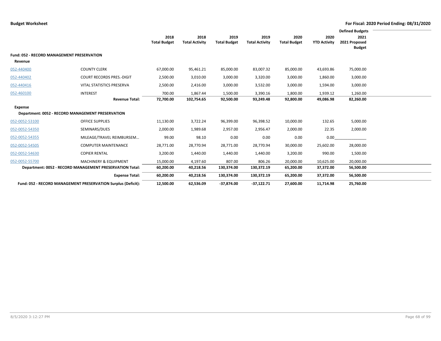|                                            |                                                               |                     |                       |                     |                       |                     |                     | <b>Defined Budgets</b> |
|--------------------------------------------|---------------------------------------------------------------|---------------------|-----------------------|---------------------|-----------------------|---------------------|---------------------|------------------------|
|                                            |                                                               | 2018                | 2018                  | 2019                | 2019                  | 2020                | 2020                | 2021                   |
|                                            |                                                               | <b>Total Budget</b> | <b>Total Activity</b> | <b>Total Budget</b> | <b>Total Activity</b> | <b>Total Budget</b> | <b>YTD Activity</b> | 2021 Proposed          |
|                                            |                                                               |                     |                       |                     |                       |                     |                     | <b>Budget</b>          |
| Fund: 052 - RECORD MANAGEMENT PRESERVATION |                                                               |                     |                       |                     |                       |                     |                     |                        |
| Revenue                                    |                                                               |                     |                       |                     |                       |                     |                     |                        |
| 052-440400                                 | <b>COUNTY CLERK</b>                                           | 67,000.00           | 95,461.21             | 85,000.00           | 83,007.32             | 85,000.00           | 43,693.86           | 75,000.00              |
| 052-440402                                 | <b>COURT RECORDS PRES.-DIGIT</b>                              | 2,500.00            | 3,010.00              | 3,000.00            | 3,320.00              | 3,000.00            | 1,860.00            | 3,000.00               |
| 052-440416                                 | VITAL STATISTICS PRESERVA                                     | 2,500.00            | 2,416.00              | 3,000.00            | 3,532.00              | 3,000.00            | 1,594.00            | 3,000.00               |
| 052-460100                                 | <b>INTEREST</b>                                               | 700.00              | 1,867.44              | 1,500.00            | 3,390.16              | 1,800.00            | 1,939.12            | 1,260.00               |
|                                            | <b>Revenue Total:</b>                                         | 72,700.00           | 102,754.65            | 92,500.00           | 93,249.48             | 92,800.00           | 49,086.98           | 82,260.00              |
| Expense                                    |                                                               |                     |                       |                     |                       |                     |                     |                        |
|                                            | Department: 0052 - RECORD MANAGEMENT PRESERVATION             |                     |                       |                     |                       |                     |                     |                        |
| 052-0052-53100                             | <b>OFFICE SUPPLIES</b>                                        | 11,130.00           | 3,722.24              | 96,399.00           | 96,398.52             | 10,000.00           | 132.65              | 5,000.00               |
| 052-0052-54350                             | SEMINARS/DUES                                                 | 2,000.00            | 1,989.68              | 2,957.00            | 2,956.47              | 2,000.00            | 22.35               | 2,000.00               |
| 052-0052-54355                             | MILEAGE/TRAVEL REIMBURSEM                                     | 99.00               | 98.10                 | 0.00                | 0.00                  | 0.00                | 0.00                |                        |
| 052-0052-54505                             | <b>COMPUTER MAINTENANCE</b>                                   | 28,771.00           | 28,770.94             | 28,771.00           | 28,770.94             | 30,000.00           | 25,602.00           | 28,000.00              |
| 052-0052-54630                             | <b>COPIER RENTAL</b>                                          | 3,200.00            | 1,440.00              | 1,440.00            | 1,440.00              | 3,200.00            | 990.00              | 1,500.00               |
| 052-0052-55700                             | <b>MACHINERY &amp; EQUIPMENT</b>                              | 15,000.00           | 4,197.60              | 807.00              | 806.26                | 20,000.00           | 10,625.00           | 20,000.00              |
|                                            | Department: 0052 - RECORD MANAGEMENT PRESERVATION Total:      | 60,200.00           | 40,218.56             | 130,374.00          | 130,372.19            | 65,200.00           | 37,372.00           | 56,500.00              |
|                                            | <b>Expense Total:</b>                                         | 60,200.00           | 40,218.56             | 130,374.00          | 130,372.19            | 65,200.00           | 37,372.00           | 56,500.00              |
|                                            | Fund: 052 - RECORD MANAGEMENT PRESERVATION Surplus (Deficit): | 12,500.00           | 62,536.09             | $-37,874.00$        | $-37.122.71$          | 27,600.00           | 11,714.98           | 25.760.00              |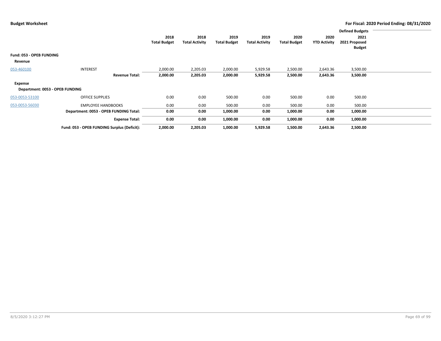|                                 |                                             |                     |                       |                     |                       |                     |                     | <b>Defined Budgets</b> |  |
|---------------------------------|---------------------------------------------|---------------------|-----------------------|---------------------|-----------------------|---------------------|---------------------|------------------------|--|
|                                 |                                             | 2018                | 2018                  | 2019                | 2019                  | 2020                | 2020                | 2021                   |  |
|                                 |                                             | <b>Total Budget</b> | <b>Total Activity</b> | <b>Total Budget</b> | <b>Total Activity</b> | <b>Total Budget</b> | <b>YTD Activity</b> | 2021 Proposed          |  |
|                                 |                                             |                     |                       |                     |                       |                     |                     | Budget                 |  |
| Fund: 053 - OPEB FUNDING        |                                             |                     |                       |                     |                       |                     |                     |                        |  |
| Revenue                         |                                             |                     |                       |                     |                       |                     |                     |                        |  |
| 053-460100                      | <b>INTEREST</b>                             | 2,000.00            | 2,205.03              | 2,000.00            | 5,929.58              | 2,500.00            | 2,643.36            | 3,500.00               |  |
|                                 | <b>Revenue Total:</b>                       | 2,000.00            | 2,205.03              | 2,000.00            | 5,929.58              | 2,500.00            | 2,643.36            | 3,500.00               |  |
| Expense                         |                                             |                     |                       |                     |                       |                     |                     |                        |  |
| Department: 0053 - OPEB FUNDING |                                             |                     |                       |                     |                       |                     |                     |                        |  |
| 053-0053-53100                  | <b>OFFICE SUPPLIES</b>                      | 0.00                | 0.00                  | 500.00              | 0.00                  | 500.00              | 0.00                | 500.00                 |  |
| 053-0053-56030                  | <b>EMPLOYEE HANDBOOKS</b>                   | 0.00                | 0.00                  | 500.00              | 0.00                  | 500.00              | 0.00                | 500.00                 |  |
|                                 | Department: 0053 - OPEB FUNDING Total:      | 0.00                | 0.00                  | 1,000.00            | 0.00                  | 1,000.00            | 0.00                | 1,000.00               |  |
|                                 | <b>Expense Total:</b>                       | 0.00                | 0.00                  | 1,000.00            | 0.00                  | 1,000.00            | 0.00                | 1,000.00               |  |
|                                 | Fund: 053 - OPEB FUNDING Surplus (Deficit): | 2,000.00            | 2,205.03              | 1,000.00            | 5,929.58              | 1,500.00            | 2,643.36            | 2,500.00               |  |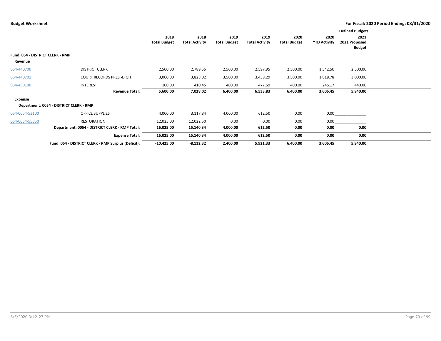|                                  |                                                     |                     |                       |                     |                       |                     |                     | <b>Defined Budgets</b> |  |
|----------------------------------|-----------------------------------------------------|---------------------|-----------------------|---------------------|-----------------------|---------------------|---------------------|------------------------|--|
|                                  |                                                     | 2018                | 2018                  | 2019                | 2019                  | 2020                | 2020                | 2021                   |  |
|                                  |                                                     | <b>Total Budget</b> | <b>Total Activity</b> | <b>Total Budget</b> | <b>Total Activity</b> | <b>Total Budget</b> | <b>YTD Activity</b> | 2021 Proposed          |  |
|                                  |                                                     |                     |                       |                     |                       |                     |                     | <b>Budget</b>          |  |
| Fund: 054 - DISTRICT CLERK - RMP |                                                     |                     |                       |                     |                       |                     |                     |                        |  |
| Revenue                          |                                                     |                     |                       |                     |                       |                     |                     |                        |  |
| 054-440700                       | <b>DISTRICT CLERK</b>                               | 2,500.00            | 2,789.55              | 2,500.00            | 2,597.95              | 2,500.00            | 1,542.50            | 2,500.00               |  |
| 054-440701                       | <b>COURT RECORDS PRES.-DIGIT</b>                    | 3,000.00            | 3,828.02              | 3,500.00            | 3,458.29              | 3,500.00            | 1,818.78            | 3,000.00               |  |
| 054-460100                       | <b>INTEREST</b>                                     | 100.00              | 410.45                | 400.00              | 477.59                | 400.00              | 245.17              | 440.00                 |  |
|                                  | <b>Revenue Total:</b>                               | 5,600.00            | 7,028.02              | 6,400.00            | 6,533.83              | 6,400.00            | 3,606.45            | 5,940.00               |  |
| Expense                          |                                                     |                     |                       |                     |                       |                     |                     |                        |  |
|                                  | Department: 0054 - DISTRICT CLERK - RMP             |                     |                       |                     |                       |                     |                     |                        |  |
| 054-0054-53100                   | <b>OFFICE SUPPLIES</b>                              | 4,000.00            | 3,117.84              | 4,000.00            | 612.50                | 0.00                | 0.00                |                        |  |
| 054-0054-55850                   | RESTORATION                                         | 12,025.00           | 12,022.50             | 0.00                | 0.00                  | 0.00                | 0.00                |                        |  |
|                                  | Department: 0054 - DISTRICT CLERK - RMP Total:      | 16,025.00           | 15,140.34             | 4,000.00            | 612.50                | 0.00                | 0.00                | 0.00                   |  |
|                                  | <b>Expense Total:</b>                               | 16,025.00           | 15,140.34             | 4,000.00            | 612.50                | 0.00                | 0.00                | 0.00                   |  |
|                                  | Fund: 054 - DISTRICT CLERK - RMP Surplus (Deficit): | $-10,425.00$        | $-8,112.32$           | 2,400.00            | 5,921.33              | 6,400.00            | 3,606.45            | 5,940.00               |  |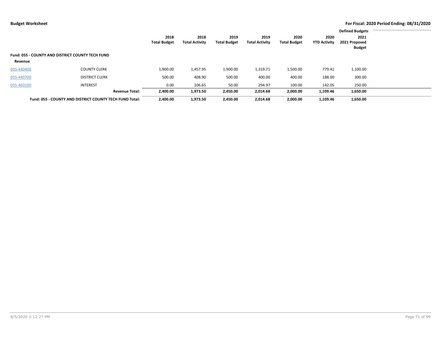|            |                                                                |                     |                       |                     |                       |                     |                     | <b>Defined Budgets</b>         |  |
|------------|----------------------------------------------------------------|---------------------|-----------------------|---------------------|-----------------------|---------------------|---------------------|--------------------------------|--|
|            |                                                                | 2018                | 2018                  | 2019                | 2019                  | 2020                | 2020                | 2021                           |  |
|            |                                                                | <b>Total Budget</b> | <b>Total Activity</b> | <b>Total Budget</b> | <b>Total Activity</b> | <b>Total Budget</b> | <b>YTD Activity</b> | 2021 Proposed<br><b>Budget</b> |  |
|            | <b>Fund: 055 - COUNTY AND DISTRICT COUNTY TECH FUND</b>        |                     |                       |                     |                       |                     |                     |                                |  |
| Revenue    |                                                                |                     |                       |                     |                       |                     |                     |                                |  |
| 055-440400 | <b>COUNTY CLERK</b>                                            | 1,900.00            | 1,457.95              | 1,900.00            | 1,319.71              | 1,500.00            | 779.41              | 1,100.00                       |  |
| 055-440700 | <b>DISTRICT CLERK</b>                                          | 500.00              | 408.90                | 500.00              | 400.00                | 400.00              | 188.00              | 300.00                         |  |
| 055-460100 | <b>INTEREST</b>                                                | 0.00                | 106.65                | 50.00               | 294.97                | 100.00              | 142.05              | 250.00                         |  |
|            | <b>Revenue Total:</b>                                          | 2,400.00            | 1,973.50              | 2,450.00            | 2,014.68              | 2,000.00            | 1,109.46            | 1,650.00                       |  |
|            | <b>Fund: 055 - COUNTY AND DISTRICT COUNTY TECH FUND Total:</b> | 2.400.00            | 1,973.50              | 2,450.00            | 2,014.68              | 2,000.00            | 1,109.46            | 1,650.00                       |  |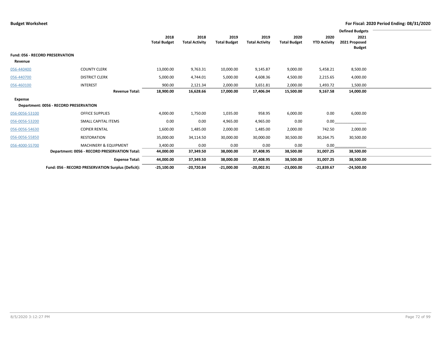|                |                                                    |                     |                       |                     |                       |                     |                     | <b>Defined Budgets</b> |  |
|----------------|----------------------------------------------------|---------------------|-----------------------|---------------------|-----------------------|---------------------|---------------------|------------------------|--|
|                |                                                    | 2018                | 2018                  | 2019                | 2019                  | 2020                | 2020                | 2021                   |  |
|                |                                                    | <b>Total Budget</b> | <b>Total Activity</b> | <b>Total Budget</b> | <b>Total Activity</b> | <b>Total Budget</b> | <b>YTD Activity</b> | 2021 Proposed          |  |
|                |                                                    |                     |                       |                     |                       |                     |                     | <b>Budget</b>          |  |
|                | <b>Fund: 056 - RECORD PRESERVATION</b>             |                     |                       |                     |                       |                     |                     |                        |  |
| Revenue        |                                                    |                     |                       |                     |                       |                     |                     |                        |  |
| 056-440400     | <b>COUNTY CLERK</b>                                | 13,000.00           | 9,763.31              | 10,000.00           | 9,145.87              | 9,000.00            | 5,458.21            | 8,500.00               |  |
| 056-440700     | <b>DISTRICT CLERK</b>                              | 5,000.00            | 4,744.01              | 5,000.00            | 4,608.36              | 4,500.00            | 2,215.65            | 4,000.00               |  |
| 056-460100     | <b>INTEREST</b>                                    | 900.00              | 2,121.34              | 2,000.00            | 3,651.81              | 2,000.00            | 1,493.72            | 1,500.00               |  |
|                | <b>Revenue Total:</b>                              | 18,900.00           | 16,628.66             | 17,000.00           | 17,406.04             | 15,500.00           | 9,167.58            | 14,000.00              |  |
| Expense        |                                                    |                     |                       |                     |                       |                     |                     |                        |  |
|                | Department: 0056 - RECORD PRESERVATION             |                     |                       |                     |                       |                     |                     |                        |  |
| 056-0056-53100 | <b>OFFICE SUPPLIES</b>                             |                     |                       |                     | 958.95                |                     | 0.00                |                        |  |
|                |                                                    | 4,000.00            | 1,750.00              | 1,035.00            |                       | 6,000.00            |                     | 6,000.00               |  |
| 056-0056-53200 | SMALL CAPITAL ITEMS                                | 0.00                | 0.00                  | 4,965.00            | 4,965.00              | 0.00                | 0.00                |                        |  |
| 056-0056-54630 | <b>COPIER RENTAL</b>                               | 1,600.00            | 1,485.00              | 2,000.00            | 1,485.00              | 2,000.00            | 742.50              | 2,000.00               |  |
| 056-0056-55850 | <b>RESTORATION</b>                                 | 35,000.00           | 34,114.50             | 30,000.00           | 30,000.00             | 30,500.00           | 30,264.75           | 30,500.00              |  |
| 056-4000-55700 | <b>MACHINERY &amp; EQUIPMENT</b>                   | 3,400.00            | 0.00                  | 0.00                | 0.00                  | 0.00                | 0.00                |                        |  |
|                | Department: 0056 - RECORD PRESERVATION Total:      | 44,000.00           | 37,349.50             | 38,000.00           | 37,408.95             | 38,500.00           | 31,007.25           | 38,500.00              |  |
|                | <b>Expense Total:</b>                              | 44,000.00           | 37,349.50             | 38,000.00           | 37,408.95             | 38,500.00           | 31,007.25           | 38,500.00              |  |
|                | Fund: 056 - RECORD PRESERVATION Surplus (Deficit): | $-25,100.00$        | $-20,720.84$          | $-21,000.00$        | $-20,002.91$          | $-23,000.00$        | $-21,839.67$        | $-24,500.00$           |  |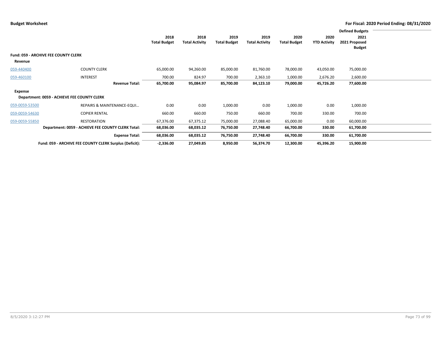|                |                                                         |                             |                               |                             |                               |                             |                             | <b>Defined Budgets</b>                 |  |
|----------------|---------------------------------------------------------|-----------------------------|-------------------------------|-----------------------------|-------------------------------|-----------------------------|-----------------------------|----------------------------------------|--|
|                |                                                         | 2018<br><b>Total Budget</b> | 2018<br><b>Total Activity</b> | 2019<br><b>Total Budget</b> | 2019<br><b>Total Activity</b> | 2020<br><b>Total Budget</b> | 2020<br><b>YTD Activity</b> | 2021<br>2021 Proposed<br><b>Budget</b> |  |
|                | <b>Fund: 059 - ARCHIVE FEE COUNTY CLERK</b>             |                             |                               |                             |                               |                             |                             |                                        |  |
| Revenue        |                                                         |                             |                               |                             |                               |                             |                             |                                        |  |
| 059-440400     | <b>COUNTY CLERK</b>                                     | 65,000.00                   | 94,260.00                     | 85,000.00                   | 81,760.00                     | 78,000.00                   | 43,050.00                   | 75,000.00                              |  |
| 059-460100     | <b>INTEREST</b>                                         | 700.00                      | 824.97                        | 700.00                      | 2,363.10                      | 1,000.00                    | 2,676.20                    | 2,600.00                               |  |
|                | <b>Revenue Total:</b>                                   | 65,700.00                   | 95,084.97                     | 85,700.00                   | 84,123.10                     | 79,000.00                   | 45,726.20                   | 77,600.00                              |  |
| Expense        |                                                         |                             |                               |                             |                               |                             |                             |                                        |  |
|                | Department: 0059 - ACHIEVE FEE COUNTY CLERK             |                             |                               |                             |                               |                             |                             |                                        |  |
| 059-0059-53500 | REPAIRS & MAINTENANCE-EQUI                              | 0.00                        | 0.00                          | 1,000.00                    | 0.00                          | 1,000.00                    | 0.00                        | 1,000.00                               |  |
| 059-0059-54630 | <b>COPIER RENTAL</b>                                    | 660.00                      | 660.00                        | 750.00                      | 660.00                        | 700.00                      | 330.00                      | 700.00                                 |  |
| 059-0059-55850 | RESTORATION                                             | 67,376.00                   | 67,375.12                     | 75,000.00                   | 27,088.40                     | 65,000.00                   | 0.00                        | 60,000.00                              |  |
|                | Department: 0059 - ACHIEVE FEE COUNTY CLERK Total:      | 68,036.00                   | 68,035.12                     | 76,750.00                   | 27,748.40                     | 66,700.00                   | 330.00                      | 61,700.00                              |  |
|                | <b>Expense Total:</b>                                   | 68,036.00                   | 68,035.12                     | 76,750.00                   | 27,748.40                     | 66,700.00                   | 330.00                      | 61,700.00                              |  |
|                | Fund: 059 - ARCHIVE FEE COUNTY CLERK Surplus (Deficit): | $-2,336.00$                 | 27,049.85                     | 8,950.00                    | 56,374.70                     | 12,300.00                   | 45,396.20                   | 15,900.00                              |  |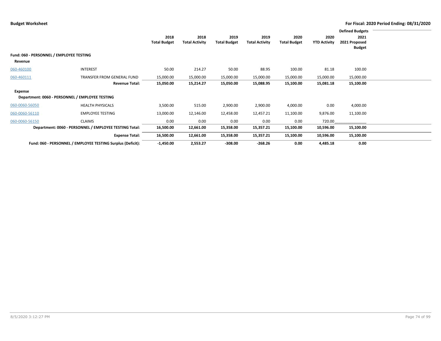|                                          |                                                             |                             |                               |                             |                               |                             |                             | <b>Defined Budgets</b>                 |  |
|------------------------------------------|-------------------------------------------------------------|-----------------------------|-------------------------------|-----------------------------|-------------------------------|-----------------------------|-----------------------------|----------------------------------------|--|
|                                          |                                                             | 2018<br><b>Total Budget</b> | 2018<br><b>Total Activity</b> | 2019<br><b>Total Budget</b> | 2019<br><b>Total Activity</b> | 2020<br><b>Total Budget</b> | 2020<br><b>YTD Activity</b> | 2021<br>2021 Proposed<br><b>Budget</b> |  |
| Fund: 060 - PERSONNEL / EMPLOYEE TESTING |                                                             |                             |                               |                             |                               |                             |                             |                                        |  |
| Revenue                                  |                                                             |                             |                               |                             |                               |                             |                             |                                        |  |
| 060-460100                               | <b>INTEREST</b>                                             | 50.00                       | 214.27                        | 50.00                       | 88.95                         | 100.00                      | 81.18                       | 100.00                                 |  |
| 060-460111                               | TRANSFER FROM GENERAL FUND                                  | 15,000.00                   | 15,000.00                     | 15,000.00                   | 15,000.00                     | 15,000.00                   | 15,000.00                   | 15,000.00                              |  |
|                                          | <b>Revenue Total:</b>                                       | 15,050.00                   | 15,214.27                     | 15,050.00                   | 15,088.95                     | 15,100.00                   | 15,081.18                   | 15,100.00                              |  |
| Expense                                  |                                                             |                             |                               |                             |                               |                             |                             |                                        |  |
|                                          | Department: 0060 - PERSONNEL / EMPLOYEE TESTING             |                             |                               |                             |                               |                             |                             |                                        |  |
| 060-0060-56050                           | <b>HEALTH PHYSICALS</b>                                     | 3,500.00                    | 515.00                        | 2,900.00                    | 2,900.00                      | 4,000.00                    | 0.00                        | 4,000.00                               |  |
| 060-0060-56110                           | <b>EMPLOYEE TESTING</b>                                     | 13,000.00                   | 12,146.00                     | 12,458.00                   | 12,457.21                     | 11,100.00                   | 9,876.00                    | 11,100.00                              |  |
| 060-0060-56150                           | <b>CLAIMS</b>                                               | 0.00                        | 0.00                          | 0.00                        | 0.00                          | 0.00                        | 720.00                      |                                        |  |
|                                          | Department: 0060 - PERSONNEL / EMPLOYEE TESTING Total:      | 16,500.00                   | 12,661.00                     | 15,358.00                   | 15,357.21                     | 15,100.00                   | 10,596.00                   | 15,100.00                              |  |
|                                          | <b>Expense Total:</b>                                       | 16,500.00                   | 12,661.00                     | 15,358.00                   | 15,357.21                     | 15,100.00                   | 10,596.00                   | 15,100.00                              |  |
|                                          | Fund: 060 - PERSONNEL / EMPLOYEE TESTING Surplus (Deficit): | $-1,450.00$                 | 2,553.27                      | $-308.00$                   | $-268.26$                     | 0.00                        | 4,485.18                    | 0.00                                   |  |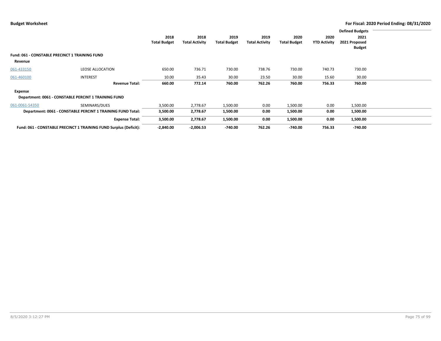|                                                       |                                                                   |                     |                       |                     |                       |                     |                     | <b>Defined Budgets</b> |  |
|-------------------------------------------------------|-------------------------------------------------------------------|---------------------|-----------------------|---------------------|-----------------------|---------------------|---------------------|------------------------|--|
|                                                       |                                                                   | 2018                | 2018                  | 2019                | 2019                  | 2020                | 2020                | 2021                   |  |
|                                                       |                                                                   | <b>Total Budget</b> | <b>Total Activity</b> | <b>Total Budget</b> | <b>Total Activity</b> | <b>Total Budget</b> | <b>YTD Activity</b> | 2021 Proposed          |  |
|                                                       |                                                                   |                     |                       |                     |                       |                     |                     | <b>Budget</b>          |  |
| <b>Fund: 061 - CONSTABLE PRECINCT 1 TRAINING FUND</b> |                                                                   |                     |                       |                     |                       |                     |                     |                        |  |
| Revenue                                               |                                                                   |                     |                       |                     |                       |                     |                     |                        |  |
| 061-433150                                            | <b>LEOSE ALLOCATION</b>                                           | 650.00              | 736.71                | 730.00              | 738.76                | 730.00              | 740.73              | 730.00                 |  |
| 061-460100                                            | <b>INTEREST</b>                                                   | 10.00               | 35.43                 | 30.00               | 23.50                 | 30.00               | 15.60               | 30.00                  |  |
|                                                       | <b>Revenue Total:</b>                                             | 660.00              | 772.14                | 760.00              | 762.26                | 760.00              | 756.33              | 760.00                 |  |
| Expense                                               |                                                                   |                     |                       |                     |                       |                     |                     |                        |  |
|                                                       | Department: 0061 - CONSTABLE PERCINT 1 TRAINING FUND              |                     |                       |                     |                       |                     |                     |                        |  |
| 061-0061-54350                                        | SEMINARS/DUES                                                     | 3,500.00            | 2,778.67              | 1,500.00            | 0.00                  | 1,500.00            | 0.00                | 1,500.00               |  |
|                                                       | Department: 0061 - CONSTABLE PERCINT 1 TRAINING FUND Total:       | 3,500.00            | 2,778.67              | 1,500.00            | 0.00                  | 1,500.00            | 0.00                | 1,500.00               |  |
|                                                       | <b>Expense Total:</b>                                             | 3,500.00            | 2,778.67              | 1,500.00            | 0.00                  | 1,500.00            | 0.00                | 1,500.00               |  |
|                                                       | Fund: 061 - CONSTABLE PRECINCT 1 TRAINING FUND Surplus (Deficit): | $-2,840.00$         | $-2,006.53$           | $-740.00$           | 762.26                | $-740.00$           | 756.33              | $-740.00$              |  |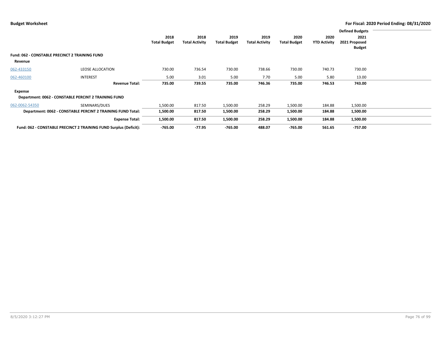|                                                       |                                                                   |                     |                       |                     |                       |                     |                     | <b>Defined Budgets</b> |  |
|-------------------------------------------------------|-------------------------------------------------------------------|---------------------|-----------------------|---------------------|-----------------------|---------------------|---------------------|------------------------|--|
|                                                       |                                                                   | 2018                | 2018                  | 2019                | 2019                  | 2020                | 2020                | 2021                   |  |
|                                                       |                                                                   | <b>Total Budget</b> | <b>Total Activity</b> | <b>Total Budget</b> | <b>Total Activity</b> | <b>Total Budget</b> | <b>YTD Activity</b> | 2021 Proposed          |  |
|                                                       |                                                                   |                     |                       |                     |                       |                     |                     | <b>Budget</b>          |  |
| <b>Fund: 062 - CONSTABLE PRECINCT 2 TRAINING FUND</b> |                                                                   |                     |                       |                     |                       |                     |                     |                        |  |
| Revenue                                               |                                                                   |                     |                       |                     |                       |                     |                     |                        |  |
| 062-433150                                            | <b>LEOSE ALLOCATION</b>                                           | 730.00              | 736.54                | 730.00              | 738.66                | 730.00              | 740.73              | 730.00                 |  |
| 062-460100                                            | <b>INTEREST</b>                                                   | 5.00                | 3.01                  | 5.00                | 7.70                  | 5.00                | 5.80                | 13.00                  |  |
|                                                       | <b>Revenue Total:</b>                                             | 735.00              | 739.55                | 735.00              | 746.36                | 735.00              | 746.53              | 743.00                 |  |
| Expense                                               |                                                                   |                     |                       |                     |                       |                     |                     |                        |  |
|                                                       | Department: 0062 - CONSTABLE PERCINT 2 TRAINING FUND              |                     |                       |                     |                       |                     |                     |                        |  |
| 062-0062-54350                                        | SEMINARS/DUES                                                     | 1,500.00            | 817.50                | 1,500.00            | 258.29                | 1,500.00            | 184.88              | 1,500.00               |  |
|                                                       | Department: 0062 - CONSTABLE PERCINT 2 TRAINING FUND Total:       | 1,500.00            | 817.50                | 1,500.00            | 258.29                | 1,500.00            | 184.88              | 1,500.00               |  |
|                                                       | <b>Expense Total:</b>                                             | 1,500.00            | 817.50                | 1,500.00            | 258.29                | 1,500.00            | 184.88              | 1,500.00               |  |
|                                                       | Fund: 062 - CONSTABLE PRECINCT 2 TRAINING FUND Surplus (Deficit): | $-765.00$           | $-77.95$              | $-765.00$           | 488.07                | $-765.00$           | 561.65              | $-757.00$              |  |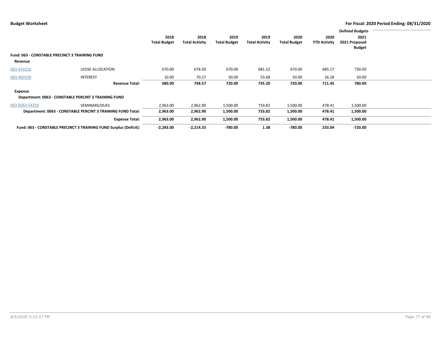|                                                       |                                                                   |                     |                       |                     |                       |                     |                     | <b>Defined Budgets</b> |  |
|-------------------------------------------------------|-------------------------------------------------------------------|---------------------|-----------------------|---------------------|-----------------------|---------------------|---------------------|------------------------|--|
|                                                       |                                                                   | 2018                | 2018                  | 2019                | 2019                  | 2020                | 2020                | 2021                   |  |
|                                                       |                                                                   | <b>Total Budget</b> | <b>Total Activity</b> | <b>Total Budget</b> | <b>Total Activity</b> | <b>Total Budget</b> | <b>YTD Activity</b> | 2021 Proposed          |  |
|                                                       |                                                                   |                     |                       |                     |                       |                     |                     | <b>Budget</b>          |  |
| <b>Fund: 063 - CONSTABLE PRECINCT 3 TRAINING FUND</b> |                                                                   |                     |                       |                     |                       |                     |                     |                        |  |
| Revenue                                               |                                                                   |                     |                       |                     |                       |                     |                     |                        |  |
| 063-433150                                            | <b>LEOSE ALLOCATION</b>                                           | 670.00              | 678.30                | 670.00              | 681.52                | 670.00              | 685.17              | 730.00                 |  |
| 063-460100                                            | <b>INTEREST</b>                                                   | 10.00               | 70.27                 | 50.00               | 53.68                 | 50.00               | 26.28               | 50.00                  |  |
|                                                       | <b>Revenue Total:</b>                                             | 680.00              | 748.57                | 720.00              | 735.20                | 720.00              | 711.45              | 780.00                 |  |
| Expense                                               |                                                                   |                     |                       |                     |                       |                     |                     |                        |  |
|                                                       | Department: 0063 - CONSTABLE PERCINT 3 TRAINING FUND              |                     |                       |                     |                       |                     |                     |                        |  |
| 063-0063-54350                                        | SEMINARS/DUES                                                     | 2,963.00            | 2,962.90              | 1,500.00            | 733.82                | 1,500.00            | 478.41              | 1,500.00               |  |
|                                                       | Department: 0063 - CONSTABLE PERCINT 3 TRAINING FUND Total:       | 2,963.00            | 2,962.90              | 1,500.00            | 733.82                | 1,500.00            | 478.41              | 1,500.00               |  |
|                                                       | <b>Expense Total:</b>                                             | 2,963.00            | 2,962.90              | 1,500.00            | 733.82                | 1,500.00            | 478.41              | 1,500.00               |  |
|                                                       | Fund: 063 - CONSTABLE PRECINCT 3 TRAINING FUND Surplus (Deficit): | $-2,283.00$         | $-2,214.33$           | -780.00             | 1.38                  | $-780.00$           | 233.04              | $-720.00$              |  |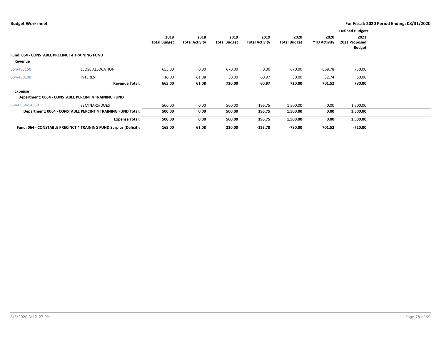|                                                |                                                                   |                     |                       |                     |                       |                     |                     | <b>Defined Budgets</b> |  |
|------------------------------------------------|-------------------------------------------------------------------|---------------------|-----------------------|---------------------|-----------------------|---------------------|---------------------|------------------------|--|
|                                                |                                                                   | 2018                | 2018                  | 2019                | 2019                  | 2020                | 2020                | 2021                   |  |
|                                                |                                                                   | <b>Total Budget</b> | <b>Total Activity</b> | <b>Total Budget</b> | <b>Total Activity</b> | <b>Total Budget</b> | <b>YTD Activity</b> | 2021 Proposed          |  |
|                                                |                                                                   |                     |                       |                     |                       |                     |                     | Budget                 |  |
| Fund: 064 - CONSTABLE PRECINCT 4 TRAINING FUND |                                                                   |                     |                       |                     |                       |                     |                     |                        |  |
| Revenue                                        |                                                                   |                     |                       |                     |                       |                     |                     |                        |  |
| 064-433150                                     | LEOSE ALLOCATION                                                  | 655.00              | 0.00                  | 670.00              | 0.00                  | 670.00              | 668.78              | 730.00                 |  |
| 064-460100                                     | <b>INTEREST</b>                                                   | 10.00               | 61.08                 | 50.00               | 60.97                 | 50.00               | 32.74               | 50.00                  |  |
|                                                | <b>Revenue Total:</b>                                             | 665.00              | 61.08                 | 720.00              | 60.97                 | 720.00              | 701.52              | 780.00                 |  |
| Expense                                        |                                                                   |                     |                       |                     |                       |                     |                     |                        |  |
|                                                | Department: 0064 - CONSTABLE PERCINT 4 TRAINING FUND              |                     |                       |                     |                       |                     |                     |                        |  |
| 064-0064-54350                                 | SEMINARS/DUES                                                     | 500.00              | 0.00                  | 500.00              | 196.75                | 1,500.00            | 0.00                | 1,500.00               |  |
|                                                | Department: 0064 - CONSTABLE PERCINT 4 TRAINING FUND Total:       | 500.00              | 0.00                  | 500.00              | 196.75                | 1,500.00            | 0.00                | 1,500.00               |  |
|                                                | <b>Expense Total:</b>                                             | 500.00              | 0.00                  | 500.00              | 196.75                | 1,500.00            | 0.00                | 1,500.00               |  |
|                                                | Fund: 064 - CONSTABLE PRECINCT 4 TRAINING FUND Surplus (Deficit): | 165.00              | 61.08                 | 220.00              | $-135.78$             | $-780.00$           | 701.52              | $-720.00$              |  |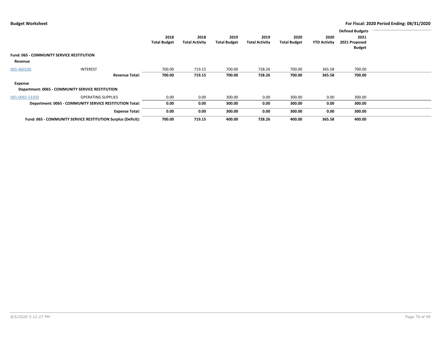|                                                  |                                                              |                     |                       |                     |                       |                     |                     | <b>Defined Budgets</b> |  |
|--------------------------------------------------|--------------------------------------------------------------|---------------------|-----------------------|---------------------|-----------------------|---------------------|---------------------|------------------------|--|
|                                                  |                                                              | 2018                | 2018                  | 2019                | 2019                  | 2020                | 2020                | 2021                   |  |
|                                                  |                                                              | <b>Total Budget</b> | <b>Total Activity</b> | <b>Total Budget</b> | <b>Total Activity</b> | <b>Total Budget</b> | <b>YTD Activity</b> | 2021 Proposed          |  |
|                                                  |                                                              |                     |                       |                     |                       |                     |                     | <b>Budget</b>          |  |
| <b>Fund: 065 - COMMUNITY SERVICE RESTITUTION</b> |                                                              |                     |                       |                     |                       |                     |                     |                        |  |
| Revenue                                          |                                                              |                     |                       |                     |                       |                     |                     |                        |  |
| 065-460100                                       | <b>INTEREST</b>                                              | 700.00              | 719.15                | 700.00              | 728.26                | 700.00              | 365.58              | 700.00                 |  |
|                                                  | <b>Revenue Total:</b>                                        | 700.00              | 719.15                | 700.00              | 728.26                | 700.00              | 365.58              | 700.00                 |  |
| Expense                                          |                                                              |                     |                       |                     |                       |                     |                     |                        |  |
|                                                  | <b>Department: 0065 - COMMUNITY SERVICE RESTITUTION</b>      |                     |                       |                     |                       |                     |                     |                        |  |
| 065-0065-53300                                   | <b>OPERATING SUPPLIES</b>                                    | 0.00                | 0.00                  | 300.00              | 0.00                  | 300.00              | 0.00                | 300.00                 |  |
|                                                  | Department: 0065 - COMMUNITY SERVICE RESTITUTION Total:      | 0.00                | 0.00                  | 300.00              | 0.00                  | 300.00              | 0.00                | 300.00                 |  |
|                                                  | <b>Expense Total:</b>                                        | 0.00                | 0.00                  | 300.00              | 0.00                  | 300.00              | 0.00                | 300.00                 |  |
|                                                  | Fund: 065 - COMMUNITY SERVICE RESTITUTION Surplus (Deficit): | 700.00              | 719.15                | 400.00              | 728.26                | 400.00              | 365.58              | 400.00                 |  |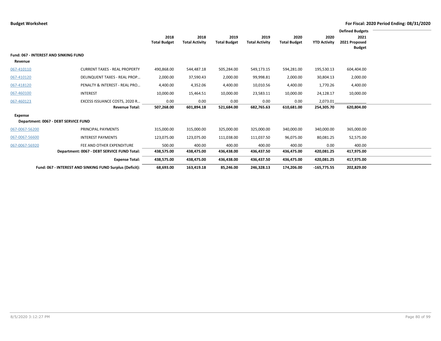|                                                         |                                                          |                             |                               |                             |                               |                             |                             | <b>Defined Budgets</b>                 |  |
|---------------------------------------------------------|----------------------------------------------------------|-----------------------------|-------------------------------|-----------------------------|-------------------------------|-----------------------------|-----------------------------|----------------------------------------|--|
|                                                         |                                                          | 2018<br><b>Total Budget</b> | 2018<br><b>Total Activity</b> | 2019<br><b>Total Budget</b> | 2019<br><b>Total Activity</b> | 2020<br><b>Total Budget</b> | 2020<br><b>YTD Activity</b> | 2021<br>2021 Proposed<br><b>Budget</b> |  |
| <b>Fund: 067 - INTEREST AND SINKING FUND</b><br>Revenue |                                                          |                             |                               |                             |                               |                             |                             |                                        |  |
| 067-410110                                              | <b>CURRENT TAXES - REAL PROPERTY</b>                     | 490,868.00                  | 544,487.18                    | 505,284.00                  | 549,173.15                    | 594,281.00                  | 195,530.13                  | 604,404.00                             |  |
| 067-410120                                              | DELINQUENT TAXES - REAL PROP                             | 2,000.00                    | 37,590.43                     | 2,000.00                    | 99,998.81                     | 2,000.00                    | 30,804.13                   | 2,000.00                               |  |
| 067-418120                                              | PENALTY & INTEREST - REAL PRO                            | 4,400.00                    | 4,352.06                      | 4,400.00                    | 10,010.56                     | 4,400.00                    | 1,770.26                    | 4,400.00                               |  |
| 067-460100                                              | <b>INTEREST</b>                                          | 10,000.00                   | 15,464.51                     | 10,000.00                   | 23,583.11                     | 10,000.00                   | 24,128.17                   | 10,000.00                              |  |
| 067-460123                                              | EXCESS ISSUANCE COSTS, 2020 R                            | 0.00                        | 0.00                          | 0.00                        | 0.00                          | 0.00                        | 2,073.01                    |                                        |  |
|                                                         | <b>Revenue Total:</b>                                    | 507,268.00                  | 601,894.18                    | 521,684.00                  | 682,765.63                    | 610,681.00                  | 254,305.70                  | 620,804.00                             |  |
| <b>Expense</b>                                          | Department: 0067 - DEBT SERVICE FUND                     |                             |                               |                             |                               |                             |                             |                                        |  |
| 067-0067-56200                                          | PRINCIPAL PAYMENTS                                       | 315,000.00                  | 315,000.00                    | 325,000.00                  | 325,000.00                    | 340,000.00                  | 340,000.00                  | 365,000.00                             |  |
| 067-0067-56600                                          | <b>INTEREST PAYMENTS</b>                                 | 123,075.00                  | 123,075.00                    | 111,038.00                  | 111,037.50                    | 96,075.00                   | 80,081.25                   | 52,575.00                              |  |
| 067-0067-56920                                          | FEE AND OTHER EXPENDITURE                                | 500.00                      | 400.00                        | 400.00                      | 400.00                        | 400.00                      | 0.00                        | 400.00                                 |  |
|                                                         | Department: 0067 - DEBT SERVICE FUND Total:              | 438,575.00                  | 438,475.00                    | 436,438.00                  | 436,437.50                    | 436,475.00                  | 420,081.25                  | 417,975.00                             |  |
|                                                         | <b>Expense Total:</b>                                    | 438,575.00                  | 438,475.00                    | 436,438.00                  | 436,437.50                    | 436,475.00                  | 420,081.25                  | 417,975.00                             |  |
|                                                         | Fund: 067 - INTEREST AND SINKING FUND Surplus (Deficit): | 68,693.00                   | 163,419.18                    | 85,246.00                   | 246,328.13                    | 174,206.00                  | $-165,775.55$               | 202,829.00                             |  |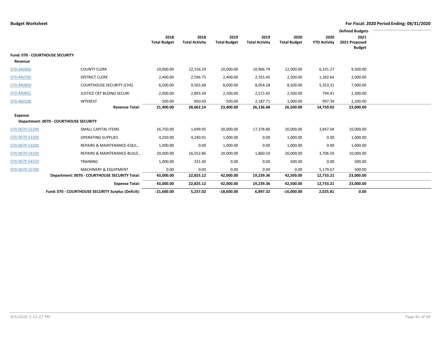|                                                   |                                                    |                     |                       |                     |                       |                     |                     | <b>Defined Budgets</b>         |  |
|---------------------------------------------------|----------------------------------------------------|---------------------|-----------------------|---------------------|-----------------------|---------------------|---------------------|--------------------------------|--|
|                                                   |                                                    | 2018                | 2018                  | 2019                | 2019                  | 2020                | 2020                | 2021                           |  |
|                                                   |                                                    | <b>Total Budget</b> | <b>Total Activity</b> | <b>Total Budget</b> | <b>Total Activity</b> | <b>Total Budget</b> | <b>YTD Activity</b> | 2021 Proposed<br><b>Budget</b> |  |
| <b>Fund: 070 - COURTHOUSE SECURITY</b><br>Revenue |                                                    |                     |                       |                     |                       |                     |                     |                                |  |
| 070-440400                                        | <b>COUNTY CLERK</b>                                | 10,000.00           | 12,156.29             | 10,000.00           | 10,966.79             | 12,000.00           | 6,331.27            | 9,500.00                       |  |
| 070-440700                                        | <b>DISTRICT CLERK</b>                              | 2,400.00            | 2,596.75              | 2,400.00            | 2,355.45              | 2,500.00            | 1,282.64            | 2,000.00                       |  |
| 070-440800                                        | <b>COURTHOUSE SECURITY (CHS)</b>                   | 6,500.00            | 9,565.68              | 8,000.00            | 8,054.28              | 8,500.00            | 5,353.31            | 7,000.00                       |  |
| 070-440801                                        | JUSTICE CRT BLDING SECURI                          | 2,000.00            | 2,893.39              | 2,500.00            | 2,572.45              | 2,500.00            | 794.41              | 2,300.00                       |  |
| 070-460100                                        | <b>INTEREST</b>                                    | 500.00              | 850.03                | 500.00              | 2,187.71              | 1,000.00            | 997.39              | 2,200.00                       |  |
|                                                   | <b>Revenue Total:</b>                              | 21,400.00           | 28,062.14             | 23,400.00           | 26,136.68             | 26,500.00           | 14,759.02           | 23,000.00                      |  |
| <b>Expense</b>                                    |                                                    |                     |                       |                     |                       |                     |                     |                                |  |
|                                                   | Department: 0070 - COURTHOUSE SECURITY             |                     |                       |                     |                       |                     |                     |                                |  |
| 070-0070-53200                                    | <b>SMALL CAPITAL ITEMS</b>                         | 16,750.00           | 1,699.95              | 20,000.00           | 17,378.86             | 20,000.00           | 3,847.04            | 10,000.00                      |  |
| 070-0070-53300                                    | <b>OPERATING SUPPLIES</b>                          | 4,250.00            | 4,240.91              | 1,000.00            | 0.00                  | 1,000.00            | 0.00                | 1,000.00                       |  |
| 070-0070-53500                                    | REPAIRS & MAINTENANCE-EQUI                         | 1,000.00            | 0.00                  | 1,000.00            | 0.00                  | 1,000.00            | 0.00                | 1,000.00                       |  |
| 070-0070-54500                                    | REPAIRS & MAINTENANCE-BUILD                        | 20,000.00           | 16,552.86             | 20,000.00           | 1,860.50              | 20,000.00           | 3,706.50            | 10,000.00                      |  |
| 070-0070-54550                                    | TRAINING                                           | 1,000.00            | 331.40                | 0.00                | 0.00                  | 500.00              | 0.00                | 500.00                         |  |
| 070-0070-55700                                    | <b>MACHINERY &amp; EQUIPMENT</b>                   | 0.00                | 0.00                  | 0.00                | 0.00                  | 0.00                | 5,179.67            | 500.00                         |  |
|                                                   | Department: 0070 - COURTHOUSE SECURITY Total:      | 43,000.00           | 22,825.12             | 42,000.00           | 19,239.36             | 42,500.00           | 12,733.21           | 23,000.00                      |  |
|                                                   | <b>Expense Total:</b>                              | 43,000.00           | 22,825.12             | 42,000.00           | 19,239.36             | 42,500.00           | 12,733.21           | 23,000.00                      |  |
|                                                   | Fund: 070 - COURTHOUSE SECURITY Surplus (Deficit): | $-21,600.00$        | 5,237.02              | $-18,600.00$        | 6,897.32              | $-16,000.00$        | 2,025.81            | 0.00                           |  |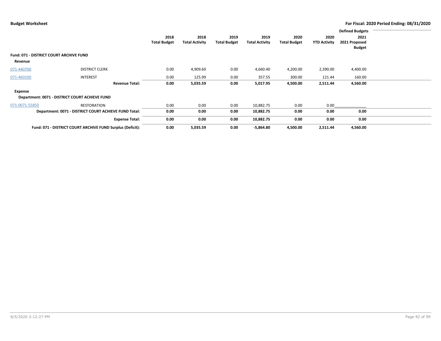|                                                |                                                            |                     |                       |                     |                       |                     |                     | <b>Defined Budgets</b> |  |
|------------------------------------------------|------------------------------------------------------------|---------------------|-----------------------|---------------------|-----------------------|---------------------|---------------------|------------------------|--|
|                                                |                                                            | 2018                | 2018                  | 2019                | 2019                  | 2020                | 2020                | 2021                   |  |
|                                                |                                                            | <b>Total Budget</b> | <b>Total Activity</b> | <b>Total Budget</b> | <b>Total Activity</b> | <b>Total Budget</b> | <b>YTD Activity</b> | 2021 Proposed          |  |
|                                                |                                                            |                     |                       |                     |                       |                     |                     | <b>Budget</b>          |  |
| <b>Fund: 071 - DISTRICT COURT ARCHIVE FUND</b> |                                                            |                     |                       |                     |                       |                     |                     |                        |  |
| Revenue                                        |                                                            |                     |                       |                     |                       |                     |                     |                        |  |
| 071-440700                                     | <b>DISTRICT CLERK</b>                                      | 0.00                | 4,909.60              | 0.00                | 4,660.40              | 4,200.00            | 2,390.00            | 4,400.00               |  |
| 071-460100                                     | <b>INTEREST</b>                                            | 0.00                | 125.99                | 0.00                | 357.55                | 300.00              | 121.44              | 160.00                 |  |
|                                                | <b>Revenue Total:</b>                                      | 0.00                | 5,035.59              | 0.00                | 5,017.95              | 4,500.00            | 2,511.44            | 4,560.00               |  |
| Expense                                        |                                                            |                     |                       |                     |                       |                     |                     |                        |  |
|                                                | Department: 0071 - DISTRICT COURT ACHIEVE FUND             |                     |                       |                     |                       |                     |                     |                        |  |
| 071-0071-55850                                 | RESTORATION                                                | 0.00                | 0.00                  | 0.00                | 10,882.75             | 0.00                | 0.00                |                        |  |
|                                                | Department: 0071 - DISTRICT COURT ACHIEVE FUND Total:      | 0.00                | 0.00                  | 0.00                | 10,882.75             | 0.00                | 0.00                | 0.00                   |  |
|                                                | <b>Expense Total:</b>                                      | 0.00                | 0.00                  | 0.00                | 10,882.75             | 0.00                | 0.00                | 0.00                   |  |
|                                                | Fund: 071 - DISTRICT COURT ARCHIVE FUND Surplus (Deficit): | 0.00                | 5,035.59              | 0.00                | $-5,864.80$           | 4,500.00            | 2,511.44            | 4,560.00               |  |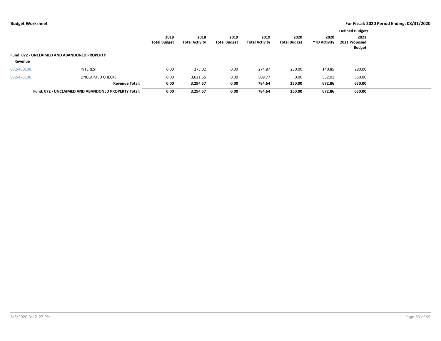|            |                                                     |                     |                       |                     |                       |                     |                     | <b>Defined Budgets</b> |  |
|------------|-----------------------------------------------------|---------------------|-----------------------|---------------------|-----------------------|---------------------|---------------------|------------------------|--|
|            |                                                     | 2018                | 2018                  | 2019                | 2019                  | 2020                | 2020                | 2021                   |  |
|            |                                                     | <b>Total Budget</b> | <b>Total Activity</b> | <b>Total Budget</b> | <b>Total Activity</b> | <b>Total Budget</b> | <b>YTD Activity</b> | 2021 Proposed          |  |
|            |                                                     |                     |                       |                     |                       |                     |                     | <b>Budget</b>          |  |
|            | <b>Fund: 072 - UNCLAIMED AND ABANDONED PROPERTY</b> |                     |                       |                     |                       |                     |                     |                        |  |
| Revenue    |                                                     |                     |                       |                     |                       |                     |                     |                        |  |
| 072-460100 | <b>INTEREST</b>                                     | 0.00                | 273.02                | 0.00                | 274.87                | 250.00              | 140.85              | 280.00                 |  |
| 072-475106 | UNCLAIMED CHECKS                                    | 0.00                | 3,021.55              | 0.00                | 509.77                | 0.00                | 532.01              | 350.00                 |  |
|            | <b>Revenue Total:</b>                               | 0.00                | 3,294.57              | 0.00                | 784.64                | 250.00              | 672.86              | 630.00                 |  |
|            | Fund: 072 - UNCLAIMED AND ABANDONED PROPERTY Total: | 0.00                | 3,294.57              | 0.00                | 784.64                | 250.00              | 672.86              | 630.00                 |  |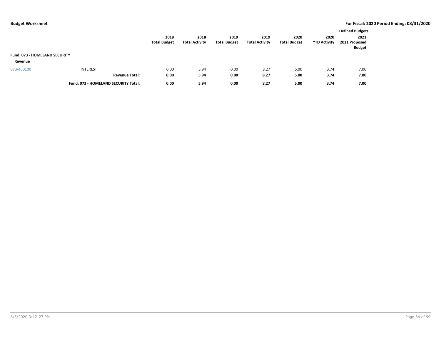|                                      |                                      |                     |                       |                     |                       |                     |                     | <b>Defined Budgets</b> |  |
|--------------------------------------|--------------------------------------|---------------------|-----------------------|---------------------|-----------------------|---------------------|---------------------|------------------------|--|
|                                      |                                      | 2018                | 2018                  | 2019                | 2019                  | 2020                | 2020                | 2021                   |  |
|                                      |                                      | <b>Total Budget</b> | <b>Total Activity</b> | <b>Total Budget</b> | <b>Total Activity</b> | <b>Total Budget</b> | <b>YTD Activity</b> | 2021 Proposed          |  |
|                                      |                                      |                     |                       |                     |                       |                     |                     | <b>Budget</b>          |  |
| <b>Fund: 073 - HOMELAND SECURITY</b> |                                      |                     |                       |                     |                       |                     |                     |                        |  |
| Revenue                              |                                      |                     |                       |                     |                       |                     |                     |                        |  |
| 073-460100                           | <b>INTEREST</b>                      | 0.00                | 5.94                  | 0.00                | 8.27                  | 5.00                | 3.74                | 7.00                   |  |
|                                      | <b>Revenue Total:</b>                | 0.00                | 5.94                  | 0.00                | 8.27                  | 5.00                | 3.74                | 7.00                   |  |
|                                      | Fund: 073 - HOMELAND SECURITY Total: | 0.00                | 5.94                  | 0.00                | 8.27                  | 5.00                | 3.74                | 7.00                   |  |
|                                      |                                      |                     |                       |                     |                       |                     |                     |                        |  |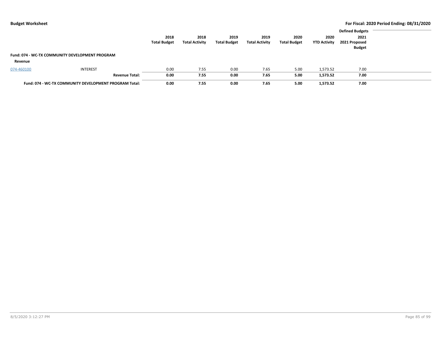|                                                        | 2018                          | 2018                  | 2019                | 2019                  | 2020                | 2020                | <b>Defined Budgets</b><br>2021 |  |
|--------------------------------------------------------|-------------------------------|-----------------------|---------------------|-----------------------|---------------------|---------------------|--------------------------------|--|
|                                                        | <b>Total Budget</b>           | <b>Total Activity</b> | <b>Total Budget</b> | <b>Total Activity</b> | <b>Total Budget</b> | <b>YTD Activity</b> | 2021 Proposed<br><b>Budget</b> |  |
| Fund: 074 - WC-TX COMMUNITY DEVELOPMENT PROGRAM        |                               |                       |                     |                       |                     |                     |                                |  |
| Revenue                                                |                               |                       |                     |                       |                     |                     |                                |  |
| <b>INTEREST</b><br>074-460100                          | 0.00                          | 7.55                  | 0.00                | 7.65                  | 5.00                | 1,573.52            | 7.00                           |  |
|                                                        | 0.00<br><b>Revenue Total:</b> | 7.55                  | 0.00                | 7.65                  | 5.00                | 1,573.52            | 7.00                           |  |
| Fund: 074 - WC-TX COMMUNITY DEVELOPMENT PROGRAM Total: | 0.00                          | 7.55                  | 0.00                | 7.65                  | 5.00                | 1,573.52            | 7.00                           |  |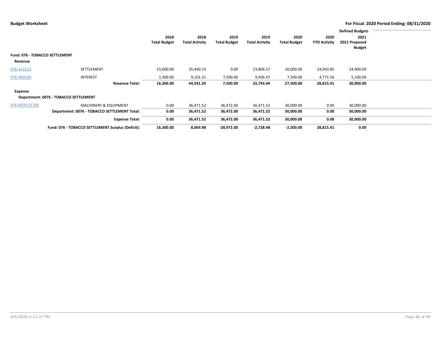|                                |                                                   |                     |                       |                     |                       |                     |                     | <b>Defined Budgets</b> |  |
|--------------------------------|---------------------------------------------------|---------------------|-----------------------|---------------------|-----------------------|---------------------|---------------------|------------------------|--|
|                                |                                                   | 2018                | 2018                  | 2019                | 2019                  | 2020                | 2020                | 2021                   |  |
|                                |                                                   | <b>Total Budget</b> | <b>Total Activity</b> | <b>Total Budget</b> | <b>Total Activity</b> | <b>Total Budget</b> | <b>YTD Activity</b> | 2021 Proposed          |  |
|                                |                                                   |                     |                       |                     |                       |                     |                     | <b>Budget</b>          |  |
| Fund: 076 - TOBACCO SETTLEMENT |                                                   |                     |                       |                     |                       |                     |                     |                        |  |
| Revenue                        |                                                   |                     |                       |                     |                       |                     |                     |                        |  |
| 076-433112                     | SETTLEMENT                                        | 15,000.00           | 35,440.19             | 0.00                | 23,806.57             | 20,000.00           | 24,043.85           | 24,900.00              |  |
| 076-460100                     | <b>INTEREST</b>                                   | 1,300.00            | 9,101.31              | 7,500.00            | 9,936.47              | 7,500.00            | 4,771.56            | 5,100.00               |  |
|                                | <b>Revenue Total:</b>                             | 16,300.00           | 44,541.50             | 7,500.00            | 33,743.04             | 27,500.00           | 28,815.41           | 30,000.00              |  |
| Expense                        |                                                   |                     |                       |                     |                       |                     |                     |                        |  |
|                                | Department: 0076 - TOBACCO SETTLEMENT             |                     |                       |                     |                       |                     |                     |                        |  |
| 076-0076-55700                 | <b>MACHINERY &amp; EQUIPMENT</b>                  | 0.00                | 36,471.52             | 36,472.00           | 36,471.52             | 30,000.00           | 0.00                | 30,000.00              |  |
|                                | Department: 0076 - TOBACCO SETTLEMENT Total:      | 0.00                | 36,471.52             | 36,472.00           | 36,471.52             | 30,000.00           | 0.00                | 30,000.00              |  |
|                                | <b>Expense Total:</b>                             | 0.00                | 36,471.52             | 36,472.00           | 36,471.52             | 30,000.00           | 0.00                | 30,000.00              |  |
|                                | Fund: 076 - TOBACCO SETTLEMENT Surplus (Deficit): | 16,300.00           | 8,069.98              | $-28,972.00$        | $-2,728.48$           | $-2,500.00$         | 28,815.41           | 0.00                   |  |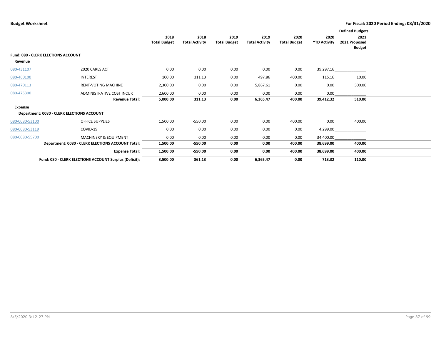|                |                                                        |                     |                       |                     |                       |                     |                     | <b>Defined Budgets</b> |  |
|----------------|--------------------------------------------------------|---------------------|-----------------------|---------------------|-----------------------|---------------------|---------------------|------------------------|--|
|                |                                                        | 2018                | 2018                  | 2019                | 2019                  | 2020                | 2020                | 2021                   |  |
|                |                                                        | <b>Total Budget</b> | <b>Total Activity</b> | <b>Total Budget</b> | <b>Total Activity</b> | <b>Total Budget</b> | <b>YTD Activity</b> | 2021 Proposed          |  |
|                |                                                        |                     |                       |                     |                       |                     |                     | <b>Budget</b>          |  |
|                | <b>Fund: 080 - CLERK ELECTIONS ACCOUNT</b>             |                     |                       |                     |                       |                     |                     |                        |  |
| Revenue        |                                                        |                     |                       |                     |                       |                     |                     |                        |  |
| 080-431107     | 2020 CARES ACT                                         | 0.00                | 0.00                  | 0.00                | 0.00                  | 0.00                | 39,297.16           |                        |  |
| 080-460100     | <b>INTEREST</b>                                        | 100.00              | 311.13                | 0.00                | 497.86                | 400.00              | 115.16              | 10.00                  |  |
| 080-470113     | <b>RENT-VOTING MACHINE</b>                             | 2,300.00            | 0.00                  | 0.00                | 5,867.61              | 0.00                | 0.00                | 500.00                 |  |
| 080-475300     | ADMINISTRATIVE COST INCUR                              | 2,600.00            | 0.00                  | 0.00                | 0.00                  | 0.00                | 0.00                |                        |  |
|                | <b>Revenue Total:</b>                                  | 5,000.00            | 311.13                | 0.00                | 6,365.47              | 400.00              | 39,412.32           | 510.00                 |  |
| Expense        |                                                        |                     |                       |                     |                       |                     |                     |                        |  |
|                | Department: 0080 - CLERK ELECTIONS ACCOUNT             |                     |                       |                     |                       |                     |                     |                        |  |
| 080-0080-53100 | <b>OFFICE SUPPLIES</b>                                 | 1,500.00            | $-550.00$             | 0.00                | 0.00                  | 400.00              | 0.00                | 400.00                 |  |
| 080-0080-53119 | COVID-19                                               | 0.00                | 0.00                  | 0.00                | 0.00                  | 0.00                | 4,299.00            |                        |  |
| 080-0080-55700 | MACHINERY & EQUIPMENT                                  | 0.00                | 0.00                  | 0.00                | 0.00                  | 0.00                | 34,400.00           |                        |  |
|                | Department: 0080 - CLERK ELECTIONS ACCOUNT Total:      | 1,500.00            | -550.00               | 0.00                | 0.00                  | 400.00              | 38,699.00           | 400.00                 |  |
|                | <b>Expense Total:</b>                                  | 1,500.00            | -550.00               | 0.00                | 0.00                  | 400.00              | 38,699.00           | 400.00                 |  |
|                | Fund: 080 - CLERK ELECTIONS ACCOUNT Surplus (Deficit): | 3,500.00            | 861.13                | 0.00                | 6,365.47              | 0.00                | 713.32              | 110.00                 |  |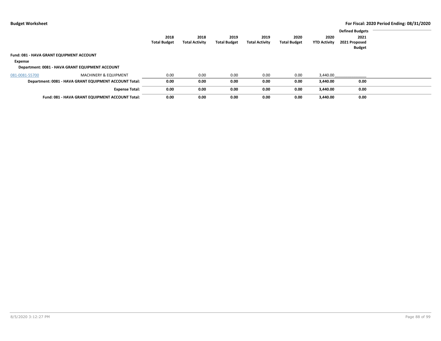|                |                                                        |                     |                       |                     |                       |                     |                     | <b>Defined Budgets</b>         |  |
|----------------|--------------------------------------------------------|---------------------|-----------------------|---------------------|-----------------------|---------------------|---------------------|--------------------------------|--|
|                |                                                        | 2018                | 2018                  | 2019                | 2019                  | 2020                | 2020                | 2021                           |  |
|                |                                                        | <b>Total Budget</b> | <b>Total Activity</b> | <b>Total Budget</b> | <b>Total Activity</b> | <b>Total Budget</b> | <b>YTD Activity</b> | 2021 Proposed<br><b>Budget</b> |  |
|                | Fund: 081 - HAVA GRANT EQUIPMENT ACCOUNT               |                     |                       |                     |                       |                     |                     |                                |  |
| Expense        |                                                        |                     |                       |                     |                       |                     |                     |                                |  |
|                | Department: 0081 - HAVA GRANT EQUIPMENT ACCOUNT        |                     |                       |                     |                       |                     |                     |                                |  |
| 081-0081-55700 | <b>MACHINERY &amp; EQUIPMENT</b>                       | 0.00                | 0.00                  | 0.00                | 0.00                  | 0.00                | 3.440.00            |                                |  |
|                | Department: 0081 - HAVA GRANT EQUIPMENT ACCOUNT Total: | 0.00                | 0.00                  | 0.00                | 0.00                  | 0.00                | 3.440.00            | 0.00                           |  |
|                | <b>Expense Total:</b>                                  | 0.00                | 0.00                  | 0.00                | 0.00                  | 0.00                | 3.440.00            | 0.00                           |  |
|                | Fund: 081 - HAVA GRANT EQUIPMENT ACCOUNT Total:        | 0.00                | 0.00                  | 0.00                | 0.00                  | 0.00                | 3,440.00            | 0.00                           |  |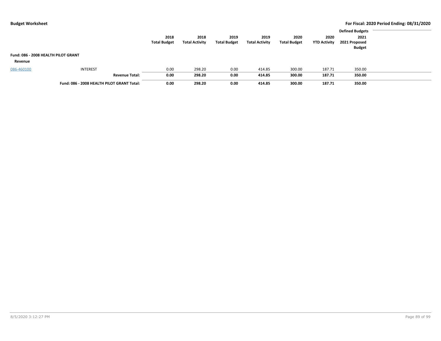|                                     |                                            |                     |                       |                     |                       |                     |                     | <b>Defined Budgets</b> |  |
|-------------------------------------|--------------------------------------------|---------------------|-----------------------|---------------------|-----------------------|---------------------|---------------------|------------------------|--|
|                                     |                                            | 2018                | 2018                  | 2019                | 2019                  | 2020                | 2020                | 2021                   |  |
|                                     |                                            | <b>Total Budget</b> | <b>Total Activity</b> | <b>Total Budget</b> | <b>Total Activity</b> | <b>Total Budget</b> | <b>YTD Activity</b> | 2021 Proposed          |  |
|                                     |                                            |                     |                       |                     |                       |                     |                     | <b>Budget</b>          |  |
| Fund: 086 - 2008 HEALTH PILOT GRANT |                                            |                     |                       |                     |                       |                     |                     |                        |  |
| Revenue                             |                                            |                     |                       |                     |                       |                     |                     |                        |  |
| 086-460100                          | <b>INTEREST</b>                            | 0.00                | 298.20                | 0.00                | 414.85                | 300.00              | 187.71              | 350.00                 |  |
|                                     | <b>Revenue Total:</b>                      | 0.00                | 298.20                | 0.00                | 414.85                | 300.00              | 187.71              | 350.00                 |  |
|                                     | Fund: 086 - 2008 HEALTH PILOT GRANT Total: | 0.00                | 298.20                | 0.00                | 414.85                | 300.00              | 187.71              | 350.00                 |  |
|                                     |                                            |                     |                       |                     |                       |                     |                     |                        |  |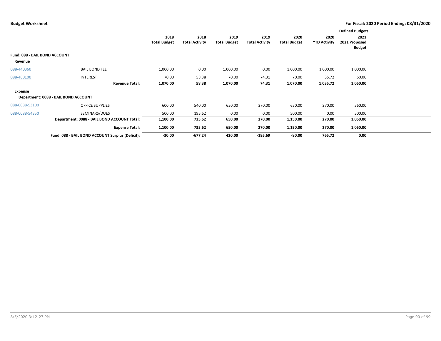|                               |                                                  |                     |                       |                     |                       |                     |                     | <b>Defined Budgets</b> |  |
|-------------------------------|--------------------------------------------------|---------------------|-----------------------|---------------------|-----------------------|---------------------|---------------------|------------------------|--|
|                               |                                                  | 2018                | 2018                  | 2019                | 2019                  | 2020                | 2020                | 2021                   |  |
|                               |                                                  | <b>Total Budget</b> | <b>Total Activity</b> | <b>Total Budget</b> | <b>Total Activity</b> | <b>Total Budget</b> | <b>YTD Activity</b> | 2021 Proposed          |  |
|                               |                                                  |                     |                       |                     |                       |                     |                     | <b>Budget</b>          |  |
| Fund: 088 - BAIL BOND ACCOUNT |                                                  |                     |                       |                     |                       |                     |                     |                        |  |
| Revenue                       |                                                  |                     |                       |                     |                       |                     |                     |                        |  |
| 088-440360                    | <b>BAIL BOND FEE</b>                             | 1,000.00            | 0.00                  | 1,000.00            | 0.00                  | 1,000.00            | 1,000.00            | 1,000.00               |  |
| 088-460100                    | <b>INTEREST</b>                                  | 70.00               | 58.38                 | 70.00               | 74.31                 | 70.00               | 35.72               | 60.00                  |  |
|                               | <b>Revenue Total:</b>                            | 1,070.00            | 58.38                 | 1,070.00            | 74.31                 | 1,070.00            | 1,035.72            | 1,060.00               |  |
| Expense                       |                                                  |                     |                       |                     |                       |                     |                     |                        |  |
|                               | Department: 0088 - BAIL BOND ACCOUNT             |                     |                       |                     |                       |                     |                     |                        |  |
| 088-0088-53100                | <b>OFFICE SUPPLIES</b>                           | 600.00              | 540.00                | 650.00              | 270.00                | 650.00              | 270.00              | 560.00                 |  |
| 088-0088-54350                | SEMINARS/DUES                                    | 500.00              | 195.62                | 0.00                | 0.00                  | 500.00              | 0.00                | 500.00                 |  |
|                               | Department: 0088 - BAIL BOND ACCOUNT Total:      | 1,100.00            | 735.62                | 650.00              | 270.00                | 1,150.00            | 270.00              | 1,060.00               |  |
|                               | <b>Expense Total:</b>                            | 1,100.00            | 735.62                | 650.00              | 270.00                | 1,150.00            | 270.00              | 1,060.00               |  |
|                               | Fund: 088 - BAIL BOND ACCOUNT Surplus (Deficit): | $-30.00$            | $-677.24$             | 420.00              | $-195.69$             | $-80.00$            | 765.72              | 0.00                   |  |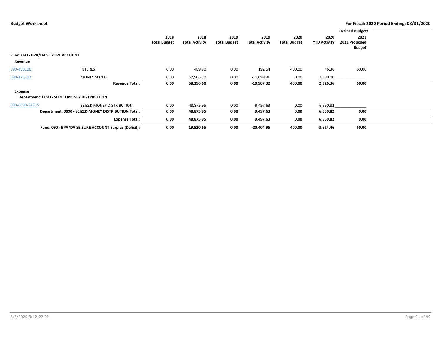|                |                                                       |                             |                               |                             |                               |                             |                             | <b>Defined Budgets</b>                 |  |
|----------------|-------------------------------------------------------|-----------------------------|-------------------------------|-----------------------------|-------------------------------|-----------------------------|-----------------------------|----------------------------------------|--|
|                |                                                       | 2018<br><b>Total Budget</b> | 2018<br><b>Total Activity</b> | 2019<br><b>Total Budget</b> | 2019<br><b>Total Activity</b> | 2020<br><b>Total Budget</b> | 2020<br><b>YTD Activity</b> | 2021<br>2021 Proposed<br><b>Budget</b> |  |
|                | Fund: 090 - BPA/DA SEIZURE ACCOUNT                    |                             |                               |                             |                               |                             |                             |                                        |  |
| Revenue        |                                                       |                             |                               |                             |                               |                             |                             |                                        |  |
| 090-460100     | <b>INTEREST</b>                                       | 0.00                        | 489.90                        | 0.00                        | 192.64                        | 400.00                      | 46.36                       | 60.00                                  |  |
| 090-475202     | <b>MONEY SEIZED</b>                                   | 0.00                        | 67,906.70                     | 0.00                        | $-11,099.96$                  | 0.00                        | 2,880.00                    |                                        |  |
|                | <b>Revenue Total:</b>                                 | 0.00                        | 68,396.60                     | 0.00                        | $-10,907.32$                  | 400.00                      | 2,926.36                    | 60.00                                  |  |
| Expense        |                                                       |                             |                               |                             |                               |                             |                             |                                        |  |
|                | Department: 0090 - SEIZED MONEY DISTRIBUTION          |                             |                               |                             |                               |                             |                             |                                        |  |
| 090-0090-54835 | SEIZED MONEY DISTRIBUTION                             | 0.00                        | 48,875.95                     | 0.00                        | 9,497.63                      | 0.00                        | 6,550.82                    |                                        |  |
|                | Department: 0090 - SEIZED MONEY DISTRIBUTION Total:   | 0.00                        | 48,875.95                     | 0.00                        | 9,497.63                      | 0.00                        | 6,550.82                    | 0.00                                   |  |
|                | <b>Expense Total:</b>                                 | 0.00                        | 48,875.95                     | 0.00                        | 9,497.63                      | 0.00                        | 6,550.82                    | 0.00                                   |  |
|                | Fund: 090 - BPA/DA SEIZURE ACCOUNT Surplus (Deficit): | 0.00                        | 19,520.65                     | 0.00                        | $-20,404.95$                  | 400.00                      | $-3,624.46$                 | 60.00                                  |  |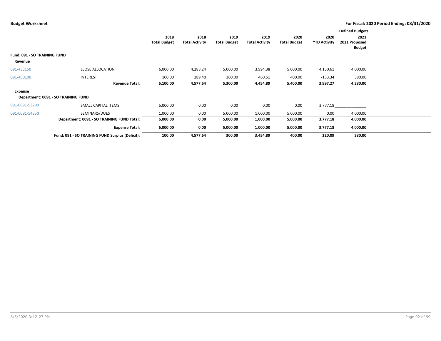|                              |                                                 |                     |                       |                     |                       |                     |                     | <b>Defined Budgets</b> |  |
|------------------------------|-------------------------------------------------|---------------------|-----------------------|---------------------|-----------------------|---------------------|---------------------|------------------------|--|
|                              |                                                 | 2018                | 2018                  | 2019                | 2019                  | 2020                | 2020                | 2021                   |  |
|                              |                                                 | <b>Total Budget</b> | <b>Total Activity</b> | <b>Total Budget</b> | <b>Total Activity</b> | <b>Total Budget</b> | <b>YTD Activity</b> | 2021 Proposed          |  |
|                              |                                                 |                     |                       |                     |                       |                     |                     | <b>Budget</b>          |  |
| Fund: 091 - SO TRAINING FUND |                                                 |                     |                       |                     |                       |                     |                     |                        |  |
| Revenue                      |                                                 |                     |                       |                     |                       |                     |                     |                        |  |
| 091-433150                   | <b>LEOSE ALLOCATION</b>                         | 6,000.00            | 4,288.24              | 5,000.00            | 3,994.38              | 5,000.00            | 4,130.61            | 4,000.00               |  |
| 091-460100                   | <b>INTEREST</b>                                 | 100.00              | 289.40                | 300.00              | 460.51                | 400.00              | $-133.34$           | 380.00                 |  |
|                              | <b>Revenue Total:</b>                           | 6,100.00            | 4,577.64              | 5,300.00            | 4,454.89              | 5,400.00            | 3,997.27            | 4,380.00               |  |
| Expense                      |                                                 |                     |                       |                     |                       |                     |                     |                        |  |
|                              | Department: 0091 - SO TRAINING FUND             |                     |                       |                     |                       |                     |                     |                        |  |
| 091-0091-53200               | SMALL CAPITAL ITEMS                             | 5,000.00            | 0.00                  | 0.00                | 0.00                  | 0.00                | 3,777.18            |                        |  |
| 091-0091-54350               | SEMINARS/DUES                                   | 1,000.00            | 0.00                  | 5,000.00            | 1,000.00              | 5,000.00            | 0.00                | 4,000.00               |  |
|                              | Department: 0091 - SO TRAINING FUND Total:      | 6,000.00            | 0.00                  | 5,000.00            | 1,000.00              | 5,000.00            | 3,777.18            | 4,000.00               |  |
|                              | <b>Expense Total:</b>                           | 6,000.00            | 0.00                  | 5,000.00            | 1,000.00              | 5,000.00            | 3,777.18            | 4,000.00               |  |
|                              | Fund: 091 - SO TRAINING FUND Surplus (Deficit): | 100.00              | 4,577.64              | 300.00              | 3,454.89              | 400.00              | 220.09              | 380.00                 |  |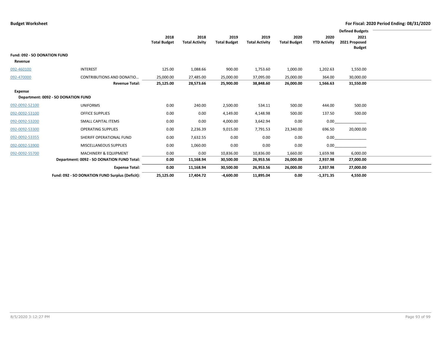|                                     |                                                 |                     |                       |                     |                       |                     |                     | <b>Defined Budgets</b> |
|-------------------------------------|-------------------------------------------------|---------------------|-----------------------|---------------------|-----------------------|---------------------|---------------------|------------------------|
|                                     |                                                 | 2018                | 2018                  | 2019                | 2019                  | 2020                | 2020                | 2021                   |
|                                     |                                                 | <b>Total Budget</b> | <b>Total Activity</b> | <b>Total Budget</b> | <b>Total Activity</b> | <b>Total Budget</b> | <b>YTD Activity</b> | 2021 Proposed          |
|                                     |                                                 |                     |                       |                     |                       |                     |                     | <b>Budget</b>          |
| <b>Fund: 092 - SO DONATION FUND</b> |                                                 |                     |                       |                     |                       |                     |                     |                        |
| Revenue                             |                                                 |                     |                       |                     |                       |                     |                     |                        |
| 092-460100                          | <b>INTEREST</b>                                 | 125.00              | 1,088.66              | 900.00              | 1,753.60              | 1,000.00            | 1,202.63            | 1,550.00               |
| 092-470000                          | CONTRIBUTIONS AND DONATIO                       | 25,000.00           | 27,485.00             | 25,000.00           | 37,095.00             | 25,000.00           | 364.00              | 30,000.00              |
|                                     | <b>Revenue Total:</b>                           | 25,125.00           | 28,573.66             | 25,900.00           | 38,848.60             | 26,000.00           | 1,566.63            | 31,550.00              |
| <b>Expense</b>                      |                                                 |                     |                       |                     |                       |                     |                     |                        |
|                                     | Department: 0092 - SO DONATION FUND             |                     |                       |                     |                       |                     |                     |                        |
| 092-0092-52100                      | <b>UNIFORMS</b>                                 | 0.00                | 240.00                | 2,500.00            | 534.11                | 500.00              | 444.00              | 500.00                 |
| 092-0092-53100                      | <b>OFFICE SUPPLIES</b>                          | 0.00                | 0.00                  | 4,149.00            | 4,148.98              | 500.00              | 137.50              | 500.00                 |
| 092-0092-53200                      | SMALL CAPITAL ITEMS                             | 0.00                | 0.00                  | 4,000.00            | 3,642.94              | 0.00                | 0.00                |                        |
| 092-0092-53300                      | <b>OPERATING SUPPLIES</b>                       | 0.00                | 2,236.39              | 9,015.00            | 7,791.53              | 23,340.00           | 696.50              | 20,000.00              |
| 092-0092-53355                      | SHERIFF OPERATIONAL FUND                        | 0.00                | 7,632.55              | 0.00                | 0.00                  | 0.00                | 0.00                |                        |
| 092-0092-53900                      | MISCELLANEOUS SUPPLIES                          | 0.00                | 1,060.00              | 0.00                | 0.00                  | 0.00                | 0.00                |                        |
| 092-0092-55700                      | <b>MACHINERY &amp; EQUIPMENT</b>                | 0.00                | 0.00                  | 10,836.00           | 10,836.00             | 1,660.00            | 1,659.98            | 6,000.00               |
|                                     | Department: 0092 - SO DONATION FUND Total:      | 0.00                | 11,168.94             | 30,500.00           | 26,953.56             | 26,000.00           | 2,937.98            | 27,000.00              |
|                                     | <b>Expense Total:</b>                           | 0.00                | 11,168.94             | 30,500.00           | 26,953.56             | 26,000.00           | 2,937.98            | 27,000.00              |
|                                     | Fund: 092 - SO DONATION FUND Surplus (Deficit): | 25,125.00           | 17,404.72             | $-4,600.00$         | 11,895.04             | 0.00                | $-1,371.35$         | 4,550.00               |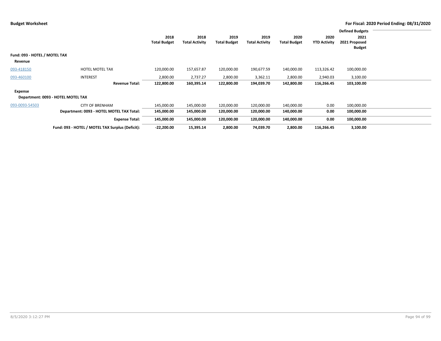|                               |                                                  |                     |                       |                     |                       |                     |                     | <b>Defined Budgets</b> |  |
|-------------------------------|--------------------------------------------------|---------------------|-----------------------|---------------------|-----------------------|---------------------|---------------------|------------------------|--|
|                               |                                                  | 2018                | 2018                  | 2019                | 2019                  | 2020                | 2020                | 2021                   |  |
|                               |                                                  | <b>Total Budget</b> | <b>Total Activity</b> | <b>Total Budget</b> | <b>Total Activity</b> | <b>Total Budget</b> | <b>YTD Activity</b> | 2021 Proposed          |  |
|                               |                                                  |                     |                       |                     |                       |                     |                     | <b>Budget</b>          |  |
| Fund: 093 - HOTEL / MOTEL TAX |                                                  |                     |                       |                     |                       |                     |                     |                        |  |
| Revenue                       |                                                  |                     |                       |                     |                       |                     |                     |                        |  |
| 093-418150                    | <b>HOTEL MOTEL TAX</b>                           | 120,000.00          | 157,657.87            | 120,000.00          | 190,677.59            | 140,000.00          | 113,326.42          | 100,000.00             |  |
| 093-460100                    | <b>INTEREST</b>                                  | 2,800.00            | 2,737.27              | 2,800.00            | 3,362.11              | 2,800.00            | 2,940.03            | 3,100.00               |  |
|                               | <b>Revenue Total:</b>                            | 122,800.00          | 160,395.14            | 122,800.00          | 194,039.70            | 142,800.00          | 116,266.45          | 103,100.00             |  |
| Expense                       |                                                  |                     |                       |                     |                       |                     |                     |                        |  |
|                               | Department: 0093 - HOTEL MOTEL TAX               |                     |                       |                     |                       |                     |                     |                        |  |
| 093-0093-54503                | <b>CITY OF BRENHAM</b>                           | 145,000.00          | 145,000.00            | 120,000.00          | 120,000.00            | 140,000.00          | 0.00                | 100,000.00             |  |
|                               | Department: 0093 - HOTEL MOTEL TAX Total:        | 145,000.00          | 145,000.00            | 120,000.00          | 120,000.00            | 140,000.00          | 0.00                | 100,000.00             |  |
|                               | <b>Expense Total:</b>                            | 145,000.00          | 145,000.00            | 120,000.00          | 120,000.00            | 140,000.00          | 0.00                | 100,000.00             |  |
|                               | Fund: 093 - HOTEL / MOTEL TAX Surplus (Deficit): | $-22,200.00$        | 15,395.14             | 2,800.00            | 74,039.70             | 2,800.00            | 116,266.45          | 3,100.00               |  |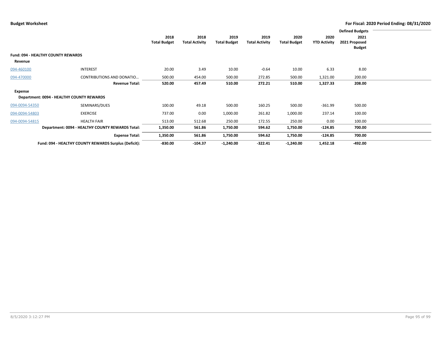|                |                                                       |                             |                               |                             |                               |                             |                             | <b>Defined Budgets</b>                 |  |
|----------------|-------------------------------------------------------|-----------------------------|-------------------------------|-----------------------------|-------------------------------|-----------------------------|-----------------------------|----------------------------------------|--|
|                |                                                       | 2018<br><b>Total Budget</b> | 2018<br><b>Total Activity</b> | 2019<br><b>Total Budget</b> | 2019<br><b>Total Activity</b> | 2020<br><b>Total Budget</b> | 2020<br><b>YTD Activity</b> | 2021<br>2021 Proposed<br><b>Budget</b> |  |
|                | <b>Fund: 094 - HEALTHY COUNTY REWARDS</b>             |                             |                               |                             |                               |                             |                             |                                        |  |
| Revenue        |                                                       |                             |                               |                             |                               |                             |                             |                                        |  |
| 094-460100     | <b>INTEREST</b>                                       | 20.00                       | 3.49                          | 10.00                       | $-0.64$                       | 10.00                       | 6.33                        | 8.00                                   |  |
| 094-470000     | <b>CONTRIBUTIONS AND DONATIO</b>                      | 500.00                      | 454.00                        | 500.00                      | 272.85                        | 500.00                      | 1,321.00                    | 200.00                                 |  |
|                | <b>Revenue Total:</b>                                 | 520.00                      | 457.49                        | 510.00                      | 272.21                        | 510.00                      | 1,327.33                    | 208.00                                 |  |
| Expense        |                                                       |                             |                               |                             |                               |                             |                             |                                        |  |
|                | Department: 0094 - HEALTHY COUNTY REWARDS             |                             |                               |                             |                               |                             |                             |                                        |  |
| 094-0094-54350 | SEMINARS/DUES                                         | 100.00                      | 49.18                         | 500.00                      | 160.25                        | 500.00                      | -361.99                     | 500.00                                 |  |
| 094-0094-54803 | <b>EXERCISE</b>                                       | 737.00                      | 0.00                          | 1,000.00                    | 261.82                        | 1,000.00                    | 237.14                      | 100.00                                 |  |
| 094-0094-54815 | <b>HEALTH FAIR</b>                                    | 513.00                      | 512.68                        | 250.00                      | 172.55                        | 250.00                      | 0.00                        | 100.00                                 |  |
|                | Department: 0094 - HEALTHY COUNTY REWARDS Total:      | 1,350.00                    | 561.86                        | 1,750.00                    | 594.62                        | 1,750.00                    | -124.85                     | 700.00                                 |  |
|                | <b>Expense Total:</b>                                 | 1,350.00                    | 561.86                        | 1,750.00                    | 594.62                        | 1,750.00                    | $-124.85$                   | 700.00                                 |  |
|                | Fund: 094 - HEALTHY COUNTY REWARDS Surplus (Deficit): | $-830.00$                   | $-104.37$                     | $-1,240.00$                 | $-322.41$                     | $-1,240.00$                 | 1,452.18                    | $-492.00$                              |  |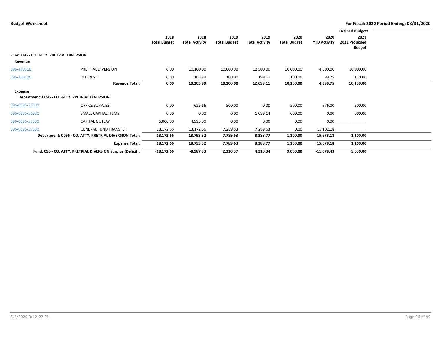|                                                        |                                                             |                             |                               |                             |                               |                             |                             | <b>Defined Budgets</b>                 |  |
|--------------------------------------------------------|-------------------------------------------------------------|-----------------------------|-------------------------------|-----------------------------|-------------------------------|-----------------------------|-----------------------------|----------------------------------------|--|
|                                                        |                                                             | 2018<br><b>Total Budget</b> | 2018<br><b>Total Activity</b> | 2019<br><b>Total Budget</b> | 2019<br><b>Total Activity</b> | 2020<br><b>Total Budget</b> | 2020<br><b>YTD Activity</b> | 2021<br>2021 Proposed<br><b>Budget</b> |  |
| Fund: 096 - CO. ATTY. PRETRIAL DIVERSION<br>Revenue    |                                                             |                             |                               |                             |                               |                             |                             |                                        |  |
| 096-440310                                             | PRETRIAL DIVERSION                                          | 0.00                        | 10,100.00                     | 10,000.00                   | 12,500.00                     | 10,000.00                   | 4,500.00                    | 10,000.00                              |  |
| 096-460100                                             | <b>INTEREST</b>                                             | 0.00                        | 105.99                        | 100.00                      | 199.11                        | 100.00                      | 99.75                       | 130.00                                 |  |
|                                                        | <b>Revenue Total:</b>                                       | 0.00                        | 10,205.99                     | 10,100.00                   | 12,699.11                     | 10,100.00                   | 4,599.75                    | 10,130.00                              |  |
| Expense                                                | Department: 0096 - CO. ATTY. PRETRIAL DIVERSION             |                             |                               |                             |                               |                             |                             |                                        |  |
| 096-0096-53100                                         | <b>OFFICE SUPPLIES</b>                                      | 0.00                        | 625.66                        | 500.00                      | 0.00                          | 500.00                      | 576.00                      | 500.00                                 |  |
| 096-0096-53200                                         | SMALL CAPITAL ITEMS                                         | 0.00                        | 0.00                          | 0.00                        | 1,099.14                      | 600.00                      | 0.00                        | 600.00                                 |  |
| 096-0096-55000                                         | <b>CAPITAL OUTLAY</b>                                       | 5,000.00                    | 4,995.00                      | 0.00                        | 0.00                          | 0.00                        | 0.00                        |                                        |  |
| 096-0096-59100                                         | <b>GENERAL FUND TRANSFER</b>                                | 13,172.66                   | 13,172.66                     | 7,289.63                    | 7,289.63                      | 0.00                        | 15,102.18                   |                                        |  |
| Department: 0096 - CO. ATTY. PRETRIAL DIVERSION Total: |                                                             | 18,172.66                   | 18,793.32                     | 7,789.63                    | 8,388.77                      | 1,100.00                    | 15,678.18                   | 1,100.00                               |  |
|                                                        | <b>Expense Total:</b>                                       | 18,172.66                   | 18,793.32                     | 7,789.63                    | 8,388.77                      | 1,100.00                    | 15,678.18                   | 1,100.00                               |  |
|                                                        | Fund: 096 - CO. ATTY. PRETRIAL DIVERSION Surplus (Deficit): | $-18,172.66$                | $-8,587.33$                   | 2,310.37                    | 4,310.34                      | 9,000.00                    | $-11,078.43$                | 9,030.00                               |  |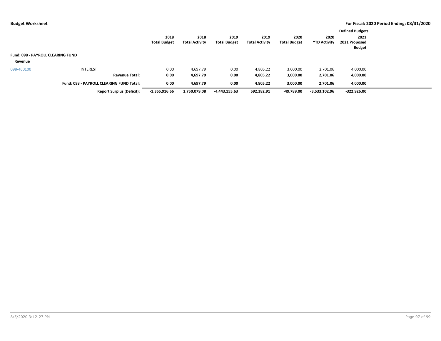|                                                 |                                  |                     |                       |                     |                       |                     |                     | <b>Defined Budgets</b> |  |
|-------------------------------------------------|----------------------------------|---------------------|-----------------------|---------------------|-----------------------|---------------------|---------------------|------------------------|--|
|                                                 |                                  | 2018                | 2018                  | 2019                | 2019                  | 2020                | 2020                | 2021                   |  |
|                                                 |                                  | <b>Total Budget</b> | <b>Total Activity</b> | <b>Total Budget</b> | <b>Total Activity</b> | <b>Total Budget</b> | <b>YTD Activity</b> | 2021 Proposed          |  |
|                                                 |                                  |                     |                       |                     |                       |                     |                     | <b>Budget</b>          |  |
| <b>Fund: 098 - PAYROLL CLEARING FUND</b>        |                                  |                     |                       |                     |                       |                     |                     |                        |  |
| Revenue                                         |                                  |                     |                       |                     |                       |                     |                     |                        |  |
| 098-460100                                      | <b>INTEREST</b>                  | 0.00                | 4,697.79              | 0.00                | 4,805.22              | 3,000.00            | 2,701.06            | 4,000.00               |  |
|                                                 | <b>Revenue Total:</b>            | 0.00                | 4,697.79              | 0.00                | 4,805.22              | 3,000.00            | 2,701.06            | 4,000.00               |  |
| <b>Fund: 098 - PAYROLL CLEARING FUND Total:</b> |                                  | 0.00                | 4,697.79              | 0.00                | 4,805.22              | 3,000.00            | 2,701.06            | 4,000.00               |  |
|                                                 | <b>Report Surplus (Deficit):</b> | $-1,365,916.66$     | 2,750,079.08          | -4,443,155.63       | 592,382.91            | -49,789.00          | $-3,533,102.96$     | $-322,926.00$          |  |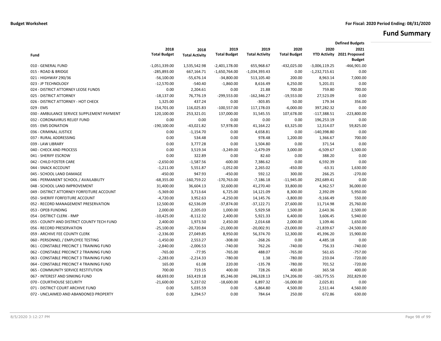# **Fund Summary**

|                                            |                     |                       |                     |                       |                     |                 | <b>Defined Budgets</b>         |
|--------------------------------------------|---------------------|-----------------------|---------------------|-----------------------|---------------------|-----------------|--------------------------------|
|                                            | 2018                | 2018                  | 2019                | 2019                  | 2020                | 2020            | 2021                           |
| Fund                                       | <b>Total Budget</b> | <b>Total Activity</b> | <b>Total Budget</b> | <b>Total Activity</b> | <b>Total Budget</b> |                 | YTD Activity 2021 Proposed     |
| 010 - GENERAL FUND                         | $-1,051,339.00$     | 1,535,542.98          | $-2,401,178.00$     | 655,968.67            | $-432,025.00$       | $-3,006,119.25$ | <b>Budget</b><br>$-466,901.00$ |
| 015 - ROAD & BRIDGE                        | -285,893.00         | 667,164.71            | $-1,650,764.00$     | $-1,034,393.43$       | 0.00                | $-1,232,715.61$ | 0.00                           |
| 021 - HIGHWAY 290/36                       | $-56,100.00$        | $-55,676.14$          | $-34,800.00$        | 513,105.40            | 200.00              | 8,963.14        | 7,000.00                       |
| 023 - JP TECHNOLOGY                        | $-12,570.00$        | $-540.40$             | $-1,860.00$         | 8,616.49              | 6,250.00            | 5,201.01        | 0.00                           |
| 024 - DISTRICT ATTORNEY LEOSE FUNDS        | 0.00                | 2,204.61              | 0.00                | 21.88                 | 700.00              | 759.80          | 700.00                         |
| 025 - DISTRICT ATTORNEY                    | $-18,137.00$        | 76,776.19             | $-299,553.00$       | $-162,346.27$         | $-19,553.00$        | 27,523.09       | 0.00                           |
| 026 - DISTRICT ATTORNEY - HOT CHECK        | 1,325.00            | 437.24                | 0.00                | $-303.85$             | 50.00               | 179.34          | 356.00                         |
| 029 - EMS                                  | 154,701.00          | 116,025.83            | $-100,557.00$       | 117,178.03            | $-6,000.00$         | 397,282.32      | 0.00                           |
| 030 - AMBULANCE SERVICE SUPPLEMENT PAYMENT | 120,100.00          | 253,321.01            | 137,000.00          | 31,545.55             | 107,678.00          | $-117,388.51$   | $-223,800.00$                  |
| 032 - CORONAVIRUS RELIEF FUND              | 0.00                | 0.00                  | 0.00                | 0.00                  | 0.00                | 196,253.19      | 0.00                           |
| 035 - EMS DONATION                         | $-190,100.00$       | $-43,021.82$          | 57,978.00           | 41,164.22             | 63,325.00           | 12,314.07       | 59,825.00                      |
| 036 - CRIMINAL JUSTICE                     | 0.00                | $-1,154.70$           | 0.00                | 4,658.81              | 0.00                | $-140,398.80$   | 0.00                           |
| 037 - RURAL ADDRESSING                     | 0.00                | 534.48                | 0.00                | 978.48                | 1,200.00            | 1,366.67        | 700.00                         |
| 039 - LAW LIBRARY                          | 0.00                | 3,777.28              | 0.00                | 1,504.80              | 0.00                | 371.54          | 0.00                           |
| 040 - CHECK AND PROCESS                    | 0.00                | 3,519.34              | $-3,249.00$         | $-2,479.09$           | 3,000.00            | $-6,509.67$     | 1,500.00                       |
| 041 - SHERIFF ESCROW                       | 0.00                | 322.89                | 0.00                | 82.60                 | 0.00                | 388.20          | 0.00                           |
| 042 - CHILD FOSTER CARE                    | $-2,650.00$         | $-1,587.56$           | $-600.00$           | 7,386.62              | 0.00                | 6,592.39        | 0.00                           |
| 044 - SNACK ACCOUNT                        | $-1,211.00$         | 5,551.87              | $-1,052.00$         | 2,265.02              | $-450.00$           | $-63.31$        | 1,630.00                       |
| 045 - SCHOOL LAND DAMAGE                   | $-450.00$           | 947.93                | $-450.00$           | 592.12                | 300.00              | 266.25          | $-270.00$                      |
| 046 - PERMANENT SCHOOL / AVAILABILITY      | $-68,355.00$        | $-160,759.22$         | $-170,763.00$       | $-7,186.18$           | $-11,945.00$        | 292,689.41      | 0.00                           |
| 048 - SCHOOL LAND IMPROVEMENT              | 31,400.00           | 36,604.13             | 32,600.00           | 41,270.40             | 33,800.00           | 4,362.57        | 36,000.00                      |
| 049 - DISTRICT ATTORNEY FORFEITURE ACCOUNT | $-5,369.00$         | 3,713.64              | 6,725.00            | 14,121.09             | 8,300.00            | 2,392.09        | 5,950.00                       |
| 050 - SHERIFF FORFEITURE ACCOUNT           | $-4,720.00$         | 3,952.63              | $-4,250.00$         | 14,145.76             | $-3,800.00$         | $-9,166.49$     | 550.00                         |
| 052 - RECORD MANAGEMENT PRESERVATION       | 12,500.00           | 62,536.09             | $-37,874.00$        | $-37,122.71$          | 27,600.00           | 11,714.98       | 25,760.00                      |
| 053 - OPEB FUNDING                         | 2,000.00            | 2,205.03              | 1,000.00            | 5,929.58              | 1,500.00            | 2,643.36        | 2,500.00                       |
| 054 - DISTRICT CLERK - RMP                 | $-10,425.00$        | $-8,112.32$           | 2,400.00            | 5,921.33              | 6,400.00            | 3,606.45        | 5,940.00                       |
| 055 - COUNTY AND DISTRICT COUNTY TECH FUND | 2,400.00            | 1,973.50              | 2,450.00            | 2,014.68              | 2,000.00            | 1,109.46        | 1,650.00                       |
| 056 - RECORD PRESERVATION                  | $-25,100.00$        | $-20,720.84$          | $-21,000.00$        | $-20,002.91$          | $-23,000.00$        | $-21,839.67$    | $-24,500.00$                   |
| 059 - ARCHIVE FEE COUNTY CLERK             | $-2,336.00$         | 27,049.85             | 8,950.00            | 56,374.70             | 12,300.00           | 45,396.20       | 15,900.00                      |
| 060 - PERSONNEL / EMPLOYEE TESTING         | $-1,450.00$         | 2,553.27              | $-308.00$           | $-268.26$             | 0.00                | 4,485.18        | 0.00                           |
| 061 - CONSTABLE PRECINCT 1 TRAINING FUND   | $-2,840.00$         | $-2,006.53$           | $-740.00$           | 762.26                | $-740.00$           | 756.33          | $-740.00$                      |
| 062 - CONSTABLE PRECINCT 2 TRAINING FUND   | $-765.00$           | $-77.95$              | $-765.00$           | 488.07                | $-765.00$           | 561.65          | $-757.00$                      |
| 063 - CONSTABLE PRECINCT 3 TRAINING FUND   | $-2,283.00$         | $-2,214.33$           | $-780.00$           | 1.38                  | $-780.00$           | 233.04          | $-720.00$                      |
| 064 - CONSTABLE PRECINCT 4 TRAINING FUND   | 165.00              | 61.08                 | 220.00              | $-135.78$             | $-780.00$           | 701.52          | $-720.00$                      |
| 065 - COMMUNITY SERVICE RESTITUTION        | 700.00              | 719.15                | 400.00              | 728.26                | 400.00              | 365.58          | 400.00                         |
| 067 - INTEREST AND SINKING FUND            | 68,693.00           | 163,419.18            | 85,246.00           | 246,328.13            | 174,206.00          | $-165,775.55$   | 202,829.00                     |
| 070 - COURTHOUSE SECURITY                  | $-21,600.00$        | 5,237.02              | $-18,600.00$        | 6,897.32              | $-16,000.00$        | 2,025.81        | 0.00                           |
| 071 - DISTRICT COURT ARCHIVE FUND          | 0.00                | 5,035.59              | 0.00                | $-5,864.80$           | 4,500.00            | 2,511.44        | 4,560.00                       |
| 072 - UNCLAIMED AND ABANDONED PROPERTY     | 0.00                | 3,294.57              | 0.00                | 784.64                | 250.00              | 672.86          | 630.00                         |